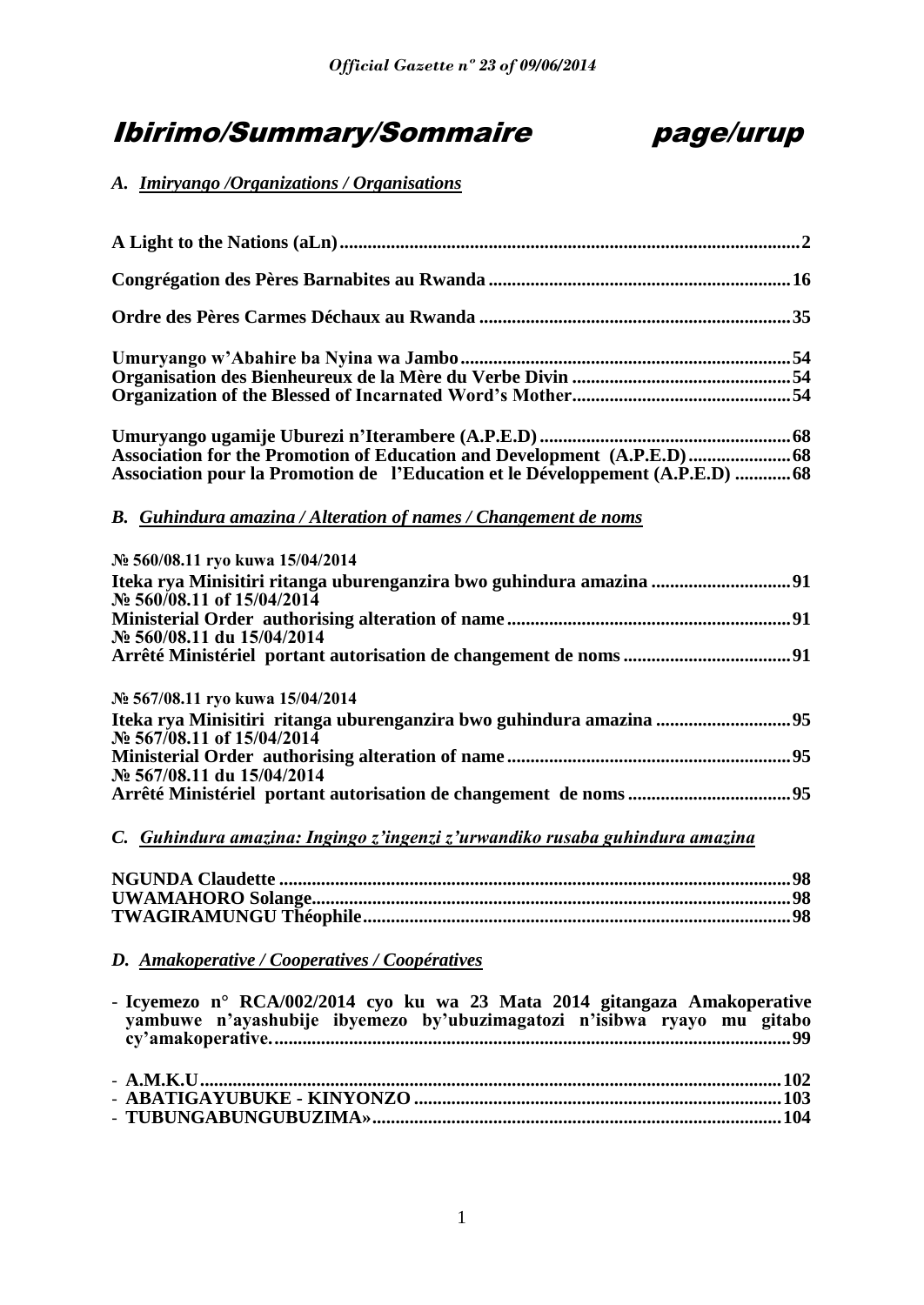# Ibirimo/Summary/Sommaire page/urup



# *A. Imiryango /Organizations / Organisations*

| Association for the Promotion of Education and Development (A.P.E.D) 68                            |  |
|----------------------------------------------------------------------------------------------------|--|
| Association pour la Promotion de l'Education et le Développement (A.P.E.D) 68                      |  |
| B. Guhindura amazina / Alteration of names / Changement de noms                                    |  |
| № 560/08.11 ryo kuwa 15/04/2014                                                                    |  |
| Iteka rya Minisitiri ritanga uburenganzira bwo guhindura amazina  91<br>No 560/08.11 of 15/04/2014 |  |
|                                                                                                    |  |
| No 560/08.11 du 15/04/2014                                                                         |  |
|                                                                                                    |  |
| № 567/08.11 ryo kuwa 15/04/2014                                                                    |  |
| Iteka rya Minisitiri ritanga uburenganzira bwo guhindura amazina 95                                |  |
| No 567/08.11 of 15/04/2014                                                                         |  |
|                                                                                                    |  |
| No 567/08.11 du 15/04/2014                                                                         |  |
|                                                                                                    |  |
|                                                                                                    |  |

# *C. Guhindura amazina: Ingingo z'ingenzi z'urwandiko rusaba guhindura amazina*

# *D. Amakoperative / Cooperatives / Coopératives*

| - Icyemezo n° RCA/002/2014 cyo ku wa 23 Mata 2014 gitangaza Amakoperative<br>yambuwe n'ayashubije ibyemezo by'ubuzimagatozi n'isibwa ryayo mu gitabo |  |
|------------------------------------------------------------------------------------------------------------------------------------------------------|--|
|                                                                                                                                                      |  |
|                                                                                                                                                      |  |
|                                                                                                                                                      |  |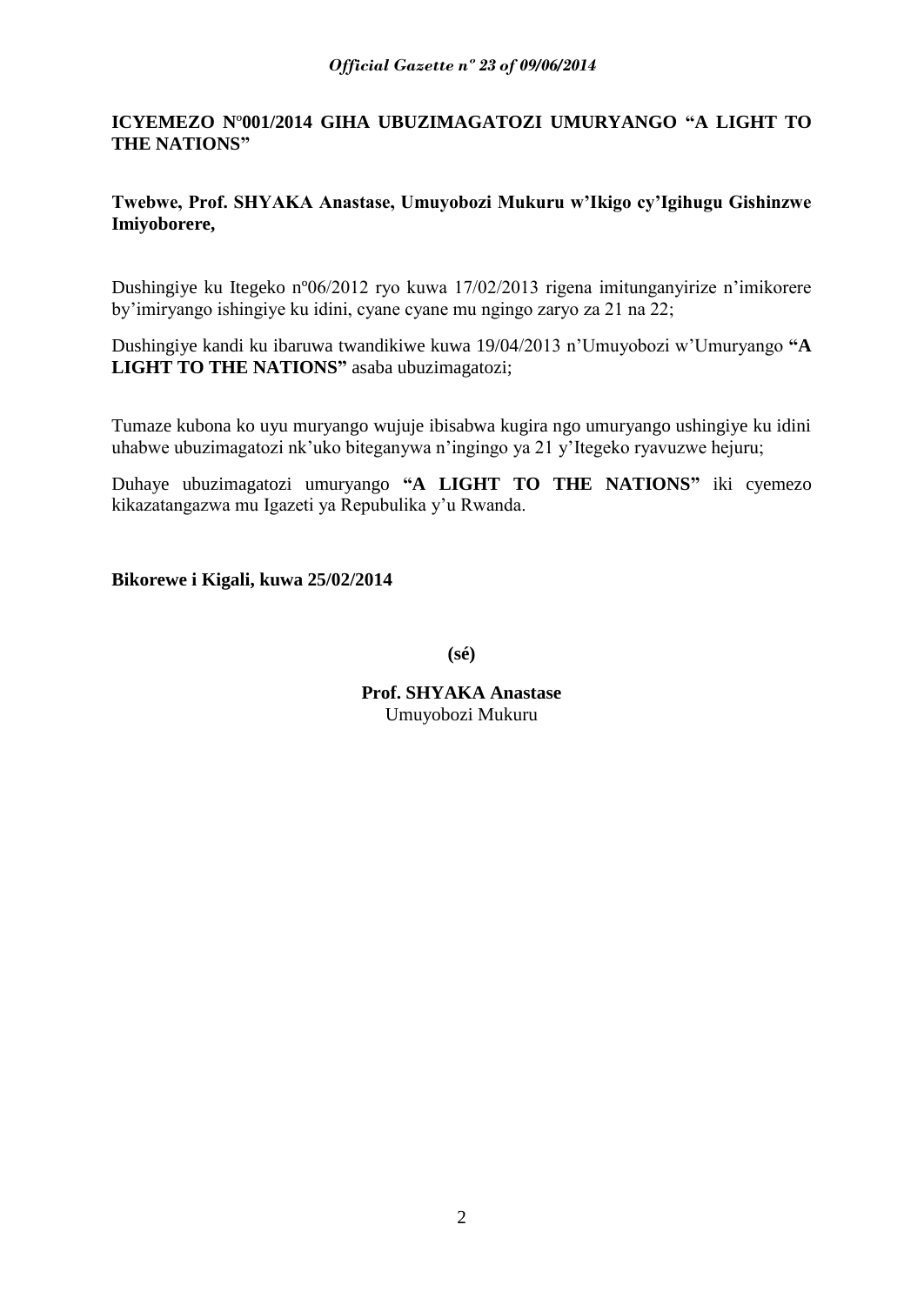# **ICYEMEZO N**º**001/2014 GIHA UBUZIMAGATOZI UMURYANGO "A LIGHT TO THE NATIONS"**

# **Twebwe, Prof. SHYAKA Anastase, Umuyobozi Mukuru w"Ikigo cy"Igihugu Gishinzwe Imiyoborere,**

Dushingiye ku Itegeko nº06/2012 ryo kuwa 17/02/2013 rigena imitunganyirize n"imikorere by"imiryango ishingiye ku idini, cyane cyane mu ngingo zaryo za 21 na 22;

Dushingiye kandi ku ibaruwa twandikiwe kuwa 19/04/2013 n"Umuyobozi w"Umuryango **"A LIGHT TO THE NATIONS"** asaba ubuzimagatozi;

Tumaze kubona ko uyu muryango wujuje ibisabwa kugira ngo umuryango ushingiye ku idini uhabwe ubuzimagatozi nk"uko biteganywa n"ingingo ya 21 y"Itegeko ryavuzwe hejuru;

Duhaye ubuzimagatozi umuryango **"A LIGHT TO THE NATIONS"** iki cyemezo kikazatangazwa mu Igazeti ya Repubulika y"u Rwanda.

**Bikorewe i Kigali, kuwa 25/02/2014**

**(sé)**

**Prof. SHYAKA Anastase** Umuyobozi Mukuru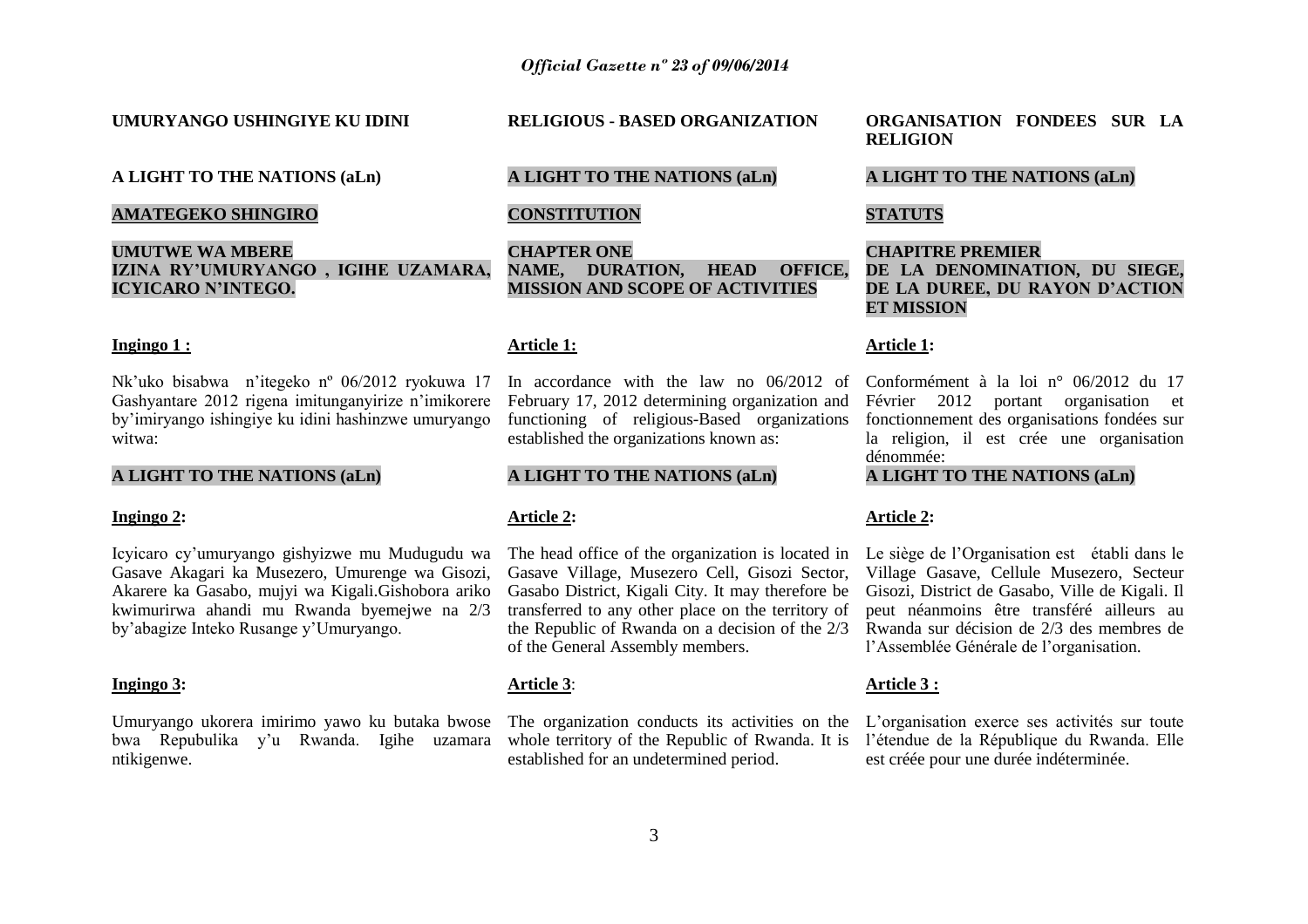#### **UMURYANGO USHINGIYE KU IDINI**

# **A LIGHT TO THE NATIONS (aLn)**

# **AMATEGEKO SHINGIRO**

# **UMUTWE WA MBERE IZINA RY"UMURYANGO , IGIHE UZAMARA, ICYICARO N"INTEGO.**

#### **Ingingo 1 :**

Nk"uko bisabwa n"itegeko nº 06/2012 ryokuwa 17 Gashyantare 2012 rigena imitunganyirize n'imikorere by"imiryango ishingiye ku idini hashinzwe umuryango witwa:

# **A LIGHT TO THE NATIONS (aLn)**

#### **Ingingo 2:**

<span id="page-2-0"></span>Icyicaro cy"umuryango gishyizwe mu Mudugudu wa Gasave Akagari ka Musezero, Umurenge wa Gisozi, Akarere ka Gasabo, mujyi wa Kigali.Gishobora ariko kwimurirwa ahandi mu Rwanda byemejwe na 2/3 by"abagize Inteko Rusange y"Umuryango.

#### **Ingingo 3:**

Umuryango ukorera imirimo yawo ku butaka bwose bwa Repubulika y"u Rwanda. Igihe uzamara ntikigenwe.

#### **RELIGIOUS - BASED ORGANIZATION**

# **A LIGHT TO THE NATIONS (aLn)**

# **CONSTITUTION**

**CHAPTER ONE NAME, DURATION, HEAD OFFICE, MISSION AND SCOPE OF ACTIVITIES**

#### **Article 1:**

In accordance with the law no 06/2012 of February 17, 2012 determining organization and functioning of religious-Based organizations established the organizations known as:

# **A LIGHT TO THE NATIONS (aLn)**

#### **Article 2:**

The head office of the organization is located in Gasave Village, Musezero Cell, Gisozi Sector, Gasabo District, Kigali City. It may therefore be transferred to any other place on the territory of the Republic of Rwanda on a decision of the 2/3 of the General Assembly members.

# **Article 3**:

The organization conducts its activities on the L'organisation exerce ses activités sur toute whole territory of the Republic of Rwanda. It is l"étendue de la République du Rwanda. Elle established for an undetermined period.

**ORGANISATION FONDEES SUR LA RELIGION**

# **A LIGHT TO THE NATIONS (aLn)**

# **STATUTS**

# **CHAPITRE PREMIER DE LA DENOMINATION, DU SIEGE, DE LA DUREE, DU RAYON D"ACTION ET MISSION**

#### **Article 1:**

Conformément à la loi n° 06/2012 du 17 Février 2012 portant organisation et fonctionnement des organisations fondées sur la religion, il est crée une organisation dénommée:

# **A LIGHT TO THE NATIONS (aLn)**

# **Article 2:**

Le siège de l"Organisation est établi dans le Village Gasave, Cellule Musezero, Secteur Gisozi, District de Gasabo, Ville de Kigali. Il peut néanmoins être transféré ailleurs au Rwanda sur décision de 2/3 des membres de l"Assemblée Générale de l"organisation.

# **Article 3 :**

est créée pour une durée indéterminée.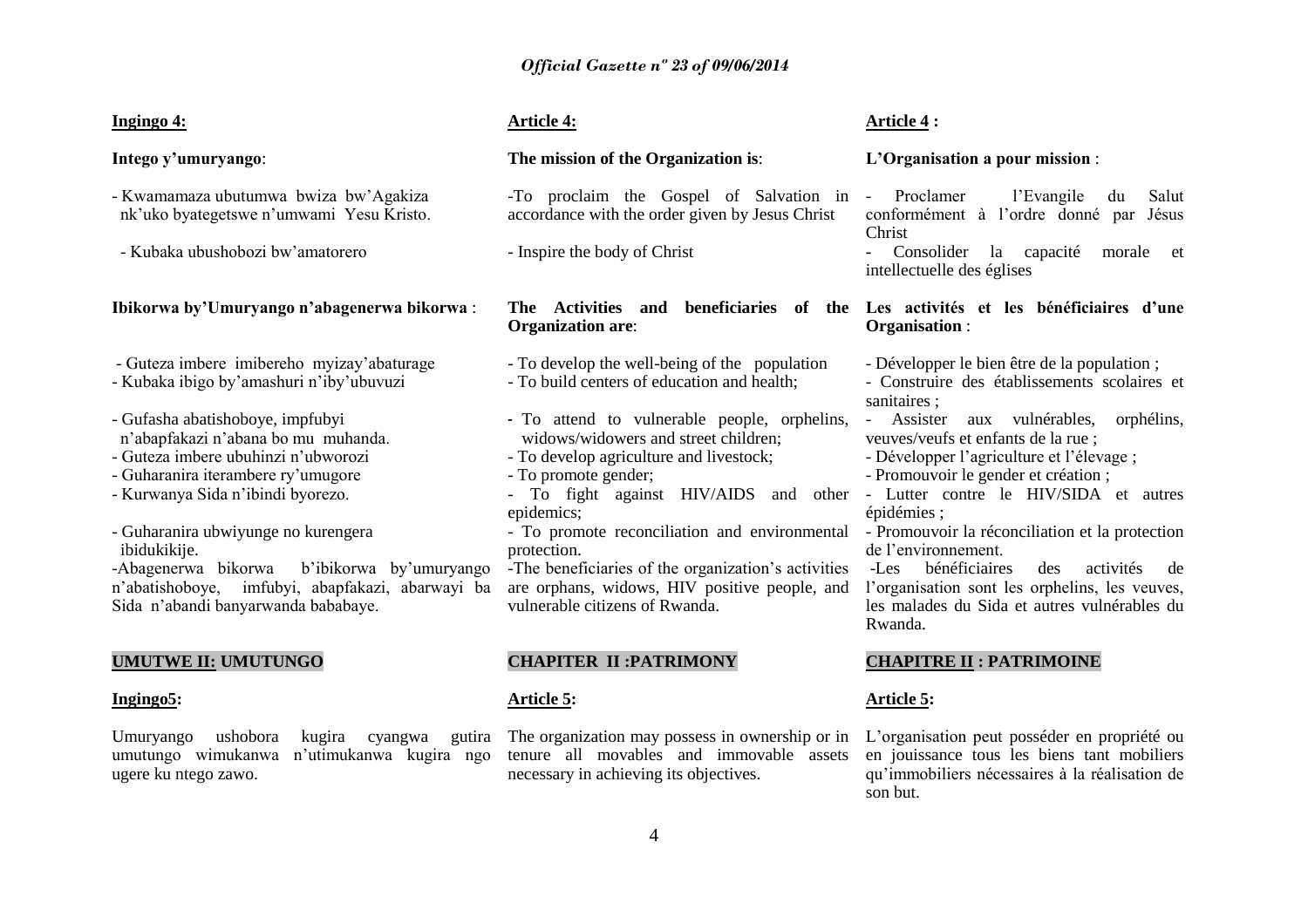#### **Ingingo 4:**

**Intego y"umuryango**:

- Kwamamaza ubutumwa bwiza bw"Agakiza nk"uko byategetswe n"umwami Yesu Kristo.
- Kubaka ubushobozi bw"amatorero

# **Ibikorwa by"Umuryango n"abagenerwa bikorwa** :

- Guteza imbere imibereho myizay"abaturage
- Kubaka ibigo by"amashuri n"iby"ubuvuzi
- Gufasha abatishoboye, impfubyi
- n"abapfakazi n"abana bo mu muhanda.
- Guteza imbere ubuhinzi n"ubworozi
- Guharanira iterambere ry"umugore
- Kurwanya Sida n"ibindi byorezo.
- Guharanira ubwiyunge no kurengera ibidukikije.

-Abagenerwa bikorwa b"ibikorwa by"umuryango n"abatishoboye, imfubyi, abapfakazi, abarwayi ba Sida n"abandi banyarwanda bababaye.

# **UMUTWE II: UMUTUNGO**

#### **Ingingo5:**

Umuryango ushobora kugira cyangwa gutira umutungo wimukanwa n"utimukanwa kugira ngo ugere ku ntego zawo.

# **Article 4:**

# **The mission of the Organization is**:

-To proclaim the Gospel of Salvation in accordance with the order given by Jesus Christ

- Inspire the body of Christ

# **Organization are**:

- To develop the well-being of the population
- To build centers of education and health;
- To attend to vulnerable people, orphelins, widows/widowers and street children;
- To develop agriculture and livestock;
- To promote gender;
- To fight against HIV/AIDS and other Lutter contre le HIV/SIDA et autres epidemics;
- protection.

-The beneficiaries of the organization"s activities are orphans, widows, HIV positive people, and vulnerable citizens of Rwanda.

# **CHAPITER II :PATRIMONY**

#### **Article 5:**

The organization may possess in ownership or in tenure all movables and immovable assets necessary in achieving its objectives.

# **Article 4 :**

# **L"Organisation a pour mission** :

l'Evangile du Salut conformément à l"ordre donné par Jésus Christ

**-** Consolider la capacité morale et intellectuelle des églises

**The Activities and beneficiaries of the Les activités et les bénéficiaires d"une Organisation** :

- Développer le bien être de la population ;

- Construire des établissements scolaires et sanitaires ·
- Assister aux vulnérables, orphélins, veuves/veufs et enfants de la rue ;
- Développer l"agriculture et l"élevage ;
- Promouvoir le gender et création ;
- épidémies ;
- To promote reconciliation and environmental Promouvoir la réconciliation et la protection de l"environnement.

-Les bénéficiaires des activités de l"organisation sont les orphelins, les veuves, les malades du Sida et autres vulnérables du Rwanda.

# **CHAPITRE II : PATRIMOINE**

#### **Article 5:**

L"organisation peut posséder en propriété ou en jouissance tous les biens tant mobiliers qu"immobiliers nécessaires à la réalisation de son but.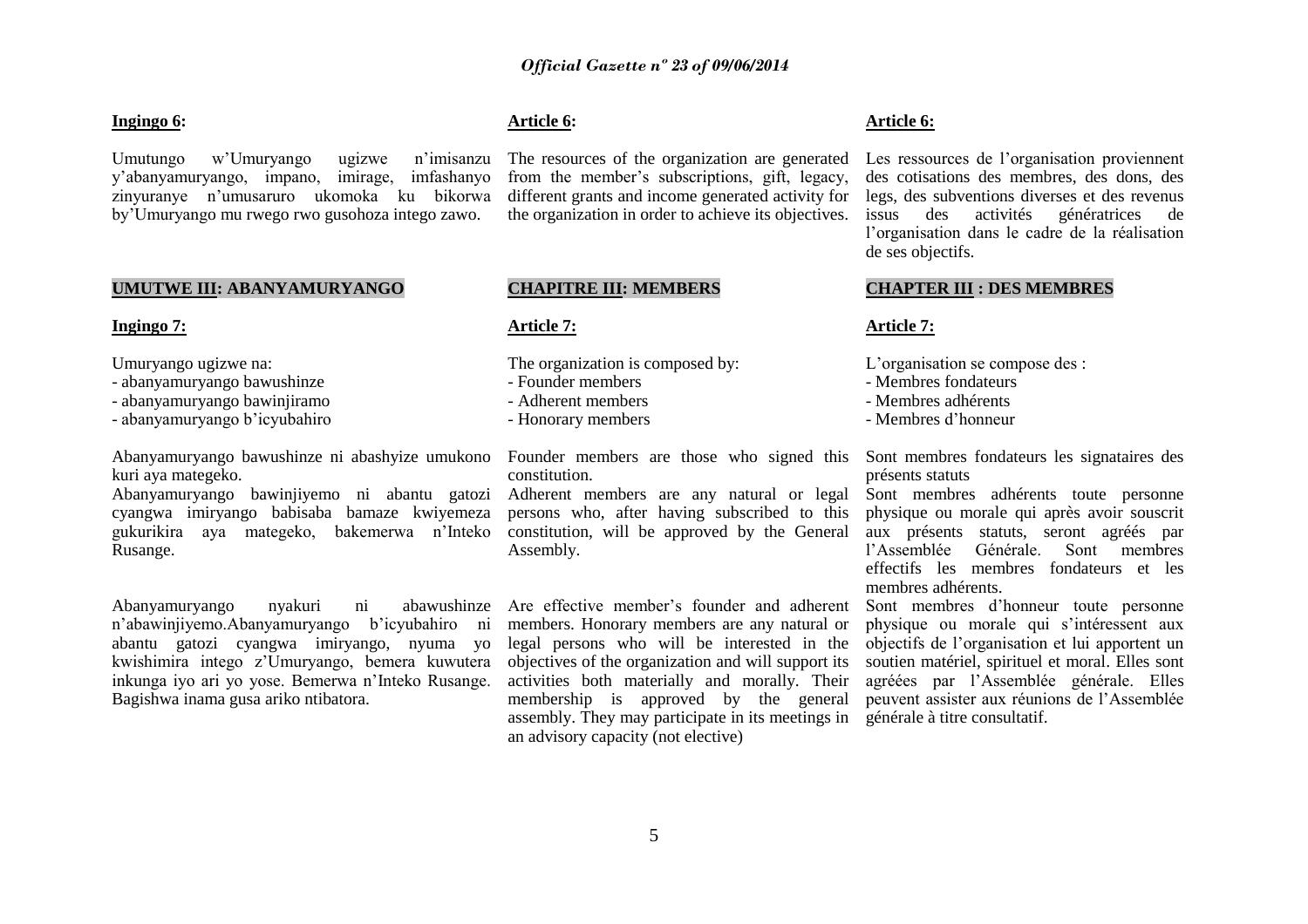#### **Ingingo 6:**

Umutungo w"Umuryango ugizwe n"imisanzu y"abanyamuryango, impano, imirage, imfashanyo zinyuranye n"umusaruro ukomoka ku bikorwa by"Umuryango mu rwego rwo gusohoza intego zawo.

# **UMUTWE III: ABANYAMURYANGO**

#### **Ingingo 7:**

Umuryango ugizwe na:

- abanyamuryango bawushinze
- abanyamuryango bawinjiramo
- abanyamuryango b"icyubahiro

Abanyamuryango bawushinze ni abashyize umukono Founder members are those who signed this Sont membres fondateurs les signataires des kuri aya mategeko.

Abanyamuryango bawinjiyemo ni abantu gatozi cyangwa imiryango babisaba bamaze kwiyemeza gukurikira aya mategeko, bakemerwa n"Inteko Rusange.

Abanyamuryango nyakuri ni abawushinze n"abawinjiyemo.Abanyamuryango b"icyubahiro ni abantu gatozi cyangwa imiryango, nyuma yo kwishimira intego z"Umuryango, bemera kuwutera inkunga iyo ari yo yose. Bemerwa n"Inteko Rusange. Bagishwa inama gusa ariko ntibatora.

# **Article 6:**

The resources of the organization are generated from the member"s subscriptions, gift, legacy, different grants and income generated activity for the organization in order to achieve its objectives.

# **CHAPITRE III: MEMBERS**

#### **Article 7:**

The organization is composed by:

- Founder members
- Adherent members
- Honorary members

constitution.

Adherent members are any natural or legal persons who, after having subscribed to this constitution, will be approved by the General Assembly.

Are effective member's founder and adherent members. Honorary members are any natural or legal persons who will be interested in the objectives of the organization and will support its activities both materially and morally. Their membership is approved by the general assembly. They may participate in its meetings in générale à titre consultatif.an advisory capacity (not elective)

#### **Article 6:**

Les ressources de l'organisation proviennent des cotisations des membres, des dons, des legs, des subventions diverses et des revenus issus des activités génératrices de l"organisation dans le cadre de la réalisation de ses objectifs.

#### **CHAPTER III : DES MEMBRES**

#### **Article 7:**

L'organisation se compose des :

- Membres fondateurs
- Membres adhérents
- Membres d"honneur

présents statuts

Sont membres adhérents toute personne physique ou morale qui après avoir souscrit aux présents statuts, seront agréés par l"Assemblée Générale. Sont membres effectifs les membres fondateurs et les membres adhérents.

Sont membres d"honneur toute personne physique ou morale qui s"intéressent aux objectifs de l"organisation et lui apportent un soutien matériel, spirituel et moral. Elles sont agréées par l"Assemblée générale. Elles peuvent assister aux réunions de l"Assemblée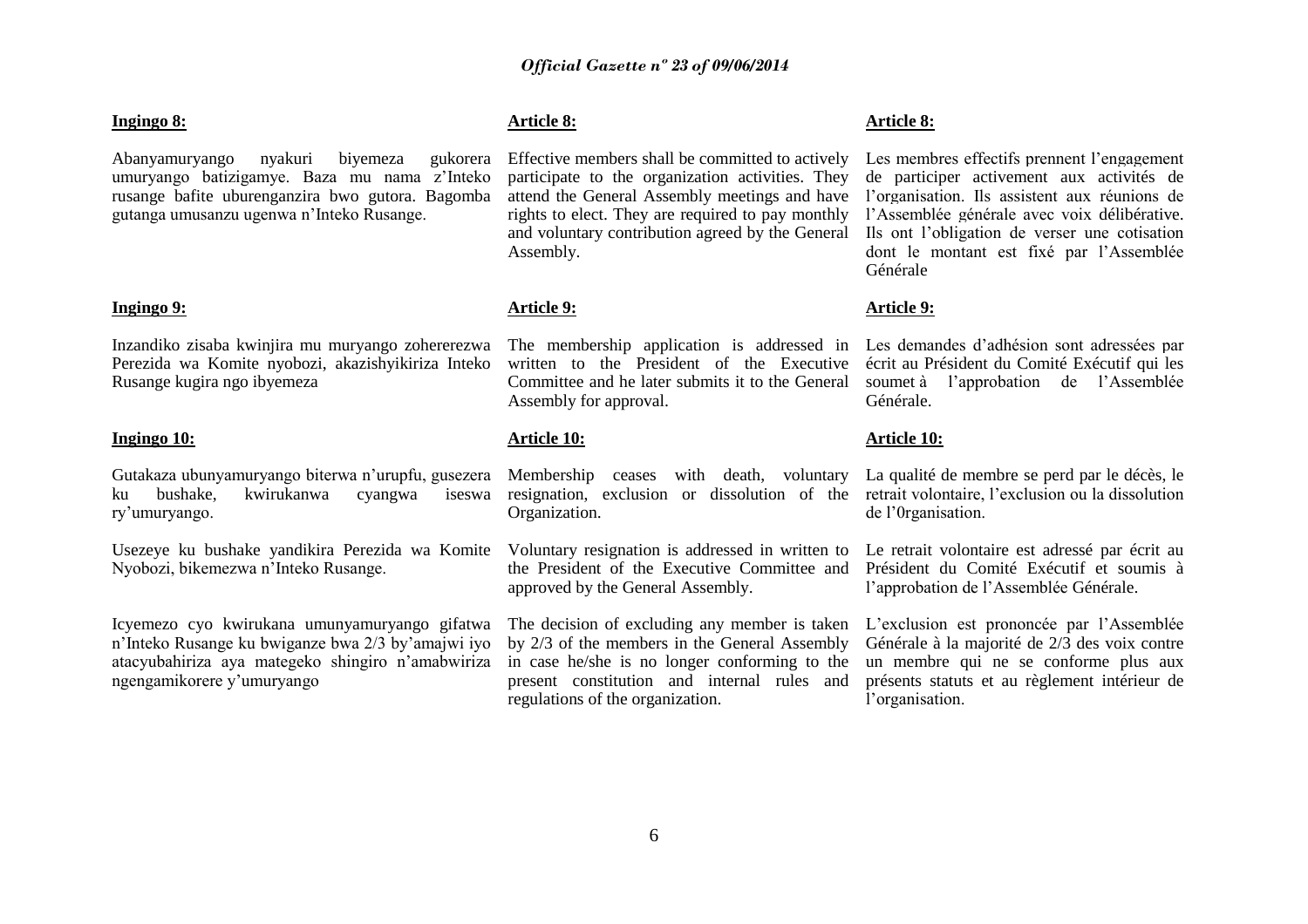#### **Ingingo 8:**

Abanyamuryango nyakuri biyemeza gukorera umuryango batizigamye. Baza mu nama z"Inteko rusange bafite uburenganzira bwo gutora. Bagomba gutanga umusanzu ugenwa n"Inteko Rusange.

# **Ingingo 9:**

Inzandiko zisaba kwinjira mu muryango zohererezwa Perezida wa Komite nyobozi, akazishyikiriza Inteko Rusange kugira ngo ibyemeza

#### **Ingingo 10:**

Gutakaza ubunyamuryango biterwa n"urupfu, gusezera ku bushake, kwirukanwa cyangwa iseswa ry"umuryango.

Usezeye ku bushake yandikira Perezida wa Komite Nyobozi, bikemezwa n"Inteko Rusange.

Icyemezo cyo kwirukana umunyamuryango gifatwa n"Inteko Rusange ku bwiganze bwa 2/3 by"amajwi iyo atacyubahiriza aya mategeko shingiro n"amabwiriza ngengamikorere y"umuryango

# **Article 8:**

Effective members shall be committed to actively participate to the organization activities. They attend the General Assembly meetings and have rights to elect. They are required to pay monthly and voluntary contribution agreed by the General Assembly.

#### **Article 9:**

The membership application is addressed in Les demandes d"adhésion sont adressées par written to the President of the Executive Committee and he later submits it to the General Assembly for approval.

#### **Article 10:**

Membership ceases with death, voluntary La qualité de membre se perd par le décès, le resignation, exclusion or dissolution of the retrait volontaire, l'exclusion ou la dissolution Organization.

Voluntary resignation is addressed in written to the President of the Executive Committee and approved by the General Assembly.

The decision of excluding any member is taken by 2/3 of the members in the General Assembly in case he/she is no longer conforming to the present constitution and internal rules and regulations of the organization.

#### **Article 8:**

Les membres effectifs prennent l'engagement de participer activement aux activités de l"organisation. Ils assistent aux réunions de l"Assemblée générale avec voix délibérative. Ils ont l"obligation de verser une cotisation dont le montant est fixé par l"Assemblée Générale

#### **Article 9:**

écrit au Président du Comité Exécutif qui les soumet à l"approbation de l"Assemblée Générale.

#### **Article 10:**

de l"0rganisation.

Le retrait volontaire est adressé par écrit au Président du Comité Exécutif et soumis à l"approbation de l"Assemblée Générale.

L"exclusion est prononcée par l"Assemblée Générale à la majorité de 2/3 des voix contre un membre qui ne se conforme plus aux présents statuts et au règlement intérieur de l'organisation.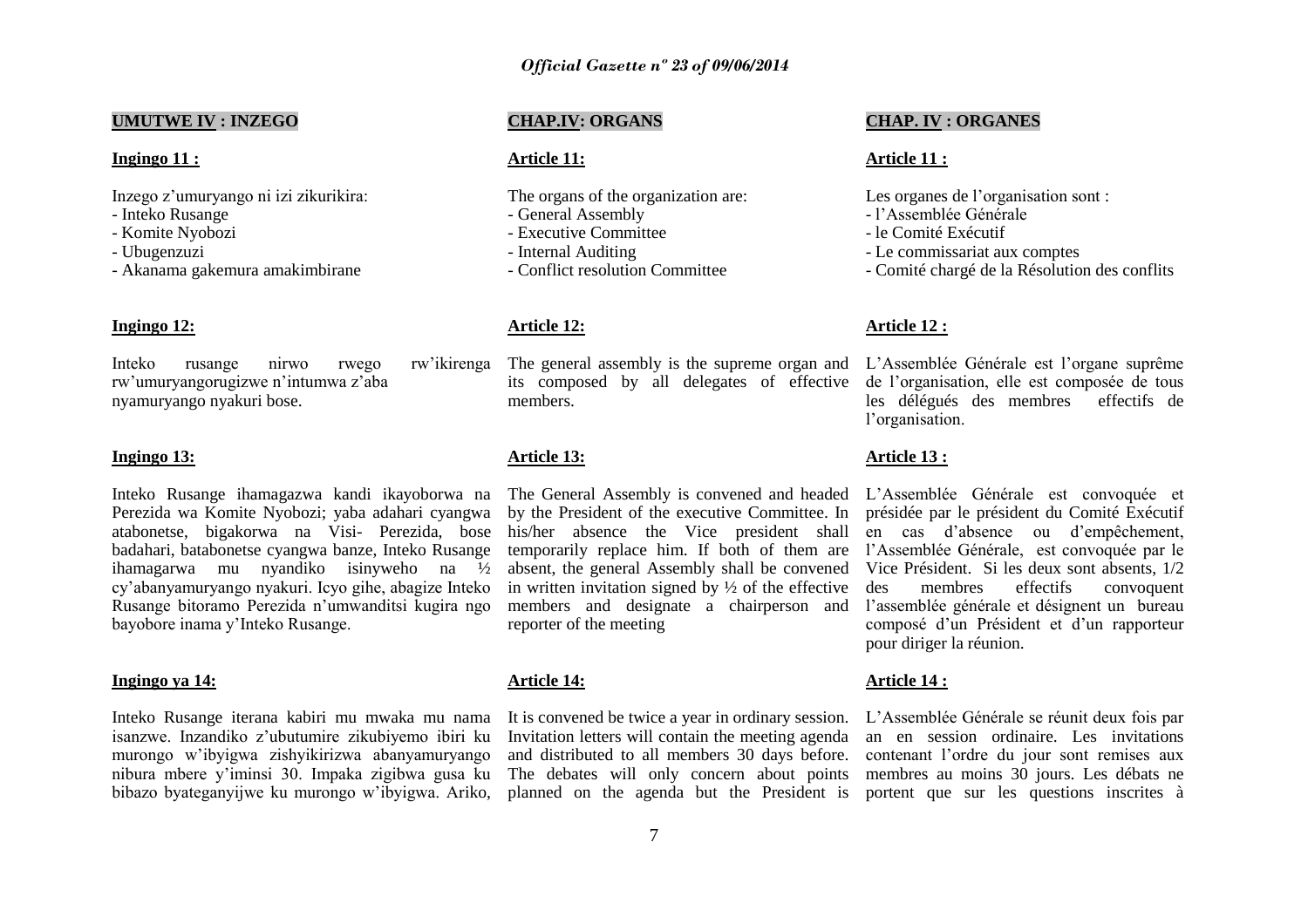# **UMUTWE IV : INZEGO**

#### **Ingingo 11 :**

Inzego z"umuryango ni izi zikurikira:

- Inteko Rusange
- Komite Nyobozi
- Ubugenzuzi
- Akanama gakemura amakimbirane

# **Ingingo 12:**

Inteko rusange nirwo rwego rw"ikirenga rw"umuryangorugizwe n"intumwa z"aba nyamuryango nyakuri bose.

#### **Ingingo 13:**

Inteko Rusange ihamagazwa kandi ikayoborwa na Perezida wa Komite Nyobozi; yaba adahari cyangwa atabonetse, bigakorwa na Visi- Perezida, bose badahari, batabonetse cyangwa banze, Inteko Rusange ihamagarwa mu nyandiko isinyweho na ½ cy"abanyamuryango nyakuri. Icyo gihe, abagize Inteko Rusange bitoramo Perezida n"umwanditsi kugira ngo bayobore inama y"Inteko Rusange.

#### **Ingingo ya 14:**

Inteko Rusange iterana kabiri mu mwaka mu nama isanzwe. Inzandiko z"ubutumire zikubiyemo ibiri ku murongo w"ibyigwa zishyikirizwa abanyamuryango nibura mbere y"iminsi 30. Impaka zigibwa gusa ku bibazo byateganyijwe ku murongo w"ibyigwa. Ariko,

# **CHAP.IV: ORGANS**

#### **Article 11:**

The organs of the organization are:

- General Assembly
- Executive Committee
- Internal Auditing
- Conflict resolution Committee

#### **Article 12:**

The general assembly is the supreme organ and L'Assemblée Générale est l'organe suprême its composed by all delegates of effective members.

# **Article 13:**

The General Assembly is convened and headed L"Assemblée Générale est convoquée et by the President of the executive Committee. In his/her absence the Vice president shall temporarily replace him. If both of them are l"Assemblée Générale, est convoquée par le absent, the general Assembly shall be convened in written invitation signed by  $\frac{1}{2}$  of the effective members and designate a chairperson and reporter of the meeting

#### **Article 14:**

It is convened be twice a year in ordinary session. Invitation letters will contain the meeting agenda and distributed to all members 30 days before. The debates will only concern about points planned on the agenda but the President is

# **CHAP. IV : ORGANES**

#### **Article 11 :**

Les organes de l'organisation sont :

- l"Assemblée Générale
- le Comité Exécutif
- Le commissariat aux comptes
- Comité chargé de la Résolution des conflits

#### **Article 12 :**

de l"organisation, elle est composée de tous les délégués des membres effectifs de l'organisation.

# **Article 13 :**

présidée par le président du Comité Exécutif en cas d"absence ou d"empêchement, Vice Président. Si les deux sont absents, 1/2 des membres effectifs convoquent l"assemblée générale et désignent un bureau composé d"un Président et d"un rapporteur pour diriger la réunion.

#### **Article 14 :**

L"Assemblée Générale se réunit deux fois par an en session ordinaire. Les invitations contenant l"ordre du jour sont remises aux membres au moins 30 jours. Les débats ne portent que sur les questions inscrites à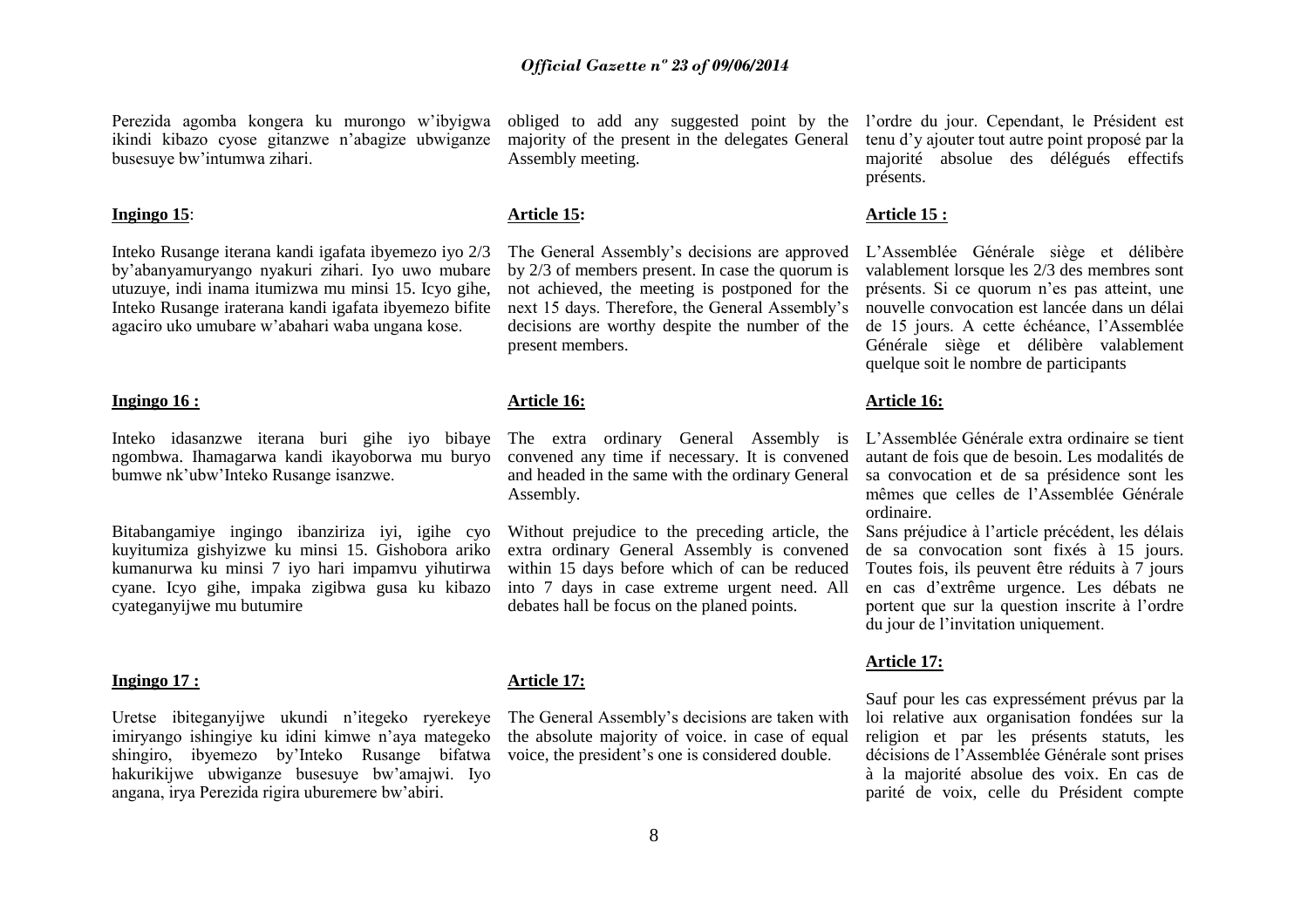Perezida agomba kongera ku murongo w"ibyigwa ikindi kibazo cyose gitanzwe n"abagize ubwiganze busesuye bw"intumwa zihari.

#### **Ingingo 15**:

Inteko Rusange iterana kandi igafata ibyemezo iyo 2/3 by"abanyamuryango nyakuri zihari. Iyo uwo mubare utuzuye, indi inama itumizwa mu minsi 15. Icyo gihe, Inteko Rusange iraterana kandi igafata ibyemezo bifite agaciro uko umubare w"abahari waba ungana kose.

#### **Ingingo 16 :**

Inteko idasanzwe iterana buri gihe iyo bibaye The extra ordinary General Assembly is ngombwa. Ihamagarwa kandi ikayoborwa mu buryo bumwe nk"ubw"Inteko Rusange isanzwe.

Bitabangamiye ingingo ibanziriza iyi, igihe cyo kuyitumiza gishyizwe ku minsi 15. Gishobora ariko kumanurwa ku minsi 7 iyo hari impamvu yihutirwa cyane. Icyo gihe, impaka zigibwa gusa ku kibazo cyateganyijwe mu butumire

#### **Ingingo 17 :**

Uretse ibiteganyijwe ukundi n"itegeko ryerekeye imiryango ishingiye ku idini kimwe n"aya mategeko shingiro, ibyemezo by"Inteko Rusange bifatwa hakurikijwe ubwiganze busesuye bw"amajwi. Iyo angana, irya Perezida rigira uburemere bw"abiri.

majority of the present in the delegates General Assembly meeting.

#### **Article 15:**

The General Assembly"s decisions are approved by 2/3 of members present. In case the quorum is not achieved, the meeting is postponed for the next 15 days. Therefore, the General Assembly"s decisions are worthy despite the number of the present members.

#### **Article 16:**

convened any time if necessary. It is convened and headed in the same with the ordinary General Assembly.

Without prejudice to the preceding article, the extra ordinary General Assembly is convened within 15 days before which of can be reduced into 7 days in case extreme urgent need. All debates hall be focus on the planed points.

#### **Article 17:**

The General Assembly"s decisions are taken with the absolute majority of voice. in case of equal voice, the president"s one is considered double.

obliged to add any suggested point by the l"ordre du jour. Cependant, le Président est tenu d"y ajouter tout autre point proposé par la majorité absolue des délégués effectifs présents.

#### **Article 15 :**

L"Assemblée Générale siège et délibère valablement lorsque les 2/3 des membres sont présents. Si ce quorum n"es pas atteint, une nouvelle convocation est lancée dans un délai de 15 jours. A cette échéance, l"Assemblée Générale siège et délibère valablement quelque soit le nombre de participants

# **Article 16:**

L"Assemblée Générale extra ordinaire se tient autant de fois que de besoin. Les modalités de sa convocation et de sa présidence sont les mêmes que celles de l"Assemblée Générale ordinaire.

Sans préjudice à l"article précédent, les délais de sa convocation sont fixés à 15 jours. Toutes fois, ils peuvent être réduits à 7 jours en cas d"extrême urgence. Les débats ne portent que sur la question inscrite à l"ordre du jour de l"invitation uniquement.

#### **Article 17:**

Sauf pour les cas expressément prévus par la loi relative aux organisation fondées sur la religion et par les présents statuts, les décisions de l"Assemblée Générale sont prises à la majorité absolue des voix. En cas de parité de voix, celle du Président compte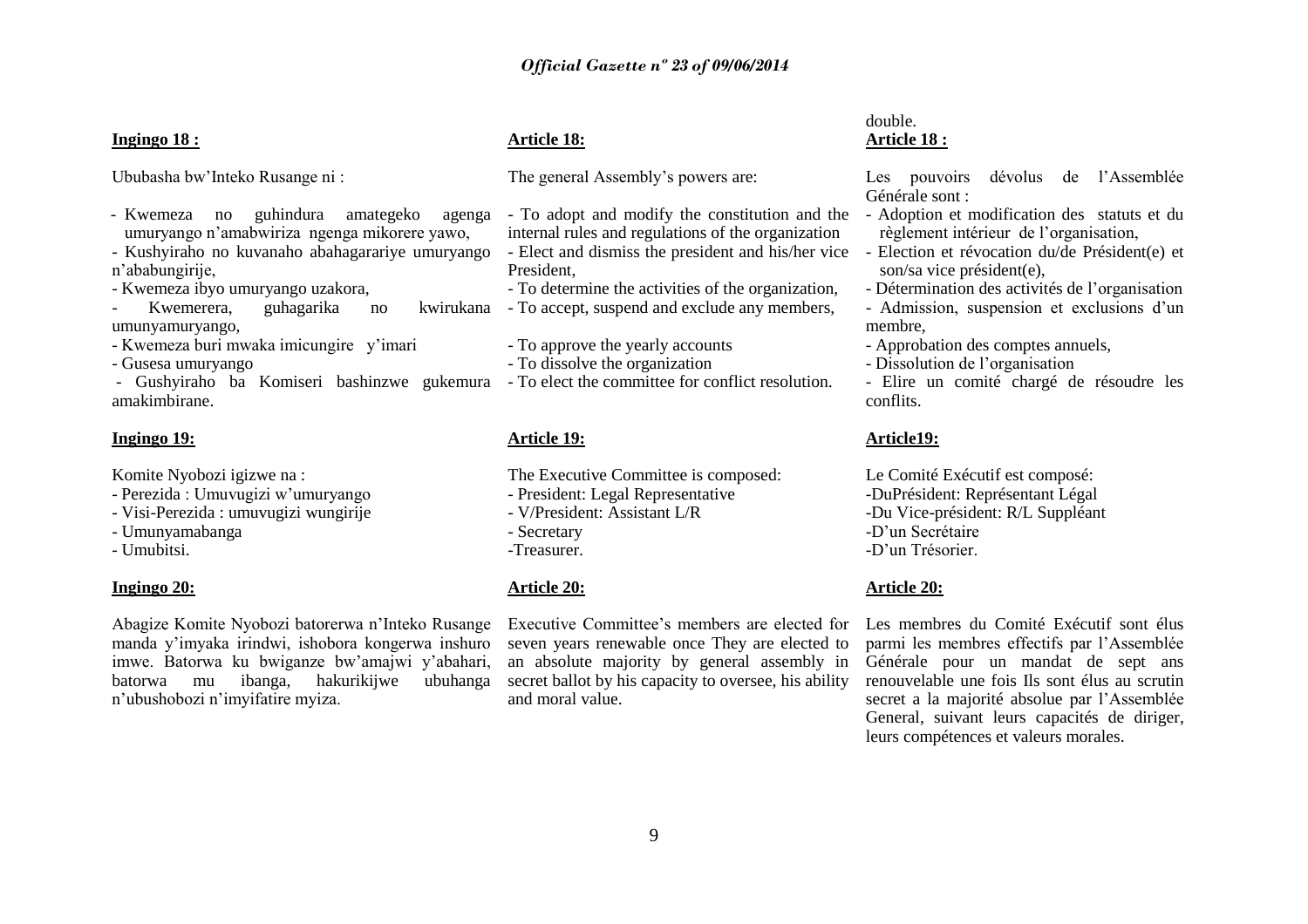# **Ingingo 18 :**

Ububasha bw"Inteko Rusange ni :

- Kwemeza no guhindura amategeko agenga umuryango n"amabwiriza ngenga mikorere yawo,

- Kushyiraho no kuvanaho abahagarariye umuryango n"ababungirije,

- Kwemeza ibyo umuryango uzakora,

- Kwemerera, guhagarika no umunyamuryango,
- Kwemeza buri mwaka imicungire y"imari

- Gusesa umuryango

- Gushyiraho ba Komiseri bashinzwe gukemura - To elect the committee for conflict resolution. amakimbirane.

#### **Ingingo 19:**

Komite Nyobozi igizwe na :

- Perezida : Umuvugizi w"umuryango
- Visi-Perezida : umuvugizi wungirije
- Umunyamabanga
- Umubitsi.

#### **Ingingo 20:**

Abagize Komite Nyobozi batorerwa n"Inteko Rusange manda y"imyaka irindwi, ishobora kongerwa inshuro imwe. Batorwa ku bwiganze bw"amajwi y"abahari, batorwa mu ibanga, hakurikijwe ubuhanga n"ubushobozi n"imyifatire myiza.

# **Article 18:**

The general Assembly's powers are:

- To adopt and modify the constitution and the internal rules and regulations of the organization - Elect and dismiss the president and his/her vice President,

- To determine the activities of the organization,
- kwirukana To accept, suspend and exclude any members,
	- To approve the yearly accounts
	- To dissolve the organization
	-

# **Article 19:**

- The Executive Committee is composed:
- President: Legal Representative
- V/President: Assistant L/R
- Secretary
- -Treasurer.

# **Article 20:**

Executive Committee's members are elected for seven years renewable once They are elected to an absolute majority by general assembly in secret ballot by his capacity to oversee, his ability and moral value.

# double. **Article 18 :**

Les pouvoirs dévolus de l'Assemblée Générale sont :

- Adoption et modification des statuts et du règlement intérieur de l"organisation,
- Election et révocation du/de Président(e) et son/sa vice président(e),
- Détermination des activités de l"organisation - Admission, suspension et exclusions d"un
- membre,
- Approbation des comptes annuels,
- Dissolution de l"organisation
- Elire un comité chargé de résoudre les conflits.

#### **Article19:**

Le Comité Exécutif est composé: -DuPrésident: Représentant Légal -Du Vice-président: R/L Suppléant -D"un Secrétaire -D"un Trésorier.

#### **Article 20:**

Les membres du Comité Exécutif sont élus parmi les membres effectifs par l"Assemblée Générale pour un mandat de sept ans renouvelable une fois Ils sont élus au scrutin secret a la majorité absolue par l"Assemblée General, suivant leurs capacités de diriger, leurs compétences et valeurs morales.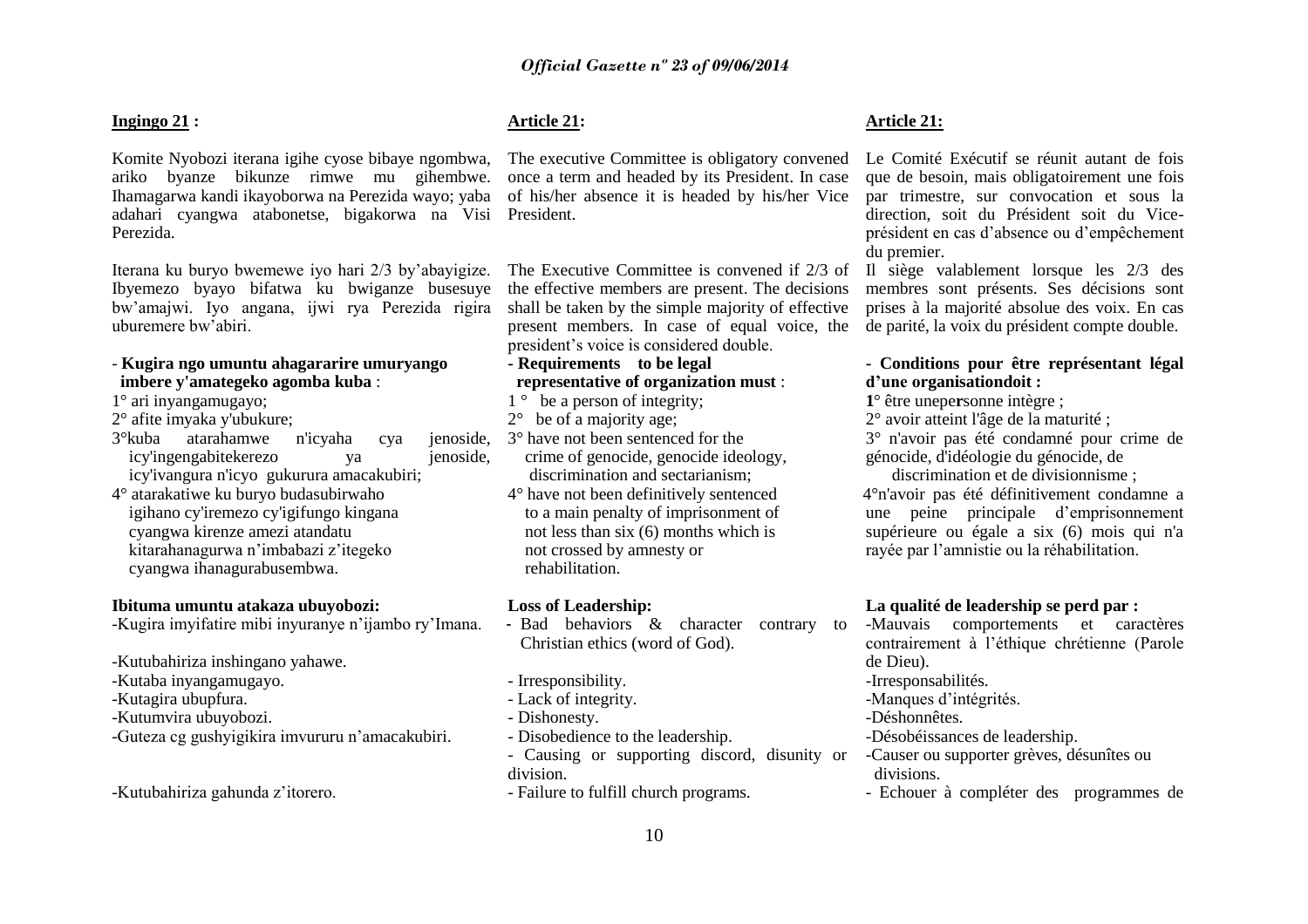# **Ingingo 21 :**

Komite Nyobozi iterana igihe cyose bibaye ngombwa, ariko byanze bikunze rimwe mu gihembwe. Ihamagarwa kandi ikayoborwa na Perezida wayo; yaba adahari cyangwa atabonetse, bigakorwa na Visi President. Perezida.

Iterana ku buryo bwemewe iyo hari 2/3 by"abayigize. Ibyemezo byayo bifatwa ku bwiganze busesuye bw"amajwi. Iyo angana, ijwi rya Perezida rigira uburemere bw"abiri.

# - **Kugira ngo umuntu ahagararire umuryango imbere y'amategeko agomba kuba** :

- 1° ari inyangamugayo;
- 2° afite imyaka y'ubukure;
- 3°kuba atarahamwe n'icyaha cya jenoside, icy'ingengabitekerezo ya jenoside, icy'ivangura n'icyo gukurura amacakubiri;
- 4° atarakatiwe ku buryo budasubirwaho igihano cy'iremezo cy'igifungo kingana cyangwa kirenze amezi atandatu kitarahanagurwa n"imbabazi z"itegeko cyangwa ihanagurabusembwa.

# **Ibituma umuntu atakaza ubuyobozi:**

-Kugira imyifatire mibi inyuranye n"ijambo ry"Imana.

- -Kutubahiriza inshingano yahawe.
- -Kutaba inyangamugayo.
- -Kutagira ubupfura.
- -Kutumvira ubuyobozi.
- -Guteza cg gushyigikira imvururu n"amacakubiri.

-Kutubahiriza gahunda z"itorero.

# **Article 21:**

The executive Committee is obligatory convened once a term and headed by its President. In case of his/her absence it is headed by his/her Vice

The Executive Committee is convened if 2/3 of the effective members are present. The decisions shall be taken by the simple majority of effective present members. In case of equal voice, the president"s voice is considered double.

# **- Requirements to be legal**

# **representative of organization must** :

- 1<sup>°</sup> be a person of integrity;
- $2^{\circ}$  be of a majority age;
- 3° have not been sentenced for the crime of genocide, genocide ideology, discrimination and sectarianism;
- 4° have not been definitively sentenced to a main penalty of imprisonment of not less than six (6) months which is not crossed by amnesty or rehabilitation.

# **Loss of Leadership:**

- Bad behaviors & character contrary to Christian ethics (word of God).
- Irresponsibility.
- Lack of integrity.
- Dishonesty.
- Disobedience to the leadership.
- Causing or supporting discord, disunity or division.
- Failure to fulfill church programs.

# **Article 21:**

Le Comité Exécutif se réunit autant de fois que de besoin, mais obligatoirement une fois par trimestre, sur convocation et sous la direction, soit du Président soit du Viceprésident en cas d"absence ou d"empêchement du premier.

Il siège valablement lorsque les 2/3 des membres sont présents. Ses décisions sont prises à la majorité absolue des voix. En cas de parité, la voix du président compte double.

# **- Conditions pour être représentant légal d"une organisationdoit :**

- **1**° être unepe**r**sonne intègre ;
- 2° avoir atteint l'âge de la maturité ;

3° n'avoir pas été condamné pour crime de génocide, d'idéologie du génocide, de

discrimination et de divisionnisme ; 4° 4°n'avoir pas été définitivement condamne a une peine principale d"emprisonnement supérieure ou égale a six (6) mois qui n'a rayée par l"amnistie ou la réhabilitation.

# **La qualité de leadership se perd par :**

- -Mauvais comportements et caractères contrairement à l"éthique chrétienne (Parole de Dieu).
- -Irresponsabilités.
- -Manques d"intégrités.
- -Déshonnêtes.
- -Désobéissances de leadership.
- -Causer ou supporter grèves, désunîtes ou divisions.
- Echouer à compléter des programmes de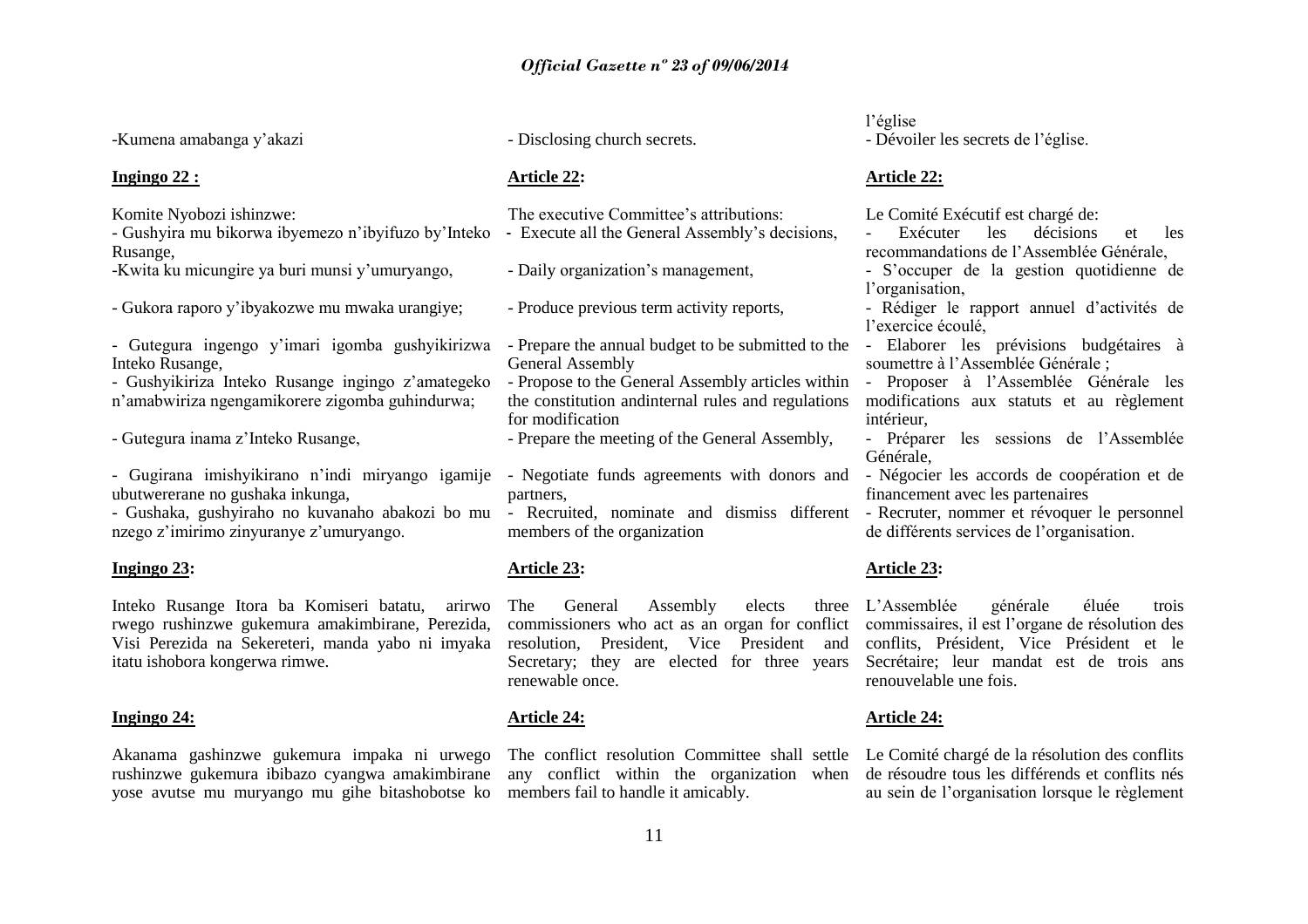-Kumena amabanga y"akazi

# **Ingingo 22 :**

Komite Nyobozi ishinzwe:

- Gushyira mu bikorwa ibyemezo n"ibyifuzo by"Inteko Rusange,

-Kwita ku micungire ya buri munsi y"umuryango,

- Gukora raporo y"ibyakozwe mu mwaka urangiye;

- Gutegura ingengo y"imari igomba gushyikirizwa Inteko Rusange,

- Gushyikiriza Inteko Rusange ingingo z"amategeko n"amabwiriza ngengamikorere zigomba guhindurwa;

- Gutegura inama z"Inteko Rusange,

- Gugirana imishyikirano n"indi miryango igamije ubutwererane no gushaka inkunga,

- Gushaka, gushyiraho no kuvanaho abakozi bo mu - Recruited, nominate and dismiss different - Recruter, nommer et révoquer le personnel nzego z'imirimo zinyuranye z'umuryango.

#### **Ingingo 23:**

Inteko Rusange Itora ba Komiseri batatu, arirwo rwego rushinzwe gukemura amakimbirane, Perezida, Visi Perezida na Sekereteri, manda yabo ni imyaka itatu ishobora kongerwa rimwe.

# **Ingingo 24:**

Akanama gashinzwe gukemura impaka ni urwego rushinzwe gukemura ibibazo cyangwa amakimbirane yose avutse mu muryango mu gihe bitashobotse ko - Disclosing church secrets.

#### **Article 22:**

The executive Committee's attributions: - Execute all the General Assembly"s decisions,

- Daily organization"s management,

- Produce previous term activity reports,

- Prepare the annual budget to be submitted to the - Elaborer les prévisions budgétaires à General Assembly

- Propose to the General Assembly articles within the constitution andinternal rules and regulations for modification

- Prepare the meeting of the General Assembly,

- Negotiate funds agreements with donors and partners,

members of the organization

# **Article 23:**

The General Assembly elects commissioners who act as an organ for conflict commissaires, il est l'organe de résolution des resolution, President, Vice President and Secretary; they are elected for three years renewable once.

#### **Article 24:**

any conflict within the organization when members fail to handle it amicably.

l"église - Dévoiler les secrets de l"église.

# **Article 22:**

Le Comité Exécutif est chargé de:

Exécuter les décisions et les recommandations de l"Assemblée Générale,

- S"occuper de la gestion quotidienne de l'organisation.

- Rédiger le rapport annuel d"activités de l"exercice écoulé,

soumettre à l"Assemblée Générale ;

- Proposer à l"Assemblée Générale les modifications aux statuts et au règlement intérieur,

- Préparer les sessions de l"Assemblée Générale,

- Négocier les accords de coopération et de financement avec les partenaires
- de différents services de l"organisation.

# **Article 23:**

L"Assemblée générale éluée trois conflits, Président, Vice Président et le Secrétaire; leur mandat est de trois ans renouvelable une fois.

# **Article 24:**

The conflict resolution Committee shall settle Le Comité chargé de la résolution des conflits de résoudre tous les différends et conflits nés au sein de l"organisation lorsque le règlement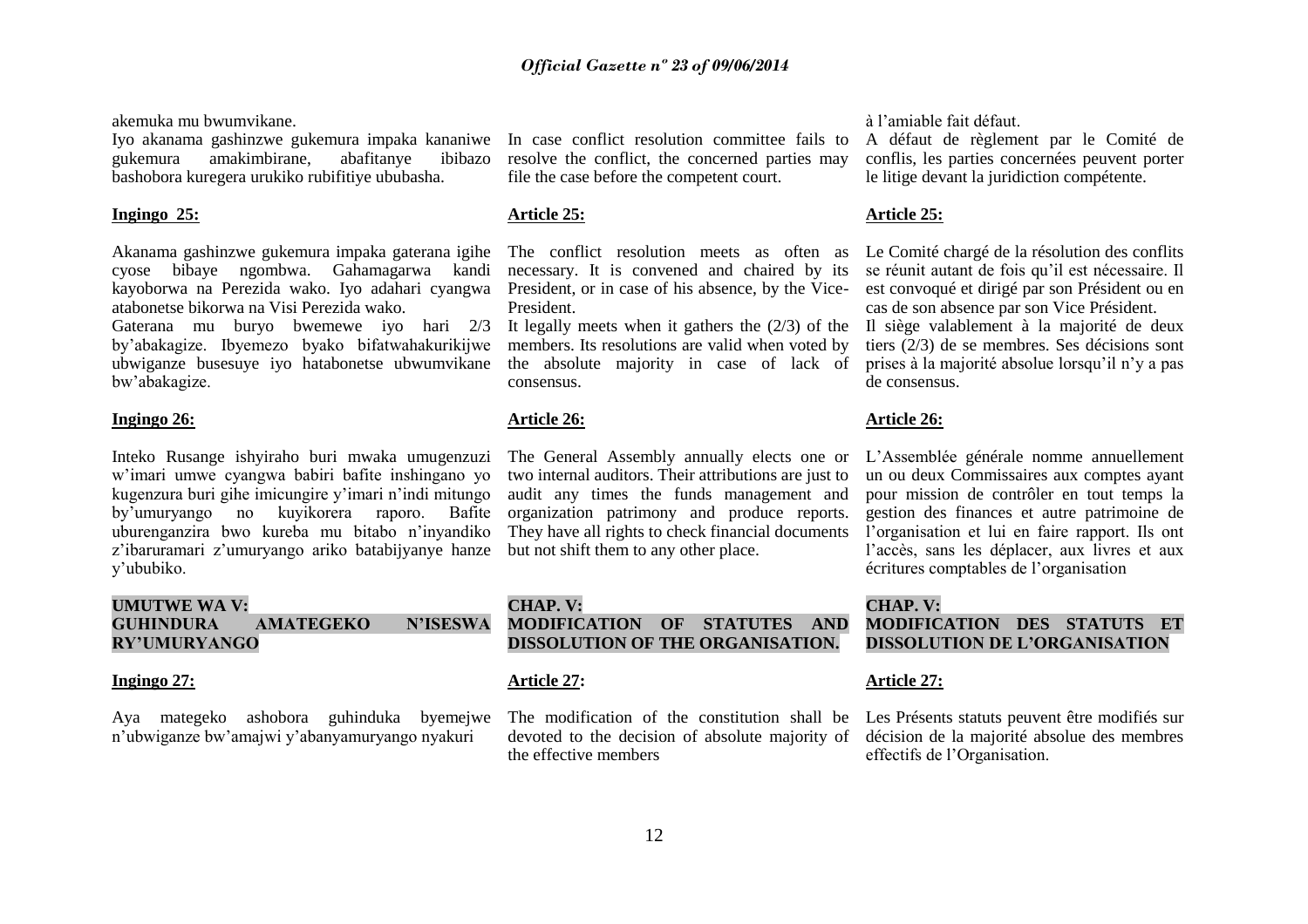akemuka mu bwumvikane.

Iyo akanama gashinzwe gukemura impaka kananiwe gukemura amakimbirane, abafitanye ibibazo bashobora kuregera urukiko rubifitiye ububasha.

#### **Ingingo 25:**

Akanama gashinzwe gukemura impaka gaterana igihe cyose bibaye ngombwa. Gahamagarwa kandi kayoborwa na Perezida wako. Iyo adahari cyangwa atabonetse bikorwa na Visi Perezida wako.

Gaterana mu buryo bwemewe iyo hari 2/3 by"abakagize. Ibyemezo byako bifatwahakurikijwe ubwiganze busesuye iyo hatabonetse ubwumvikane bw"abakagize.

# **Ingingo 26:**

Inteko Rusange ishyiraho buri mwaka umugenzuzi w"imari umwe cyangwa babiri bafite inshingano yo kugenzura buri gihe imicungire y"imari n"indi mitungo by"umuryango no kuyikorera raporo. Bafite uburenganzira bwo kureba mu bitabo n"inyandiko z'ibaruramari z'umuryango ariko batabijyanye hanze y"ububiko.

# **UMUTWE WA V: GUHINDURA AMATEGEKO N"ISESWA RY"UMURYANGO**

#### **Ingingo 27:**

Aya mategeko ashobora guhinduka byemejwe n"ubwiganze bw"amajwi y"abanyamuryango nyakuri

In case conflict resolution committee fails to resolve the conflict, the concerned parties may file the case before the competent court.

# **Article 25:**

The conflict resolution meets as often as necessary. It is convened and chaired by its President, or in case of his absence, by the Vice-President.

It legally meets when it gathers the (2/3) of the members. Its resolutions are valid when voted by the absolute majority in case of lack of consensus.

# **Article 26:**

The General Assembly annually elects one or two internal auditors. Their attributions are just to audit any times the funds management and organization patrimony and produce reports. They have all rights to check financial documents but not shift them to any other place.

# **CHAP. V: MODIFICATION OF STATUTES AND DISSOLUTION OF THE ORGANISATION.**

# **Article 27:**

The modification of the constitution shall be devoted to the decision of absolute majority of the effective members

à l"amiable fait défaut.

A défaut de règlement par le Comité de conflis, les parties concernées peuvent porter le litige devant la juridiction compétente.

# **Article 25:**

Le Comité chargé de la résolution des conflits se réunit autant de fois qu"il est nécessaire. Il est convoqué et dirigé par son Président ou en cas de son absence par son Vice Président.

Il siège valablement à la majorité de deux tiers (2/3) de se membres. Ses décisions sont prises à la majorité absolue lorsqu"il n"y a pas de consensus.

# **Article 26:**

L"Assemblée générale nomme annuellement un ou deux Commissaires aux comptes ayant pour mission de contrôler en tout temps la gestion des finances et autre patrimoine de l"organisation et lui en faire rapport. Ils ont l"accès, sans les déplacer, aux livres et aux écritures comptables de l"organisation

# **CHAP. V:**

**MODIFICATION DES STATUTS ET DISSOLUTION DE L"ORGANISATION**

# **Article 27:**

Les Présents statuts peuvent être modifiés sur décision de la majorité absolue des membres effectifs de l"Organisation.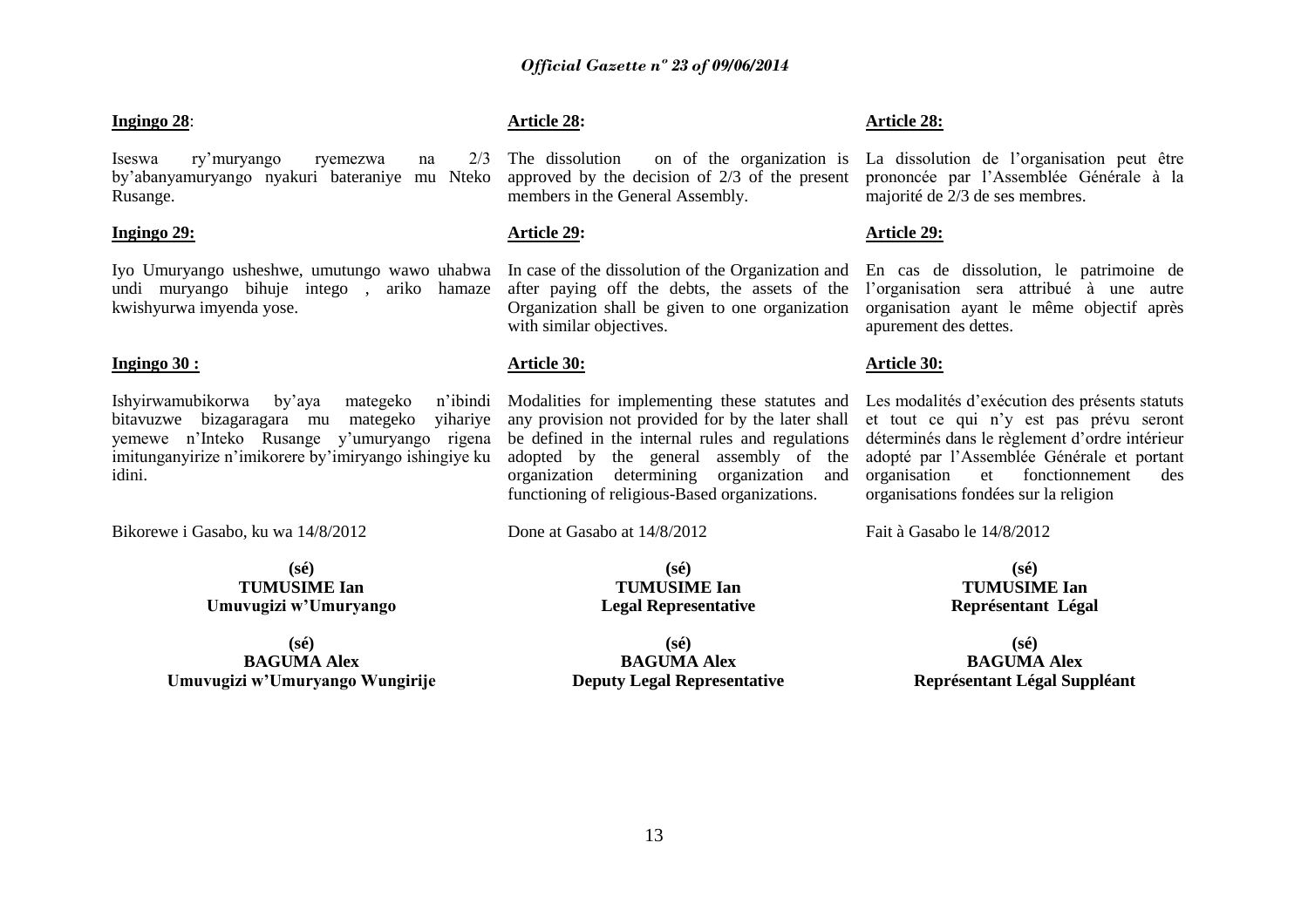#### **Ingingo 28**:

Iseswa ry"muryango ryemezwa na 2/3 by"abanyamuryango nyakuri bateraniye mu Nteko Rusange.

# **Ingingo 29:**

Iyo Umuryango usheshwe, umutungo wawo uhabwa undi muryango bihuje intego , ariko hamaze kwishyurwa imyenda yose.

#### **Ingingo 30 :**

Ishyirwamubikorwa by"aya mategeko n"ibindi bitavuzwe bizagaragara mu mategeko yihariye yemewe n"Inteko Rusange y"umuryango rigena imitunganyirize n"imikorere by"imiryango ishingiye ku idini.

Bikorewe i Gasabo, ku wa 14/8/2012

**(sé) TUMUSIME Ian Umuvugizi w"Umuryango**

**(sé) BAGUMA Alex Umuvugizi w"Umuryango Wungirije**

# **Article 28:**

The dissolution on of the organization is approved by the decision of 2/3 of the present members in the General Assembly.

# **Article 29:**

In case of the dissolution of the Organization and after paying off the debts, the assets of the Organization shall be given to one organization with similar objectives.

#### **Article 30:**

Modalities for implementing these statutes and any provision not provided for by the later shall be defined in the internal rules and regulations adopted by the general assembly of the organization determining organization and functioning of religious-Based organizations.

Done at Gasabo at 14/8/2012

# **(sé) TUMUSIME Ian Legal Representative**

**(sé) BAGUMA Alex Deputy Legal Representative**

#### **Article 28:**

La dissolution de l"organisation peut être prononcée par l"Assemblée Générale à la majorité de 2/3 de ses membres.

# **Article 29:**

En cas de dissolution, le patrimoine de l"organisation sera attribué à une autre organisation ayant le même objectif après apurement des dettes.

#### **Article 30:**

Les modalités d"exécution des présents statuts et tout ce qui n"y est pas prévu seront déterminés dans le règlement d"ordre intérieur adopté par l"Assemblée Générale et portant organisation et fonctionnement des organisations fondées sur la religion

Fait à Gasabo le 14/8/2012

**(sé) TUMUSIME Ian Représentant Légal**

**(sé) BAGUMA Alex Représentant Légal Suppléant**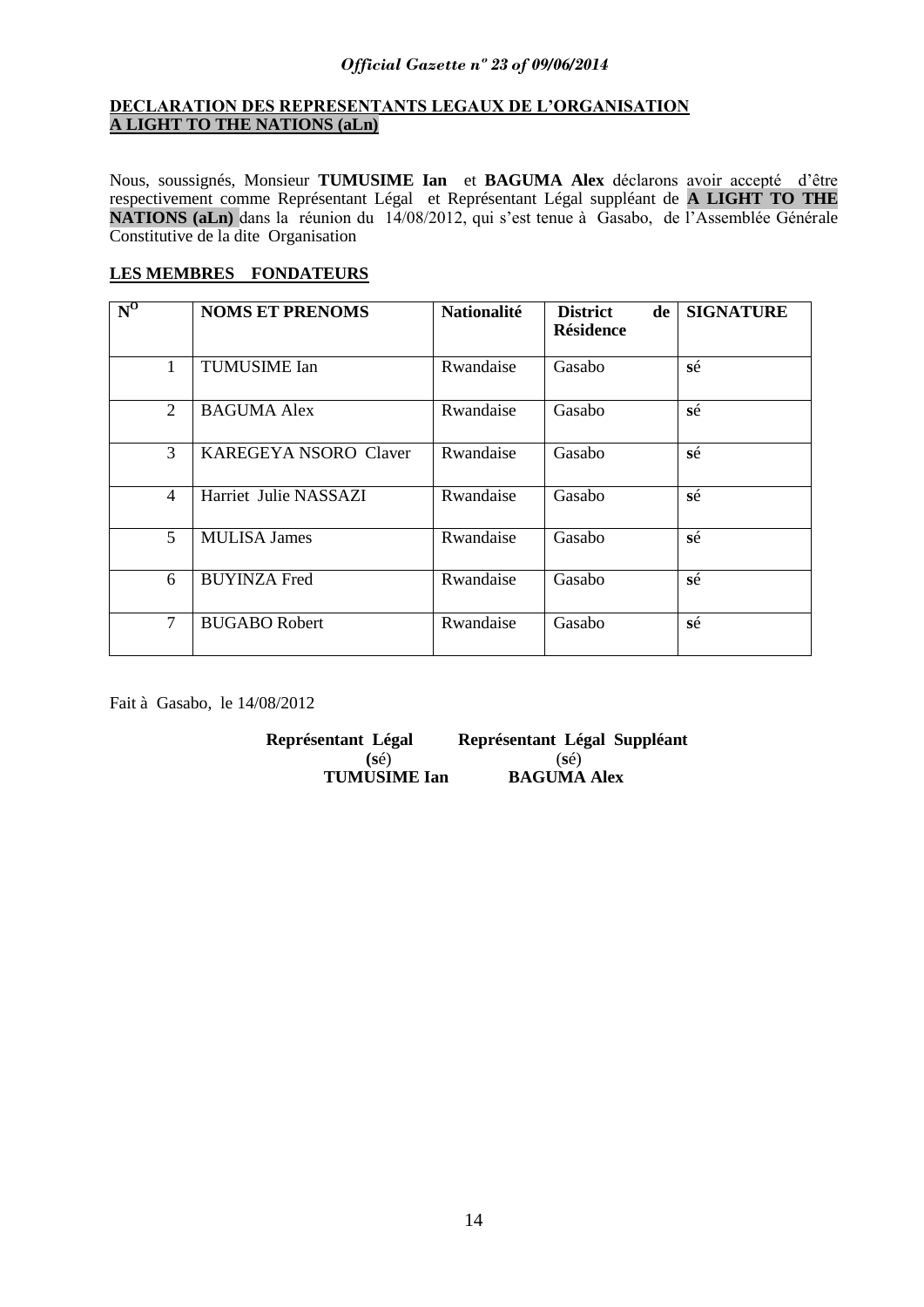# **DECLARATION DES REPRESENTANTS LEGAUX DE L"ORGANISATION A LIGHT TO THE NATIONS (aLn)**

Nous, soussignés, Monsieur **TUMUSIME Ian** et **BAGUMA Alex** déclarons avoir accepté d"être respectivement comme Représentant Légal et Représentant Légal suppléant de **A LIGHT TO THE NATIONS (aLn)** dans la réunion du 14/08/2012, qui s"est tenue à Gasabo, de l"Assemblée Générale Constitutive de la dite Organisation

# **LES MEMBRES FONDATEURS**

| $N^0$          | <b>NOMS ET PRENOMS</b>       | <b>Nationalité</b> | <b>District</b><br>de<br><b>Résidence</b> | <b>SIGNATURE</b> |
|----------------|------------------------------|--------------------|-------------------------------------------|------------------|
| 1              | <b>TUMUSIME</b> Ian          | Rwandaise          | Gasabo                                    | sé               |
| 2              | <b>BAGUMA Alex</b>           | Rwandaise          | Gasabo                                    | sé               |
| 3              | <b>KAREGEYA NSORO Claver</b> | Rwandaise          | Gasabo                                    | sé               |
| $\overline{4}$ | Harriet Julie NASSAZI        | Rwandaise          | Gasabo                                    | sé               |
| 5              | <b>MULISA James</b>          | Rwandaise          | Gasabo                                    | sé               |
| 6              | <b>BUYINZA Fred</b>          | Rwandaise          | Gasabo                                    | sé               |
| $\overline{7}$ | <b>BUGABO Robert</b>         | Rwandaise          | Gasabo                                    | sé               |

Fait à Gasabo, le 14/08/2012

**Représentant Légal Représentant Légal Suppléant (sé)** (sé)<br> **(USIME Ian BAGUMA Alex TUMUSIME Ian**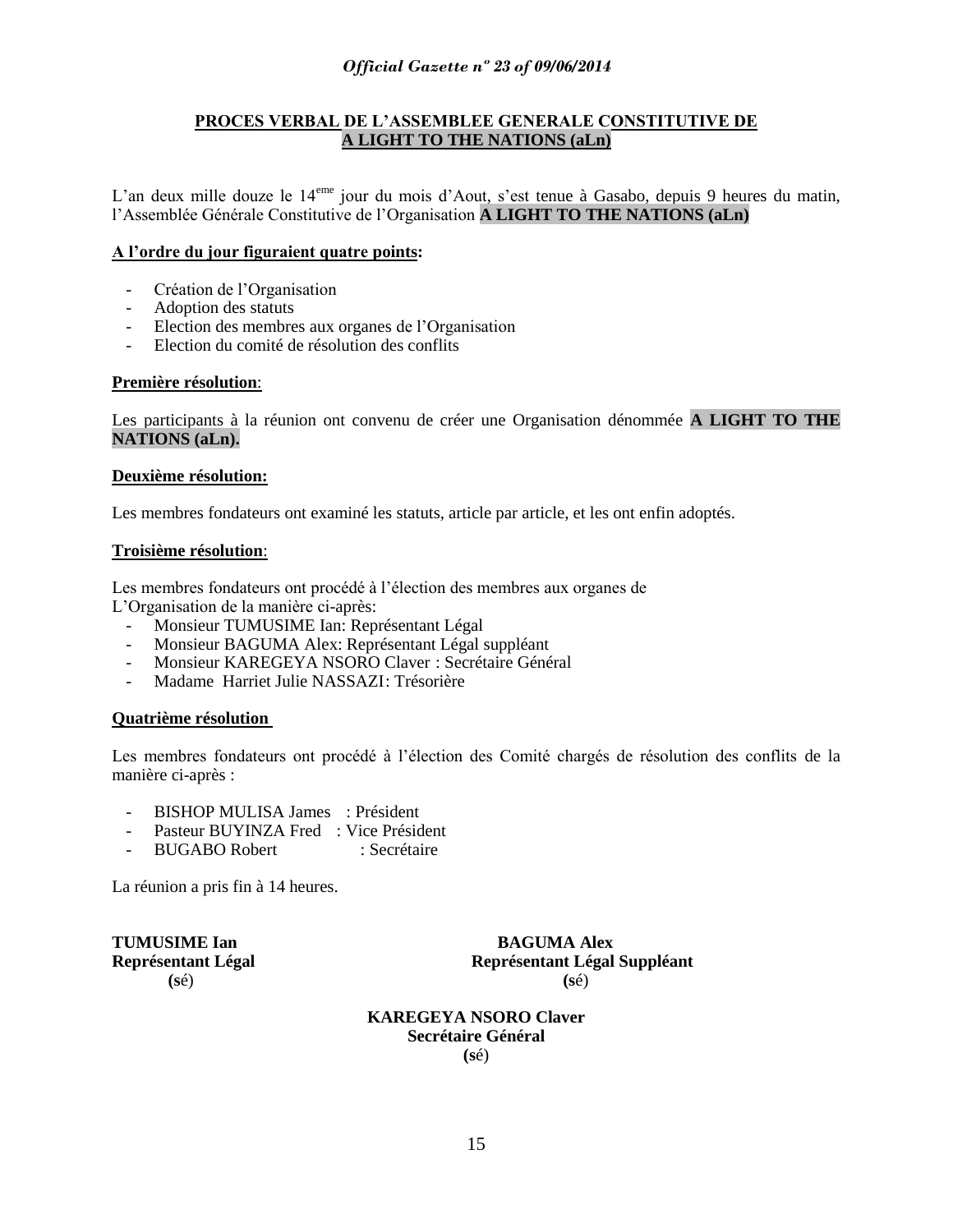# **PROCES VERBAL DE L"ASSEMBLEE GENERALE CONSTITUTIVE DE A LIGHT TO THE NATIONS (aLn)**

L'an deux mille douze le 14<sup>eme</sup> jour du mois d'Aout, s'est tenue à Gasabo, depuis 9 heures du matin, l"Assemblée Générale Constitutive de l"Organisation **A LIGHT TO THE NATIONS (aLn)**

# **A l"ordre du jour figuraient quatre points:**

- Création de l'Organisation
- Adoption des statuts
- Election des membres aux organes de l"Organisation
- Election du comité de résolution des conflits

# **Première résolution**:

Les participants à la réunion ont convenu de créer une Organisation dénommée **A LIGHT TO THE NATIONS (aLn).**

# **Deuxième résolution:**

Les membres fondateurs ont examiné les statuts, article par article, et les ont enfin adoptés.

# **Troisième résolution**:

Les membres fondateurs ont procédé à l"élection des membres aux organes de

- L"Organisation de la manière ci-après:
	- Monsieur TUMUSIME Ian: Représentant Légal
	- Monsieur BAGUMA Alex: Représentant Légal suppléant
	- Monsieur KAREGEYA NSORO Claver : Secrétaire Général
	- Madame Harriet Julie NASSAZI: Trésorière

# **Quatrième résolution**

Les membres fondateurs ont procédé à l"élection des Comité chargés de résolution des conflits de la manière ci-après :

- BISHOP MULISA James : Président
- Pasteur BUYINZA Fred : Vice Président
- BUGABO Robert : Secrétaire

La réunion a pris fin à 14 heures.

**TUMUSIME Ian BAGUMA Alex Représentant Légal Représentant Légal Suppléant (s**é) **(s**é)

> **KAREGEYA NSORO Claver Secrétaire Général (s**é)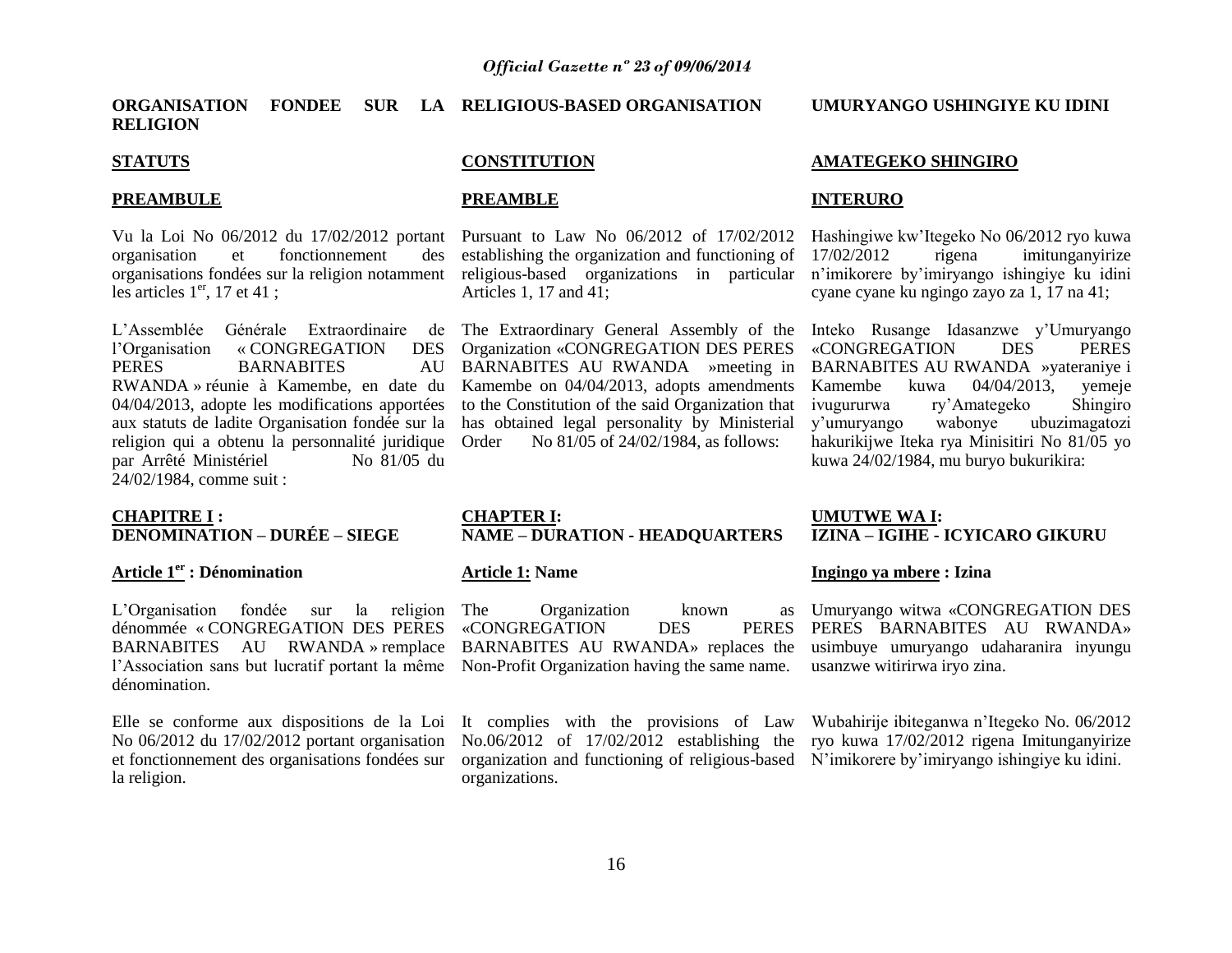**ORGANISATION FONDEE SUR LA RELIGIOUS-BASED ORGANISATION RELIGION**

### **STATUTS**

#### **PREAMBULE**

organisation et fonctionnement des organisations fondées sur la religion notamment les articles  $1<sup>er</sup>$ , 17 et 41;

L'Assemblée Générale Extraordinaire de The Extraordinary General Assembly of the Inteko Rusange Idasanzwe y'Umuryango l"Organisation « CONGREGATION DES PERES BARNABITES AU RWANDA » réunie à Kamembe, en date du 04/04/2013, adopte les modifications apportées aux statuts de ladite Organisation fondée sur la religion qui a obtenu la personnalité juridique par Arrêté Ministériel No 81/05 du 24/02/1984, comme suit :

# **CHAPITRE I : DENOMINATION – DURÉE – SIEGE**

#### **Article 1er : Dénomination**

L'Organisation fondée sur la religion The dénommée « CONGREGATION DES PERES BARNABITES AU RWANDA » remplace dénomination.

Elle se conforme aux dispositions de la Loi No 06/2012 du 17/02/2012 portant organisation et fonctionnement des organisations fondées sur la religion.

# **CONSTITUTION**

#### **PREAMBLE**

Vu la Loi No 06/2012 du 17/02/2012 portant Pursuant to Law No 06/2012 of 17/02/2012 establishing the organization and functioning of religious-based organizations in particular Articles 1, 17 and 41;

> Organization «CONGREGATION DES PERES BARNABITES AU RWANDA »meeting in BARNABITES AU RWANDA »yateraniye i Kamembe on 04/04/2013, adopts amendments to the Constitution of the said Organization that has obtained legal personality by Ministerial Order No 81/05 of 24/02/1984, as follows:

#### **CHAPTER I: NAME – DURATION - HEADQUARTERS**

## **Article 1: Name**

l'Association sans but lucratif portant la même Non-Profit Organization having the same name. Organization known «CONGREGATION DES PERES BARNABITES AU RWANDA» replaces the usimbuye umuryango udaharanira inyungu

> No.06/2012 of 17/02/2012 establishing the ryo kuwa 17/02/2012 rigena Imitunganyirize organization and functioning of religious-based N"imikorere by"imiryango ishingiye ku idini. organizations.

**UMURYANGO USHINGIYE KU IDINI** 

# **AMATEGEKO SHINGIRO**

# **INTERURO**

Hashingiwe kw"Itegeko No 06/2012 ryo kuwa 17/02/2012 rigena imitunganyirize n"imikorere by"imiryango ishingiye ku idini cyane cyane ku ngingo zayo za 1, 17 na 41;

«CONGREGATION DES PERES Kamembe kuwa 04/04/2013, yemeje ivugururwa ry"Amategeko Shingiro y"umuryango wabonye ubuzimagatozi hakurikijwe Iteka rya Minisitiri No 81/05 yo kuwa 24/02/1984, mu buryo bukurikira:

#### **UMUTWE WA I: IZINA – IGIHE - ICYICARO GIKURU**

## **Ingingo ya mbere : Izina**

Umuryango witwa «CONGREGATION DES PERES BARNABITES AU RWANDA» usanzwe witirirwa iryo zina.

It complies with the provisions of Law Wubahirije ibiteganwa n"Itegeko No. 06/2012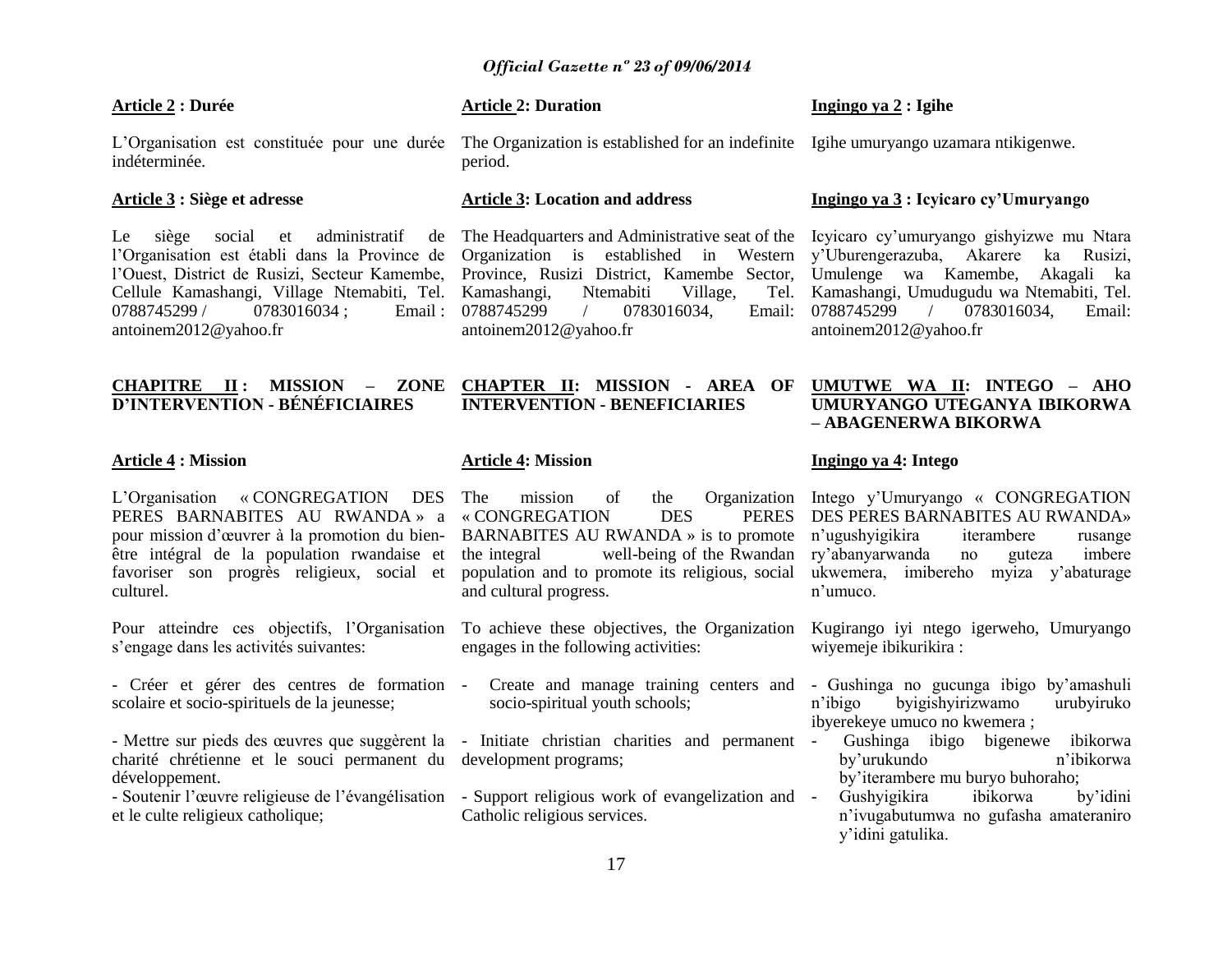# **Article 2 : Durée**

indéterminée.

#### **Article 3 : Siège et adresse**

Le siège social et administratif l"Organisation est établi dans la Province de 0788745299 / 0783016034 ; Email : 0788745299 antoinem2012@yahoo.fr

# **CHAPITRE II : MISSION – ZONE D"INTERVENTION - BÉNÉFICIAIRES**

# **Article 4 : Mission**

L"Organisation « CONGREGATION DES PERES BARNABITES AU RWANDA » a pour mission d"œuvrer à la promotion du bienêtre intégral de la population rwandaise et favoriser son progrès religieux, social et culturel.

Pour atteindre ces objectifs, l"Organisation s"engage dans les activités suivantes:

- Créer et gérer des centres de formation scolaire et socio-spirituels de la jeunesse;

- Mettre sur pieds des œuvres que suggèrent la - Initiate christian charities and permanent charité chrétienne et le souci permanent du development programs; développement.

et le culte religieux catholique;

## **Article 2: Duration**

# **Ingingo ya 2 : Igihe**

L'Organisation est constituée pour une durée The Organization is established for an indefinite Igihe umuryango uzamara ntikigenwe. period.

#### **Article 3: Location and address**

l"Ouest, District de Rusizi, Secteur Kamembe, Province, Rusizi District, Kamembe Sector, Umulenge wa Kamembe, Akagali ka Cellule Kamashangi, Village Ntemabiti, Tel. Kamashangi, Ntemabiti Village, Tel. The Headquarters and Administrative seat of the Icyicaro cy"umuryango gishyizwe mu Ntara Organization is established in Western y"Uburengerazuba, Akarere ka Rusizi, 0788745299 / 0783016034, Email: antoinem2012@yahoo.fr

# **INTERVENTION - BENEFICIARIES**

# **Article 4: Mission**

« CONGREGATION DES PERES BARNABITES AU RWANDA » is to promote n'ugushyigikira iterambere rusange the integral well-being of the Rwandan population and to promote its religious, social ukwemera, imibereho myiza y"abaturage and cultural progress.

engages in the following activities:

- socio-spiritual youth schools;
- 
- Soutenir l'œuvre religieuse de l'évangélisation Support religious work of evangelization and Catholic religious services.

# **Ingingo ya 3 : Icyicaro cy"Umuryango**

Kamashangi, Umudugudu wa Ntemabiti, Tel. / 0783016034, Email: antoinem2012@yahoo.fr

# **CHAPTER II: MISSION - AREA OF UMUTWE WA II: INTEGO – AHO UMURYANGO UTEGANYA IBIKORWA – ABAGENERWA BIKORWA**

# **Ingingo ya 4: Intego**

The mission of the Organization Intego y"Umuryango « CONGREGATION DES PERES BARNABITES AU RWANDA» ry"abanyarwanda no guteza imbere n"umuco.

To achieve these objectives, the Organization Kugirango iyi ntego igerweho, Umuryango wiyemeje ibikurikira :

- Create and manage training centers and Gushinga no gucunga ibigo by'amashuli n"ibigo byigishyirizwamo urubyiruko ibyerekeye umuco no kwemera ;
	- Gushinga ibigo bigenewe ibikorwa by"urukundo n"ibikorwa by"iterambere mu buryo buhoraho;
	- Gushyigikira ibikorwa by"idini n"ivugabutumwa no gufasha amateraniro y"idini gatulika.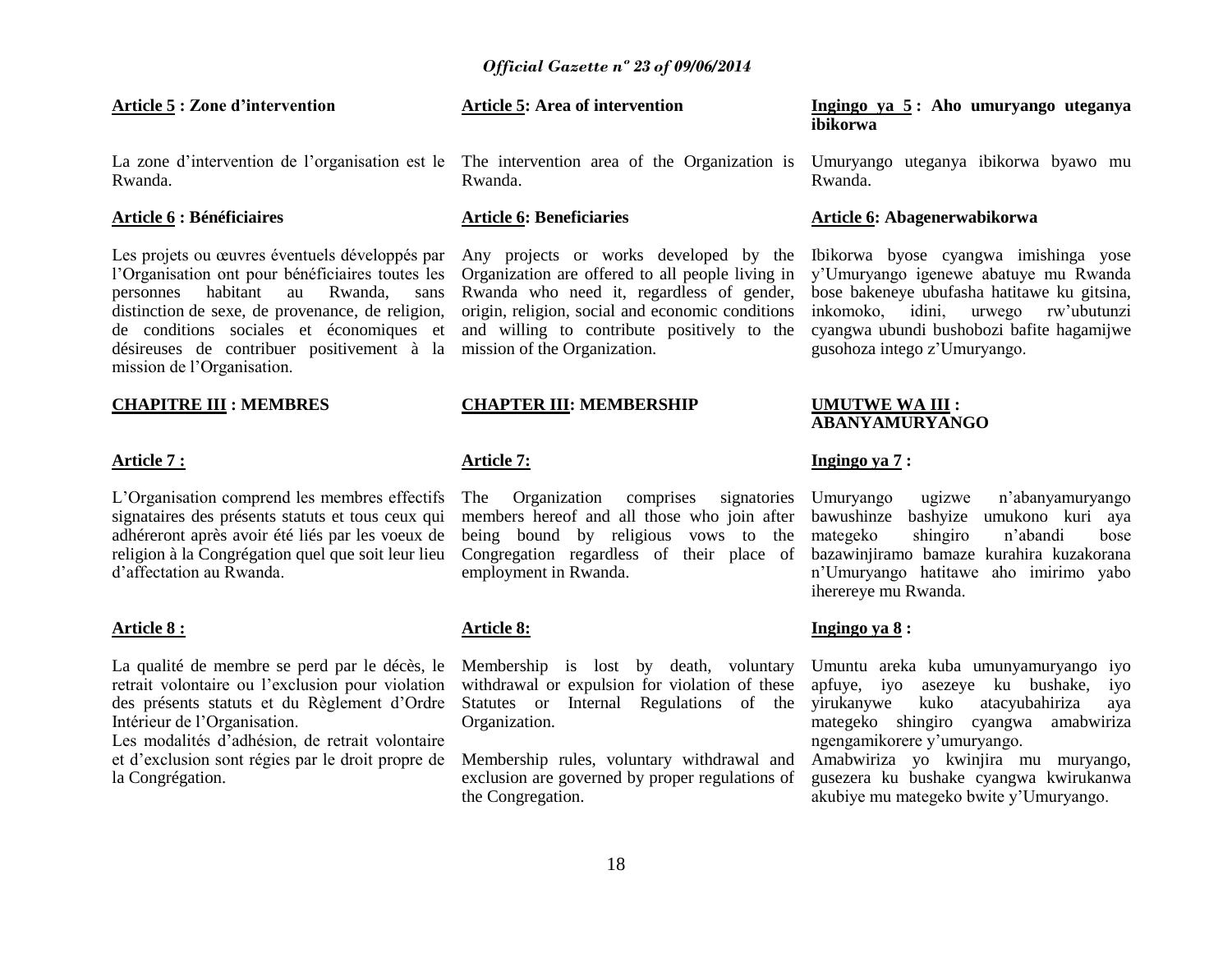#### **Article 5 : Zone d"intervention**

La zone d'intervention de l'organisation est le The intervention area of the Organization is Umuryango uteganya ibikorwa byawo mu Rwanda.

# **Article 6 : Bénéficiaires**

Les projets ou œuvres éventuels développés par l"Organisation ont pour bénéficiaires toutes les personnes habitant au Rwanda, sans distinction de sexe, de provenance, de religion, de conditions sociales et économiques et désireuses de contribuer positivement à la mission de l"Organisation.

#### **CHAPITRE III : MEMBRES**

#### **Article 7 :**

L"Organisation comprend les membres effectifs signataires des présents statuts et tous ceux qui adhéreront après avoir été liés par les voeux de religion à la Congrégation quel que soit leur lieu d"affectation au Rwanda.

#### **Article 8 :**

La qualité de membre se perd par le décès, le retrait volontaire ou l"exclusion pour violation des présents statuts et du Règlement d"Ordre Intérieur de l"Organisation.

Les modalités d'adhésion, de retrait volontaire et d"exclusion sont régies par le droit propre de la Congrégation.

# **Article 5: Area of intervention**

Rwanda.

# **Article 6: Beneficiaries**

Organization are offered to all people living in Rwanda who need it, regardless of gender, origin, religion, social and economic conditions and willing to contribute positively to the mission of the Organization.

# **CHAPTER III: MEMBERSHIP**

# **Article 7:**

The Organization comprises signatories members hereof and all those who join after being bound by religious vows to the Congregation regardless of their place of employment in Rwanda.

## **Article 8:**

Membership is lost by death, voluntary withdrawal or expulsion for violation of these Statutes or Internal Regulations of the Organization.

Membership rules, voluntary withdrawal and exclusion are governed by proper regulations of the Congregation.

#### **Ingingo ya 5 : Aho umuryango uteganya ibikorwa**

Rwanda.

#### **Article 6: Abagenerwabikorwa**

Any projects or works developed by the Ibikorwa byose cyangwa imishinga yose y"Umuryango igenewe abatuye mu Rwanda bose bakeneye ubufasha hatitawe ku gitsina, inkomoko, idini, urwego rw"ubutunzi cyangwa ubundi bushobozi bafite hagamijwe gusohoza intego z"Umuryango.

#### **UMUTWE WA III : ABANYAMURYANGO**

# **Ingingo ya 7 :**

Umuryango ugizwe n"abanyamuryango bawushinze bashyize umukono kuri aya mategeko shingiro n"abandi bose bazawinjiramo bamaze kurahira kuzakorana n"Umuryango hatitawe aho imirimo yabo iherereye mu Rwanda.

# **Ingingo ya 8 :**

Umuntu areka kuba umunyamuryango iyo apfuye, iyo asezeye ku bushake, iyo yirukanywe kuko atacyubahiriza aya mategeko shingiro cyangwa amabwiriza ngengamikorere y"umuryango.

Amabwiriza yo kwinjira mu muryango, gusezera ku bushake cyangwa kwirukanwa akubiye mu mategeko bwite y"Umuryango.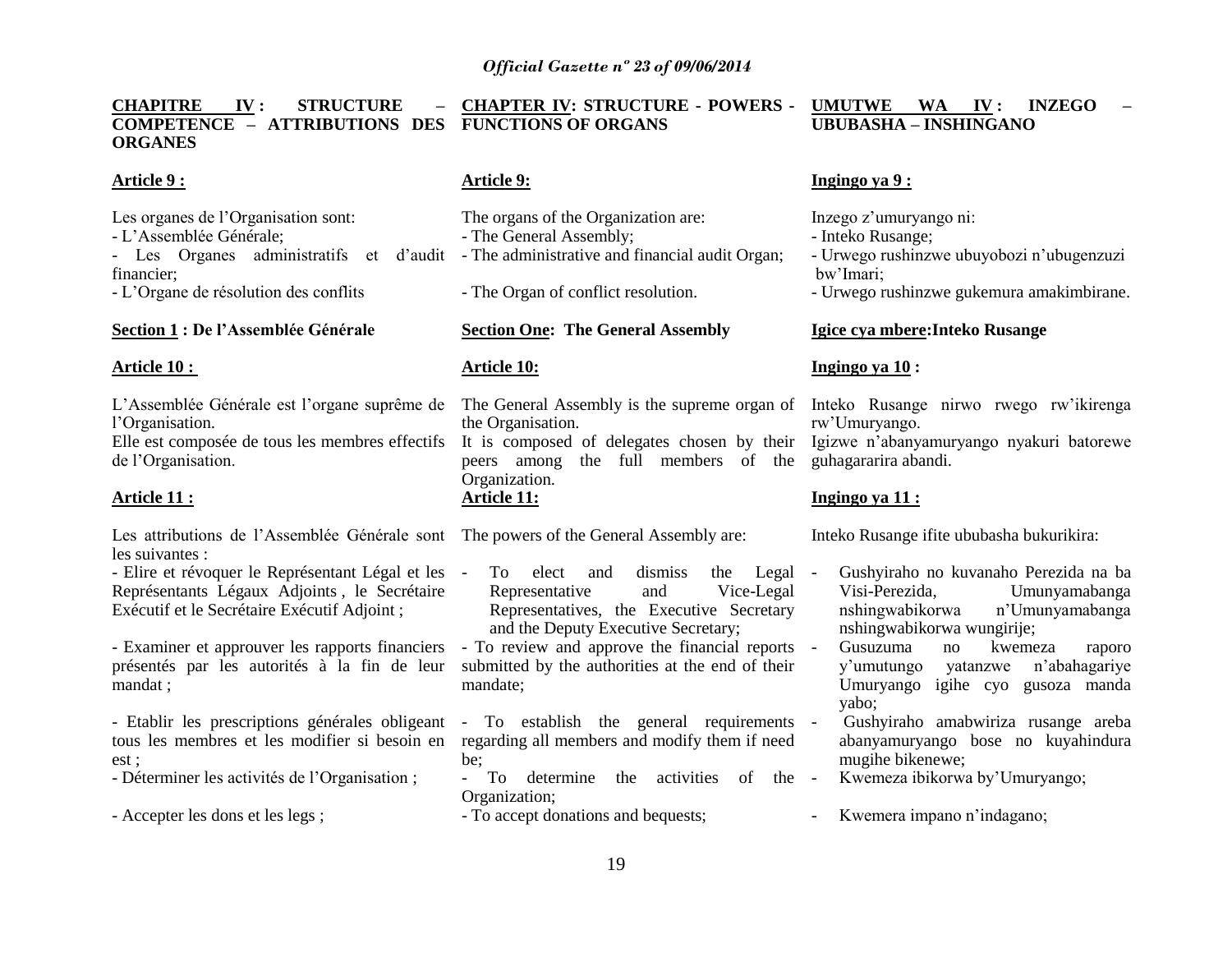**CHAPITRE IV : STRUCTURE – COMPETENCE – ATTRIBUTIONS DES FUNCTIONS OF ORGANS ORGANES CHAPTER IV: STRUCTURE - POWERS - UMUTWE WA IV: INZEGO UBUBASHA – INSHINGANO**

# **Article 9 :**

Les organes de l'Organisation sont: - L"Assemblée Générale; financier; - L"Organe de résolution des conflits

# **Section 1 : De l"Assemblée Générale**

#### **Article 10 :**

L"Assemblée Générale est l"organe suprême de l"Organisation.

Elle est composée de tous les membres effectifs de l"Organisation.

# **Article 11 :**

Les attributions de l"Assemblée Générale sont The powers of the General Assembly are: les suivantes :

- Elire et révoquer le Représentant Légal et les Représentants Légaux Adjoints , le Secrétaire Exécutif et le Secrétaire Exécutif Adjoint ;

- Examiner et approuver les rapports financiers présentés par les autorités à la fin de leur mandat ;

- Etablir les prescriptions générales obligeant tous les membres et les modifier si besoin en est ;

- Déterminer les activités de l"Organisation ;

- Accepter les dons et les legs ;

# **Article 9:**

- Les Organes administratifs et d'audit - The administrative and financial audit Organ; The organs of the Organization are: - The General Assembly;

- The Organ of conflict resolution.

# **Section One: The General Assembly**

# **Article 10:**

The General Assembly is the supreme organ of Inteko Rusange nirwo rwego rw"ikirenga the Organisation.

It is composed of delegates chosen by their Igizwe n"abanyamuryango nyakuri batorewe peers among the full members of the guhagararira abandi. Organization. **Article 11:**

To elect and dismiss the Legal -Representative and Vice-Legal Representatives, the Executive Secretary and the Deputy Executive Secretary;

- To review and approve the financial reports submitted by the authorities at the end of their mandate;

- To establish the general requirements regarding all members and modify them if need be;

- To determine the activities of the Organization;

- To accept donations and bequests;

# **Ingingo ya 9 :**

Inzego z"umuryango ni:

- Inteko Rusange;

- Urwego rushinzwe ubuyobozi n"ubugenzuzi bw"Imari;
- Urwego rushinzwe gukemura amakimbirane.

# **Igice cya mbere:Inteko Rusange**

# **Ingingo ya 10 :**

rw"Umuryango.

# **Ingingo ya 11 :**

Inteko Rusange ifite ububasha bukurikira:

- Gushyiraho no kuvanaho Perezida na ba Visi-Perezida, Umunyamabanga n'Umunyamabanga nshingwabikorwa wungirije;
- Gusuzuma no kwemeza raporo y"umutungo yatanzwe n"abahagariye Umuryango igihe cyo gusoza manda yabo;

- Gushyiraho amabwiriza rusange areba abanyamuryango bose no kuyahindura mugihe bikenewe;

- Kwemeza ibikorwa by'Umuryango;
- Kwemera impano n"indagano;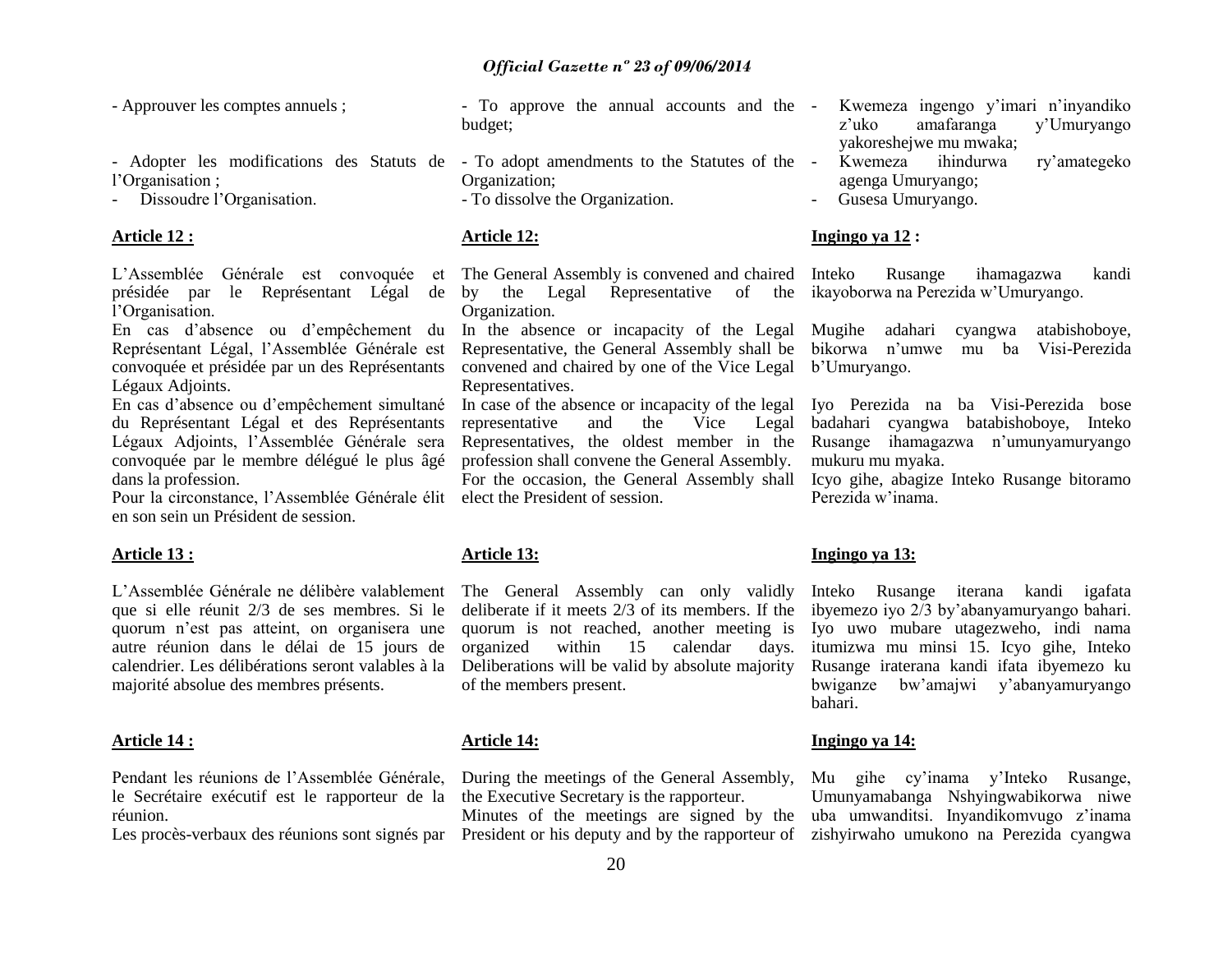- Approuver les comptes annuels ;

- Adopter les modifications des Statuts de To adopt amendments to the Statutes of the l"Organisation ;
- Dissoudre l"Organisation.

# **Article 12 :**

L"Assemblée Générale est convoquée et présidée par le Représentant Légal de l"Organisation.

En cas d"absence ou d"empêchement du Représentant Légal, l"Assemblée Générale est convoquée et présidée par un des Représentants Légaux Adjoints.

En cas d"absence ou d"empêchement simultané du Représentant Légal et des Représentants Légaux Adjoints, l"Assemblée Générale sera convoquée par le membre délégué le plus âgé dans la profession.

Pour la circonstance, l"Assemblée Générale élit elect the President of session. en son sein un Président de session.

# **Article 13 :**

L"Assemblée Générale ne délibère valablement que si elle réunit 2/3 de ses membres. Si le quorum n"est pas atteint, on organisera une autre réunion dans le délai de 15 jours de calendrier. Les délibérations seront valables à la majorité absolue des membres présents.

#### **Article 14 :**

Pendant les réunions de l"Assemblée Générale, le Secrétaire exécutif est le rapporteur de la réunion.

- To approve the annual accounts and the budget;
- Organization;
- To dissolve the Organization.

# **Article 12:**

The General Assembly is convened and chaired by the Legal Representative of the ikayoborwa na Perezida w"Umuryango. Organization.

In the absence or incapacity of the Legal Mugihe adahari cyangwa atabishoboye, Representative, the General Assembly shall be bikorwa n"umwe mu ba Visi-Perezida convened and chaired by one of the Vice Legal b"Umuryango. Representatives.

In case of the absence or incapacity of the legal Iyo Perezida na ba Visi-Perezida bose representative and the Vice Representatives, the oldest member in the Rusange ihamagazwa n'umunyamuryango profession shall convene the General Assembly. For the occasion, the General Assembly shall Icyo gihe, abagize Inteko Rusange bitoramo

# **Article 13:**

deliberate if it meets 2/3 of its members. If the ibyemezo iyo 2/3 by"abanyamuryango bahari. quorum is not reached, another meeting is organized within 15 calendar days. Deliberations will be valid by absolute majority of the members present.

# **Article 14:**

During the meetings of the General Assembly, the Executive Secretary is the rapporteur.

Minutes of the meetings are signed by the

- Kwemeza ingengo y'imari n'inyandiko<br>z'uko amafaranga y'Umurvango z"uko amafaranga y"Umuryango yakoreshejwe mu mwaka;
- Kwemeza ihindurwa ry"amategeko agenga Umuryango;
- Gusesa Umuryango.

# **Ingingo ya 12 :**

Rusange ihamagazwa kandi

badahari cyangwa batabishoboye, Inteko mukuru mu myaka.

Perezida w"inama.

# **Ingingo ya 13:**

The General Assembly can only validly Inteko Rusange iterana kandi igafata Iyo uwo mubare utagezweho, indi nama itumizwa mu minsi 15. Icyo gihe, Inteko Rusange iraterana kandi ifata ibyemezo ku bwiganze bw"amajwi y"abanyamuryango bahari.

# **Ingingo ya 14:**

Les procès-verbaux des réunions sont signés par President or his deputy and by the rapporteur of zishyirwaho umukono na Perezida cyangwa Mu gihe cy"inama y"Inteko Rusange, Umunyamabanga Nshyingwabikorwa niwe uba umwanditsi. Inyandikomvugo z"inama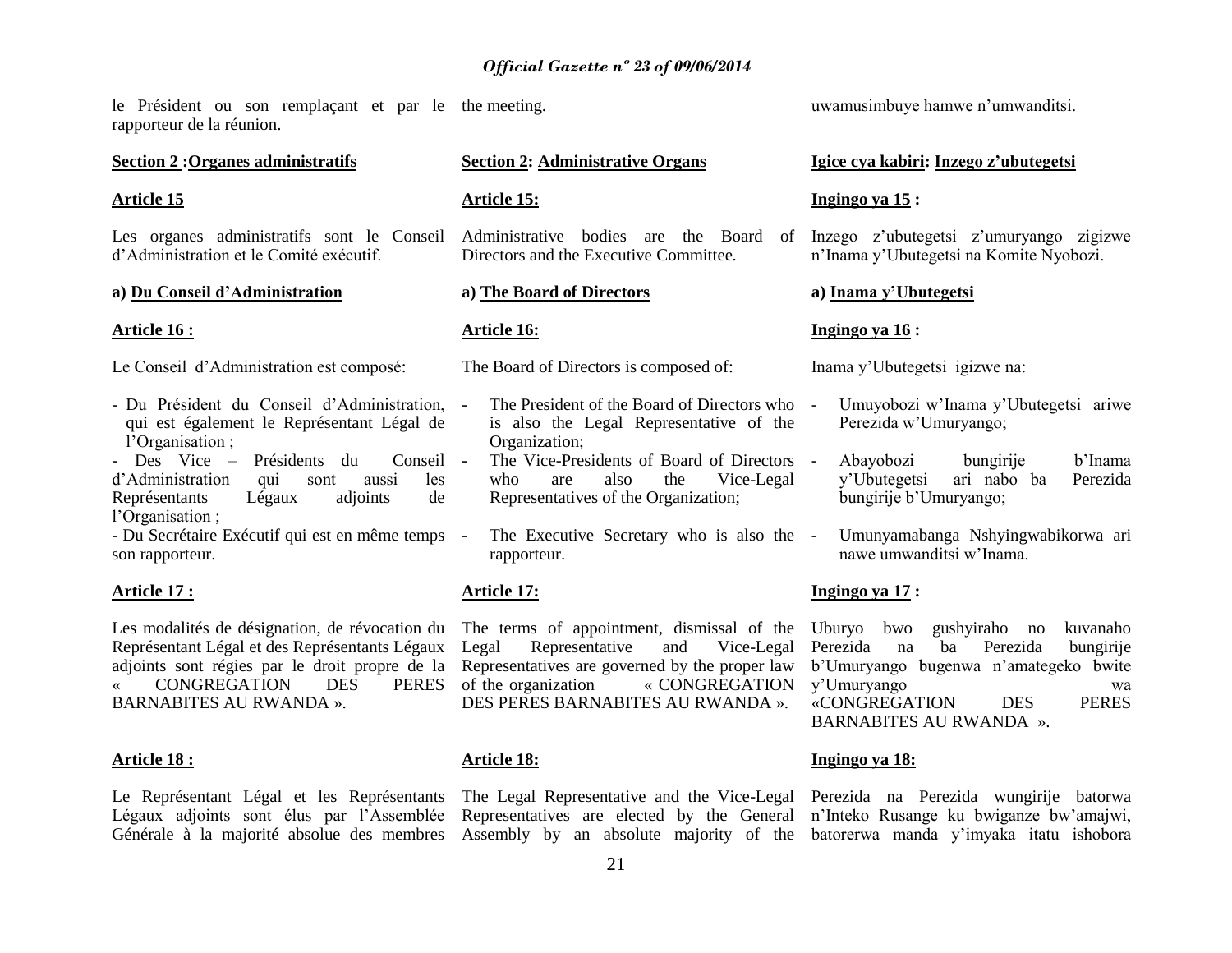le Président ou son remplaçant et par le the meeting. rapporteur de la réunion.

# **Section 2 :Organes administratifs**

#### **Article 15**

Les organes administratifs sont le Conseil d"Administration et le Comité exécutif.

#### **a) Du Conseil d"Administration**

#### **Article 16 :**

Le Conseil d"Administration est composé:

- Du Président du Conseil d"Administration, qui est également le Représentant Légal de l'Organisation ;

- Des Vice – Présidents du Conseil d"Administration qui sont aussi les Représentants Légaux adjoints de l'Organisation ;

- Du Secrétaire Exécutif qui est en même temps son rapporteur.

# **Article 17 :**

Les modalités de désignation, de révocation du Représentant Légal et des Représentants Légaux adjoints sont régies par le droit propre de la « CONGREGATION DES PERES BARNABITES AU RWANDA ».

#### **Article 18 :**

Le Représentant Légal et les Représentants The Legal Representative and the Vice-Legal Perezida na Perezida wungirije batorwa Légaux adjoints sont élus par l"Assemblée

# **Section 2: Administrative Organs**

# **Article 15:**

Directors and the Executive Committee*.*

#### **a) The Board of Directors**

#### **Article 16:**

The Board of Directors is composed of:

- The President of the Board of Directors who is also the Legal Representative of the Organization;
- The Vice-Presidents of Board of Directors who are also the Vice-Legal Representatives of the Organization;
- The Executive Secretary who is also the rapporteur.

# **Article 17:**

The terms of appointment, dismissal of the Uburyo bwo Legal Representative and Vice-Legal Perezida na Representatives are governed by the proper law b"Umuryango bugenwa n"amategeko bwite of the organization « CONGREGATION y"Umuryango wa DES PERES BARNABITES AU RWANDA ».

# **Article 18:**

Générale à la majorité absolue des membres Assembly by an absolute majority of the batorerwa manda y'imyaka itatu ishobora Representatives are elected by the General n"Inteko Rusange ku bwiganze bw"amajwi,

uwamusimbuye hamwe n"umwanditsi.

# **Igice cya kabiri: Inzego z"ubutegetsi**

#### **Ingingo ya 15 :**

Administrative bodies are the Board of Inzego z'ubutegetsi z'umuryango zigizwe n"Inama y"Ubutegetsi na Komite Nyobozi.

#### **a) Inama y"Ubutegetsi**

#### **Ingingo ya 16 :**

Inama y"Ubutegetsi igizwe na:

- Umuyobozi w"Inama y"Ubutegetsi ariwe Perezida w"Umuryango;
	- Abayobozi bungirije b"Inama y"Ubutegetsi ari nabo ba Perezida bungirije b"Umuryango;
- Umunyamabanga Nshyingwabikorwa ari nawe umwanditsi w"Inama.

#### **Ingingo ya 17 :**

gushyiraho no kuvanaho ba Perezida bungirije «CONGREGATION DES PERES BARNABITES AU RWANDA ».

#### **Ingingo ya 18:**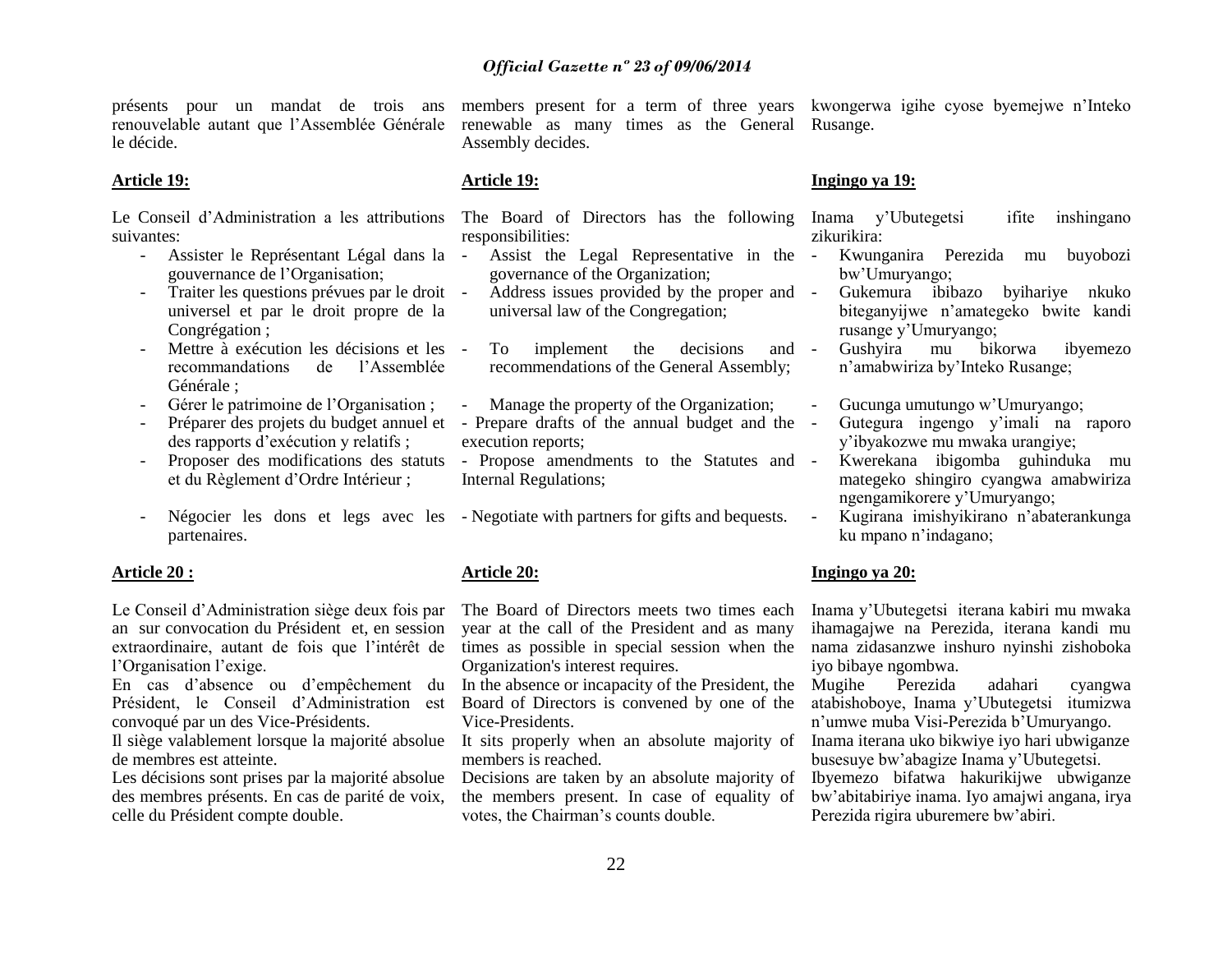présents pour un mandat de trois ans renouvelable autant que l"Assemblée Générale le décide.

#### **Article 19:**

suivantes:

- Assister le Représentant Légal dans la gouvernance de l"Organisation;
- Traiter les questions prévues par le droit universel et par le droit propre de la Congrégation ;
- Mettre à exécution les décisions et les recommandations de l"Assemblée Générale ;
- Gérer le patrimoine de l"Organisation ;
- des rapports d"exécution y relatifs ;
- Proposer des modifications des statuts et du Règlement d"Ordre Intérieur ;
- partenaires.

#### **Article 20 :**

Le Conseil d"Administration siège deux fois par an sur convocation du Président et, en session extraordinaire, autant de fois que l"intérêt de l'Organisation l'exige.

En cas d"absence ou d"empêchement du Président, le Conseil d"Administration est convoqué par un des Vice-Présidents.

Il siège valablement lorsque la majorité absolue de membres est atteinte.

Les décisions sont prises par la majorité absolue des membres présents. En cas de parité de voix, celle du Président compte double.

members present for a term of three years kwongerwa igihe cyose byemejwe n"Inteko renewable as many times as the General Rusange. Assembly decides.

#### **Article 19:**

responsibilities:

- Assist the Legal Representative in the governance of the Organization;
- Address issues provided by the proper and universal law of the Congregation;
- To implement the decisions and recommendations of the General Assembly;
- Manage the property of the Organization;
- Préparer des projets du budget annuel et Prepare drafts of the annual budget and the execution reports;
	- Propose amendments to the Statutes and Internal Regulations;
- Négocier les dons et legs avec les Negotiate with partners for gifts and bequests.

# **Article 20:**

The Board of Directors meets two times each year at the call of the President and as many times as possible in special session when the nama zidasanzwe inshuro nyinshi zishoboka Organization's interest requires.

In the absence or incapacity of the President, the Board of Directors is convened by one of the Vice-Presidents.

members is reached.

Decisions are taken by an absolute majority of the members present. In case of equality of votes, the Chairman"s counts double.

# **Ingingo ya 19:**

Le Conseil d'Administration a les attributions The Board of Directors has the following Inama y'Ubutegetsi ifite inshingano zikurikira:

- Kwunganira Perezida mu buyobozi bw"Umuryango;
- Gukemura ibibazo byihariye nkuko biteganyijwe n"amategeko bwite kandi rusange y"Umuryango;
- Gushyira mu bikorwa ibyemezo n"amabwiriza by"Inteko Rusange;
- Gucunga umutungo w"Umuryango;
- Gutegura ingengo y"imali na raporo y"ibyakozwe mu mwaka urangiye;
- Kwerekana ibigomba guhinduka mu mategeko shingiro cyangwa amabwiriza ngengamikorere y"Umuryango;
- Kugirana imishyikirano n"abaterankunga ku mpano n"indagano;

# **Ingingo ya 20:**

Inama y"Ubutegetsi iterana kabiri mu mwaka ihamagajwe na Perezida, iterana kandi mu iyo bibaye ngombwa.

Mugihe Perezida adahari cyangwa atabishoboye, Inama y"Ubutegetsi itumizwa n"umwe muba Visi-Perezida b"Umuryango.

It sits properly when an absolute majority of Inama iterana uko bikwiye iyo hari ubwiganze busesuye bw"abagize Inama y"Ubutegetsi.

> Ibyemezo bifatwa hakurikijwe ubwiganze bw"abitabiriye inama. Iyo amajwi angana, irya Perezida rigira uburemere bw"abiri.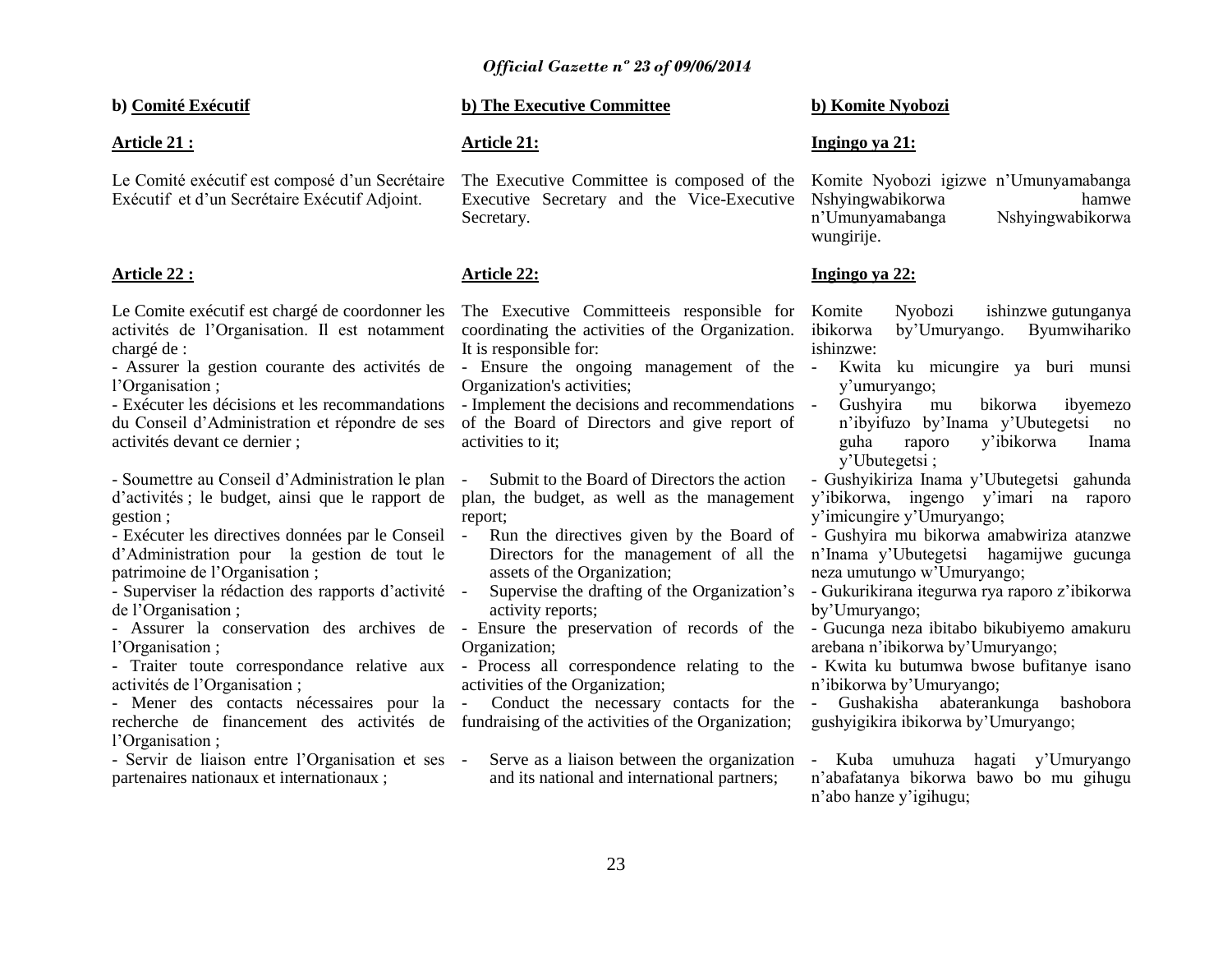**b) Comité Exécutif**

# **Article 21 :**

Le Comité exécutif est composé d'un Secrétaire Exécutif et d"un Secrétaire Exécutif Adjoint.

# **Article 22 :**

Le Comite exécutif est chargé de coordonner les activités de l"Organisation. Il est notamment chargé de :

l"Organisation ;

- Exécuter les décisions et les recommandations du Conseil d"Administration et répondre de ses activités devant ce dernier ;

- Soumettre au Conseil d"Administration le plan d"activités ; le budget, ainsi que le rapport de gestion ;

- Exécuter les directives données par le Conseil d"Administration pour la gestion de tout le patrimoine de l"Organisation ;

- Superviser la rédaction des rapports d"activité de l"Organisation ;

- Assurer la conservation des archives de - Ensure the preservation of records of the - Gucunga neza ibitabo bikubiyemo amakuru l'Organisation ;

- Traiter toute correspondance relative aux - Process all correspondence relating to the - Kwita ku butumwa bwose bufitanye isano activités de l"Organisation ;

- Mener des contacts nécessaires pour la recherche de financement des activités de l"Organisation ;

- Servir de liaison entre l"Organisation et ses partenaires nationaux et internationaux ;

# **b) The Executive Committee**

# **Article 21:**

The Executive Committee is composed of the Komite Nyobozi igizwe n"Umunyamabanga Executive Secretary and the Vice-Executive Nshyingwabikorwa hamwe Secretary.

# **Article 22:**

The Executive Committeeis responsible for Komite coordinating the activities of the Organization. It is responsible for:

- Assurer la gestion courante des activités de - Ensure the ongoing management of the Organization's activities;

> - Implement the decisions and recommendations of the Board of Directors and give report of activities to it;

- Submit to the Board of Directors the action plan, the budget, as well as the management report;

- Run the directives given by the Board of assets of the Organization;
- activity reports;
- Organization;

activities of the Organization;

- Conduct the necessary contacts for the - Gushakisha abaterankunga bashobora fundraising of the activities of the Organization;

Serve as a liaison between the organization and its national and international partners;

# **b) Komite Nyobozi**

# **Ingingo ya 21:**

n"Umunyamabanga Nshyingwabikorwa wungirije.

# **Ingingo ya 22:**

Nyobozi ishinzwe gutunganya by'Umuryango. Byumwihariko ishinzwe:

- Kwita ku micungire ya buri munsi y"umuryango;

- Gushyira mu bikorwa ibyemezo n"ibyifuzo by"Inama y"Ubutegetsi no guha raporo y"ibikorwa Inama y"Ubutegetsi ;

- Gushyikiriza Inama y"Ubutegetsi gahunda y"ibikorwa, ingengo y"imari na raporo y"imicungire y"Umuryango;

Directors for the management of all the n"Inama y"Ubutegetsi hagamijwe gucunga - Gushyira mu bikorwa amabwiriza atanzwe neza umutungo w"Umuryango;

- Supervise the drafting of the Organization's - Gukurikirana itegurwa rya raporo z'ibikorwa by"Umuryango;

arebana n"ibikorwa by"Umuryango;

n"ibikorwa by"Umuryango;

gushyigikira ibikorwa by"Umuryango;

- Kuba umuhuza hagati y"Umuryango n"abafatanya bikorwa bawo bo mu gihugu n"abo hanze y"igihugu;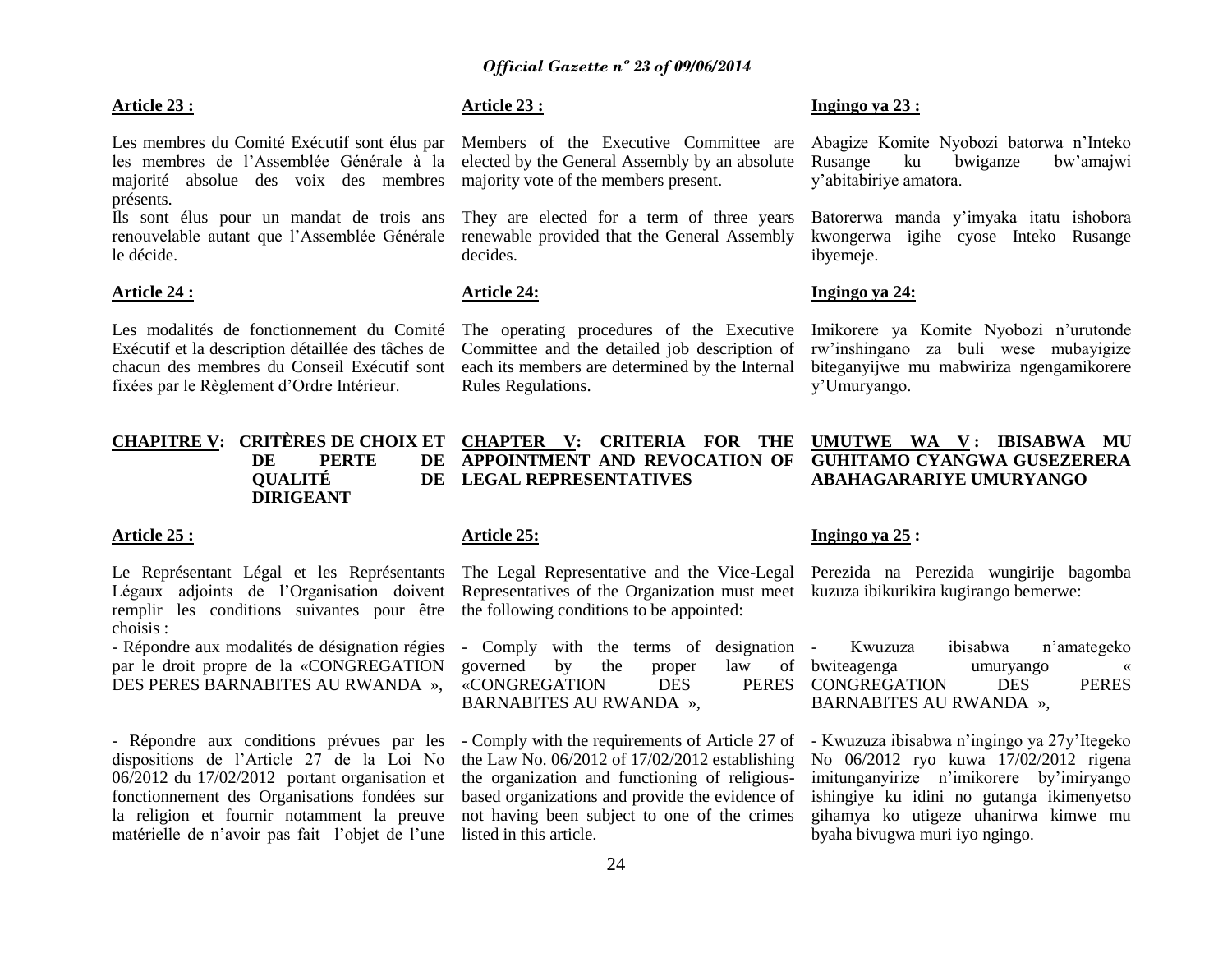#### **Article 23 :**

Les membres du Comité Exécutif sont élus par les membres de l"Assemblée Générale à la majorité absolue des voix des membres présents.

Ils sont élus pour un mandat de trois ans renouvelable autant que l"Assemblée Générale le décide.

#### **Article 24 :**

Les modalités de fonctionnement du Comité Exécutif et la description détaillée des tâches de chacun des membres du Conseil Exécutif sont fixées par le Règlement d"Ordre Intérieur.

# **Article 23 :**

Members of the Executive Committee are elected by the General Assembly by an absolute majority vote of the members present.

They are elected for a term of three years renewable provided that the General Assembly decides.

# **Article 24:**

The operating procedures of the Executive Committee and the detailed job description of each its members are determined by the Internal Rules Regulations.

#### **Ingingo ya 23 :**

Abagize Komite Nyobozi batorwa n"Inteko Rusange ku bwiganze bw"amajwi y"abitabiriye amatora.

Batorerwa manda y"imyaka itatu ishobora kwongerwa igihe cyose Inteko Rusange ibyemeje.

# **Ingingo ya 24:**

Imikorere ya Komite Nyobozi n"urutonde rw"inshingano za buli wese mubayigize biteganyijwe mu mabwiriza ngengamikorere y"Umuryango.

#### **CHAPITRE V: CRITÈRES DE CHOIX ET DE PERTE DE QUALITÉ DIRIGEANT CHAPTER V: CRITERIA FOR THE APPOINTMENT AND REVOCATION OF LEGAL REPRESENTATIVES UMUTWE WA V : IBISABWA MU GUHITAMO CYANGWA GUSEZERERA ABAHAGARARIYE UMURYANGO**

#### **Article 25 :**

Le Représentant Légal et les Représentants Légaux adjoints de l"Organisation doivent remplir les conditions suivantes pour être choisis :

- Répondre aux modalités de désignation régies par le droit propre de la «CONGREGATION DES PERES BARNABITES AU RWANDA »,

- Répondre aux conditions prévues par les dispositions de l"Article 27 de la Loi No 06/2012 du 17/02/2012 portant organisation et fonctionnement des Organisations fondées sur la religion et fournir notamment la preuve matérielle de n"avoir pas fait l"objet de l"une

# **Article 25:**

The Legal Representative and the Vice-Legal Perezida na Perezida wungirije bagomba Representatives of the Organization must meet kuzuza ibikurikira kugirango bemerwe: the following conditions to be appointed:

- Comply with the terms of designation governed by the proper law of «CONGREGATION DES BARNABITES AU RWANDA »,

the Law No. 06/2012 of 17/02/2012 establishing the organization and functioning of religiousbased organizations and provide the evidence of not having been subject to one of the crimes listed in this article.

#### **Ingingo ya 25 :**

- Kwuzuza ibisabwa n"amategeko bwiteagenga umuryango « PERES CONGREGATION DES PERES BARNABITES AU RWANDA »,

- Comply with the requirements of Article 27 of - Kwuzuza ibisabwa n'ingingo ya 27y'Itegeko No 06/2012 ryo kuwa 17/02/2012 rigena imitunganyirize n"imikorere by"imiryango ishingiye ku idini no gutanga ikimenyetso gihamya ko utigeze uhanirwa kimwe mu byaha bivugwa muri iyo ngingo.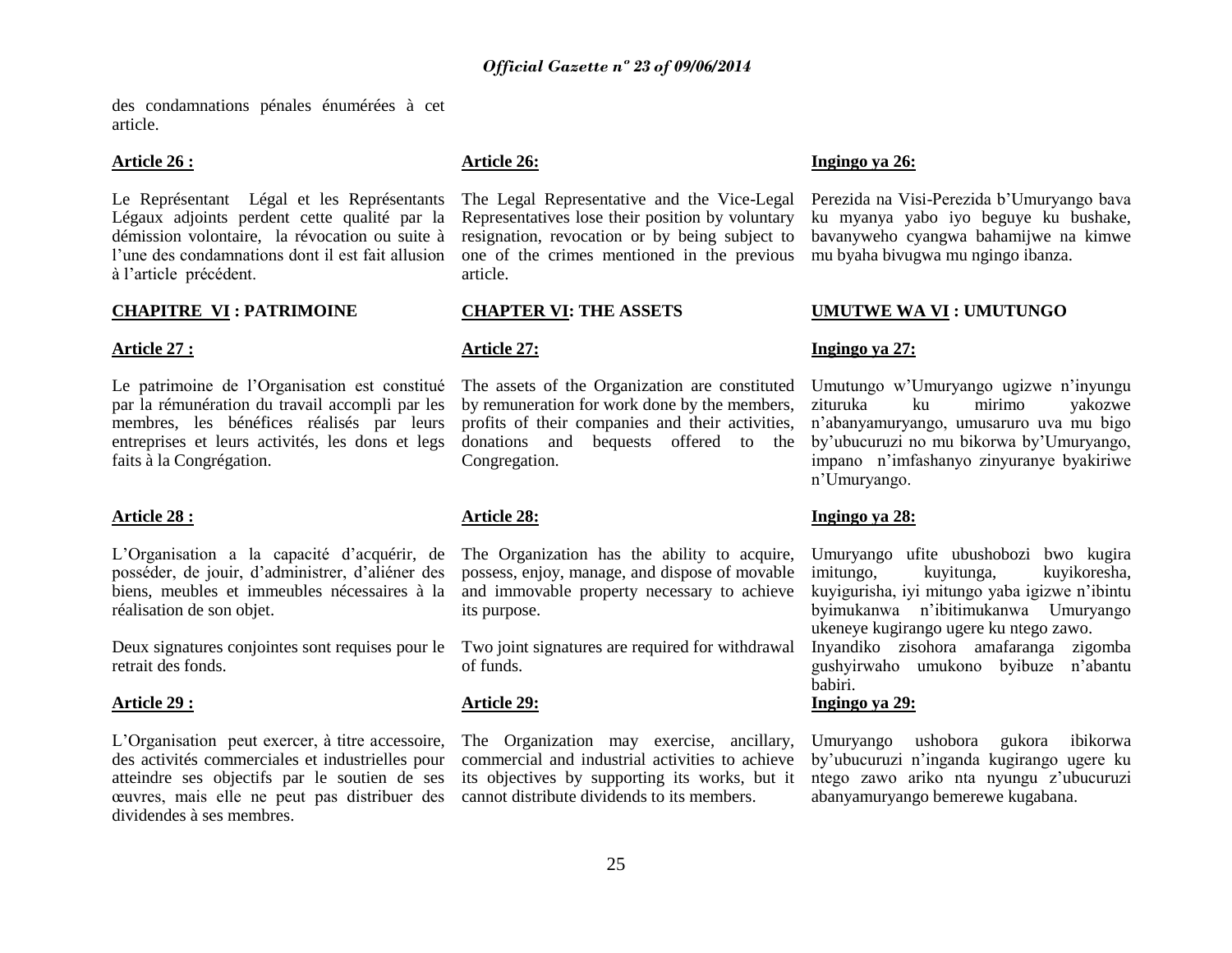des condamnations pénales énumérées à cet article.

#### **Article 26 :**

Le Représentant Légal et les Représentants Légaux adjoints perdent cette qualité par la démission volontaire, la révocation ou suite à l"une des condamnations dont il est fait allusion à l"article précédent.

#### **CHAPITRE VI : PATRIMOINE**

#### **Article 27 :**

Le patrimoine de l'Organisation est constitué par la rémunération du travail accompli par les membres, les bénéfices réalisés par leurs entreprises et leurs activités, les dons et legs faits à la Congrégation.

#### **Article 28 :**

L"Organisation a la capacité d"acquérir, de posséder, de jouir, d"administrer, d"aliéner des biens, meubles et immeubles nécessaires à la réalisation de son objet.

Deux signatures conjointes sont requises pour le retrait des fonds.

#### **Article 29 :**

L"Organisation peut exercer, à titre accessoire, des activités commerciales et industrielles pour atteindre ses objectifs par le soutien de ses œuvres, mais elle ne peut pas distribuer des dividendes à ses membres.

# **Article 26:**

Representatives lose their position by voluntary resignation, revocation or by being subject to one of the crimes mentioned in the previous mu byaha bivugwa mu ngingo ibanza. article.

# **CHAPTER VI: THE ASSETS**

#### **Article 27:**

The assets of the Organization are constituted by remuneration for work done by the members, profits of their companies and their activities, donations and bequests offered to the Congregation.

# **Article 28:**

The Organization has the ability to acquire, possess, enjoy, manage, and dispose of movable and immovable property necessary to achieve its purpose.

Two joint signatures are required for withdrawal of funds.

#### **Article 29:**

The Organization may exercise, ancillary, commercial and industrial activities to achieve its objectives by supporting its works, but it cannot distribute dividends to its members.

# **Ingingo ya 26:**

The Legal Representative and the Vice-Legal Perezida na Visi-Perezida b'Umuryango bava ku myanya yabo iyo beguye ku bushake, bavanyweho cyangwa bahamijwe na kimwe

#### **UMUTWE WA VI : UMUTUNGO**

#### **Ingingo ya 27:**

Umutungo w"Umuryango ugizwe n"inyungu zituruka ku mirimo yakozwe n"abanyamuryango, umusaruro uva mu bigo by"ubucuruzi no mu bikorwa by"Umuryango, impano n"imfashanyo zinyuranye byakiriwe n"Umuryango.

# **Ingingo ya 28:**

Umuryango ufite ubushobozi bwo kugira imitungo, kuyitunga, kuyikoresha, kuyigurisha, iyi mitungo yaba igizwe n"ibintu byimukanwa n"ibitimukanwa Umuryango ukeneye kugirango ugere ku ntego zawo. Inyandiko zisohora amafaranga zigomba gushyirwaho umukono byibuze n"abantu babiri.

#### **Ingingo ya 29:**

Umuryango ushobora gukora ibikorwa by"ubucuruzi n"inganda kugirango ugere ku ntego zawo ariko nta nyungu z"ubucuruzi abanyamuryango bemerewe kugabana.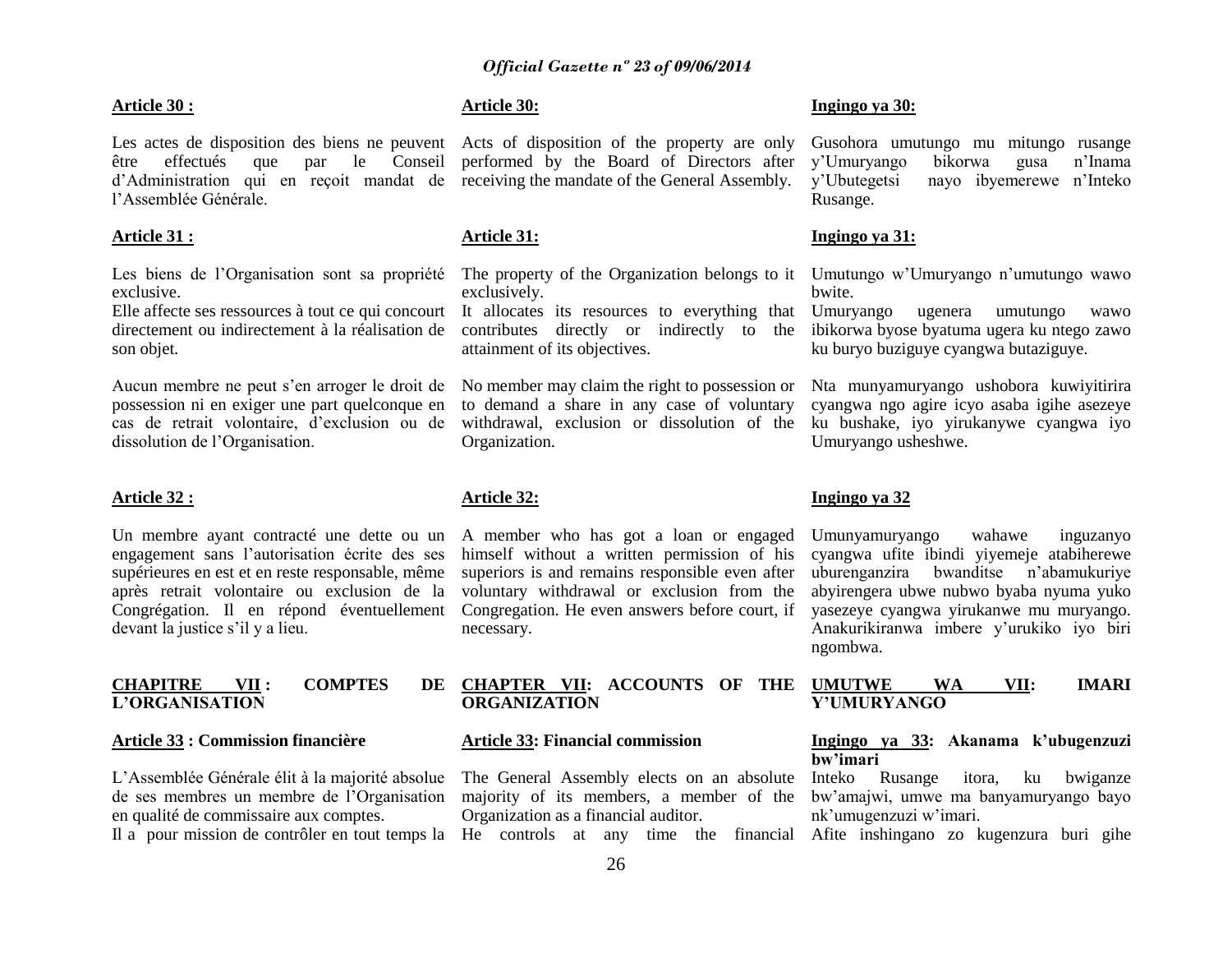#### **Article 30 :**

Les actes de disposition des biens ne peuvent Acts of disposition of the property are only être effectués que par le Conseil performed by the Board of Directors after d"Administration qui en reçoit mandat de receiving the mandate of the General Assembly. l"Assemblée Générale.

# **Article 31 :**

Les biens de l"Organisation sont sa propriété exclusive.

Elle affecte ses ressources à tout ce qui concourt directement ou indirectement à la réalisation de son objet.

Aucun membre ne peut s"en arroger le droit de possession ni en exiger une part quelconque en cas de retrait volontaire, d"exclusion ou de dissolution de l"Organisation.

#### **Article 32 :**

Un membre ayant contracté une dette ou un engagement sans l"autorisation écrite des ses supérieures en est et en reste responsable, même après retrait volontaire ou exclusion de la Congrégation. Il en répond éventuellement devant la justice s"il y a lieu.

# **CHAPITRE VII : COMPTES DE L"ORGANISATION**

#### **Article 33 : Commission financière**

L"Assemblée Générale élit à la majorité absolue de ses membres un membre de l"Organisation en qualité de commissaire aux comptes.

# **Article 30:**

# **Article 31:**

The property of the Organization belongs to it Umutungo w'Umuryango n'umutungo wawo exclusively.

It allocates its resources to everything that Umuryango contributes directly or indirectly to the ibikorwa byose byatuma ugera ku ntego zawo attainment of its objectives.

No member may claim the right to possession or to demand a share in any case of voluntary withdrawal, exclusion or dissolution of the ku bushake, iyo yirukanywe cyangwa iyo Organization.

# **Article 32:**

A member who has got a loan or engaged himself without a written permission of his superiors is and remains responsible even after voluntary withdrawal or exclusion from the Congregation. He even answers before court, if necessary.

# **ORGANIZATION**

#### **Article 33: Financial commission**

majority of its members, a member of the Organization as a financial auditor.

# **Ingingo ya 30:**

Gusohora umutungo mu mitungo rusange y"Umuryango bikorwa gusa n"Inama y"Ubutegetsi nayo ibyemerewe n"Inteko Rusange.

#### **Ingingo ya 31:**

bwite.

ugenera umutungo wawo ku buryo buziguye cyangwa butaziguye.

Nta munyamuryango ushobora kuwiyitirira cyangwa ngo agire icyo asaba igihe asezeye Umuryango usheshwe.

#### **Ingingo ya 32**

Umunyamuryango wahawe inguzanyo cyangwa ufite ibindi yiyemeje atabiherewe uburenganzira bwanditse n"abamukuriye abyirengera ubwe nubwo byaba nyuma yuko yasezeye cyangwa yirukanwe mu muryango. Anakurikiranwa imbere y"urukiko iyo biri ngombwa.

# **CHAPTER VII: ACCOUNTS OF THE UMUTWE WA VII: IMARI Y"UMURYANGO**

# **Ingingo ya 33: Akanama k"ubugenzuzi bw"imari**

The General Assembly elects on an absolute Inteko Rusange itora, ku bwiganze bw"amajwi, umwe ma banyamuryango bayo nk"umugenzuzi w"imari.

Il a pour mission de contrôler en tout temps la He controls at any time the financial Afite inshingano zo kugenzura buri gihe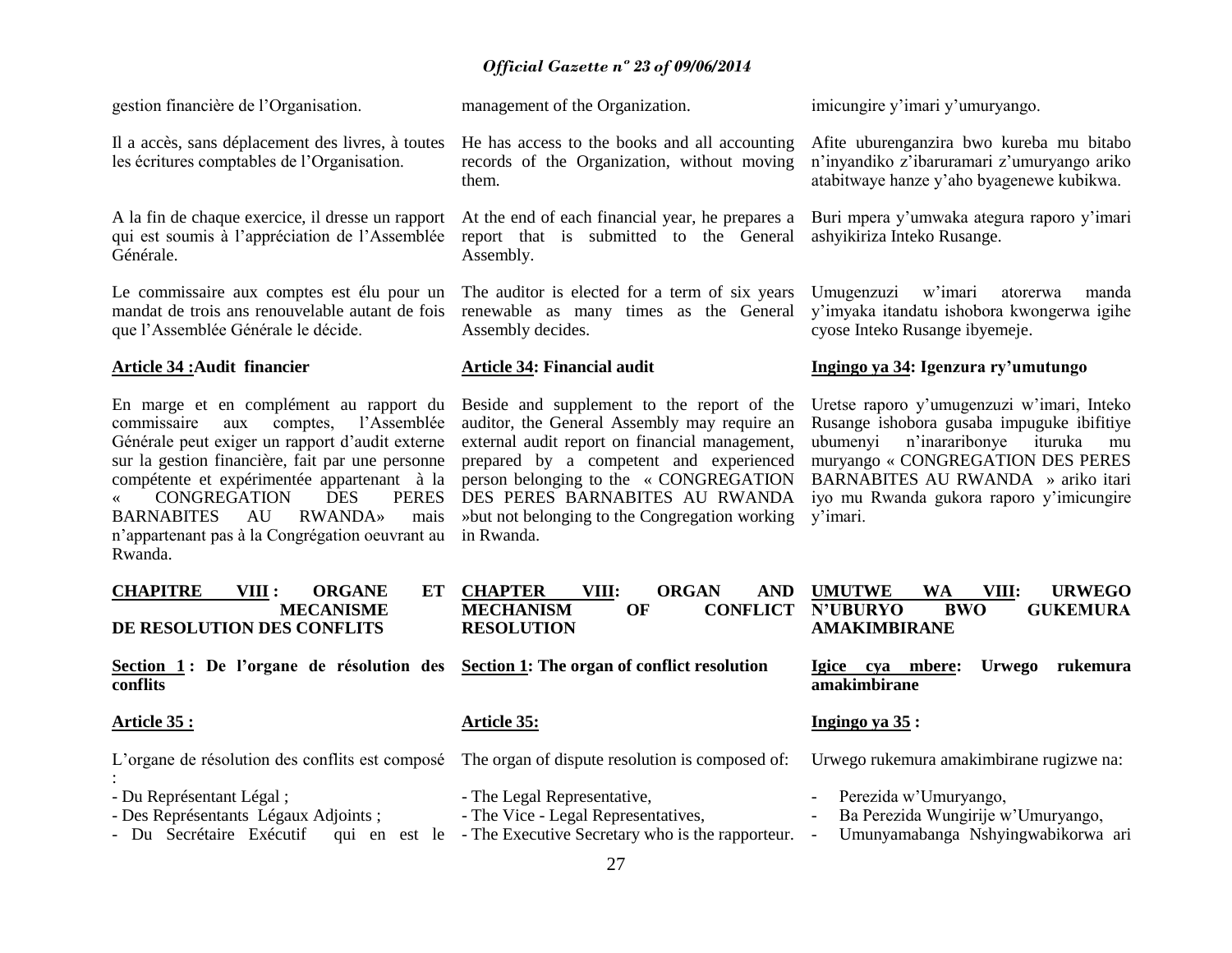He has access to the books and all accounting records of the Organization, without moving

At the end of each financial year, he prepares a report that is submitted to the General

The auditor is elected for a term of six years renewable as many times as the General

gestion financière de l"Organisation.

Il a accès, sans déplacement des livres, à toutes les écritures comptables de l"Organisation.

A la fin de chaque exercice, il dresse un rapport qui est soumis à l"appréciation de l"Assemblée Générale.

Le commissaire aux comptes est élu pour un mandat de trois ans renouvelable autant de fois que l"Assemblée Générale le décide.

# **Article 34 :Audit financier**

En marge et en complément au rapport du commissaire aux comptes, l"Assemblée Générale peut exiger un rapport d"audit externe sur la gestion financière, fait par une personne compétente et expérimentée appartenant à la CONGREGATION DES PERES BARNABITES AU RWANDA» mais n"appartenant pas à la Congrégation oeuvrant au Rwanda.

management of the Organization.

them.

Assembly.

in Rwanda.

Assembly decides.

**Article 34: Financial audit**

imicungire y"imari y"umuryango.

Afite uburenganzira bwo kureba mu bitabo n"inyandiko z"ibaruramari z"umuryango ariko atabitwaye hanze y"aho byagenewe kubikwa.

Buri mpera y'umwaka ategura raporo y'imari ashyikiriza Inteko Rusange.

Umugenzuzi w"imari atorerwa manda y"imyaka itandatu ishobora kwongerwa igihe cyose Inteko Rusange ibyemeje.

# **Ingingo ya 34: Igenzura ry"umutungo**

Beside and supplement to the report of the auditor, the General Assembly may require an external audit report on financial management, prepared by a competent and experienced person belonging to the « CONGREGATION DES PERES BARNABITES AU RWANDA »but not belonging to the Congregation working y'imari. Uretse raporo y"umugenzuzi w"imari, Inteko Rusange ishobora gusaba impuguke ibifitiye ubumenyi n"inararibonye ituruka mu muryango « CONGREGATION DES PERES BARNABITES AU RWANDA » ariko itari iyo mu Rwanda gukora raporo y"imicungire

| <b>CHAPITRE</b><br>VIII :<br><b>ORGANE</b><br>ET<br><b>MECANISME</b><br>DE RESOLUTION DES CONFLITS | <b>CHAPTER</b><br>VIII:<br><b>ORGAN</b><br><b>AND</b><br><b>MECHANISM</b><br>OF<br><b>CONFLICT</b><br><b>RESOLUTION</b> | <b>URWEGO</b><br>WA<br>VIII:<br><b>UMUTWE</b><br><b>BWO</b><br><b>GUKEMURA</b><br><b>N'UBURYO</b><br><b>AMAKIMBIRANE</b> |
|----------------------------------------------------------------------------------------------------|-------------------------------------------------------------------------------------------------------------------------|--------------------------------------------------------------------------------------------------------------------------|
| Section 1: De l'organe de résolution des Section 1: The organ of conflict resolution<br>conflits   |                                                                                                                         | mbere:<br><i>lgice</i><br><b>Urwego</b><br>rukemura<br>cva<br>amakimbirane                                               |
| Article 35 :                                                                                       | <b>Article 35:</b>                                                                                                      | Ingingo ya 35:                                                                                                           |
| L'organe de résolution des conflits est composé                                                    | The organ of dispute resolution is composed of:                                                                         | Urwego rukemura amakimbirane rugizwe na:                                                                                 |
| - Du Représentant Légal;<br>- Des Représentants Légaux Adjoints;                                   | - The Legal Representative,<br>- The Vice - Legal Representatives,                                                      | Perezida w'Umuryango,<br>$\overline{\phantom{a}}$<br>Ba Perezida Wungirije w'Umuryango,<br>$\overline{\phantom{a}}$      |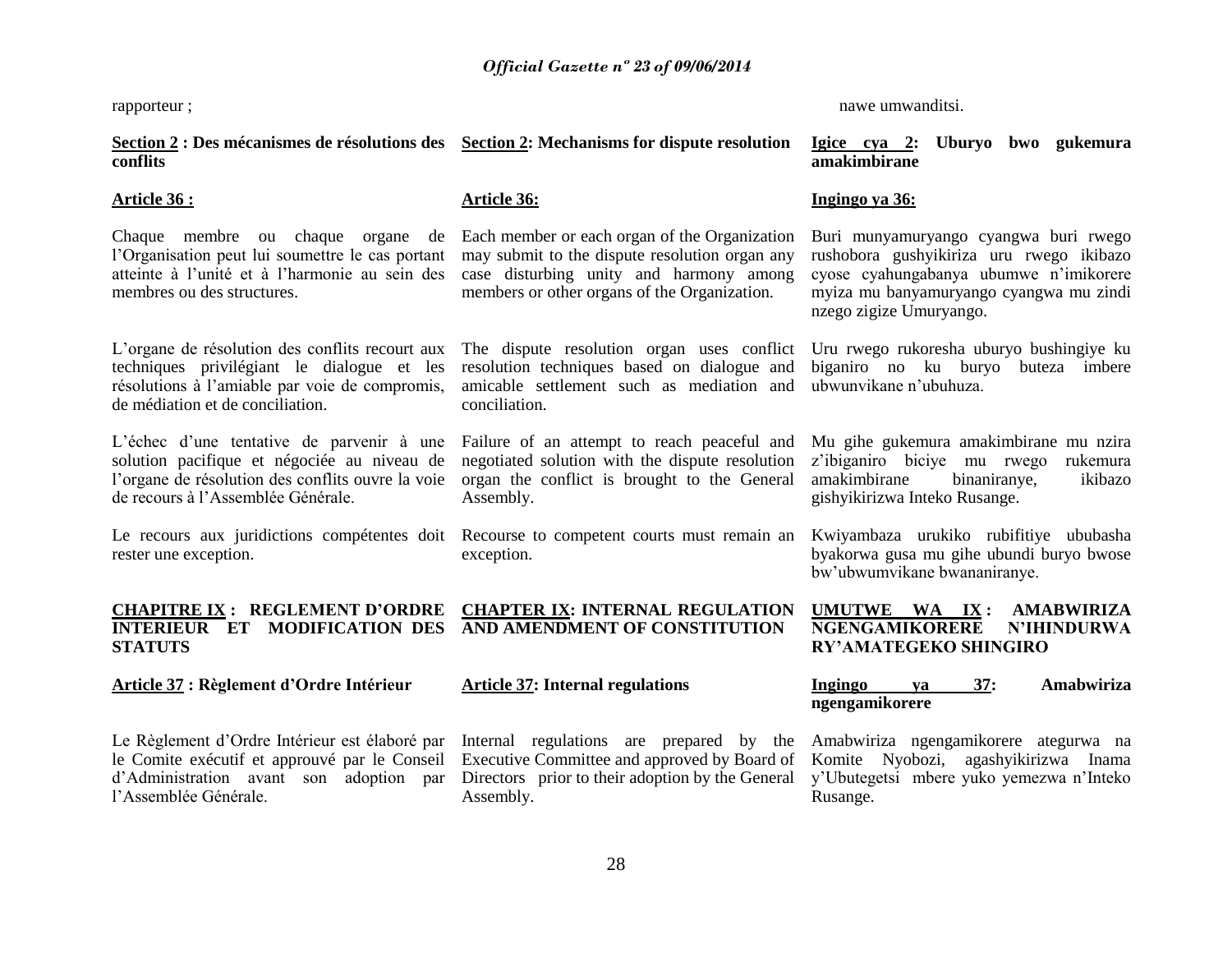rapporteur ;

**Section 2 : Des mécanismes de résolutions des** 

nawe umwanditsi.

**Section 2: Mechanisms for dispute resolution Igice cya 2: Uburyo bwo gukemura** 

| conflits                                                                                                                                                                            |                                                                                                                                                                                                 | amakimbirane                                                                                                                                                                                      |
|-------------------------------------------------------------------------------------------------------------------------------------------------------------------------------------|-------------------------------------------------------------------------------------------------------------------------------------------------------------------------------------------------|---------------------------------------------------------------------------------------------------------------------------------------------------------------------------------------------------|
| <u>Article 36 :</u>                                                                                                                                                                 | <b>Article 36:</b>                                                                                                                                                                              | Ingingo ya 36:                                                                                                                                                                                    |
| Chaque membre ou chaque organe<br>de<br>l'Organisation peut lui soumettre le cas portant<br>atteinte à l'unité et à l'harmonie au sein des<br>membres ou des structures.            | Each member or each organ of the Organization<br>may submit to the dispute resolution organ any<br>case disturbing unity and harmony among<br>members or other organs of the Organization.      | Buri munyamuryango cyangwa buri rwego<br>rushobora gushyikiriza uru rwego ikibazo<br>cyose cyahungabanya ubumwe n'imikorere<br>myiza mu banyamuryango cyangwa mu zindi<br>nzego zigize Umuryango. |
| L'organe de résolution des conflits recourt aux<br>techniques privilégiant le dialogue et les<br>résolutions à l'amiable par voie de compromis,<br>de médiation et de conciliation. | The dispute resolution organ uses conflict<br>resolution techniques based on dialogue and<br>amicable settlement such as mediation and<br>conciliation.                                         | Uru rwego rukoresha uburyo bushingiye ku<br>biganiro no ku buryo buteza imbere<br>ubwunvikane n'ubuhuza.                                                                                          |
| L'échec d'une tentative de parvenir à une<br>solution pacifique et négociée au niveau de<br>l'organe de résolution des conflits ouvre la voie<br>de recours à l'Assemblée Générale. | Failure of an attempt to reach peaceful and<br>negotiated solution with the dispute resolution<br>organ the conflict is brought to the General<br>Assembly.                                     | Mu gihe gukemura amakimbirane mu nzira<br>z'ibiganiro biciye mu rwego<br>rukemura<br>amakimbirane<br>binaniranye,<br>ikibazo<br>gishyikirizwa Inteko Rusange.                                     |
| Le recours aux juridictions compétentes doit<br>rester une exception.                                                                                                               | Recourse to competent courts must remain an<br>exception.                                                                                                                                       | Kwiyambaza urukiko rubifitiye ububasha<br>byakorwa gusa mu gihe ubundi buryo bwose<br>bw'ubwumvikane bwananiranye.                                                                                |
| <b>CHAPITRE IX: REGLEMENT D'ORDRE</b><br><b>INTERIEUR ET MODIFICATION DES</b><br><b>STATUTS</b>                                                                                     | <b>CHAPTER IX: INTERNAL REGULATION</b><br>AND AMENDMENT OF CONSTITUTION                                                                                                                         | UMUTWE WA IX:<br><b>AMABWIRIZA</b><br><b>NGENGAMIKORERE</b><br><b>N'IHINDURWA</b><br><b>RY'AMATEGEKO SHINGIRO</b>                                                                                 |
| <b>Article 37 : Règlement d'Ordre Intérieur</b>                                                                                                                                     | <b>Article 37: Internal regulations</b>                                                                                                                                                         | 37:<br>Ingingo<br>Amabwiriza<br>va<br>ngengamikorere                                                                                                                                              |
| Le Règlement d'Ordre Intérieur est élaboré par<br>le Comite exécutif et approuvé par le Conseil<br>d'Administration avant son adoption<br>par<br>l'Assemblée Générale.              | Internal regulations are prepared by the Amabwiriza ngengamikorere ategurwa na<br>Executive Committee and approved by Board of<br>Directors prior to their adoption by the General<br>Assembly. | Komite Nyobozi, agashyikirizwa Inama<br>y'Ubutegetsi mbere yuko yemezwa n'Inteko<br>Rusange.                                                                                                      |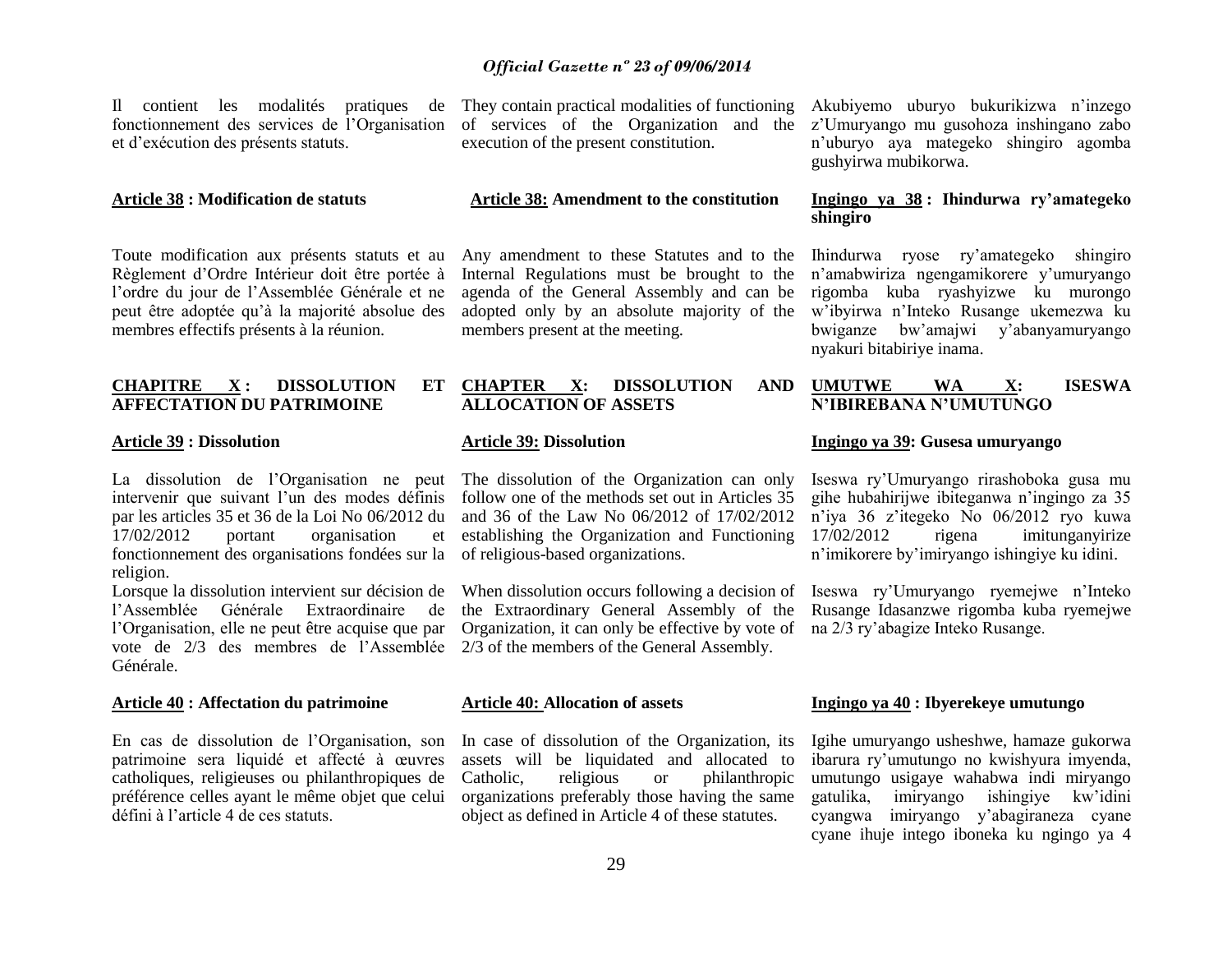Il contient les modalités pratiques de fonctionnement des services de l"Organisation et d"exécution des présents statuts.

#### **Article 38 : Modification de statuts**

Toute modification aux présents statuts et au Règlement d"Ordre Intérieur doit être portée à l"ordre du jour de l"Assemblée Générale et ne peut être adoptée qu"à la majorité absolue des membres effectifs présents à la réunion.

# **CHAPITRE X : DISSOLUTION ET AFFECTATION DU PATRIMOINE**

#### **Article 39 : Dissolution**

La dissolution de l"Organisation ne peut intervenir que suivant l'un des modes définis par les articles 35 et 36 de la Loi No 06/2012 du 17/02/2012 portant organisation et fonctionnement des organisations fondées sur la of religious-based organizations. religion.

Lorsque la dissolution intervient sur décision de l"Assemblée Générale Extraordinaire de l"Organisation, elle ne peut être acquise que par vote de 2/3 des membres de l"Assemblée Générale.

#### **Article 40 : Affectation du patrimoine**

En cas de dissolution de l"Organisation, son patrimoine sera liquidé et affecté à œuvres catholiques, religieuses ou philanthropiques de préférence celles ayant le même objet que celui défini à l"article 4 de ces statuts.

They contain practical modalities of functioning of services of the Organization and the z"Umuryango mu gusohoza inshingano zabo execution of the present constitution.

#### **Article 38: Amendment to the constitution**

Any amendment to these Statutes and to the Internal Regulations must be brought to the agenda of the General Assembly and can be adopted only by an absolute majority of the members present at the meeting.

# **CHAPTER X: DISSOLUTION ALLOCATION OF ASSETS**

# **Article 39: Dissolution**

The dissolution of the Organization can only follow one of the methods set out in Articles 35 and 36 of the Law No 06/2012 of 17/02/2012 establishing the Organization and Functioning

the Extraordinary General Assembly of the Organization, it can only be effective by vote of na 2/3 ry"abagize Inteko Rusange. 2/3 of the members of the General Assembly.

#### **Article 40: Allocation of assets**

In case of dissolution of the Organization, its assets will be liquidated and allocated to Catholic, religious or philanthropic organizations preferably those having the same object as defined in Article 4 of these statutes.

Akubiyemo uburyo bukurikizwa n"inzego n"uburyo aya mategeko shingiro agomba gushyirwa mubikorwa.

# **Ingingo ya 38 : Ihindurwa ry"amategeko shingiro**

Ihindurwa ryose ry"amategeko shingiro n"amabwiriza ngengamikorere y"umuryango rigomba kuba ryashyizwe ku murongo w"ibyirwa n"Inteko Rusange ukemezwa ku bwiganze bw"amajwi y"abanyamuryango nyakuri bitabiriye inama.

#### **UMUTWE WA X: ISESWA N"IBIREBANA N"UMUTUNGO**

#### **Ingingo ya 39: Gusesa umuryango**

Iseswa ry"Umuryango rirashoboka gusa mu gihe hubahirijwe ibiteganwa n"ingingo za 35 n"iya 36 z"itegeko No 06/2012 ryo kuwa 17/02/2012 rigena imitunganyirize n"imikorere by"imiryango ishingiye ku idini.

When dissolution occurs following a decision of Iseswa ry'Umuryango ryemejwe n'Inteko Rusange Idasanzwe rigomba kuba ryemejwe

#### **Ingingo ya 40 : Ibyerekeye umutungo**

Igihe umuryango usheshwe, hamaze gukorwa ibarura ry"umutungo no kwishyura imyenda, umutungo usigaye wahabwa indi miryango gatulika, imiryango ishingiye kw"idini cyangwa imiryango y"abagiraneza cyane cyane ihuje intego iboneka ku ngingo ya 4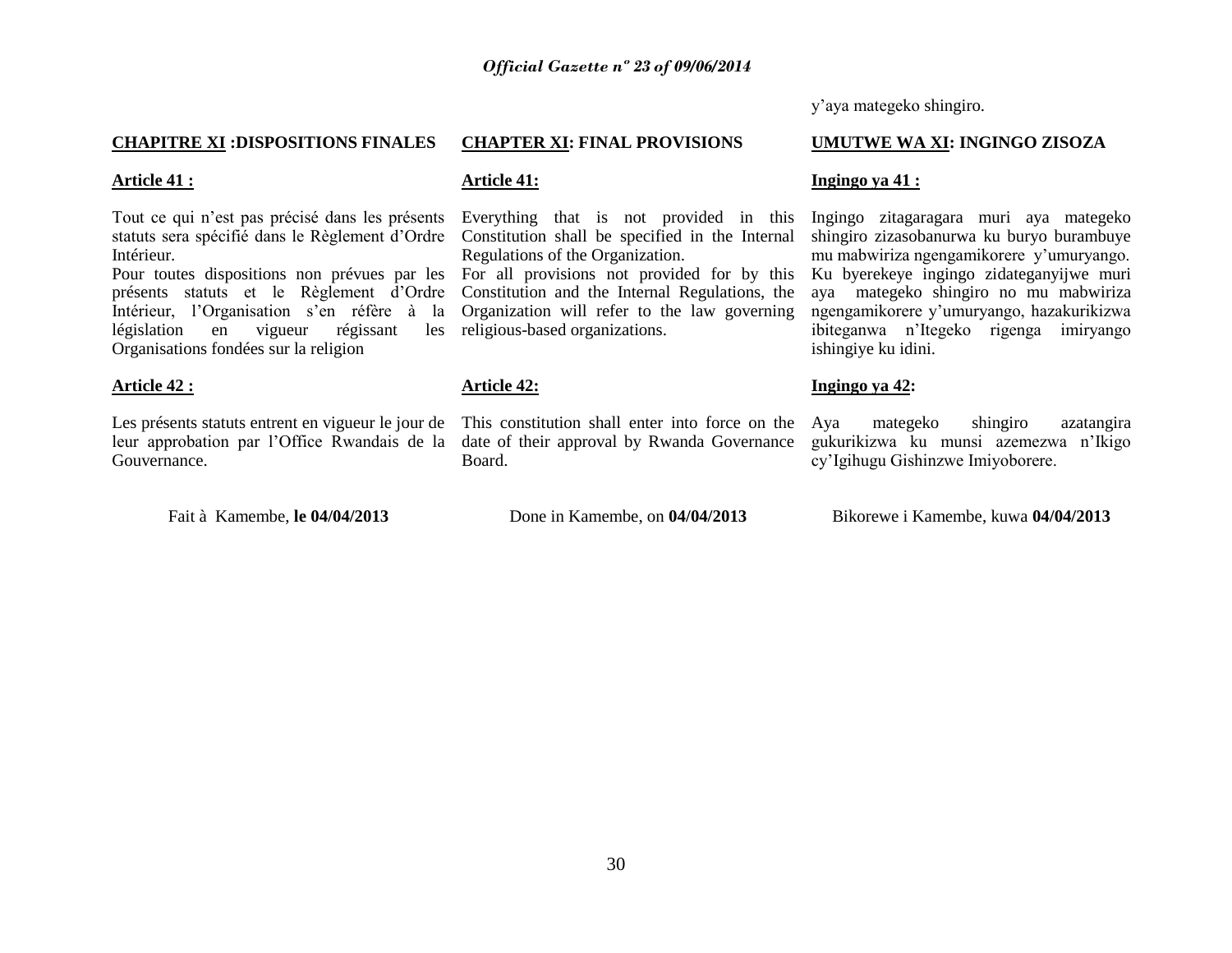y"aya mategeko shingiro.

# **CHAPITRE XI :DISPOSITIONS FINALES**

# **Article 41 :**

Tout ce qui n"est pas précisé dans les présents statuts sera spécifié dans le Règlement d"Ordre Intérieur.

présents statuts et le Règlement d"Ordre Intérieur. l'Organisation s'en réfère à la législation en vigueur régissant Organisations fondées sur la religion

# **Article 42 :**

Les présents statuts entrent en vigueur le jour de leur approbation par l"Office Rwandais de la Gouvernance.

Fait à Kamembe, **le 04/04/2013**

# **CHAPTER XI: FINAL PROVISIONS**

# **Article 41:**

Everything that is not provided in this Constitution shall be specified in the Internal Regulations of the Organization.

Pour toutes dispositions non prévues par les For all provisions not provided for by this Constitution and the Internal Regulations, the Organization will refer to the law governing les religious-based organizations.

# **Article 42:**

This constitution shall enter into force on the Aya date of their approval by Rwanda Governance Board.

Done in Kamembe, on **04/04/2013**

**UMUTWE WA XI: INGINGO ZISOZA**

# **Ingingo ya 41 :**

Ingingo zitagaragara muri aya mategeko shingiro zizasobanurwa ku buryo burambuye mu mabwiriza ngengamikorere y"umuryango. Ku byerekeye ingingo zidateganyijwe muri aya mategeko shingiro no mu mabwiriza ngengamikorere y"umuryango, hazakurikizwa ibiteganwa n"Itegeko rigenga imiryango ishingiye ku idini.

# **Ingingo ya 42:**

mategeko shingiro azatangira gukurikizwa ku munsi azemezwa n"Ikigo cy"Igihugu Gishinzwe Imiyoborere.

Bikorewe i Kamembe, kuwa **04/04/2013**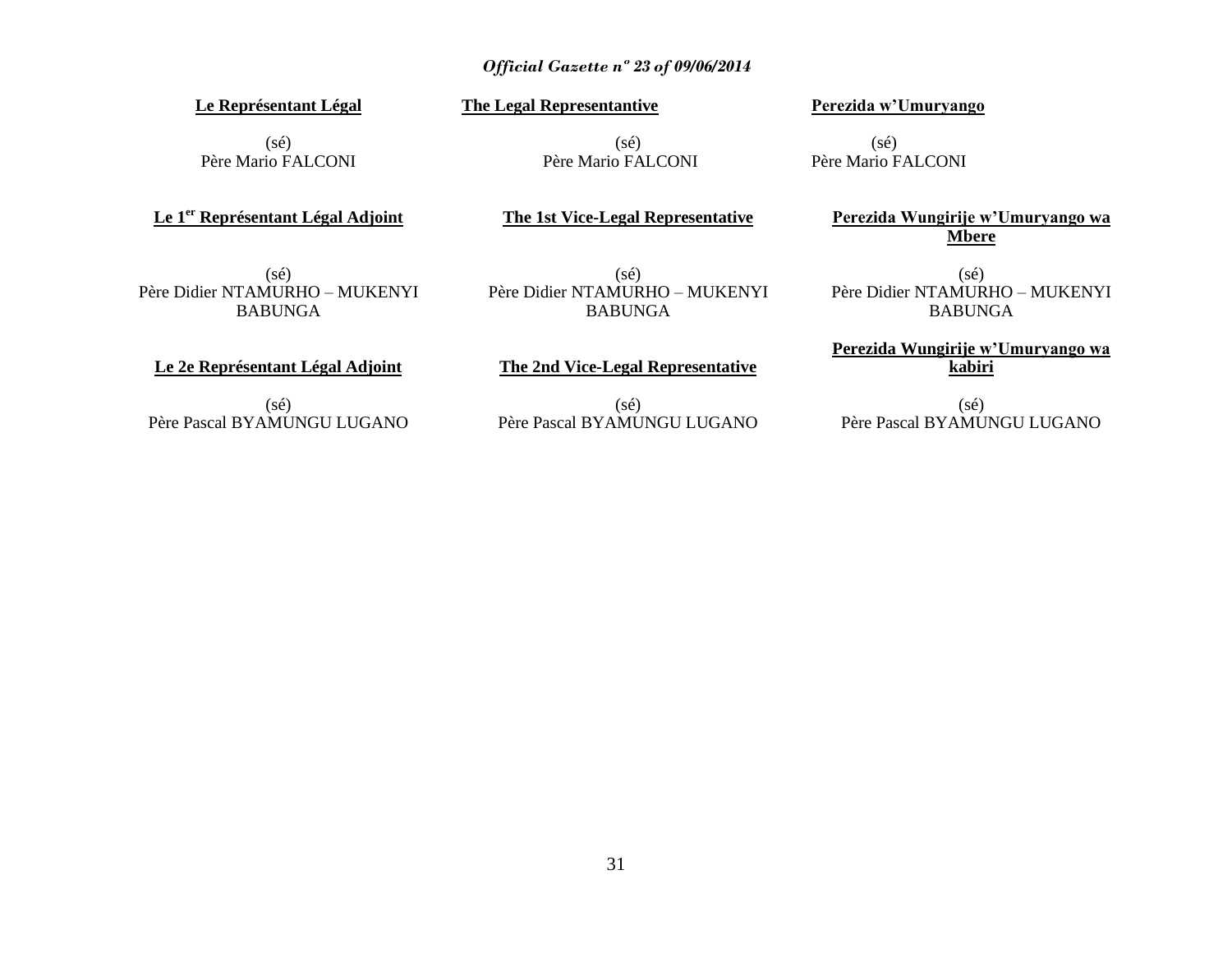# **Le Représentant Légal**

 $(s\acute{e})$ Père Mario FALCONI

**Le 1er Représentant Légal Adjoint**

 $(sé)$ 

**The Legal Representantive**

Père Mario FALCONI

**Perezida w"Umuryango**

 $(s\acute{e})$ Père Mario FALCONI

**Perezida Wungirije w"Umuryango wa Mbere**

(sé) Père Didier NTAMURHO – MUKENYI BABUNGA

(sé) Père Didier NTAMURHO – MUKENYI BABUNGA

**The 1st Vice-Legal Representative**

(sé) Père Didier NTAMURHO – MUKENYI BABUNGA

**Perezida Wungirije w"Umuryango wa kabiri**

**Le 2e Représentant Légal Adjoint**

 $(s\acute{e})$ Père Pascal BYAMUNGU LUGANO **The 2nd Vice-Legal Representative**  $(s\acute{e})$ 

Père Pascal BYAMUNGU LUGANO

(sé) Père Pascal BYAMUNGU LUGANO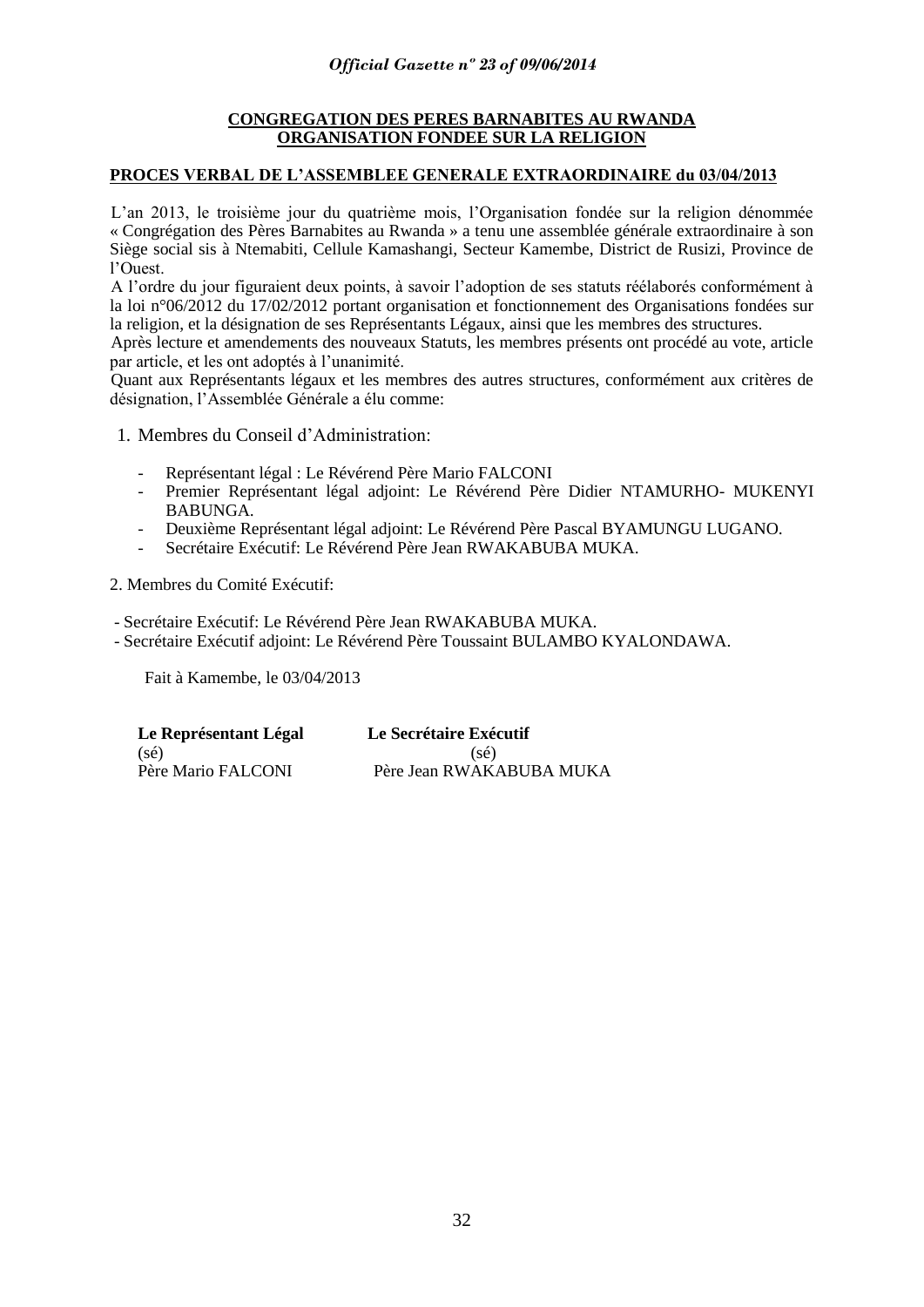# **CONGREGATION DES PERES BARNABITES AU RWANDA ORGANISATION FONDEE SUR LA RELIGION**

# **PROCES VERBAL DE L"ASSEMBLEE GENERALE EXTRAORDINAIRE du 03/04/2013**

L"an 2013, le troisième jour du quatrième mois, l"Organisation fondée sur la religion dénommée « Congrégation des Pères Barnabites au Rwanda » a tenu une assemblée générale extraordinaire à son Siège social sis à Ntemabiti, Cellule Kamashangi, Secteur Kamembe, District de Rusizi, Province de l"Ouest.

A l"ordre du jour figuraient deux points, à savoir l"adoption de ses statuts réélaborés conformément à la loi n°06/2012 du 17/02/2012 portant organisation et fonctionnement des Organisations fondées sur la religion, et la désignation de ses Représentants Légaux, ainsi que les membres des structures.

Après lecture et amendements des nouveaux Statuts, les membres présents ont procédé au vote, article par article, et les ont adoptés à l"unanimité.

Quant aux Représentants légaux et les membres des autres structures, conformément aux critères de désignation, l"Assemblée Générale a élu comme:

- 1. Membres du Conseil d"Administration:
	- Représentant légal : Le Révérend Père Mario FALCONI
	- Premier Représentant légal adjoint: Le Révérend Père Didier NTAMURHO- MUKENYI BABUNGA.
	- Deuxième Représentant légal adjoint: Le Révérend Père Pascal BYAMUNGU LUGANO.
	- Secrétaire Exécutif: Le Révérend Père Jean RWAKABUBA MUKA.

2. Membres du Comité Exécutif:

- Secrétaire Exécutif: Le Révérend Père Jean RWAKABUBA MUKA.

- Secrétaire Exécutif adjoint: Le Révérend Père Toussaint BULAMBO KYALONDAWA.

Fait à Kamembe, le 03/04/2013

| Le Représentant Légal | Le Secrétaire Exécutif   |
|-----------------------|--------------------------|
| $(s\acute{e})$        | $(s\acute{e})$           |
| Père Mario FALCONI    | Père Jean RWAKABUBA MUKA |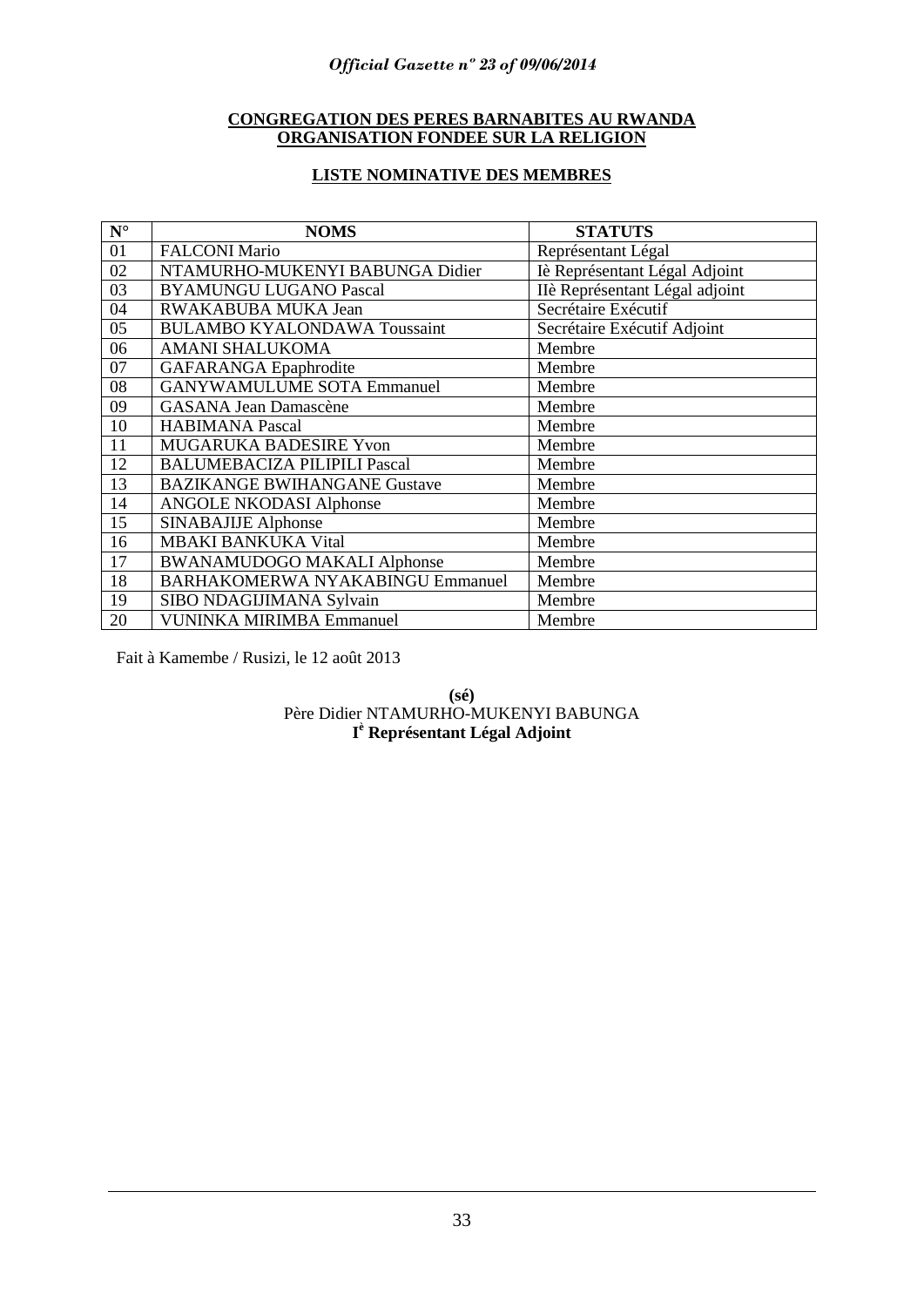# **CONGREGATION DES PERES BARNABITES AU RWANDA ORGANISATION FONDEE SUR LA RELIGION**

# **LISTE NOMINATIVE DES MEMBRES**

| $N^{\circ}$ | <b>NOMS</b>                             | <b>STATUTS</b>                 |
|-------------|-----------------------------------------|--------------------------------|
| 01          | <b>FALCONI Mario</b>                    | Représentant Légal             |
| 02          | NTAMURHO-MUKENYI BABUNGA Didier         | Iè Représentant Légal Adjoint  |
| 03          | <b>BYAMUNGU LUGANO Pascal</b>           | IIè Représentant Légal adjoint |
| 04          | RWAKABUBA MUKA Jean                     | Secrétaire Exécutif            |
| 05          | <b>BULAMBO KYALONDAWA Toussaint</b>     | Secrétaire Exécutif Adjoint    |
| 06          | <b>AMANI SHALUKOMA</b>                  | Membre                         |
| 07          | <b>GAFARANGA</b> Epaphrodite            | Membre                         |
| 08          | <b>GANYWAMULUME SOTA Emmanuel</b>       | Membre                         |
| 09          | <b>GASANA Jean Damascène</b>            | Membre                         |
| 10          | <b>HABIMANA Pascal</b>                  | Membre                         |
| 11          | <b>MUGARUKA BADESIRE Yvon</b>           | Membre                         |
| 12          | <b>BALUMEBACIZA PILIPILI Pascal</b>     | Membre                         |
| 13          | <b>BAZIKANGE BWIHANGANE Gustave</b>     | Membre                         |
| 14          | <b>ANGOLE NKODASI Alphonse</b>          | Membre                         |
| 15          | <b>SINABAJIJE Alphonse</b>              | Membre                         |
| 16          | <b>MBAKI BANKUKA Vital</b>              | Membre                         |
| 17          | <b>BWANAMUDOGO MAKALI Alphonse</b>      | Membre                         |
| 18          | <b>BARHAKOMERWA NYAKABINGU Emmanuel</b> | Membre                         |
| 19          | SIBO NDAGIJIMANA Sylvain                | Membre                         |
| 20          | <b>VUNINKA MIRIMBA Emmanuel</b>         | Membre                         |

Fait à Kamembe / Rusizi, le 12 août 2013

# **(sé)** Père Didier NTAMURHO-MUKENYI BABUNGA **I <sup>è</sup> Représentant Légal Adjoint**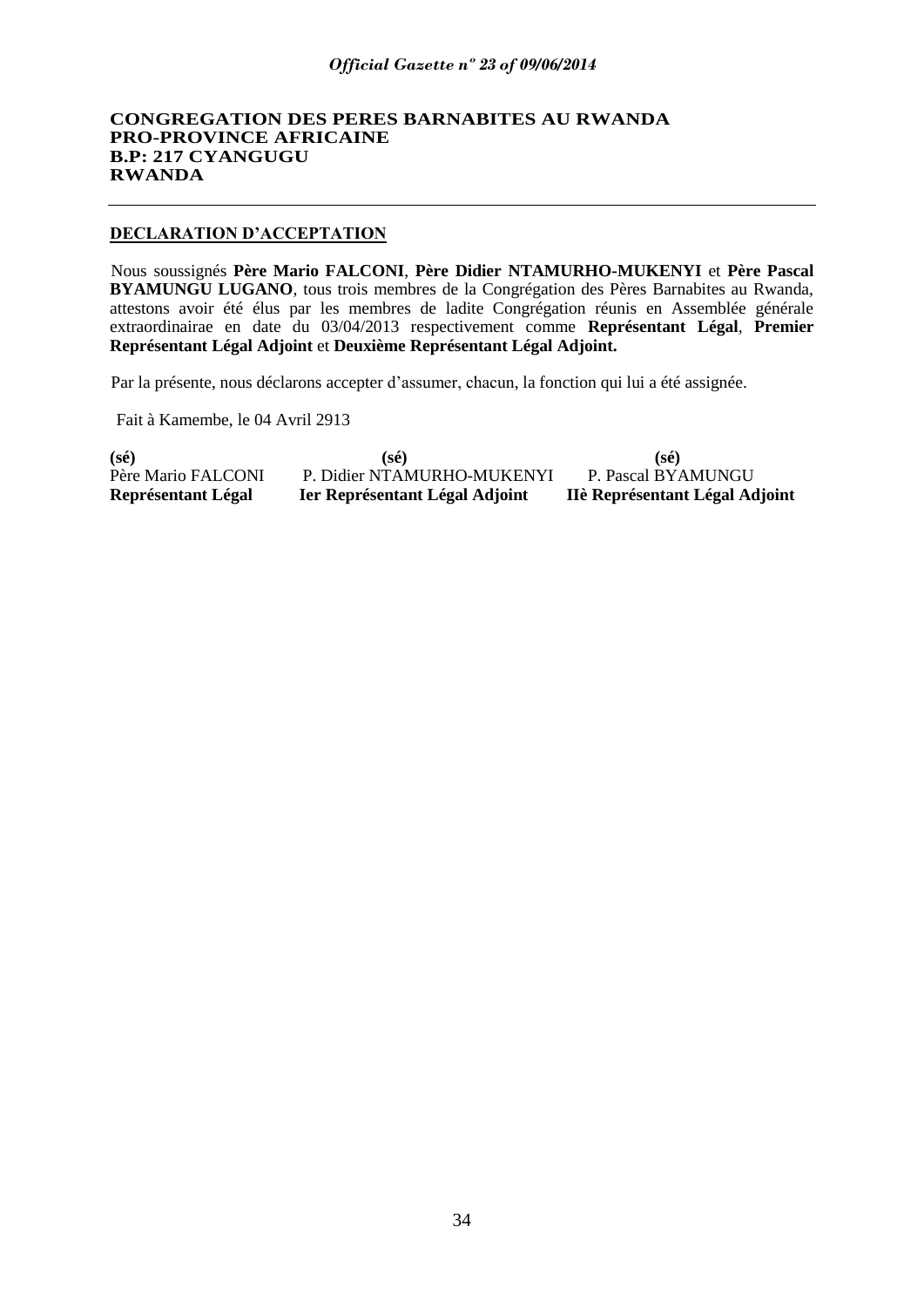# **CONGREGATION DES PERES BARNABITES AU RWANDA PRO-PROVINCE AFRICAINE B.P: 217 CYANGUGU RWANDA**

# **DECLARATION D"ACCEPTATION**

Nous soussignés **Père Mario FALCONI**, **Père Didier NTAMURHO-MUKENYI** et **Père Pascal BYAMUNGU LUGANO**, tous trois membres de la Congrégation des Pères Barnabites au Rwanda, attestons avoir été élus par les membres de ladite Congrégation réunis en Assemblée générale extraordinairae en date du 03/04/2013 respectivement comme **Représentant Légal**, **Premier Représentant Légal Adjoint** et **Deuxième Représentant Légal Adjoint.** 

Par la présente, nous déclarons accepter d"assumer, chacun, la fonction qui lui a été assignée.

Fait à Kamembe, le 04 Avril 2913

| Représentant Légal | Ier Représentant Légal Adjoint | IIè Représentant Légal Adjoint |
|--------------------|--------------------------------|--------------------------------|
| Père Mario FALCONI | P. Didier NTAMURHO-MUKENYI     | P. Pascal BYAMUNGU             |
| (s <sub>é</sub> )  | $(s\acute{e})$                 | $(s\acute{e})$                 |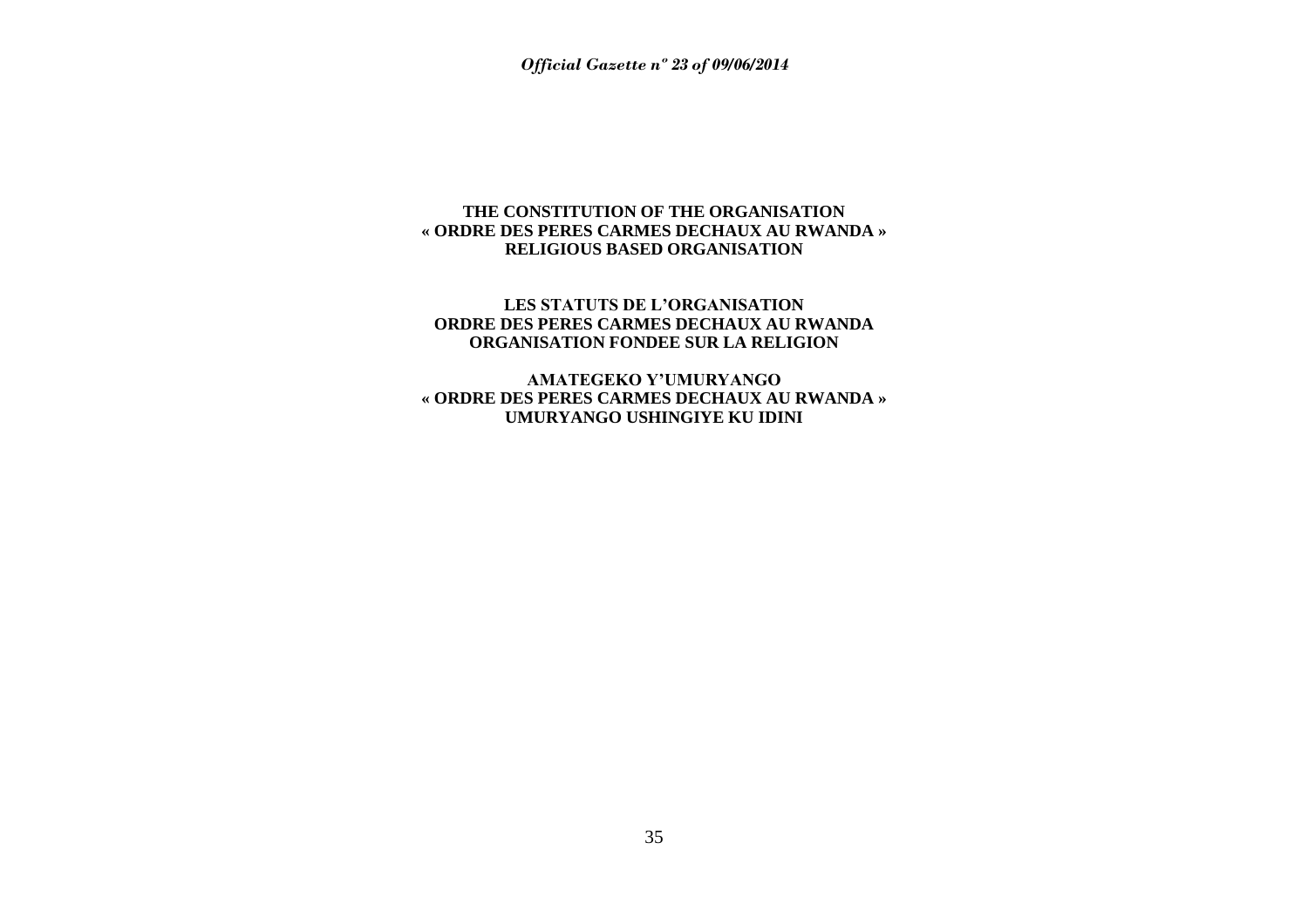# **THE CONSTITUTION OF THE ORGANISATION « ORDRE DES PERES CARMES DECHAUX AU RWANDA » RELIGIOUS BASED ORGANISATION**

# **LES STATUTS DE L"ORGANISATION ORDRE DES PERES CARMES DECHAUX AU RWANDA ORGANISATION FONDEE SUR LA RELIGION**

<span id="page-34-0"></span>**AMATEGEKO Y"UMURYANGO « ORDRE DES PERES CARMES DECHAUX AU RWANDA » UMURYANGO USHINGIYE KU IDINI**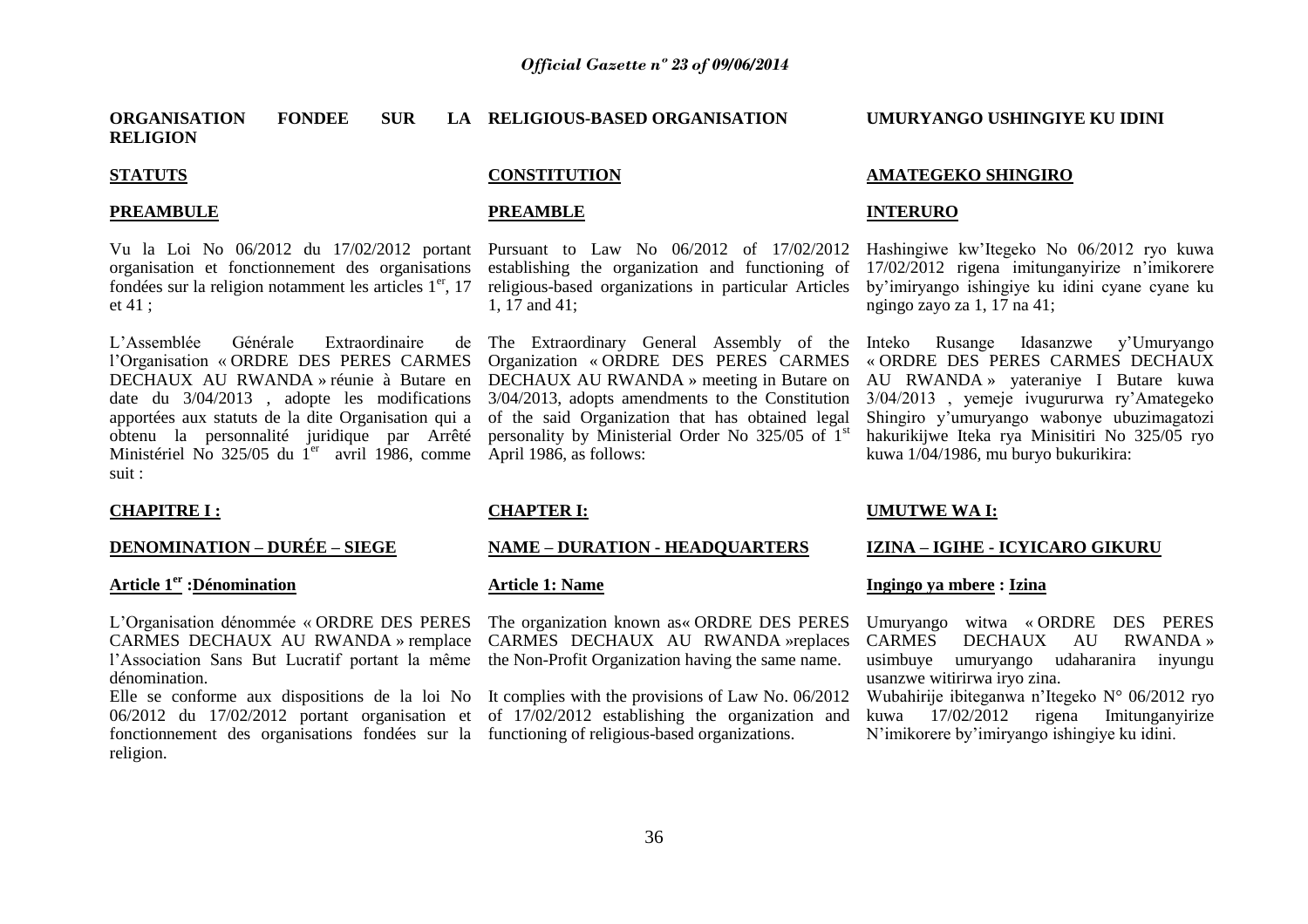#### **ORGANISATION FONDEE SUR RELIGION** LA RELIGIOUS-BASED ORGANISATION

# **STATUTS**

#### **PREAMBULE**

Vu la Loi No 06/2012 du 17/02/2012 portant Pursuant to Law No 06/2012 of 17/02/2012 organisation et fonctionnement des organisations fondées sur la religion notamment les articles  $1<sup>er</sup>$ , 17 et 41 ;

L'Assemblée Générale Extraordinaire l"Organisation « ORDRE DES PERES CARMES DECHAUX AU RWANDA » réunie à Butare en date du 3/04/2013 , adopte les modifications apportées aux statuts de la dite Organisation qui a obtenu la personnalité juridique par Arrêté Ministériel No 325/05 du  $I<sup>er</sup>$  avril 1986, comme April 1986, as follows: suit :

# **CONSTITUTION**

#### **PREAMBLE**

establishing the organization and functioning of religious-based organizations in particular Articles 1, 17 and 41;

The Extraordinary General Assembly of the Organization « ORDRE DES PERES CARMES DECHAUX AU RWANDA » meeting in Butare on 3/04/2013, adopts amendments to the Constitution of the said Organization that has obtained legal personality by Ministerial Order No 325/05 of 1st

# **AMATEGEKO SHINGIRO**

**UMURYANGO USHINGIYE KU IDINI** 

#### **INTERURO**

Hashingiwe kw"Itegeko No 06/2012 ryo kuwa 17/02/2012 rigena imitunganyirize n"imikorere by"imiryango ishingiye ku idini cyane cyane ku ngingo zayo za 1, 17 na 41;

Inteko Rusange Idasanzwe y"Umuryango « ORDRE DES PERES CARMES DECHAUX AU RWANDA » yateraniye I Butare kuwa 3/04/2013 , yemeje ivugururwa ry"Amategeko Shingiro y"umuryango wabonye ubuzimagatozi hakurikijwe Iteka rya Minisitiri No 325/05 ryo kuwa 1/04/1986, mu buryo bukurikira:

#### **CHAPITRE I :**

# **DENOMINATION – DURÉE – SIEGE**

# **Article 1er :Dénomination**

L"Organisation dénommée « ORDRE DES PERES CARMES DECHAUX AU RWANDA » remplace CARMES DECHAUX AU RWANDA »replaces l'Association Sans But Lucratif portant la même the Non-Profit Organization having the same name. dénomination.

06/2012 du 17/02/2012 portant organisation et of 17/02/2012 establishing the organization and fonctionnement des organisations fondées sur la functioning of religious-based organizations. religion.

# **CHAPTER I:**

#### **NAME – DURATION - HEADQUARTERS**

#### **Article 1: Name**

The organization known as« ORDRE DES PERES

Elle se conforme aux dispositions de la loi No It complies with the provisions of Law No. 06/2012

#### **UMUTWE WA I:**

#### **IZINA – IGIHE - ICYICARO GIKURU**

#### **Ingingo ya mbere : Izina**

Umuryango witwa « ORDRE DES PERES CARMES DECHAUX AU RWANDA » usimbuye umuryango udaharanira inyungu usanzwe witirirwa iryo zina.

Wubahirije ibiteganwa n"Itegeko N° 06/2012 ryo kuwa 17/02/2012 rigena Imitunganyirize N"imikorere by"imiryango ishingiye ku idini.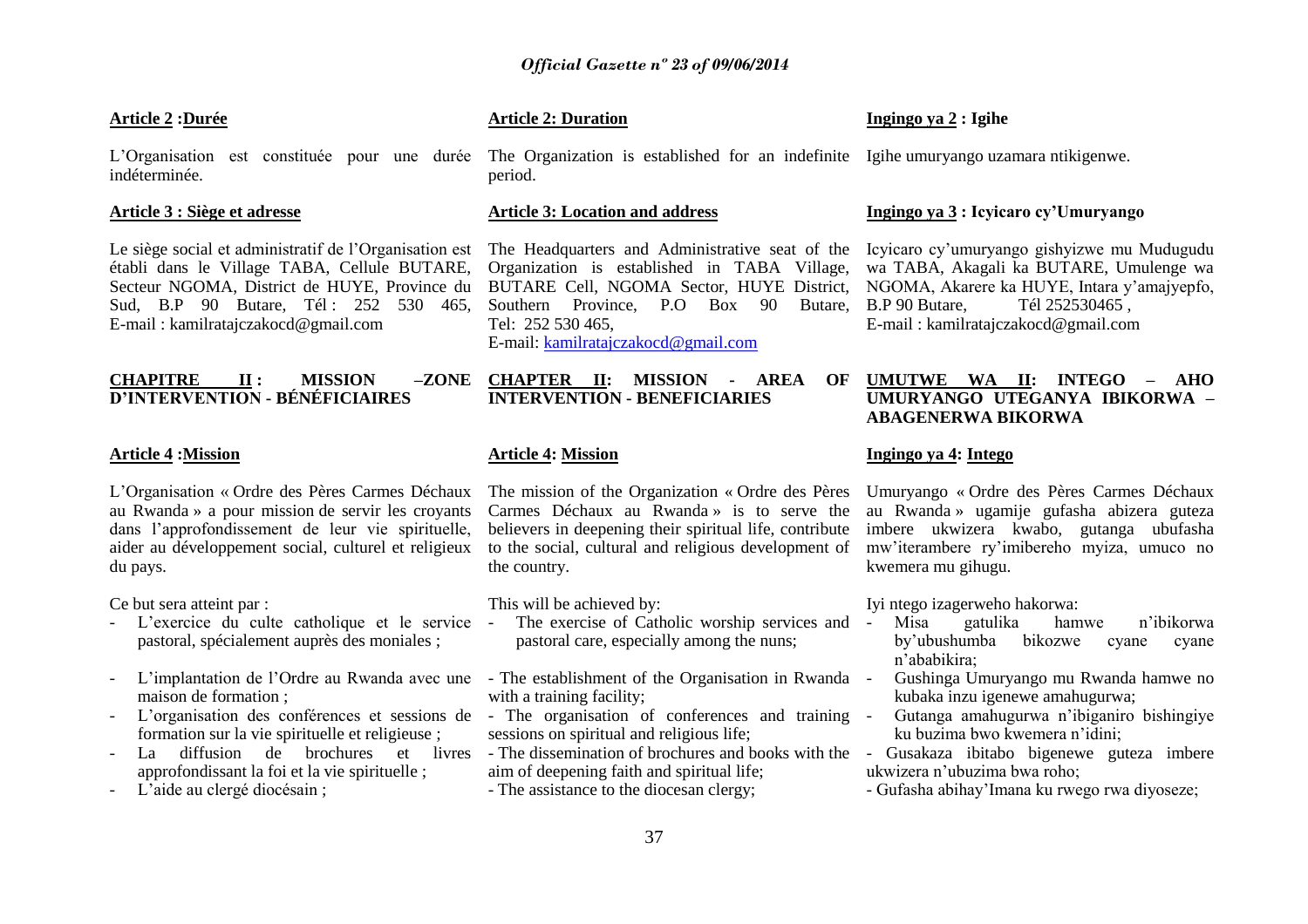#### **Article 2 :Durée**

L'Organisation est constituée pour une durée The Organization is established for an indefinite Igihe umuryango uzamara ntikigenwe. indéterminée.

#### **Article 3 : Siège et adresse**

Le siège social et administratif de l'Organisation est établi dans le Village TABA, Cellule BUTARE, Secteur NGOMA, District de HUYE, Province du Sud, B.P 90 Butare, Tél : 252 530 465, E-mail : kamilratajczakocd@gmail.com

#### **CHAPITRE II: MISSION D"INTERVENTION - BÉNÉFICIAIRES**

#### **Article 4 :Mission**

L"Organisation « Ordre des Pères Carmes Déchaux au Rwanda » a pour mission de servir les croyants dans l"approfondissement de leur vie spirituelle, aider au développement social, culturel et religieux du pays.

Ce but sera atteint par :

- L"exercice du culte catholique et le service pastoral, spécialement auprès des moniales ;
- L'implantation de l'Ordre au Rwanda avec une The establishment of the Organisation in Rwanda maison de formation ;
- L'organisation des conférences et sessions de The organisation of conferences and training formation sur la vie spirituelle et religieuse ;
- La diffusion de brochures et livres approfondissant la foi et la vie spirituelle ;
- L"aide au clergé diocésain ;

#### **Article 2: Duration**

period.

#### **Article 3: Location and address**

The Headquarters and Administrative seat of the Organization is established in TABA Village, BUTARE Cell, NGOMA Sector, HUYE District, Southern Province, P.O Box 90 Butare, Tel: 252 530 465, E-mail: [kamilratajczakocd@gmail.com](mailto:kamilratajczakocd@gmail.com)

#### **CHAPTER II: MISSION - AREA OF INTERVENTION - BENEFICIARIES**

#### **Article 4: Mission**

The mission of the Organization « Ordre des Pères Carmes Déchaux au Rwanda » is to serve the believers in deepening their spiritual life, contribute to the social, cultural and religious development of the country.

This will be achieved by:

- The exercise of Catholic worship services and pastoral care, especially among the nuns;
- with a training facility;
- sessions on spiritual and religious life;
- aim of deepening faith and spiritual life;
- The assistance to the diocesan clergy;

#### **Ingingo ya 2 : Igihe**

#### **Ingingo ya 3 : Icyicaro cy"Umuryango**

Icyicaro cy"umuryango gishyizwe mu Mudugudu wa TABA, Akagali ka BUTARE, Umulenge wa NGOMA, Akarere ka HUYE, Intara y"amajyepfo, B.P 90 Butare, Tél 252530465 , E-mail : kamilratajczakocd@gmail.com

#### **UMUTWE WA II: INTEGO – AHO UMURYANGO UTEGANYA IBIKORWA – ABAGENERWA BIKORWA**

#### **Ingingo ya 4: Intego**

Umuryango « Ordre des Pères Carmes Déchaux au Rwanda » ugamije gufasha abizera guteza imbere ukwizera kwabo, gutanga ubufasha mw"iterambere ry"imibereho myiza, umuco no kwemera mu gihugu.

Iyi ntego izagerweho hakorwa:

- Misa gatulika hamwe n"ibikorwa by"ubushumba bikozwe cyane cyane n"ababikira;
- Gushinga Umuryango mu Rwanda hamwe no kubaka inzu igenewe amahugurwa;
- Gutanga amahugurwa n"ibiganiro bishingiye ku buzima bwo kwemera n"idini;
- The dissemination of brochures and books with the Gusakaza ibitabo bigenewe guteza imbere ukwizera n"ubuzima bwa roho;
	- Gufasha abihay"Imana ku rwego rwa diyoseze;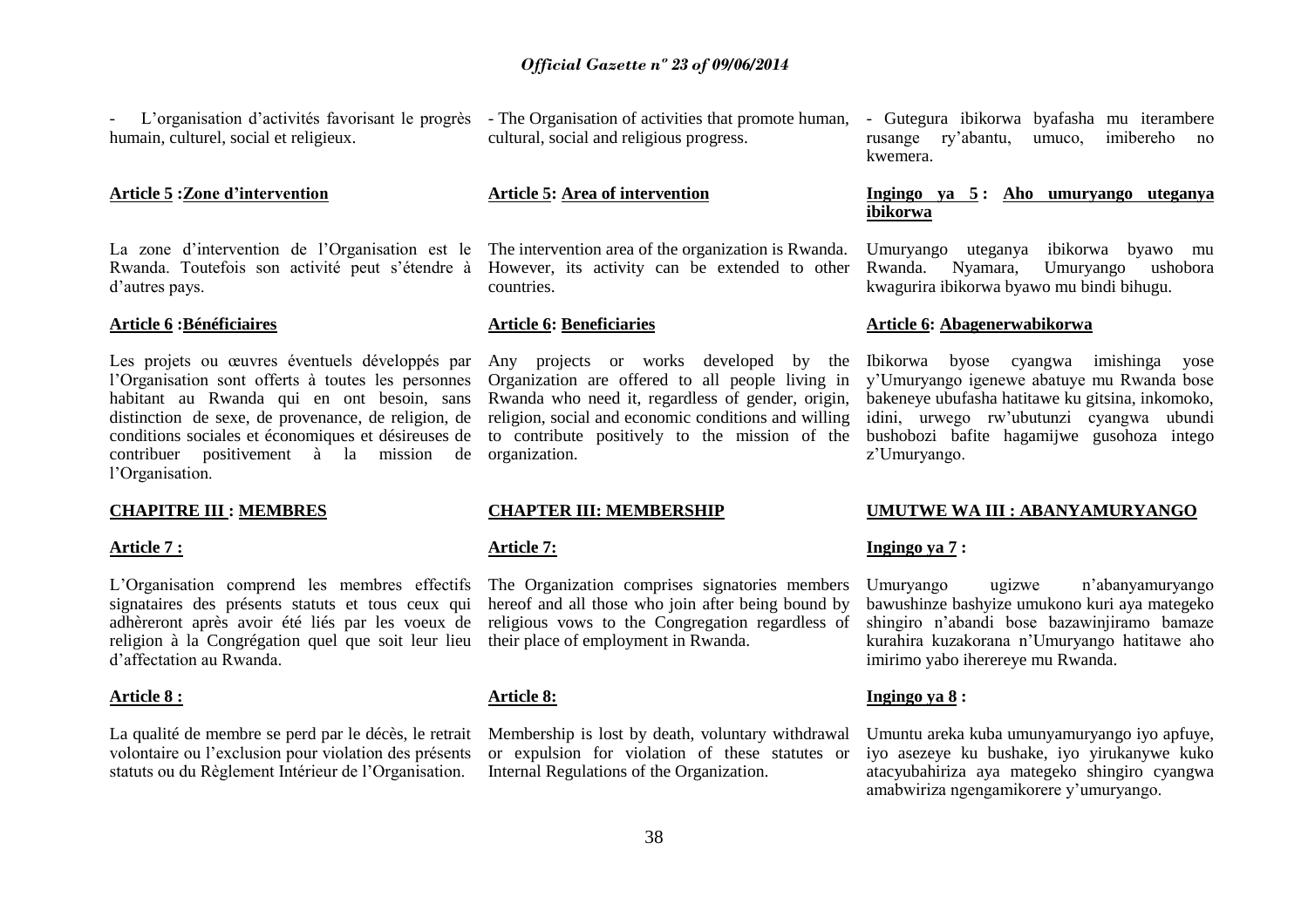- L'organisation d'activités favorisant le progrès - The Organisation of activities that promote human, - Gutegura ibikorwa byafasha mu iterambere humain, culturel, social et religieux.

#### **Article 5 :Zone d"intervention**

La zone d'intervention de l'Organisation est le The intervention area of the organization is Rwanda. d"autres pays.

#### **Article 6 :Bénéficiaires**

Les projets ou œuvres éventuels développés par l"Organisation sont offerts à toutes les personnes habitant au Rwanda qui en ont besoin, sans distinction de sexe, de provenance, de religion, de conditions sociales et économiques et désireuses de contribuer positivement à la mission de organization. l"Organisation.

#### **CHAPITRE III : MEMBRES**

#### **Article 7 :**

L"Organisation comprend les membres effectifs signataires des présents statuts et tous ceux qui adhèreront après avoir été liés par les voeux de religion à la Congrégation quel que soit leur lieu d"affectation au Rwanda.

#### **Article 8 :**

La qualité de membre se perd par le décès, le retrait volontaire ou l"exclusion pour violation des présents statuts ou du Règlement Intérieur de l"Organisation.

cultural, social and religious progress.

#### **Article 5: Area of intervention**

Rwanda. Toutefois son activité peut s'étendre à However, its activity can be extended to other countries.

#### **Article 6: Beneficiaries**

Any projects or works developed by the Organization are offered to all people living in Rwanda who need it, regardless of gender, origin, religion, social and economic conditions and willing to contribute positively to the mission of the

#### **CHAPTER III: MEMBERSHIP**

#### **Article 7:**

The Organization comprises signatories members hereof and all those who join after being bound by religious vows to the Congregation regardless of their place of employment in Rwanda.

#### **Article 8:**

Membership is lost by death, voluntary withdrawal or expulsion for violation of these statutes or Internal Regulations of the Organization.

rusange ry"abantu, umuco, imibereho no kwemera.

#### **Ingingo ya 5 : Aho umuryango uteganya ibikorwa**

Umuryango uteganya ibikorwa byawo mu Umuryango ushobora kwagurira ibikorwa byawo mu bindi bihugu.

#### **Article 6: Abagenerwabikorwa**

Ibikorwa byose cyangwa imishinga yose y"Umuryango igenewe abatuye mu Rwanda bose bakeneye ubufasha hatitawe ku gitsina, inkomoko, idini, urwego rw"ubutunzi cyangwa ubundi bushobozi bafite hagamijwe gusohoza intego z"Umuryango.

#### **UMUTWE WA III : ABANYAMURYANGO**

#### **Ingingo ya 7 :**

Umuryango ugizwe n"abanyamuryango bawushinze bashyize umukono kuri aya mategeko shingiro n"abandi bose bazawinjiramo bamaze kurahira kuzakorana n"Umuryango hatitawe aho imirimo yabo iherereye mu Rwanda.

#### **Ingingo ya 8 :**

Umuntu areka kuba umunyamuryango iyo apfuye, iyo asezeye ku bushake, iyo yirukanywe kuko atacyubahiriza aya mategeko shingiro cyangwa amabwiriza ngengamikorere y"umuryango.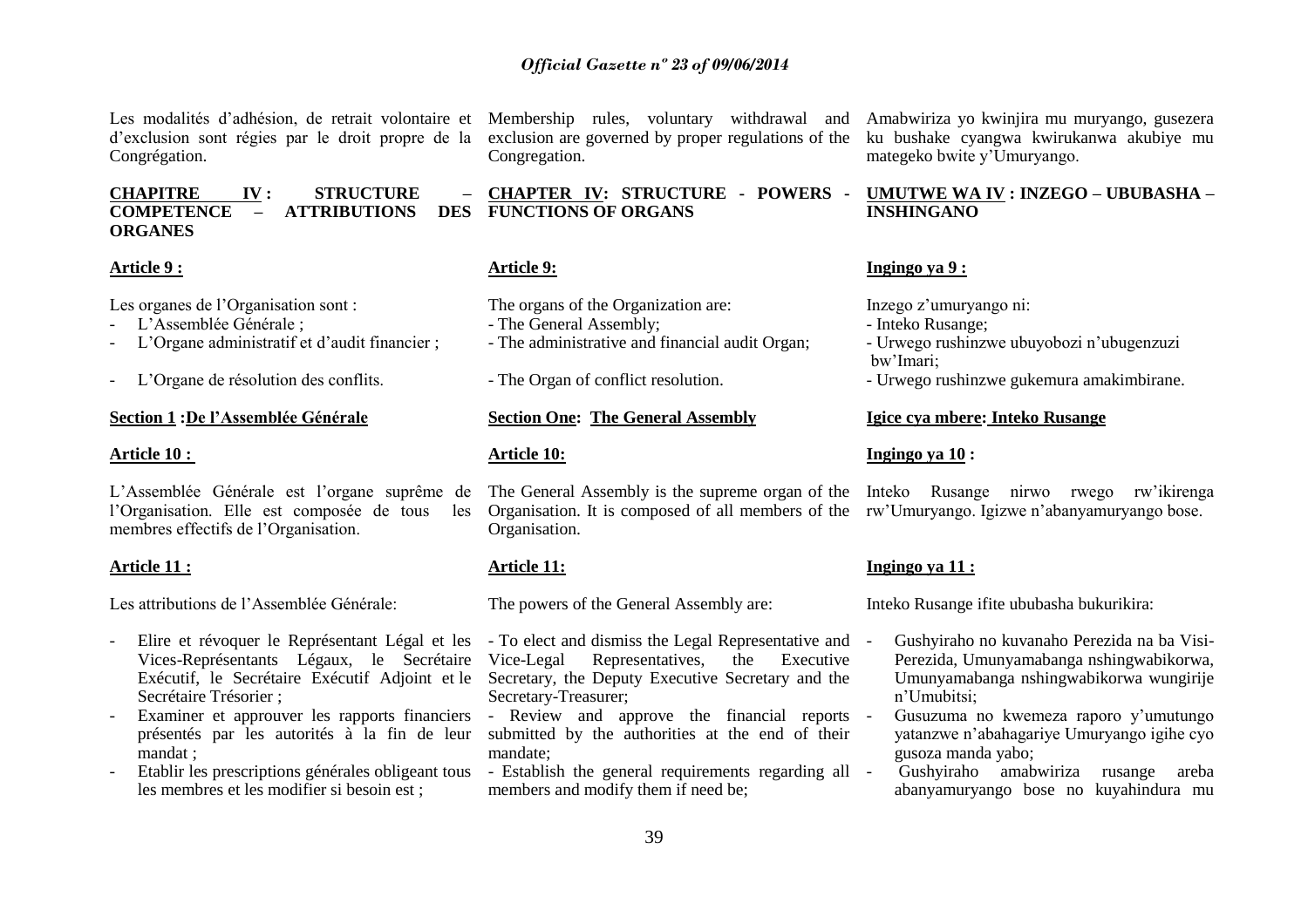Les modalités d'adhésion, de retrait volontaire et Membership rules, voluntary withdrawal and Amabwiriza yo kwinjira mu muryango, gusezera d"exclusion sont régies par le droit propre de la exclusion are governed by proper regulations of the Congrégation.

**CHAPITRE IV : STRUCTURE – COMPETENCE – ATTRIBUTIONS ORGANES CHAPTER IV: STRUCTURE - POWERS - FUNCTIONS OF ORGANS** 

#### **Article 9 :**

Les organes de l'Organisation sont :

- L"Assemblée Générale ;
- L"Organe administratif et d"audit financier ;
- L"Organe de résolution des conflits.

#### **Section 1 :De l"Assemblée Générale**

#### **Article 10 :**

L"Assemblée Générale est l"organe suprême de l"Organisation. Elle est composée de tous les membres effectifs de l"Organisation.

#### **Article 11 :**

Les attributions de l"Assemblée Générale:

- Elire et révoquer le Représentant Légal et les To elect and dismiss the Legal Representative and Secrétaire Trésorier ;
- présentés par les autorités à la fin de leur mandat ;
- les membres et les modifier si besoin est ;

Congregation.

#### **Article 9:**

The organs of the Organization are:

- The General Assembly;
- The administrative and financial audit Organ;
- The Organ of conflict resolution.

#### **Section One: The General Assembly**

#### **Article 10:**

The General Assembly is the supreme organ of the Inteko Rusange nirwo rwego rw"ikirenga Organisation. It is composed of all members of the rw"Umuryango. Igizwe n"abanyamuryango bose. Organisation.

#### **Article 11:**

The powers of the General Assembly are:

- Vices-Représentants Légaux, le Secrétaire Vice-Legal Representatives, the Executive Exécutif, le Secrétaire Exécutif Adjoint et le Secretary, the Deputy Executive Secretary and the Secretary-Treasurer;
- Examiner et approuver les rapports financiers Review and approve the financial reports submitted by the authorities at the end of their mandate;
- Etablir les prescriptions générales obligeant tous Establish the general requirements regarding all members and modify them if need be;

ku bushake cyangwa kwirukanwa akubiye mu mategeko bwite y"Umuryango.

#### **UMUTWE WA IV : INZEGO – UBUBASHA – INSHINGANO**

#### **Ingingo ya 9 :**

Inzego z"umuryango ni:

- Inteko Rusange;
- Urwego rushinzwe ubuyobozi n"ubugenzuzi bw"Imari;
- Urwego rushinzwe gukemura amakimbirane.

#### **Igice cya mbere: Inteko Rusange**

#### **Ingingo ya 10 :**

#### **Ingingo ya 11 :**

Inteko Rusange ifite ububasha bukurikira:

- Gushyiraho no kuvanaho Perezida na ba Visi-Perezida, Umunyamabanga nshingwabikorwa, Umunyamabanga nshingwabikorwa wungirije n"Umubitsi;
- Gusuzuma no kwemeza raporo y"umutungo yatanzwe n"abahagariye Umuryango igihe cyo gusoza manda yabo;
- Gushyiraho amabwiriza rusange areba abanyamuryango bose no kuyahindura mu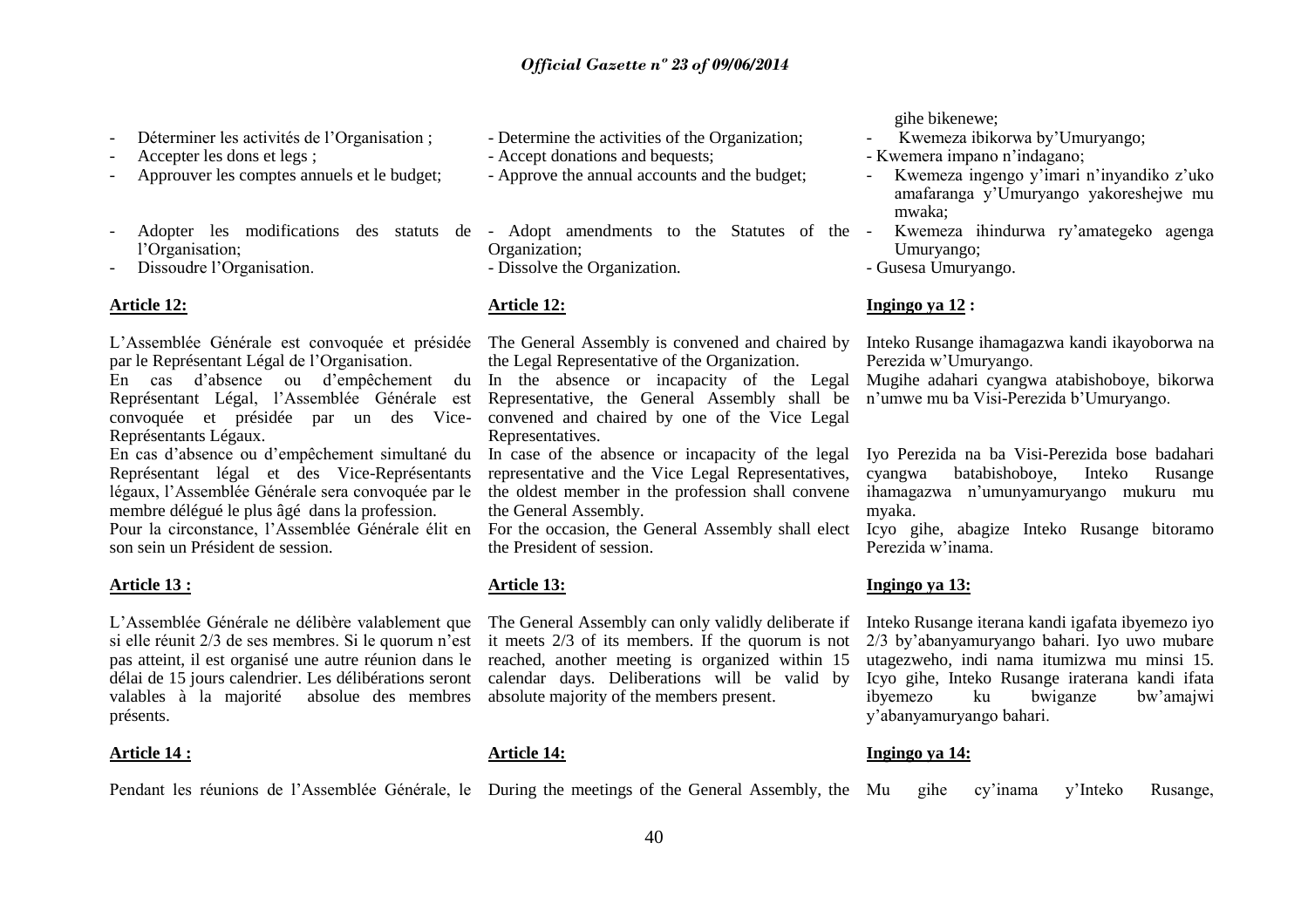- Déterminer les activités de l'Organisation ;
- Accepter les dons et legs ;
- Approuver les comptes annuels et le budget;
- l"Organisation;
- Dissoudre l"Organisation.

#### **Article 12:**

L"Assemblée Générale est convoquée et présidée par le Représentant Légal de l"Organisation.

Représentant Légal, l"Assemblée Générale est Représentants Légaux.

En cas d"absence ou d"empêchement simultané du Représentant légal et des Vice-Représentants légaux, l"Assemblée Générale sera convoquée par le membre délégué le plus âgé dans la profession. Pour la circonstance, l"Assemblée Générale élit en son sein un Président de session.

#### **Article 13 :**

L"Assemblée Générale ne délibère valablement que The General Assembly can only validly deliberate if si elle réunit 2/3 de ses membres. Si le quorum n'est it meets 2/3 of its members. If the quorum is not pas atteint, il est organisé une autre réunion dans le reached, another meeting is organized within 15 délai de 15 jours calendrier. Les délibérations seront calendar days. Deliberations will be valid by valables à la majorité absolue des membres absolute majority of the members present. présents.

#### **Article 14 :**

- Determine the activities of the Organization;

- Accept donations and bequests;
- Approve the annual accounts and the budget;
- Adopter les modifications des statuts de Adopt amendments to the Statutes of the Organization; - Dissolve the Organization.

#### **Article 12:**

The General Assembly is convened and chaired by the Legal Representative of the Organization.

En cas d"absence ou d"empêchement du In the absence or incapacity of the Legal convoquée et présidée par un des Vice-convened and chaired by one of the Vice Legal Representative, the General Assembly shall be Representatives.

In case of the absence or incapacity of the legal representative and the Vice Legal Representatives, the oldest member in the profession shall convene the General Assembly.

For the occasion, the General Assembly shall elect the President of session.

#### **Article 13:**

#### **Article 14:**

Pendant les réunions de l'Assemblée Générale, le During the meetings of the General Assembly, the Mu gihe cy'inama y'Inteko Rusange,

#### gihe bikenewe;

- Kwemeza ibikorwa by"Umuryango;
- Kwemera impano n"indagano;
- Kwemeza ingengo y"imari n"inyandiko z"uko amafaranga y"Umuryango yakoreshejwe mu mwaka;
- Kwemeza ihindurwa ry"amategeko agenga Umuryango;
- Gusesa Umuryango.

#### **Ingingo ya 12 :**

Inteko Rusange ihamagazwa kandi ikayoborwa na Perezida w"Umuryango.

Mugihe adahari cyangwa atabishoboye, bikorwa n"umwe mu ba Visi-Perezida b"Umuryango.

Iyo Perezida na ba Visi-Perezida bose badahari cyangwa batabishoboye, Inteko Rusange ihamagazwa n"umunyamuryango mukuru mu myaka.

Icyo gihe, abagize Inteko Rusange bitoramo Perezida w"inama.

#### **Ingingo ya 13:**

Inteko Rusange iterana kandi igafata ibyemezo iyo 2/3 by"abanyamuryango bahari. Iyo uwo mubare utagezweho, indi nama itumizwa mu minsi 15. Icyo gihe, Inteko Rusange iraterana kandi ifata ibyemezo ku bwiganze bw"amajwi y"abanyamuryango bahari.

#### **Ingingo ya 14:**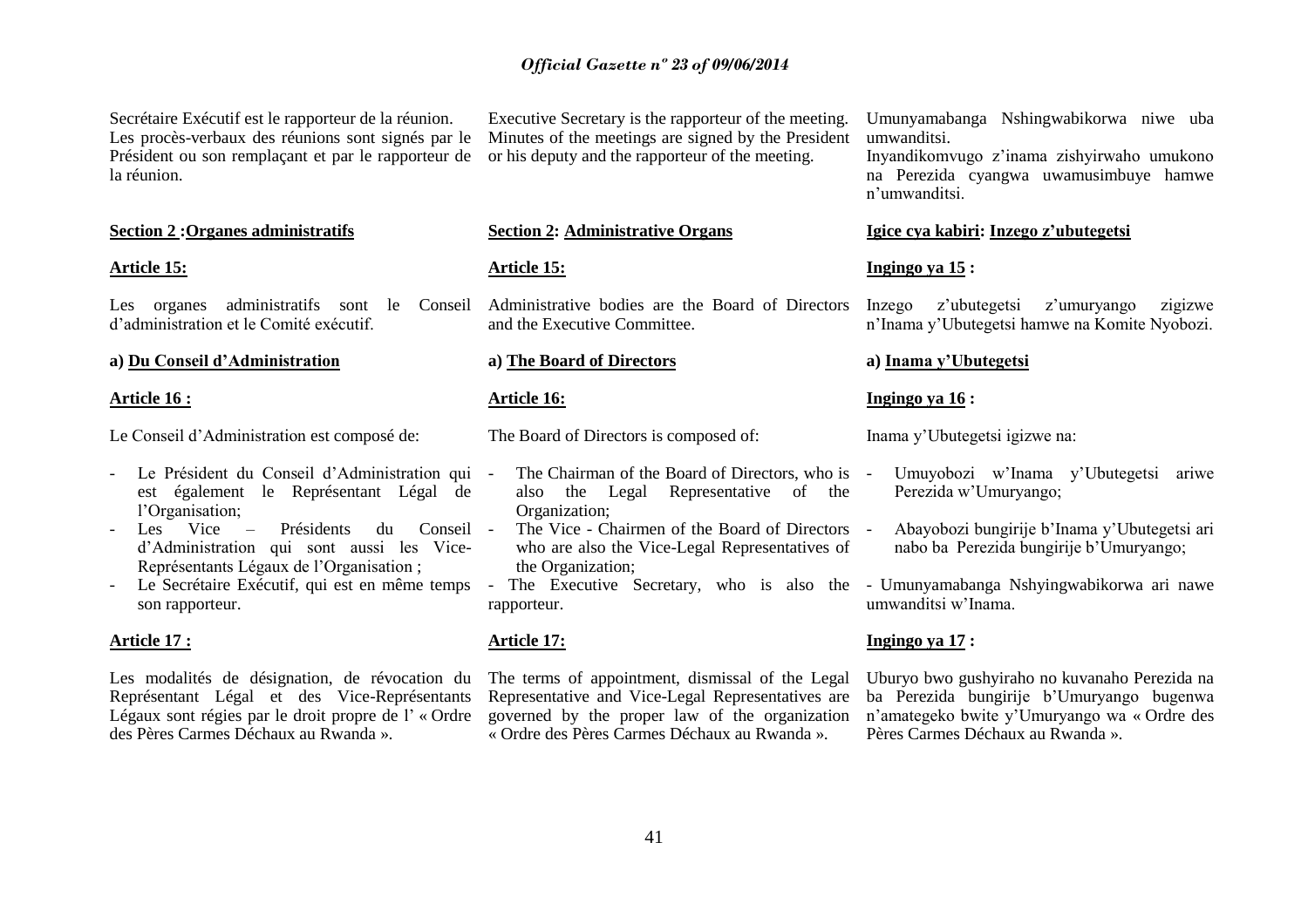Secrétaire Exécutif est le rapporteur de la réunion. Les procès-verbaux des réunions sont signés par le Président ou son remplaçant et par le rapporteur de la réunion.

#### **Section 2 :Organes administratifs**

#### **Article 15:**

Les organes administratifs sont le Conseil d"administration et le Comité exécutif.

#### **a) Du Conseil d"Administration**

#### **Article 16 :**

Le Conseil d"Administration est composé de:

- Le Président du Conseil d"Administration qui est également le Représentant Légal de l'Organisation;
- Les Vice Présidents du Conseil d"Administration qui sont aussi les Vice-Représentants Légaux de l"Organisation ;
- Le Secrétaire Exécutif, qui est en même temps son rapporteur.

#### **Article 17 :**

Les modalités de désignation, de révocation du Représentant Légal et des Vice-Représentants Légaux sont régies par le droit propre de l'« Ordre des Pères Carmes Déchaux au Rwanda ».

Executive Secretary is the rapporteur of the meeting. Minutes of the meetings are signed by the President or his deputy and the rapporteur of the meeting.

#### **Section 2: Administrative Organs**

#### **Article 15:**

Administrative bodies are the Board of Directors and the Executive Committee.

#### **a) The Board of Directors**

#### **Article 16:**

The Board of Directors is composed of:

- The Chairman of the Board of Directors, who is also the Legal Representative of the Organization;
- The Vice Chairmen of the Board of Directors who are also the Vice-Legal Representatives of the Organization;
- rapporteur.

#### **Article 17:**

The terms of appointment, dismissal of the Legal Representative and Vice-Legal Representatives are governed by the proper law of the organization « Ordre des Pères Carmes Déchaux au Rwanda ».

Umunyamabanga Nshingwabikorwa niwe uba umwanditsi.

Inyandikomvugo z"inama zishyirwaho umukono na Perezida cyangwa uwamusimbuye hamwe n"umwanditsi.

#### **Igice cya kabiri: Inzego z"ubutegetsi**

#### **Ingingo ya 15 :**

Inzego z"ubutegetsi z"umuryango zigizwe n"Inama y"Ubutegetsi hamwe na Komite Nyobozi.

#### **a) Inama y"Ubutegetsi**

#### **Ingingo ya 16 :**

Inama y"Ubutegetsi igizwe na:

- Umuyobozi w"Inama y"Ubutegetsi ariwe Perezida w"Umuryango;
- Abayobozi bungirije b"Inama y"Ubutegetsi ari nabo ba Perezida bungirije b"Umuryango;
- The Executive Secretary, who is also the Umunyamabanga Nshyingwabikorwa ari nawe umwanditsi w"Inama.

#### **Ingingo ya 17 :**

Uburyo bwo gushyiraho no kuvanaho Perezida na ba Perezida bungirije b"Umuryango bugenwa n"amategeko bwite y"Umuryango wa « Ordre des Pères Carmes Déchaux au Rwanda ».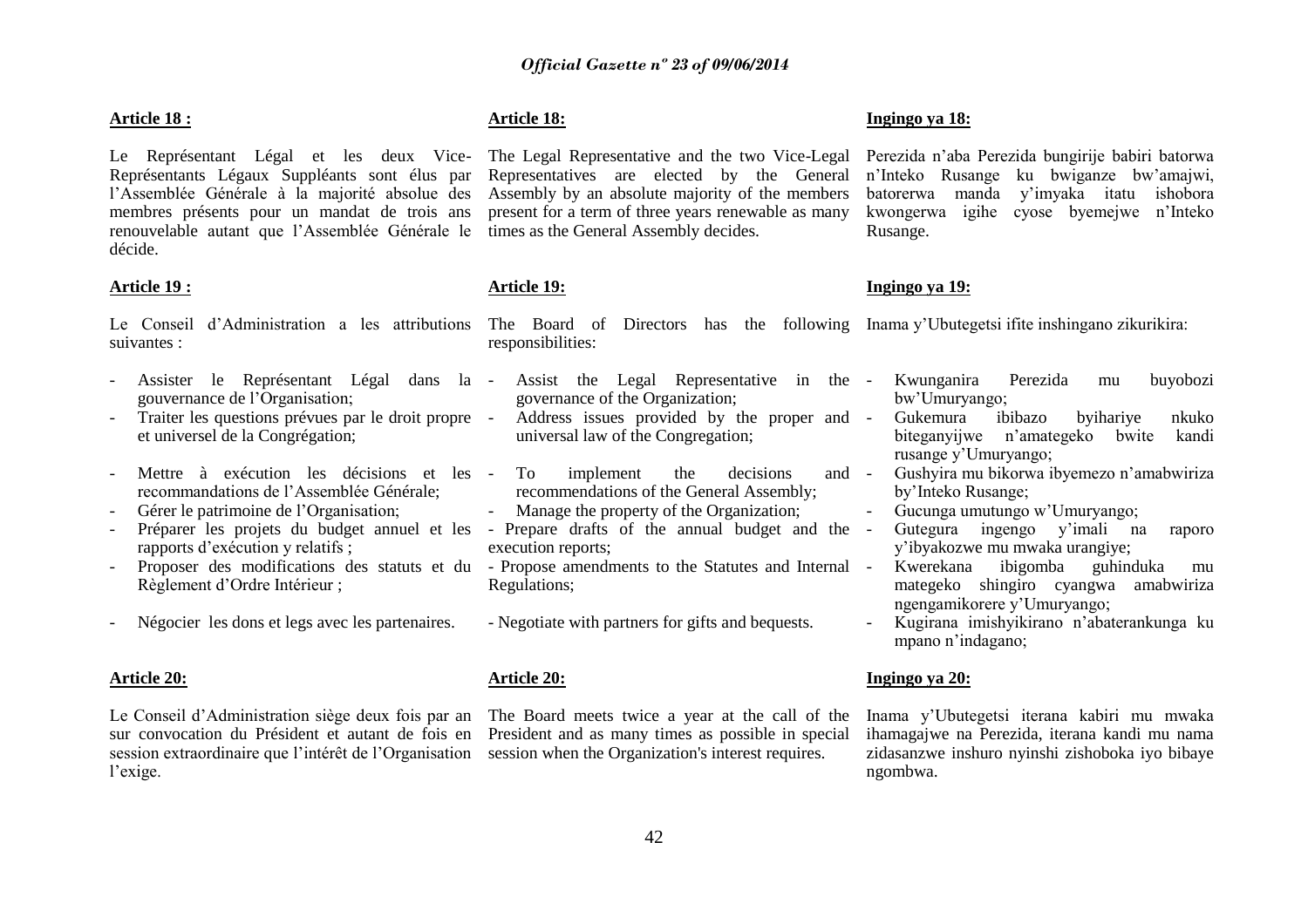#### **Article 18 :**

Le Représentant Légal et les deux Vice-The Legal Representative and the two Vice-Legal Représentants Légaux Suppléants sont élus par l"Assemblée Générale à la majorité absolue des membres présents pour un mandat de trois ans renouvelable autant que l"Assemblée Générale le décide.

#### **Article 19 :**

suivantes : responsibilities:

- Assister le Représentant Légal dans la Assist the Legal Representative in the gouvernance de l"Organisation;
- Traiter les questions prévues par le droit propre et universel de la Congrégation;
- Mettre à exécution les décisions et les recommandations de l"Assemblée Générale;
- Gérer le patrimoine de l"Organisation;
- Préparer les projets du budget annuel et les Prepare drafts of the annual budget and the rapports d"exécution y relatifs ;
- Règlement d"Ordre Intérieur ;
- Négocier les dons et legs avec les partenaires.

#### **Article 20:**

Le Conseil d"Administration siège deux fois par an The Board meets twice a year at the call of the sur convocation du Président et autant de fois en session extraordinaire que l'intérêt de l'Organisation session when the Organization's interest requires. l'exige.

#### **Article 18:**

Representatives are elected by the General Assembly by an absolute majority of the members present for a term of three years renewable as many times as the General Assembly decides.

#### **Article 19:**

Le Conseil d"Administration a les attributions The Board of Directors has the following Inama y"Ubutegetsi ifite inshingano zikurikira:

- governance of the Organization;
- Address issues provided by the proper and universal law of the Congregation;
- To implement the decisions and recommendations of the General Assembly;
- Manage the property of the Organization;
- execution reports;
- Proposer des modifications des statuts et du Propose amendments to the Statutes and Internal Regulations;
	- Negotiate with partners for gifts and bequests.

#### **Article 20:**

President and as many times as possible in special

#### **Ingingo ya 18:**

Perezida n"aba Perezida bungirije babiri batorwa n"Inteko Rusange ku bwiganze bw"amajwi, batorerwa manda y"imyaka itatu ishobora kwongerwa igihe cyose byemejwe n"Inteko Rusange.

#### **Ingingo ya 19:**

- Kwunganira Perezida mu buyobozi bw"Umuryango;
- Gukemura ibibazo byihariye nkuko biteganyijwe n"amategeko bwite kandi rusange y"Umuryango;
- Gushyira mu bikorwa ibyemezo n"amabwiriza by"Inteko Rusange;
- Gucunga umutungo w"Umuryango;
- Gutegura ingengo y"imali na raporo y"ibyakozwe mu mwaka urangiye;
- Kwerekana ibigomba guhinduka mu mategeko shingiro cyangwa amabwiriza ngengamikorere y"Umuryango;
- Kugirana imishyikirano n"abaterankunga ku mpano n"indagano;

#### **Ingingo ya 20:**

Inama y"Ubutegetsi iterana kabiri mu mwaka ihamagajwe na Perezida, iterana kandi mu nama zidasanzwe inshuro nyinshi zishoboka iyo bibaye ngombwa.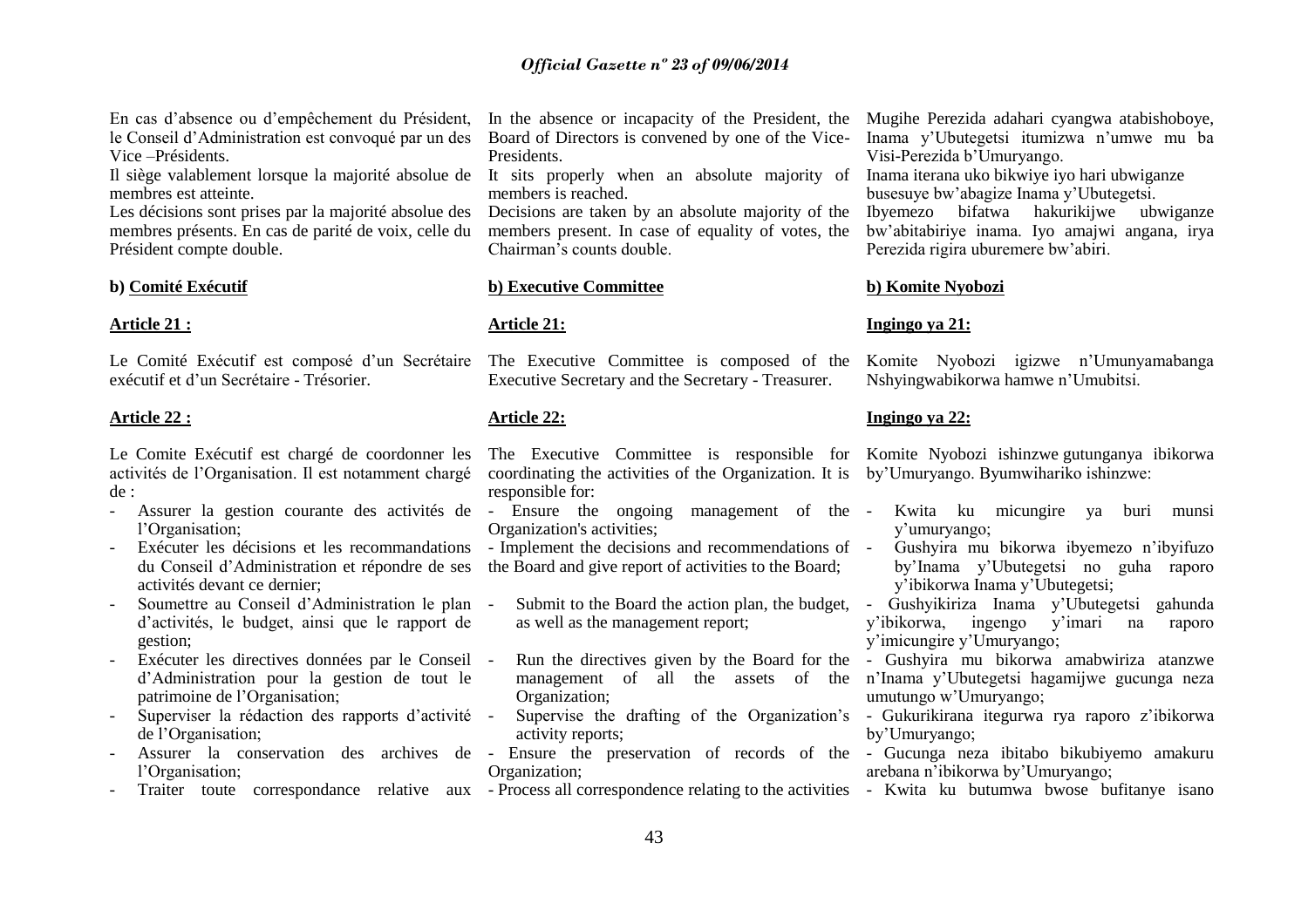En cas d"absence ou d"empêchement du Président, le Conseil d"Administration est convoqué par un des Vice –Présidents.

Il siège valablement lorsque la majorité absolue de It sits properly when an absolute majority of membres est atteinte.

Les décisions sont prises par la majorité absolue des membres présents. En cas de parité de voix, celle du Président compte double.

#### **b) Comité Exécutif**

#### **Article 21 :**

Le Comité Exécutif est composé d'un Secrétaire exécutif et d"un Secrétaire - Trésorier.

#### **Article 22 :**

Le Comite Exécutif est chargé de coordonner les activités de l"Organisation. Il est notamment chargé de :

- Assurer la gestion courante des activités de Ensure the ongoing management of the l"Organisation;
- Exécuter les décisions et les recommandations du Conseil d"Administration et répondre de ses activités devant ce dernier;
- Soumettre au Conseil d"Administration le plan d"activités, le budget, ainsi que le rapport de gestion;
- Exécuter les directives données par le Conseil d"Administration pour la gestion de tout le patrimoine de l"Organisation;
- Superviser la rédaction des rapports d'activité de l"Organisation;
- Assurer la conservation des archives de Ensure the preservation of records of the Gucunga neza ibitabo bikubiyemo amakuru l'Organisation;
- 

Board of Directors is convened by one of the Vice-**Presidents** 

members is reached.

Decisions are taken by an absolute majority of the members present. In case of equality of votes, the Chairman"s counts double.

#### **b) Executive Committee**

#### **Article 21:**

The Executive Committee is composed of the Executive Secretary and the Secretary - Treasurer.

#### **Article 22:**

The Executive Committee is responsible for Komite Nyobozi ishinzwe gutunganya ibikorwa coordinating the activities of the Organization. It is by"Umuryango. Byumwihariko ishinzwe: responsible for:

Organization's activities;

- Implement the decisions and recommendations of the Board and give report of activities to the Board;

- Submit to the Board the action plan, the budget, - Gushyikiriza Inama y'Ubutegetsi gahunda as well as the management report;

- Run the directives given by the Board for the Organization;

activity reports;

- Organization;
- Traiter toute correspondance relative aux Process all correspondence relating to the activities Kwita ku butumwa bwose bufitanye isano

In the absence or incapacity of the President, the Mugihe Perezida adahari cyangwa atabishoboye, Inama y"Ubutegetsi itumizwa n"umwe mu ba Visi-Perezida b"Umuryango.

> Inama iterana uko bikwiye iyo hari ubwiganze busesuye bw"abagize Inama y"Ubutegetsi.

Ibyemezo bifatwa hakurikijwe ubwiganze bw"abitabiriye inama. Iyo amajwi angana, irya Perezida rigira uburemere bw"abiri.

#### **b) Komite Nyobozi**

#### **Ingingo ya 21:**

Komite Nyobozi igizwe n"Umunyamabanga Nshyingwabikorwa hamwe n"Umubitsi.

#### **Ingingo ya 22:**

- Kwita ku micungire ya buri munsi y"umuryango;
- Gushyira mu bikorwa ibyemezo n"ibyifuzo by"Inama y"Ubutegetsi no guha raporo y"ibikorwa Inama y"Ubutegetsi;

y"ibikorwa, ingengo y"imari na raporo y"imicungire y"Umuryango;

management of all the assets of the n"Inama y"Ubutegetsi hagamijwe gucunga neza - Gushyira mu bikorwa amabwiriza atanzwe umutungo w"Umuryango;

- Supervise the drafting of the Organization's - Gukurikirana itegurwa rya raporo z'ibikorwa by"Umuryango;

- arebana n"ibikorwa by"Umuryango;
-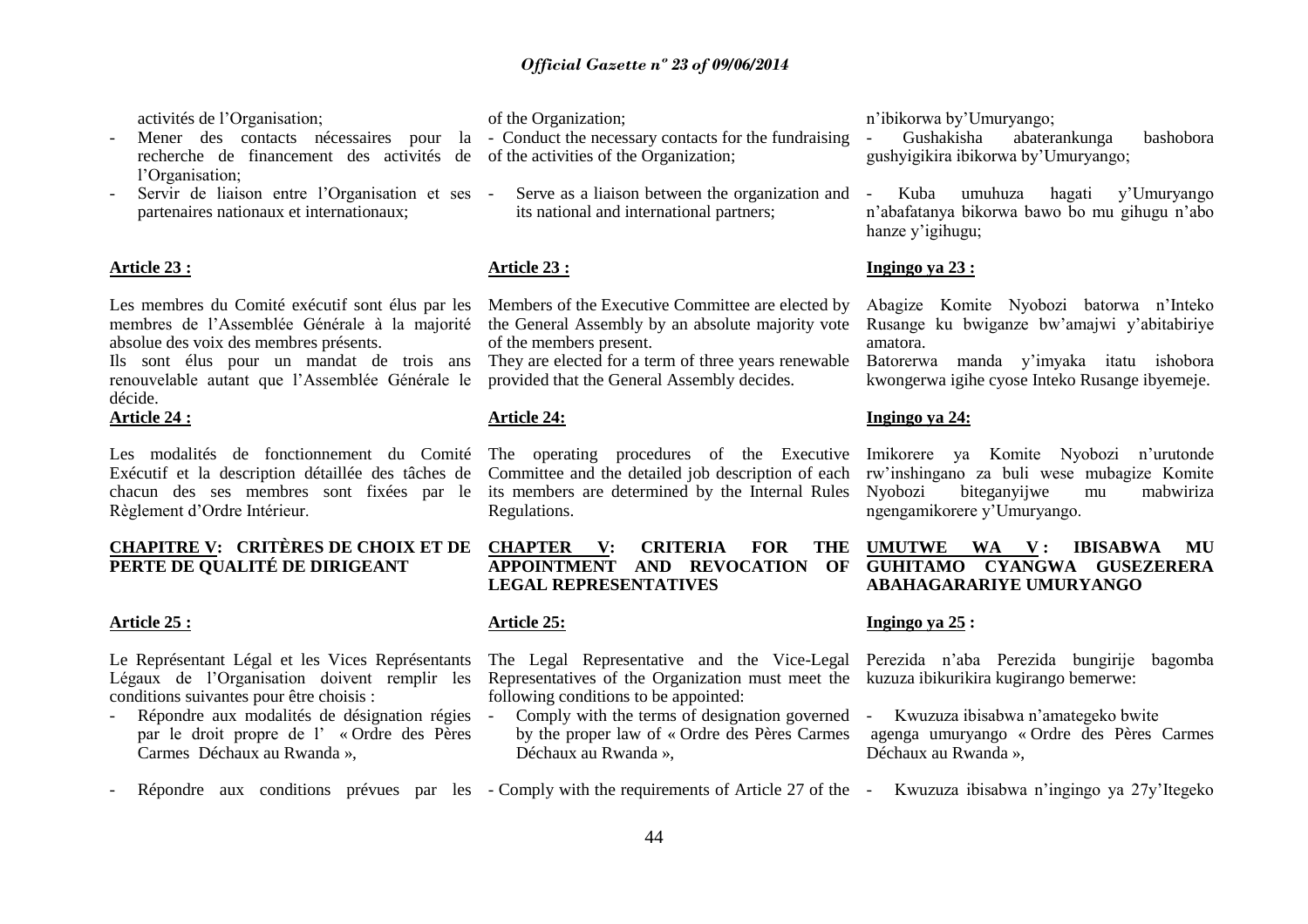activités de l"Organisation;

- Mener des contacts nécessaires pour la Conduct the necessary contacts for the fundraising recherche de financement des activités de of the activities of the Organization; l'Organisation;
- Servir de liaison entre l"Organisation et ses partenaires nationaux et internationaux;

#### **Article 23 :**

Les membres du Comité exécutif sont élus par les membres de l"Assemblée Générale à la majorité absolue des voix des membres présents.

Ils sont élus pour un mandat de trois ans renouvelable autant que l"Assemblée Générale le décide.

#### **Article 24 :**

Les modalités de fonctionnement du Comité Exécutif et la description détaillée des tâches de chacun des ses membres sont fixées par le Règlement d"Ordre Intérieur.

#### **CHAPITRE V: CRITÈRES DE CHOIX ET DE PERTE DE QUALITÉ DE DIRIGEANT**

#### **Article 25 :**

Le Représentant Légal et les Vices Représentants Légaux de l"Organisation doivent remplir les conditions suivantes pour être choisis :

- Répondre aux modalités de désignation régies par le droit propre de l" « Ordre des Pères Carmes Déchaux au Rwanda »,

of the Organization;

- - Serve as a liaison between the organization and its national and international partners;

#### **Article 23 :**

Members of the Executive Committee are elected by the General Assembly by an absolute majority vote of the members present.

They are elected for a term of three years renewable provided that the General Assembly decides.

#### **Article 24:**

The operating procedures of the Executive Committee and the detailed job description of each its members are determined by the Internal Rules Regulations.

**CHAPTER V: CRITERIA FOR THE APPOINTMENT AND REVOCATION OF LEGAL REPRESENTATIVES**

#### **Article 25:**

The Legal Representative and the Vice-Legal Representatives of the Organization must meet the kuzuza ibikurikira kugirango bemerwe: following conditions to be appointed:

- Comply with the terms of designation governed - Kwuzuza ibisabwa n'amategeko bwite by the proper law of « Ordre des Pères Carmes Déchaux au Rwanda »,

n"ibikorwa by"Umuryango;

- Gushakisha abaterankunga bashobora gushyigikira ibikorwa by"Umuryango;

- Kuba umuhuza hagati y"Umuryango n"abafatanya bikorwa bawo bo mu gihugu n"abo hanze y'igihugu;

#### **Ingingo ya 23 :**

Abagize Komite Nyobozi batorwa n"Inteko Rusange ku bwiganze bw"amajwi y"abitabiriye amatora.

Batorerwa manda y"imyaka itatu ishobora kwongerwa igihe cyose Inteko Rusange ibyemeje.

#### **Ingingo ya 24:**

Imikorere ya Komite Nyobozi n"urutonde rw"inshingano za buli wese mubagize Komite Nyobozi biteganyijwe mu mabwiriza ngengamikorere y"Umuryango.

#### **UMUTWE WA V : IBISABWA MU GUHITAMO CYANGWA GUSEZERERA ABAHAGARARIYE UMURYANGO**

#### **Ingingo ya 25 :**

Perezida n"aba Perezida bungirije bagomba

- agenga umuryango « Ordre des Pères Carmes Déchaux au Rwanda »,
- Répondre aux conditions prévues par les Comply with the requirements of Article 27 of the Kwuzuza ibisabwa n'ingingo ya 27y'Itegeko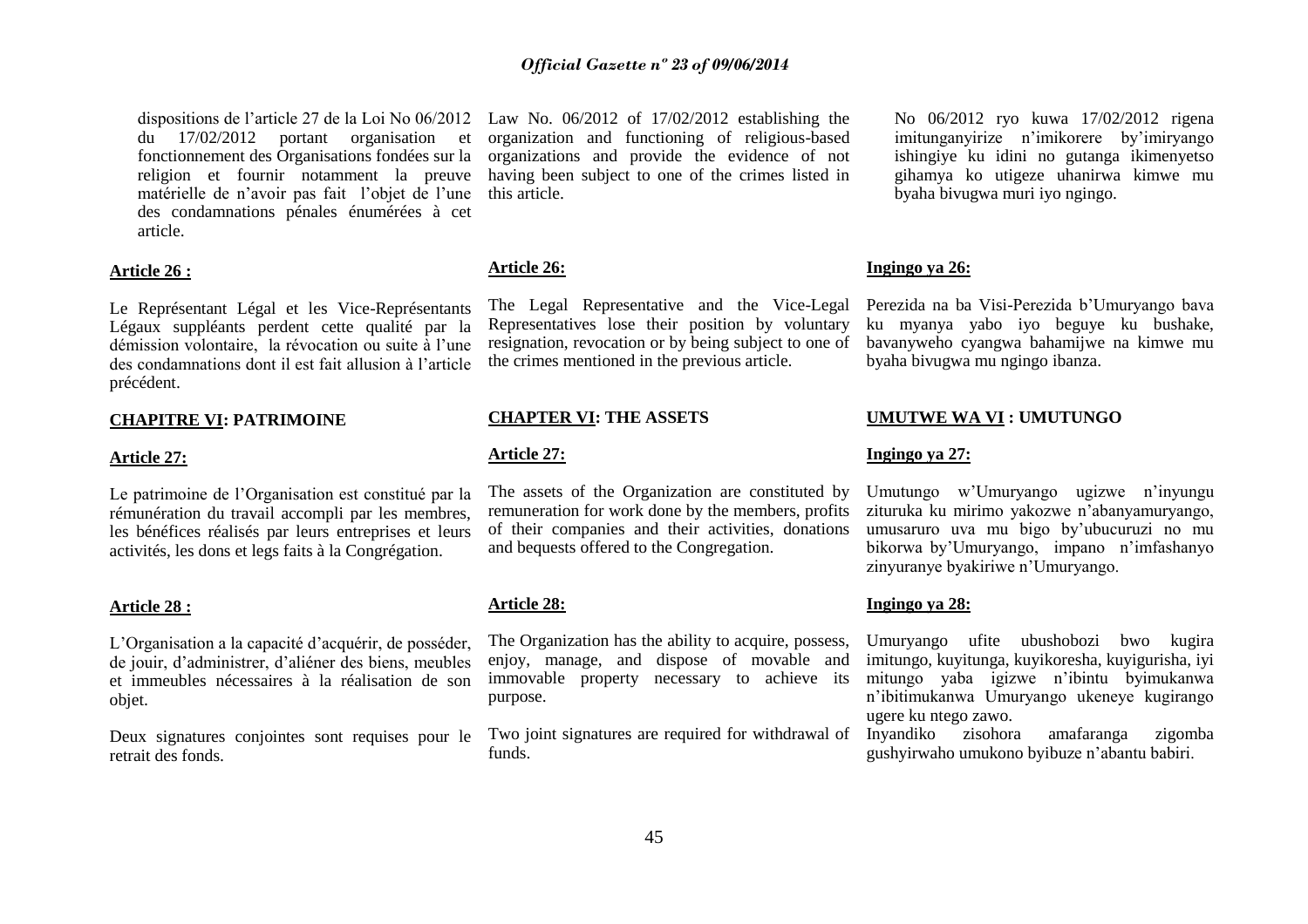du 17/02/2012 portant organisation et fonctionnement des Organisations fondées sur la religion et fournir notamment la preuve matérielle de n'avoir pas fait l'objet de l'une des condamnations pénales énumérées à cet article.

#### **Article 26 :**

Le Représentant Légal et les Vice-Représentants Légaux suppléants perdent cette qualité par la démission volontaire, la révocation ou suite à l"une des condamnations dont il est fait allusion à l"article précédent.

#### **CHAPITRE VI: PATRIMOINE**

#### **Article 27:**

Le patrimoine de l"Organisation est constitué par la rémunération du travail accompli par les membres, les bénéfices réalisés par leurs entreprises et leurs activités, les dons et legs faits à la Congrégation.

#### **Article 28 :**

L"Organisation a la capacité d"acquérir, de posséder, de jouir, d"administrer, d"aliéner des biens, meubles et immeubles nécessaires à la réalisation de son objet.

Deux signatures conjointes sont requises pour le retrait des fonds.

dispositions de l"article 27 de la Loi No 06/2012 Law No. 06/2012 of 17/02/2012 establishing the organization and functioning of religious-based organizations and provide the evidence of not having been subject to one of the crimes listed in this article.

#### **Article 26:**

The Legal Representative and the Vice-Legal Representatives lose their position by voluntary resignation, revocation or by being subject to one of the crimes mentioned in the previous article.

#### **CHAPTER VI: THE ASSETS**

#### **Article 27:**

The assets of the Organization are constituted by remuneration for work done by the members, profits of their companies and their activities, donations and bequests offered to the Congregation.

#### **Article 28:**

The Organization has the ability to acquire, possess, enjoy, manage, and dispose of movable and immovable property necessary to achieve its purpose.

Two joint signatures are required for withdrawal of funds.

No 06/2012 ryo kuwa 17/02/2012 rigena imitunganyirize n"imikorere by"imiryango ishingiye ku idini no gutanga ikimenyetso gihamya ko utigeze uhanirwa kimwe mu byaha bivugwa muri iyo ngingo.

#### **Ingingo ya 26:**

Perezida na ba Visi-Perezida b"Umuryango bava ku myanya yabo iyo beguye ku bushake, bavanyweho cyangwa bahamijwe na kimwe mu byaha bivugwa mu ngingo ibanza.

#### **UMUTWE WA VI : UMUTUNGO**

#### **Ingingo ya 27:**

Umutungo w"Umuryango ugizwe n"inyungu zituruka ku mirimo yakozwe n"abanyamuryango, umusaruro uva mu bigo by"ubucuruzi no mu bikorwa by"Umuryango, impano n"imfashanyo zinyuranye byakiriwe n"Umuryango.

#### **Ingingo ya 28:**

Umuryango ufite ubushobozi bwo kugira imitungo, kuyitunga, kuyikoresha, kuyigurisha, iyi mitungo yaba igizwe n"ibintu byimukanwa n"ibitimukanwa Umuryango ukeneye kugirango ugere ku ntego zawo.

Inyandiko zisohora amafaranga zigomba gushyirwaho umukono byibuze n"abantu babiri.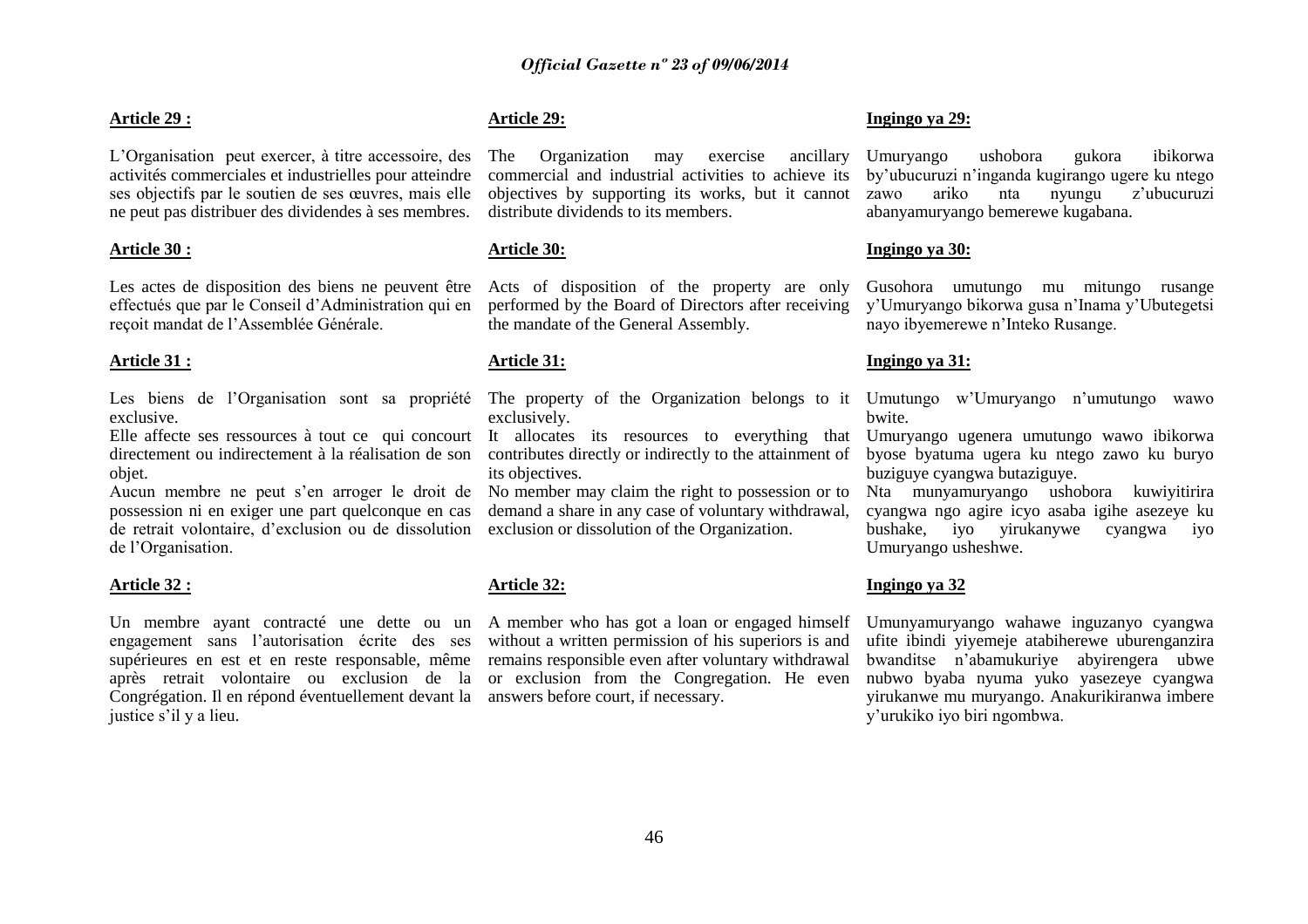#### **Article 29 :**

L"Organisation peut exercer, à titre accessoire, des activités commerciales et industrielles pour atteindre ses objectifs par le soutien de ses œuvres, mais elle ne peut pas distribuer des dividendes à ses membres.

#### **Article 30 :**

Les actes de disposition des biens ne peuvent être effectués que par le Conseil d"Administration qui en reçoit mandat de l"Assemblée Générale.

#### **Article 31 :**

Les biens de l"Organisation sont sa propriété exclusive.

Elle affecte ses ressources à tout ce qui concourt directement ou indirectement à la réalisation de son objet.

Aucun membre ne peut s"en arroger le droit de possession ni en exiger une part quelconque en cas de retrait volontaire, d"exclusion ou de dissolution de l"Organisation.

#### **Article 32 :**

Un membre ayant contracté une dette ou un A member who has got a loan or engaged himself engagement sans l"autorisation écrite des ses supérieures en est et en reste responsable, même après retrait volontaire ou exclusion de la Congrégation. Il en répond éventuellement devant la answers before court, if necessary. justice s'il y a lieu.

#### **Article 29:**

The Organization may exercise ancillary commercial and industrial activities to achieve its objectives by supporting its works, but it cannot distribute dividends to its members.

#### **Article 30:**

Acts of disposition of the property are only performed by the Board of Directors after receiving the mandate of the General Assembly.

#### **Article 31:**

exclusively.

It allocates its resources to everything that contributes directly or indirectly to the attainment of its objectives.

No member may claim the right to possession or to demand a share in any case of voluntary withdrawal, exclusion or dissolution of the Organization.

#### **Article 32:**

without a written permission of his superiors is and remains responsible even after voluntary withdrawal or exclusion from the Congregation. He even

#### **Ingingo ya 29:**

Umuryango ushobora gukora ibikorwa by"ubucuruzi n"inganda kugirango ugere ku ntego zawo ariko nta nyungu z"ubucuruzi abanyamuryango bemerewe kugabana.

#### **Ingingo ya 30:**

Gusohora umutungo mu mitungo rusange y"Umuryango bikorwa gusa n"Inama y"Ubutegetsi nayo ibyemerewe n"Inteko Rusange.

#### **Ingingo ya 31:**

The property of the Organization belongs to it Umutungo w'Umuryango n'umutungo wawo bwite.

> Umuryango ugenera umutungo wawo ibikorwa byose byatuma ugera ku ntego zawo ku buryo buziguye cyangwa butaziguye.

> Nta munyamuryango ushobora kuwiyitirira cyangwa ngo agire icyo asaba igihe asezeye ku bushake, iyo yirukanywe cyangwa iyo Umuryango usheshwe.

#### **Ingingo ya 32**

Umunyamuryango wahawe inguzanyo cyangwa ufite ibindi yiyemeje atabiherewe uburenganzira bwanditse n"abamukuriye abyirengera ubwe nubwo byaba nyuma yuko yasezeye cyangwa yirukanwe mu muryango. Anakurikiranwa imbere y"urukiko iyo biri ngombwa.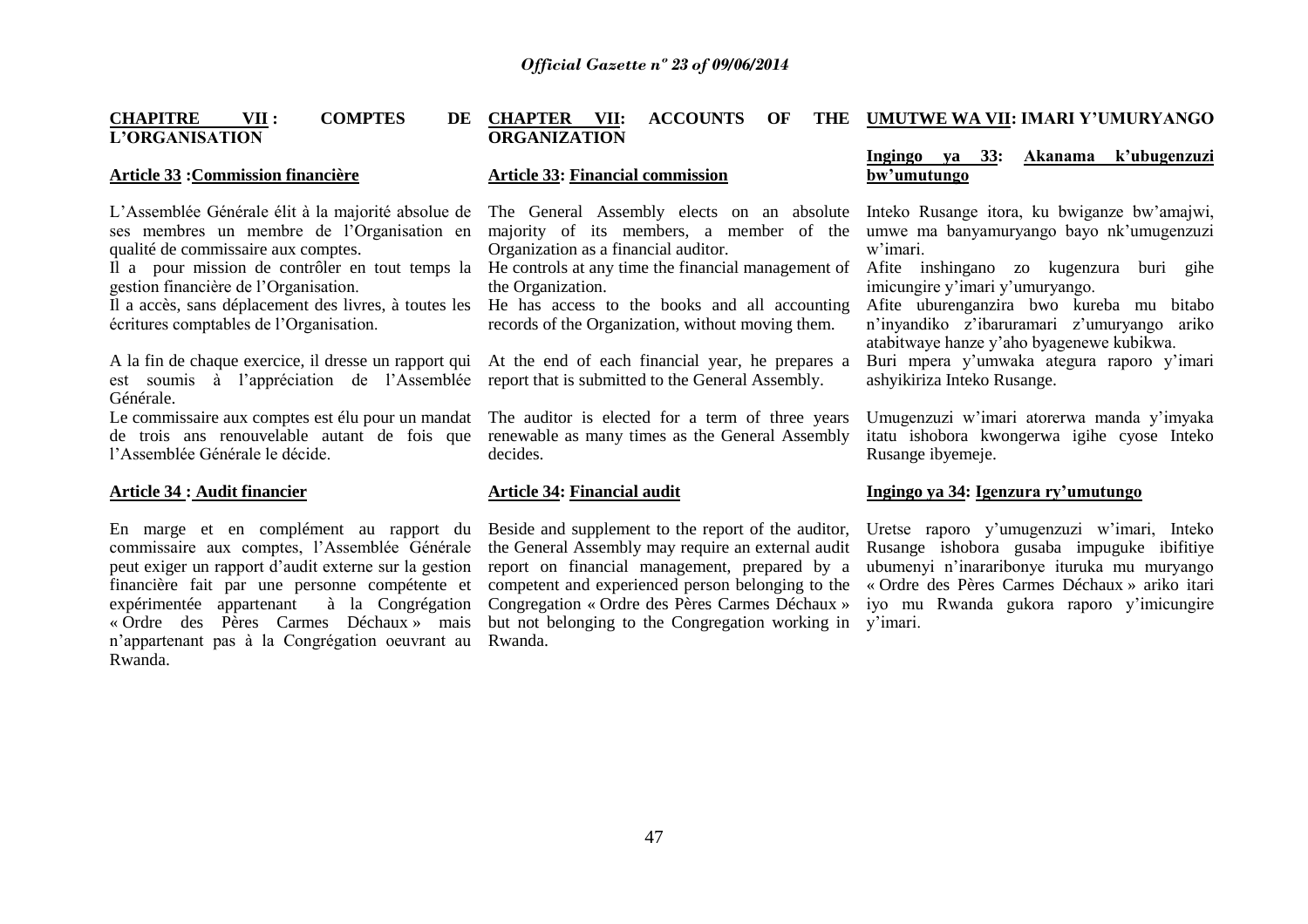#### **CHAPITRE VII : COMPTES L"ORGANISATION** DE CHAPTER VII: ACCOUNTS OF **ORGANIZATION UMUTWE WA VII: IMARI Y"UMURYANGO**

#### **Article 33 :Commission financière**

L"Assemblée Générale élit à la majorité absolue de ses membres un membre de l"Organisation en qualité de commissaire aux comptes.

Il a pour mission de contrôler en tout temps la He controls at any time the financial management of Afite inshingano zo kugenzura buri gihe gestion financière de l"Organisation.

Il a accès, sans déplacement des livres, à toutes les He has access to the books and all accounting écritures comptables de l"Organisation.

A la fin de chaque exercice, il dresse un rapport qui At the end of each financial year, he prepares a est soumis à l"appréciation de l"Assemblée report that is submitted to the General Assembly. Générale.

de trois ans renouvelable autant de fois que renewable as many times as the General Assembly l"Assemblée Générale le décide.

#### **Article 34 : Audit financier**

commissaire aux comptes, l"Assemblée Générale peut exiger un rapport d"audit externe sur la gestion financière fait par une personne compétente et expérimentée appartenant à la Congrégation « Ordre des Pères Carmes Déchaux » mais n"appartenant pas à la Congrégation oeuvrant au Rwanda. Rwanda.

#### **Article 33: Financial commission**

The General Assembly elects on an absolute majority of its members, a member of the Organization as a financial auditor.

the Organization.

records of the Organization, without moving them.

Le commissaire aux comptes est élu pour un mandat The auditor is elected for a term of three years decides.

#### **Article 34: Financial audit**

En marge et en complément au rapport du Beside and supplement to the report of the auditor, Uretse raporo y'umugenzuzi w'imari, Inteko the General Assembly may require an external audit Rusange ishobora gusaba impuguke ibifitiye report on financial management, prepared by a ubumenyi n"inararibonye ituruka mu muryango competent and experienced person belonging to the « Ordre des Pères Carmes Déchaux » ariko itari Congregation « Ordre des Pères Carmes Déchaux » iyo mu Rwanda gukora raporo y"imicungire but not belonging to the Congregation working in y'imari.

## **Ingingo ya 33: Akanama k"ubugenzuzi**

## **bw"umutungo**

Inteko Rusange itora, ku bwiganze bw"amajwi, umwe ma banyamuryango bayo nk"umugenzuzi w"imari.

imicungire y"imari y"umuryango.

Afite uburenganzira bwo kureba mu bitabo n'inyandiko z'ibaruramari z'umuryango ariko atabitwaye hanze y"aho byagenewe kubikwa.

Buri mpera y"umwaka ategura raporo y"imari ashyikiriza Inteko Rusange.

Umugenzuzi w"imari atorerwa manda y"imyaka itatu ishobora kwongerwa igihe cyose Inteko Rusange ibyemeje.

#### **Ingingo ya 34: Igenzura ry"umutungo**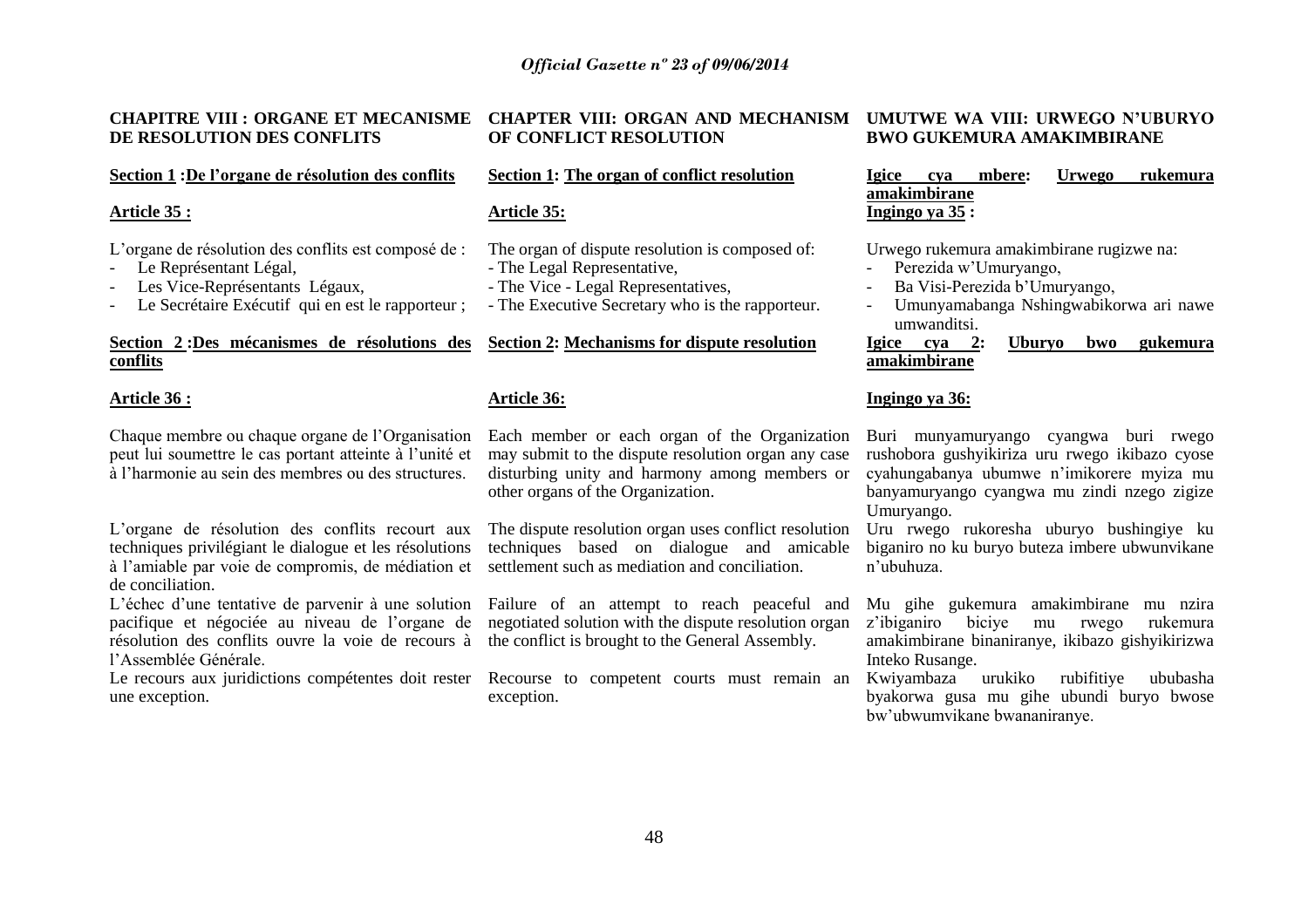# **DE RESOLUTION DES CONFLITS**

#### **Section 1 :De l"organe de résolution des conflits**

#### **Article 35 :**

L"organe de résolution des conflits est composé de :

- Le Représentant Légal.
- Les Vice-Représentants Légaux,
- Le Secrétaire Exécutif qui en est le rapporteur ;

#### **Section 2 :Des mécanismes de résolutions des Section 2: Mechanisms for dispute resolution conflits**

#### **Article 36 :**

Chaque membre ou chaque organe de l"Organisation peut lui soumettre le cas portant atteinte à l"unité et à l"harmonie au sein des membres ou des structures.

L"organe de résolution des conflits recourt aux techniques privilégiant le dialogue et les résolutions à l"amiable par voie de compromis, de médiation et de conciliation.

L"échec d"une tentative de parvenir à une solution pacifique et négociée au niveau de l"organe de résolution des conflits ouvre la voie de recours à l"Assemblée Générale.

Le recours aux juridictions compétentes doit rester Recourse to competent courts must remain an une exception.

# **OF CONFLICT RESOLUTION**

#### **Section 1: The organ of conflict resolution**

#### **Article 35:**

The organ of dispute resolution is composed of:

- The Legal Representative,
- The Vice Legal Representatives,
- The Executive Secretary who is the rapporteur.

#### **Article 36:**

Each member or each organ of the Organization may submit to the dispute resolution organ any case disturbing unity and harmony among members or other organs of the Organization.

The dispute resolution organ uses conflict resolution techniques based on dialogue and amicable settlement such as mediation and conciliation.

Failure of an attempt to reach peaceful and negotiated solution with the dispute resolution organ the conflict is brought to the General Assembly.

exception.

#### **CHAPITRE VIII : ORGANE ET MECANISME CHAPTER VIII: ORGAN AND MECHANISM UMUTWE WA VIII: URWEGO N"UBURYO BWO GUKEMURA AMAKIMBIRANE**

**Igice cya mbere: Urwego rukemura amakimbirane Ingingo ya 35 :**

Urwego rukemura amakimbirane rugizwe na:<br>- Perezida w'Umuryango

- Perezida w'Umuryango,
- Ba Visi-Perezida b'Umuryango,
- Umunyamabanga Nshingwabikorwa ari nawe umwanditsi.<br>Igice cva 2:

#### **Igice cya 2: Uburyo bwo gukemura amakimbirane**

#### **Ingingo ya 36:**

Buri munyamuryango cyangwa buri rwego rushobora gushyikiriza uru rwego ikibazo cyose cyahungabanya ubumwe n"imikorere myiza mu banyamuryango cyangwa mu zindi nzego zigize Umuryango.

Uru rwego rukoresha uburyo bushingiye ku biganiro no ku buryo buteza imbere ubwunvikane n"ubuhuza.

Mu gihe gukemura amakimbirane mu nzira z"ibiganiro biciye mu rwego rukemura amakimbirane binaniranye, ikibazo gishyikirizwa Inteko Rusange.

Kwiyambaza urukiko rubifitiye ububasha byakorwa gusa mu gihe ubundi buryo bwose bw"ubwumvikane bwananiranye.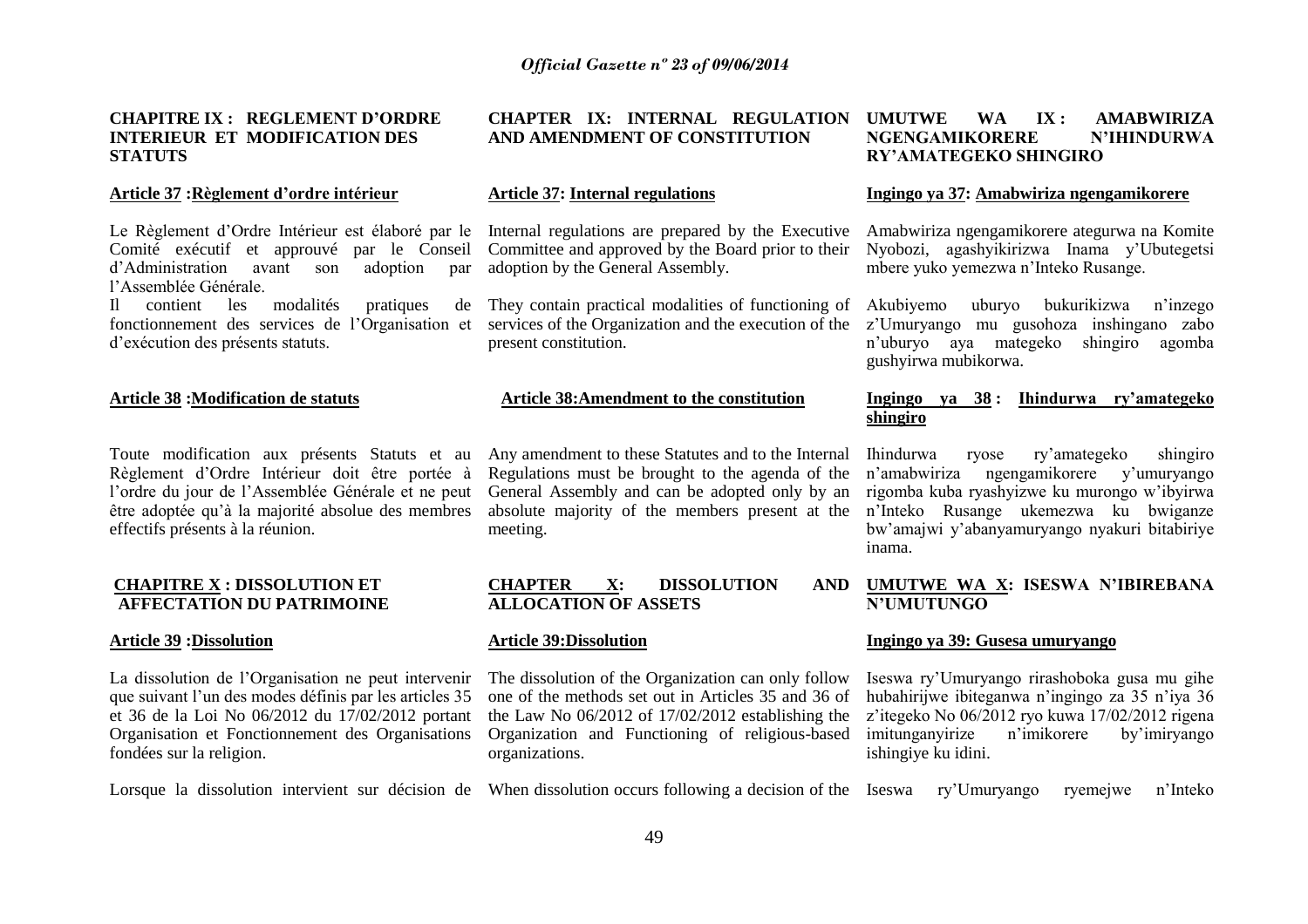#### **CHAPITRE IX : REGLEMENT D"ORDRE INTERIEUR ET MODIFICATION DES STATUTS**

#### **Article 37 :Règlement d"ordre intérieur**

Le Règlement d'Ordre Intérieur est élaboré par le Internal regulations are prepared by the Executive Comité exécutif et approuvé par le Conseil d"Administration avant son adoption par l"Assemblée Générale.

Il contient les modalités pratiques d"exécution des présents statuts.

#### **Article 38 :Modification de statuts**

Toute modification aux présents Statuts et au Règlement d"Ordre Intérieur doit être portée à l"ordre du jour de l"Assemblée Générale et ne peut être adoptée qu"à la majorité absolue des membres effectifs présents à la réunion.

#### **CHAPITRE X : DISSOLUTION ET AFFECTATION DU PATRIMOINE**

#### **Article 39 :Dissolution**

La dissolution de l"Organisation ne peut intervenir que suivant l"un des modes définis par les articles 35 et 36 de la Loi No 06/2012 du 17/02/2012 portant Organisation et Fonctionnement des Organisations fondées sur la religion.

#### **CHAPTER IX: INTERNAL REGULATION AND AMENDMENT OF CONSTITUTION**

#### **Article 37: Internal regulations**

Committee and approved by the Board prior to their adoption by the General Assembly.

fonctionnement des services de l"Organisation et services of the Organization and the execution of the They contain practical modalities of functioning of present constitution.

#### **Article 38:Amendment to the constitution**

Any amendment to these Statutes and to the Internal Regulations must be brought to the agenda of the General Assembly and can be adopted only by an absolute majority of the members present at the meeting.

#### **CHAPTER X: DISSOLUTION AND ALLOCATION OF ASSETS**

#### **Article 39:Dissolution**

The dissolution of the Organization can only follow one of the methods set out in Articles 35 and 36 of the Law No 06/2012 of 17/02/2012 establishing the Organization and Functioning of religious-based organizations.

Lorsque la dissolution intervient sur décision de When dissolution occurs following a decision of the Iseswa ry'Umuryango ryemejwe n'Inteko

#### **UMUTWE WA IX : AMABWIRIZA NGENGAMIKORERE N"IHINDURWA RY"AMATEGEKO SHINGIRO**

#### **Ingingo ya 37: Amabwiriza ngengamikorere**

Amabwiriza ngengamikorere ategurwa na Komite Nyobozi, agashyikirizwa Inama y"Ubutegetsi mbere yuko yemezwa n"Inteko Rusange.

uburyo bukurikizwa n'inzego z"Umuryango mu gusohoza inshingano zabo n"uburyo aya mategeko shingiro agomba gushyirwa mubikorwa.

#### **Ingingo ya 38 : Ihindurwa ry"amategeko shingiro**

Ihindurwa ryose ry"amategeko shingiro n"amabwiriza ngengamikorere y"umuryango rigomba kuba ryashyizwe ku murongo w"ibyirwa n"Inteko Rusange ukemezwa ku bwiganze bw"amajwi y"abanyamuryango nyakuri bitabiriye inama.

#### **UMUTWE WA X: ISESWA N"IBIREBANA N"UMUTUNGO**

#### **Ingingo ya 39: Gusesa umuryango**

Iseswa ry"Umuryango rirashoboka gusa mu gihe hubahirijwe ibiteganwa n"ingingo za 35 n"iya 36 z"itegeko No 06/2012 ryo kuwa 17/02/2012 rigena imitunganyirize n"imikorere by"imiryango ishingiye ku idini.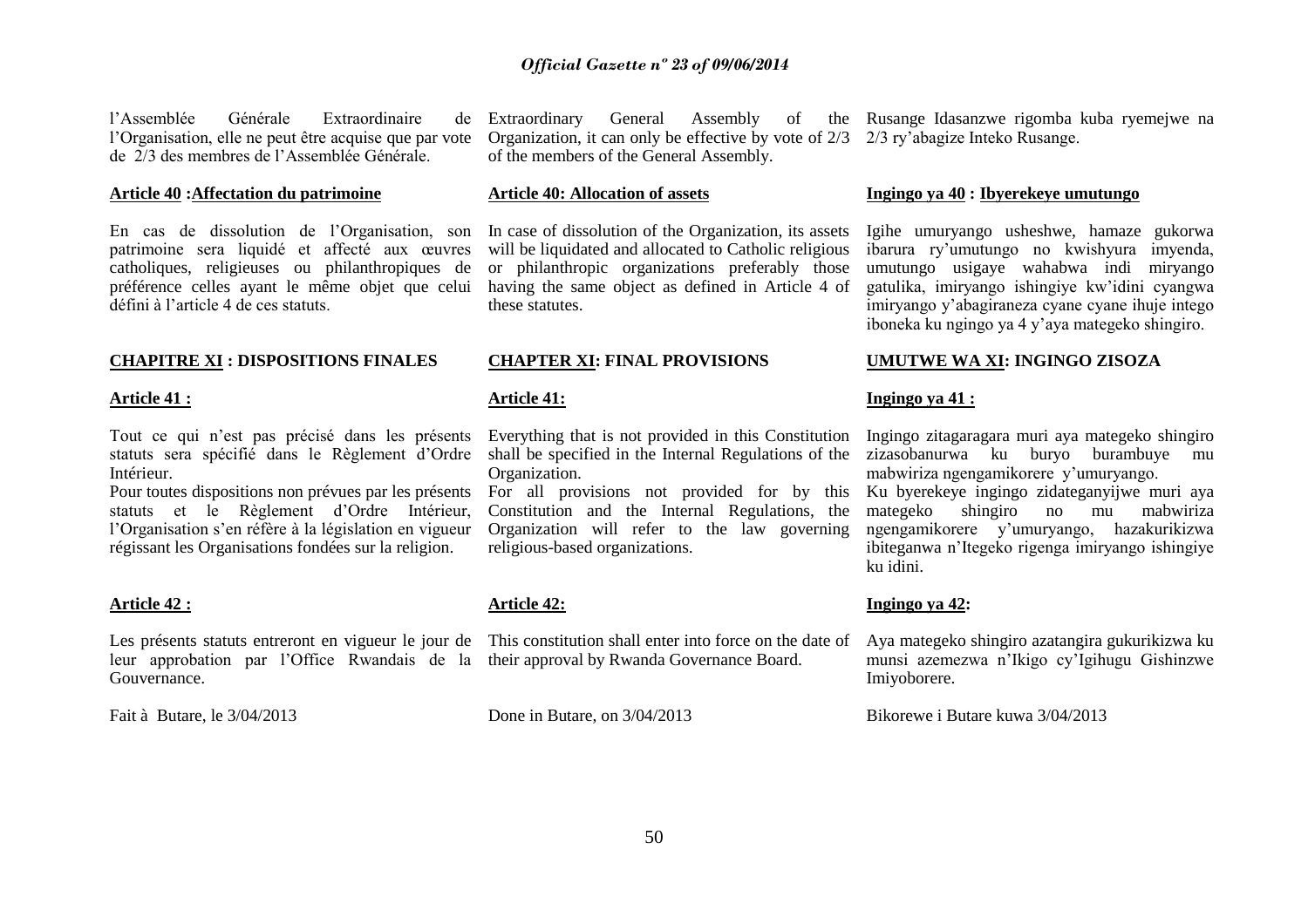l"Assemblée Générale Extraordinaire de l"Organisation, elle ne peut être acquise que par vote de 2/3 des membres de l"Assemblée Générale.

#### **Article 40 :Affectation du patrimoine**

En cas de dissolution de l"Organisation, son patrimoine sera liquidé et affecté aux œuvres catholiques, religieuses ou philanthropiques de préférence celles ayant le même objet que celui having the same object as defined in Article 4 of défini à l"article 4 de ces statuts.

#### **CHAPITRE XI : DISPOSITIONS FINALES**

#### **Article 41 :**

Tout ce qui n"est pas précisé dans les présents statuts sera spécifié dans le Règlement d"Ordre Intérieur.

Pour toutes dispositions non prévues par les présents statuts et le Règlement d"Ordre Intérieur, l'Organisation s'en réfère à la législation en vigueur régissant les Organisations fondées sur la religion.

#### **Article 42 :**

Les présents statuts entreront en vigueur le jour de This constitution shall enter into force on the date of leur approbation par l"Office Rwandais de la their approval by Rwanda Governance Board. Gouvernance.

Fait à Butare, le 3/04/2013

Organization, it can only be effective by vote of 2/3 2/3 ry"abagize Inteko Rusange. of the members of the General Assembly.

#### **Article 40: Allocation of assets**

In case of dissolution of the Organization, its assets will be liquidated and allocated to Catholic religious or philanthropic organizations preferably those these statutes.

#### **CHAPTER XI: FINAL PROVISIONS**

#### **Article 41:**

Everything that is not provided in this Constitution shall be specified in the Internal Regulations of the Organization.

For all provisions not provided for by this Constitution and the Internal Regulations, the Organization will refer to the law governing religious-based organizations.

#### **Article 42:**

Done in Butare, on 3/04/2013

Extraordinary General Assembly of the Rusange Idasanzwe rigomba kuba ryemejwe na

#### **Ingingo ya 40 : Ibyerekeye umutungo**

Igihe umuryango usheshwe, hamaze gukorwa ibarura ry"umutungo no kwishyura imyenda, umutungo usigaye wahabwa indi miryango gatulika, imiryango ishingiye kw"idini cyangwa imiryango y"abagiraneza cyane cyane ihuje intego iboneka ku ngingo ya 4 y"aya mategeko shingiro.

#### **UMUTWE WA XI: INGINGO ZISOZA**

#### **Ingingo ya 41 :**

Ingingo zitagaragara muri aya mategeko shingiro zizasobanurwa ku buryo burambuye mu mabwiriza ngengamikorere y"umuryango. Ku byerekeye ingingo zidateganyijwe muri aya mategeko shingiro no mu mabwiriza ngengamikorere y"umuryango, hazakurikizwa ibiteganwa n"Itegeko rigenga imiryango ishingiye ku idini.

#### **Ingingo ya 42:**

Aya mategeko shingiro azatangira gukurikizwa ku munsi azemezwa n"Ikigo cy"Igihugu Gishinzwe Imiyoborere.

Bikorewe i Butare kuwa 3/04/2013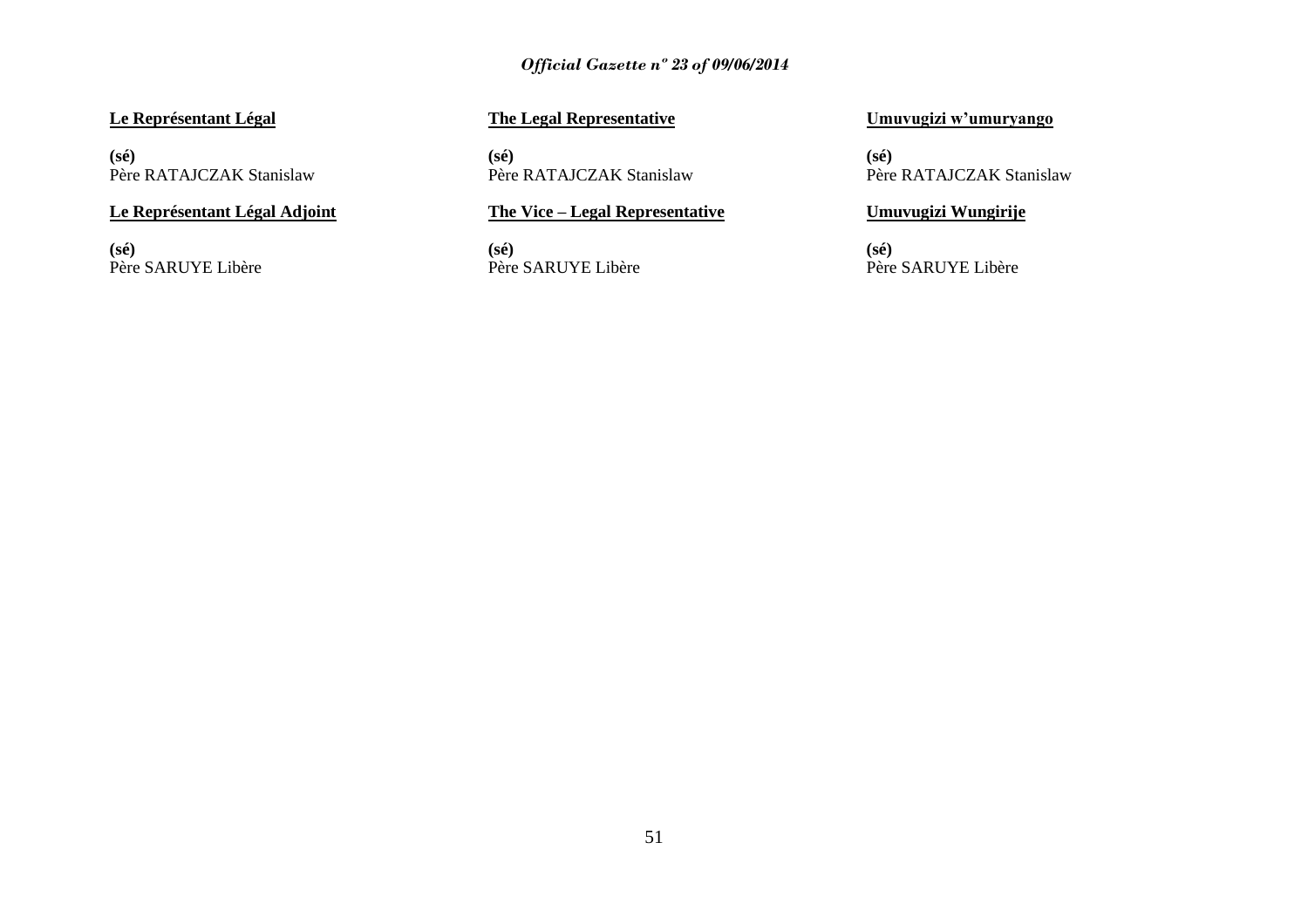### **Le Représentant Légal**

**(sé)** Père RATAJCZAK Stanislaw

#### **Le Représentant Légal Adjoint**

**(sé)** Père SARUYE Libère

### **The Legal Representative**

**(sé)** Père RATAJCZAK Stanislaw

#### **The Vice – Legal Representative**

**(sé)** Père SARUYE Libère

#### **Umuvugizi w"umuryango**

**(sé)** Père RATAJCZAK Stanislaw

#### **Umuvugizi Wungirije**

**(sé)** Père SARUYE Libère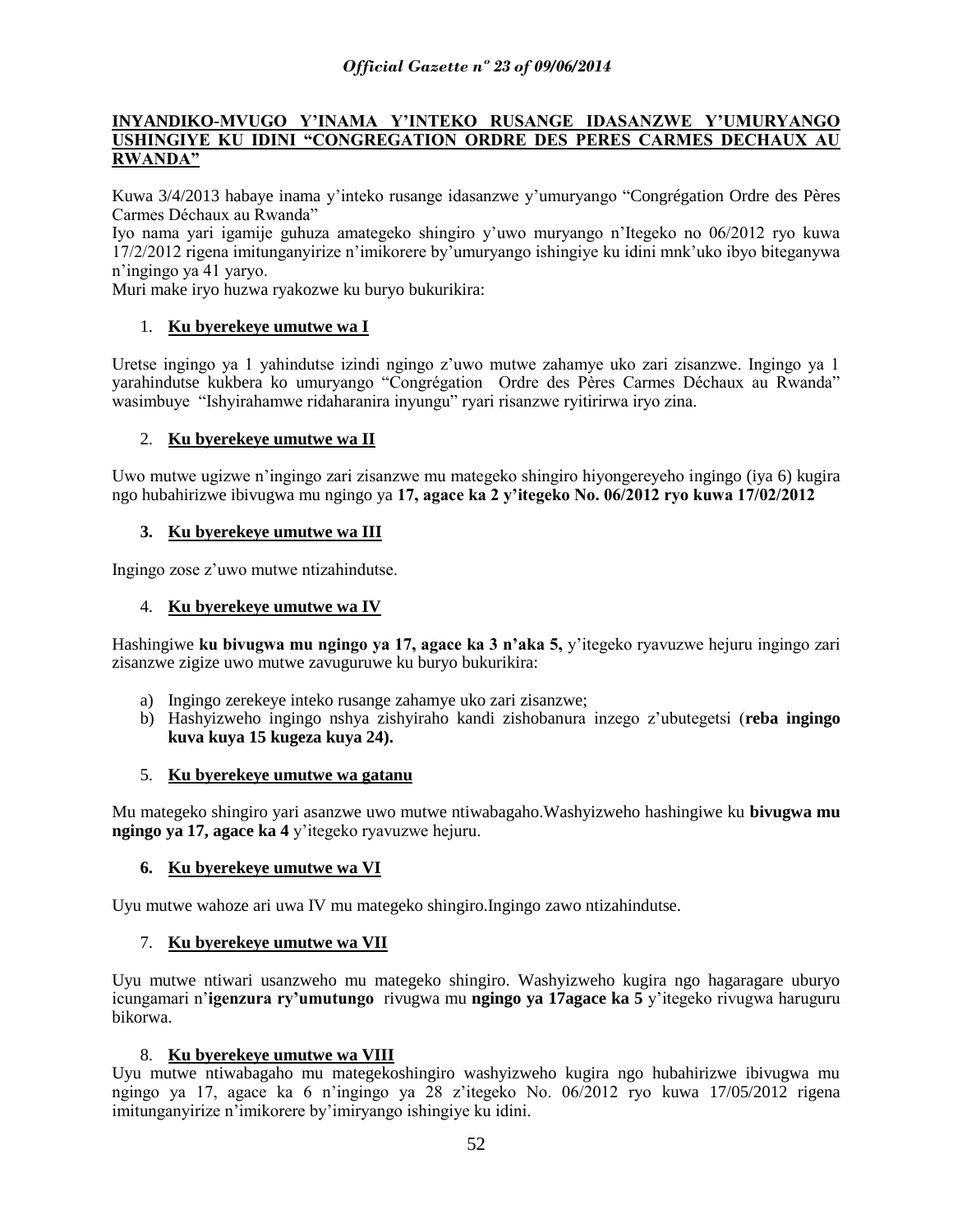#### **INYANDIKO-MVUGO Y"INAMA Y"INTEKO RUSANGE IDASANZWE Y"UMURYANGO USHINGIYE KU IDINI "CONGREGATION ORDRE DES PERES CARMES DECHAUX AU RWANDA"**

Kuwa 3/4/2013 habaye inama y"inteko rusange idasanzwe y"umuryango "Congrégation Ordre des Pères Carmes Déchaux au Rwanda"

Iyo nama yari igamije guhuza amategeko shingiro y"uwo muryango n"Itegeko no 06/2012 ryo kuwa 17/2/2012 rigena imitunganyirize n"imikorere by"umuryango ishingiye ku idini mnk"uko ibyo biteganywa n"ingingo ya 41 yaryo.

Muri make iryo huzwa ryakozwe ku buryo bukurikira:

#### 1. **Ku byerekeye umutwe wa I**

Uretse ingingo ya 1 yahindutse izindi ngingo z"uwo mutwe zahamye uko zari zisanzwe. Ingingo ya 1 yarahindutse kukbera ko umuryango "Congrégation Ordre des Pères Carmes Déchaux au Rwanda" wasimbuye "Ishyirahamwe ridaharanira inyungu" ryari risanzwe ryitirirwa iryo zina.

#### 2. **Ku byerekeye umutwe wa II**

Uwo mutwe ugizwe n"ingingo zari zisanzwe mu mategeko shingiro hiyongereyeho ingingo (iya 6) kugira ngo hubahirizwe ibivugwa mu ngingo ya **17, agace ka 2 y"itegeko No. 06/2012 ryo kuwa 17/02/2012**

#### **3. Ku byerekeye umutwe wa III**

Ingingo zose z"uwo mutwe ntizahindutse.

#### 4. **Ku byerekeye umutwe wa IV**

Hashingiwe **ku bivugwa mu ngingo ya 17, agace ka 3 n"aka 5,** y"itegeko ryavuzwe hejuru ingingo zari zisanzwe zigize uwo mutwe zavuguruwe ku buryo bukurikira:

- a) Ingingo zerekeye inteko rusange zahamye uko zari zisanzwe;
- b) Hashyizweho ingingo nshya zishyiraho kandi zishobanura inzego z"ubutegetsi (**reba ingingo kuva kuya 15 kugeza kuya 24).**

#### 5. **Ku byerekeye umutwe wa gatanu**

Mu mategeko shingiro yari asanzwe uwo mutwe ntiwabagaho.Washyizweho hashingiwe ku **bivugwa mu ngingo ya 17, agace ka 4** y"itegeko ryavuzwe hejuru.

#### **6. Ku byerekeye umutwe wa VI**

Uyu mutwe wahoze ari uwa IV mu mategeko shingiro.Ingingo zawo ntizahindutse.

#### 7. **Ku byerekeye umutwe wa VII**

Uyu mutwe ntiwari usanzweho mu mategeko shingiro. Washyizweho kugira ngo hagaragare uburyo icungamari n"**igenzura ry"umutungo** rivugwa mu **ngingo ya 17agace ka 5** y"itegeko rivugwa haruguru bikorwa.

#### 8. **Ku byerekeye umutwe wa VIII**

Uyu mutwe ntiwabagaho mu mategekoshingiro washyizweho kugira ngo hubahirizwe ibivugwa mu ngingo ya 17, agace ka 6 n"ingingo ya 28 z"itegeko No. 06/2012 ryo kuwa 17/05/2012 rigena imitunganyirize n"imikorere by"imiryango ishingiye ku idini.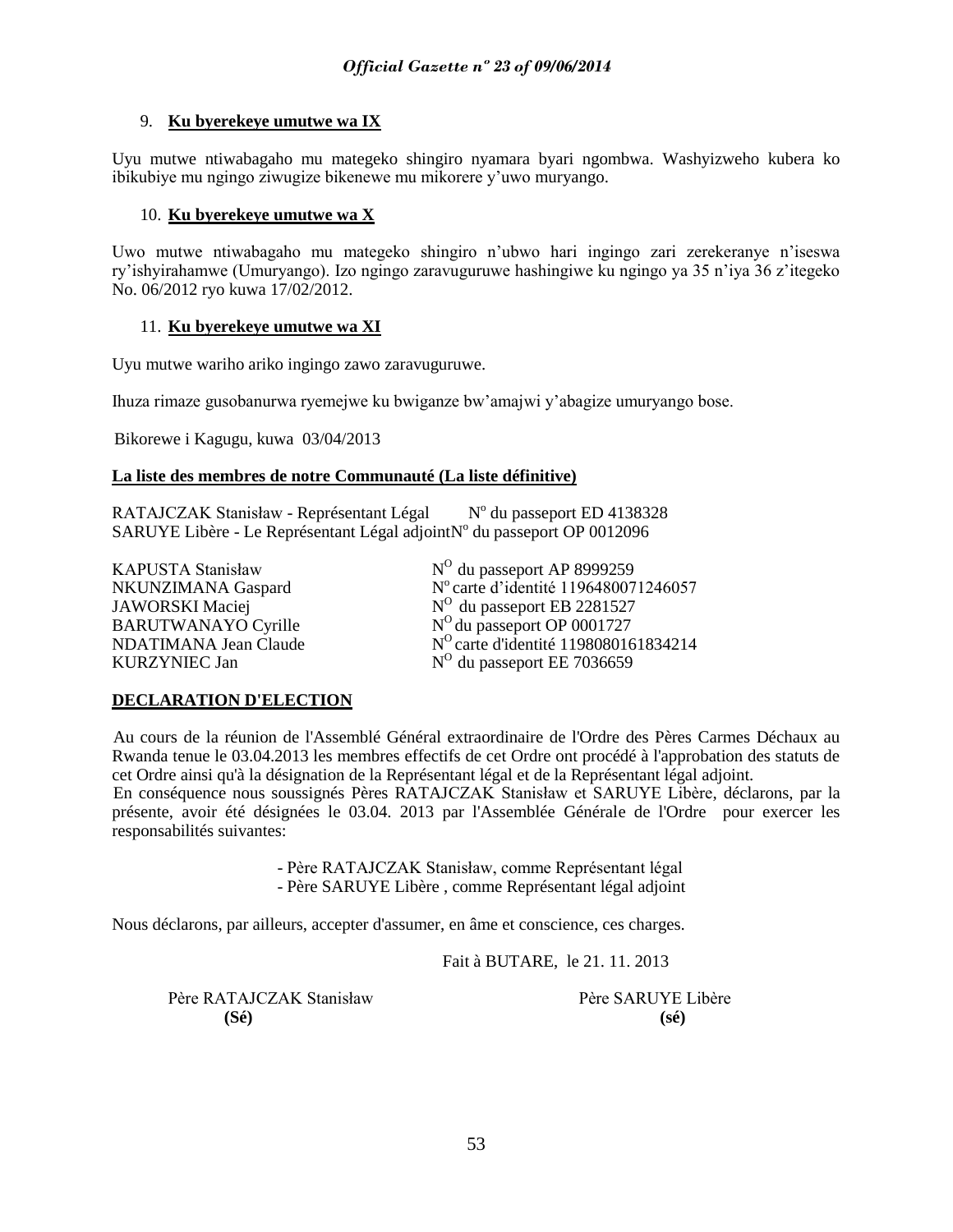#### 9. **Ku byerekeye umutwe wa IX**

Uyu mutwe ntiwabagaho mu mategeko shingiro nyamara byari ngombwa. Washyizweho kubera ko ibikubiye mu ngingo ziwugize bikenewe mu mikorere y"uwo muryango.

#### 10. **Ku byerekeye umutwe wa X**

Uwo mutwe ntiwabagaho mu mategeko shingiro n"ubwo hari ingingo zari zerekeranye n"iseswa ry"ishyirahamwe (Umuryango). Izo ngingo zaravuguruwe hashingiwe ku ngingo ya 35 n"iya 36 z"itegeko No. 06/2012 ryo kuwa 17/02/2012.

#### 11. **Ku byerekeye umutwe wa XI**

Uyu mutwe wariho ariko ingingo zawo zaravuguruwe.

Ihuza rimaze gusobanurwa ryemejwe ku bwiganze bw"amajwi y"abagize umuryango bose.

Bikorewe i Kagugu, kuwa 03/04/2013

#### **La liste des membres de notre Communauté (La liste définitive)**

RATAJCZAK Stanisław - Représentant Légal <sup>o</sup> du passeport ED 4138328 SARUYE Libère - Le Représentant Légal adjoint N° du passeport OP 0012096

KAPUSTA Stanisław NKUNZIMANA Gaspard JAWORSKI Maciej BARUTWANAYO Cyrille N NDATIMANA Jean Claude KURZYNIEC Jan

N<sup>O</sup> du passeport AP 8999259 N° carte d'identité 1196480071246057  $\rm ^{O}$  du passeport EB 2281527 <sup>o</sup>du passeport OP 0001727 <sup>O</sup>carte d'identité 1198080161834214  $N^O$  du passeport EE 7036659

### **DECLARATION D'ELECTION**

Au cours de la réunion de l'Assemblé Général extraordinaire de l'Ordre des Pères Carmes Déchaux au Rwanda tenue le 03.04.2013 les membres effectifs de cet Ordre ont procédé à l'approbation des statuts de cet Ordre ainsi qu'à la désignation de la Représentant légal et de la Représentant légal adjoint. En conséquence nous soussignés Pères RATAJCZAK Stanisław et SARUYE Libère, déclarons, par la présente, avoir été désignées le 03.04. 2013 par l'Assemblée Générale de l'Ordre pour exercer les responsabilités suivantes:

> - Père RATAJCZAK Stanisław, comme Représentant légal - Père SARUYE Libère , comme Représentant légal adjoint

Nous déclarons, par ailleurs, accepter d'assumer, en âme et conscience, ces charges.

Fait à BUTARE, le 21. 11. 2013

Père RATAJCZAK Stanisław Père SARUYE Libère **(Sé) (sé)**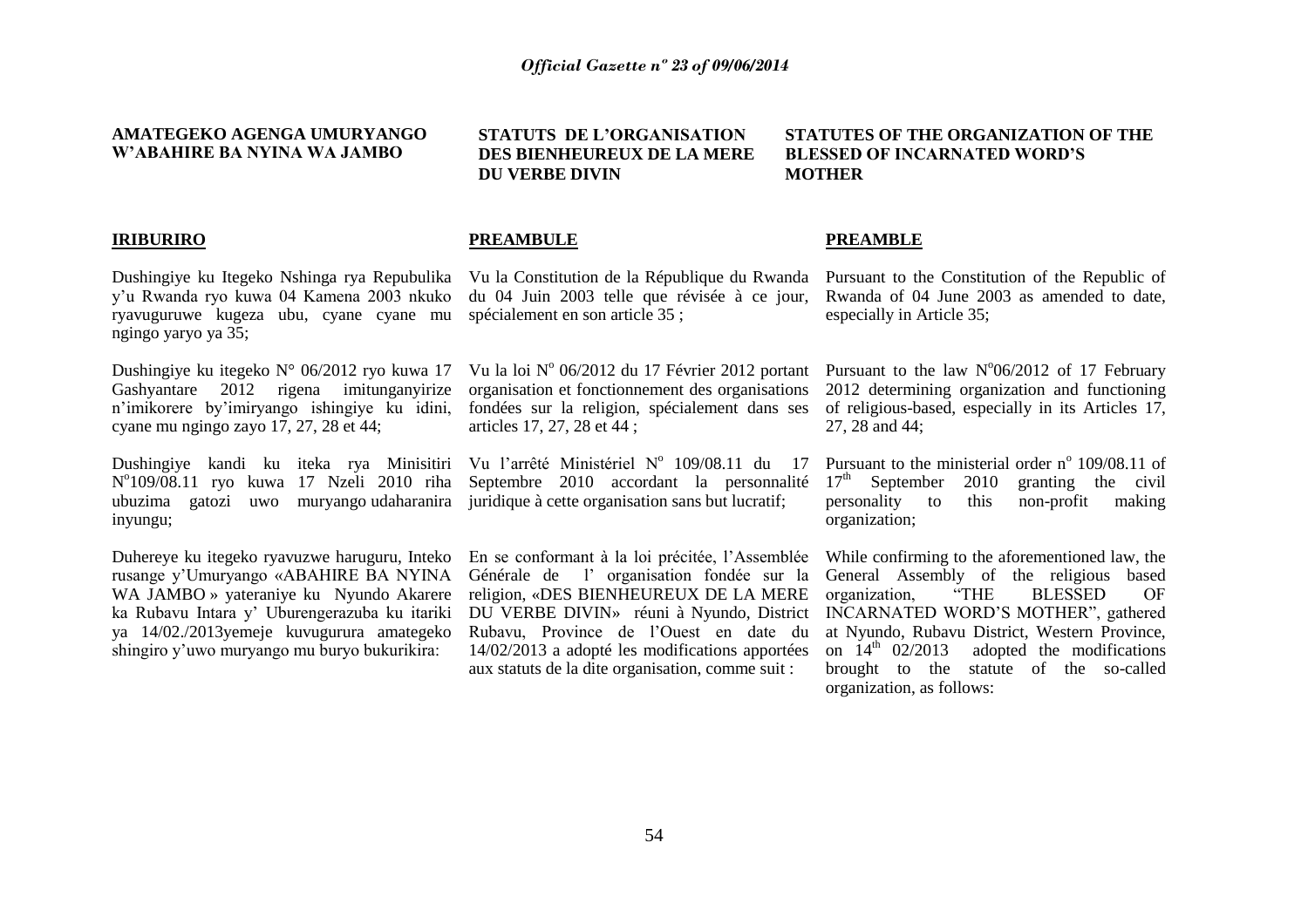#### **AMATEGEKO AGENGA UMURYANGO W"ABAHIRE BA NYINA WA JAMBO**

**STATUTS DE L"ORGANISATION DES BIENHEUREUX DE LA MERE DU VERBE DIVIN**

#### **STATUTES OF THE ORGANIZATION OF THE BLESSED OF INCARNATED WORD"S MOTHER**

#### **IRIBURIRO**

y"u Rwanda ryo kuwa 04 Kamena 2003 nkuko ryavuguruwe kugeza ubu, cyane cyane mu ngingo yaryo ya 35;

Dushingiye ku itegeko N° 06/2012 ryo kuwa 17 Gashyantare 2012 rigena imitunganyirize n"imikorere by"imiryango ishingiye ku idini, cyane mu ngingo zayo 17, 27, 28 et 44;

Dushingiye kandi ku iteka rya Minisitiri N o 109/08.11 ryo kuwa 17 Nzeli 2010 riha ubuzima gatozi uwo muryango udaharanira inyungu;

Duhereye ku itegeko ryavuzwe haruguru, Inteko rusange y"Umuryango «ABAHIRE BA NYINA WA JAMBO » yateraniye ku Nyundo Akarere ka Rubavu Intara y" Uburengerazuba ku itariki ya 14/02./2013yemeje kuvugurura amategeko shingiro y"uwo muryango mu buryo bukurikira:

#### **PREAMBULE**

du 04 Juin 2003 telle que révisée à ce jour, spécialement en son article 35 ;

organisation et fonctionnement des organisations fondées sur la religion, spécialement dans ses articles 17, 27, 28 et 44 ;

Septembre 2010 accordant la personnalité  $17<sup>th</sup>$  September juridique à cette organisation sans but lucratif;

En se conformant à la loi précitée, l"Assemblée Générale de l" organisation fondée sur la religion, «DES BIENHEUREUX DE LA MERE DU VERBE DIVIN» réuni à Nyundo, District Rubavu, Province de l"Ouest en date du 14/02/2013 a adopté les modifications apportées aux statuts de la dite organisation, comme suit :

#### **PREAMBLE**

Dushingiye ku Itegeko Nshinga rya Repubulika Vu la Constitution de la République du Rwanda Pursuant to the Constitution of the Republic of Rwanda of 04 June 2003 as amended to date, especially in Article 35;

> Vu la loi Nº 06/2012 du 17 Février 2012 portant Pursuant to the law  $N^{\circ}06/2012$  of 17 February 2012 determining organization and functioning of religious-based, especially in its Articles 17, 27, 28 and 44;

> Vu l'arrêté Ministériel N° 109/08.11 du 17 Pursuant to the ministerial order n° 109/08.11 of 2010 granting the civil personality to this non-profit making organization;

> > While confirming to the aforementioned law, the General Assembly of the religious based organization, "THE BLESSED OF INCARNATED WORD"S MOTHER", gathered at Nyundo, Rubavu District, Western Province, on  $14<sup>th</sup>$  02/2013 adopted the modifications brought to the statute of the so-called organization, as follows: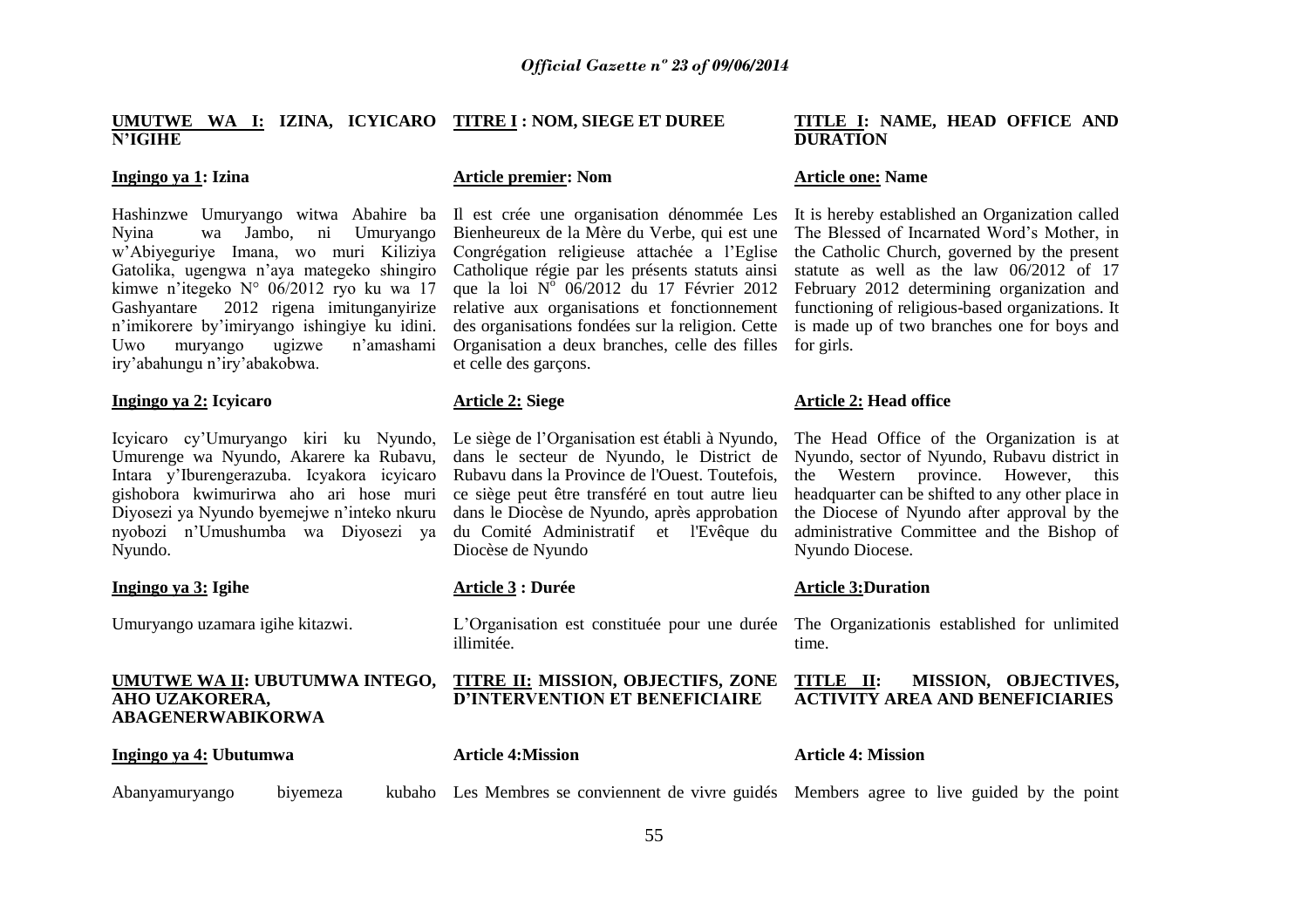#### **UMUTWE WA I: IZINA, ICYICARO TITRE I : NOM, SIEGE ET DUREE N"IGIHE**

#### **Ingingo ya 1: Izina**

Nyina wa Jambo, ni Umuryango w"Abiyeguriye Imana, wo muri Kiliziya Gatolika, ugengwa n"aya mategeko shingiro kimwe n"itegeko N° 06/2012 ryo ku wa 17 Gashyantare 2012 rigena imitunganyirize n"imikorere by"imiryango ishingiye ku idini. Uwo muryango ugizwe n"amashami iry"abahungu n"iry"abakobwa.

#### **Ingingo ya 2: Icyicaro**

Icyicaro cy"Umuryango kiri ku Nyundo, Umurenge wa Nyundo, Akarere ka Rubavu, Intara y"Iburengerazuba. Icyakora icyicaro gishobora kwimurirwa aho ari hose muri Diyosezi ya Nyundo byemejwe n"inteko nkuru nyobozi n"Umushumba wa Diyosezi ya Nyundo.

#### **Ingingo ya 3: Igihe**

Umuryango uzamara igihe kitazwi.

## **AHO UZAKORERA, ABAGENERWABIKORWA**

#### **Article premier: Nom**

Organisation a deux branches, celle des filles for girls. et celle des garçons.

#### **Article 2: Siege**

Le siège de l"Organisation est établi à Nyundo, dans le secteur de Nyundo, le District de Nyundo, sector of Nyundo, Rubavu district in Rubavu dans la Province de l'Ouest. Toutefois, ce siège peut être transféré en tout autre lieu dans le Diocèse de Nyundo, après approbation du Comité Administratif et l'Evêque du Diocèse de Nyundo

#### **Article 3 : Durée**

L"Organisation est constituée pour une durée The Organizationis established for unlimited illimitée.

#### **UMUTWE WA II: UBUTUMWA INTEGO, TITRE II: MISSION, OBJECTIFS, ZONE D"INTERVENTION ET BENEFICIAIRE**

| Ingingo ya 4: Ubutumwa | <b>Article 4:Mission</b> | <b>Article 4: Mission</b> |
|------------------------|--------------------------|---------------------------|
|                        |                          |                           |

Abanyamuryango biyemeza Les Membres se conviennent de vivre guidés Members agree to live guided by the point

#### **TITLE I: NAME, HEAD OFFICE AND DURATION**

#### **Article one: Name**

Hashinzwe Umuryango witwa Abahire ba Il est crée une organisation dénommée Les It is hereby established an Organization called Bienheureux de la Mère du Verbe, qui est une The Blessed of Incarnated Word"s Mother, in Congrégation religieuse attachée a l"Eglise the Catholic Church, governed by the present Catholique régie par les présents statuts ainsi statute as well as the law 06/2012 of 17 que la loi  $N^{\delta}$  06/2012 du 17 Février 2012 February 2012 determining organization and relative aux organisations et fonctionnement functioning of religious-based organizations. It des organisations fondées sur la religion. Cette is made up of two branches one for boys and

#### **Article 2: Head office**

The Head Office of the Organization is at the Western province. However, this headquarter can be shifted to any other place in the Diocese of Nyundo after approval by the administrative Committee and the Bishop of Nyundo Diocese.

#### **Article 3:Duration**

time.

#### **TITLE II: MISSION, OBJECTIVES, ACTIVITY AREA AND BENEFICIARIES**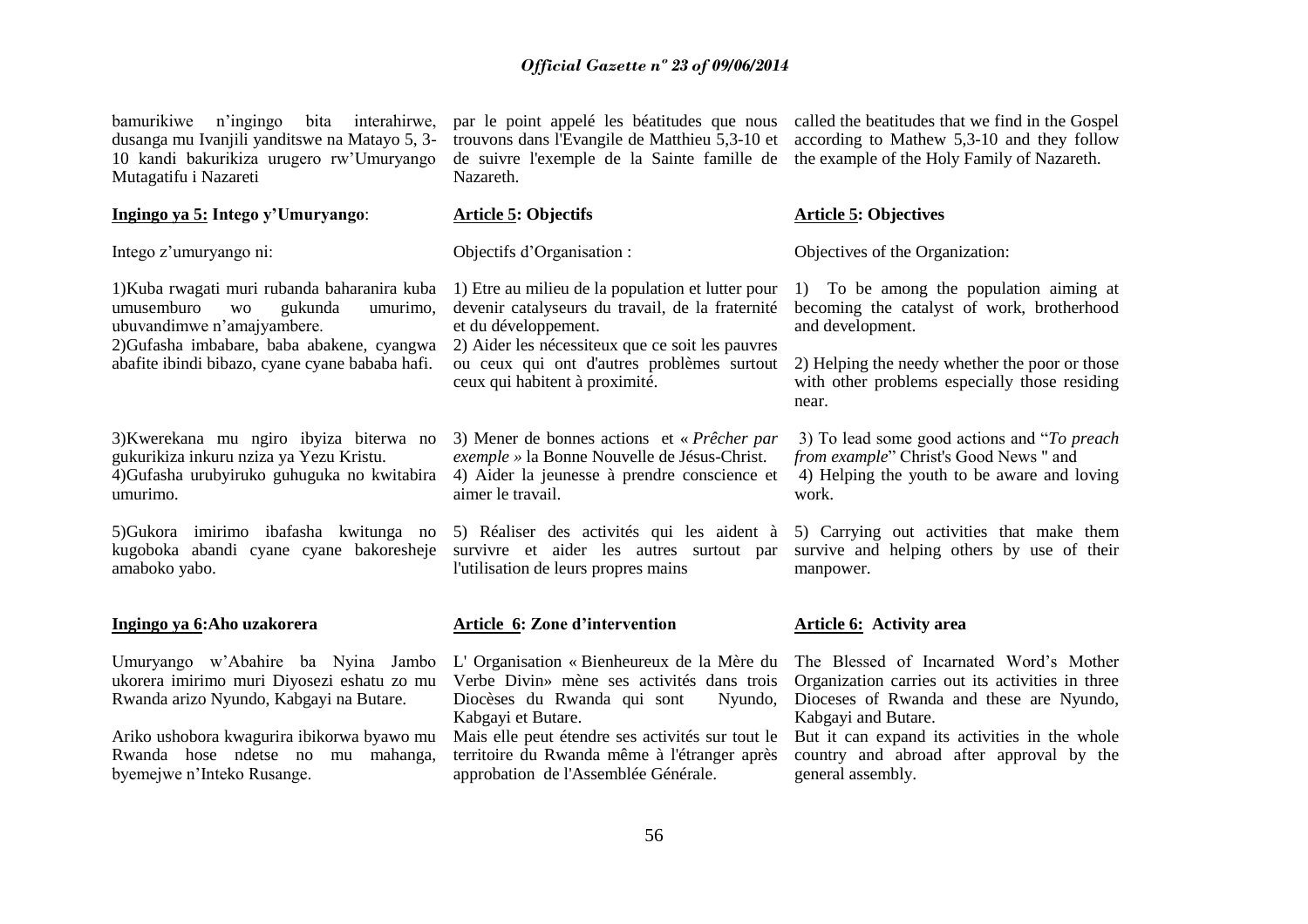bamurikiwe n"ingingo bita interahirwe, dusanga mu Ivanjili yanditswe na Matayo 5, 3- 10 kandi bakurikiza urugero rw"Umuryango Mutagatifu i Nazareti

#### **Ingingo ya 5: Intego y"Umuryango**:

Intego z"umuryango ni:

1)Kuba rwagati muri rubanda baharanira kuba umusemburo wo gukunda umurimo, ubuvandimwe n"amajyambere.

2)Gufasha imbabare, baba abakene, cyangwa abafite ibindi bibazo, cyane cyane bababa hafi.

3)Kwerekana mu ngiro ibyiza biterwa no gukurikiza inkuru nziza ya Yezu Kristu. 4)Gufasha urubyiruko guhuguka no kwitabira umurimo.

amaboko yabo.

#### **Ingingo ya 6:Aho uzakorera**

Umuryango w"Abahire ba Nyina Jambo ukorera imirimo muri Diyosezi eshatu zo mu Rwanda arizo Nyundo, Kabgayi na Butare.

Ariko ushobora kwagurira ibikorwa byawo mu Rwanda hose ndetse no mu mahanga, byemejwe n"Inteko Rusange.

de suivre l'exemple de la Sainte famille de the example of the Holy Family of Nazareth. Nazareth.

#### **Article 5: Objectifs**

Objectifs d"Organisation :

1) Etre au milieu de la population et lutter pour devenir catalyseurs du travail, de la fraternité et du développement. 2) Aider les nécessiteux que ce soit les pauvres ou ceux qui ont d'autres problèmes surtout

ceux qui habitent à proximité.

3) Mener de bonnes actions et « *Prêcher par exemple »* la Bonne Nouvelle de Jésus-Christ. 4) Aider la jeunesse à prendre conscience et aimer le travail.

5)Gukora imirimo ibafasha kwitunga no 5) Réaliser des activités qui les aident à 5) Carrying out activities that make them kugoboka abandi cyane cyane bakoresheje survivre et aider les autres surtout par survive and helping others by use of their l'utilisation de leurs propres mains

#### **Article 6: Zone d"intervention**

L' Organisation « Bienheureux de la Mère du Verbe Divin» mène ses activités dans trois Diocèses du Rwanda qui sont Kabgayi et Butare. Mais elle peut étendre ses activités sur tout le

territoire du Rwanda même à l'étranger après approbation de l'Assemblée Générale.

par le point appelé les béatitudes que nous called the beatitudes that we find in the Gospel trouvons dans l'Evangile de Matthieu 5,3-10 et according to Mathew 5,3-10 and they follow

#### **Article 5: Objectives**

Objectives of the Organization:

1) To be among the population aiming at becoming the catalyst of work, brotherhood and development.

2) Helping the needy whether the poor or those with other problems especially those residing near.

3) To lead some good actions and "*To preach from example*" Christ's Good News " and 4) Helping the youth to be aware and loving work.

manpower.

#### **Article 6: Activity area**

The Blessed of Incarnated Word"s Mother Organization carries out its activities in three Nyundo, Dioceses of Rwanda and these are Nyundo, Kabgayi and Butare.

> But it can expand its activities in the whole country and abroad after approval by the general assembly.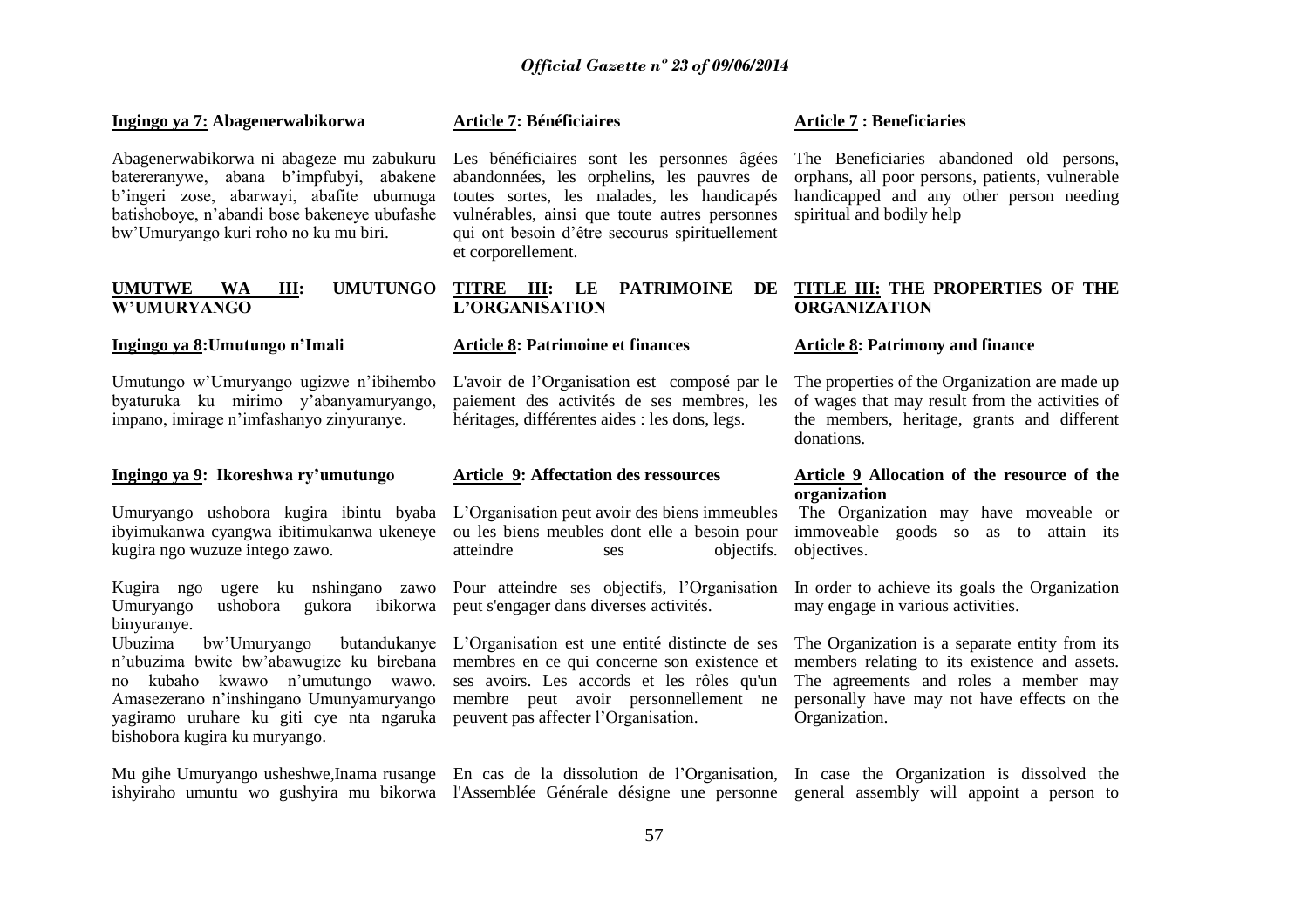#### **Ingingo ya 7: Abagenerwabikorwa**

Abagenerwabikorwa ni abageze mu zabukuru batereranywe, abana b"impfubyi, abakene b"ingeri zose, abarwayi, abafite ubumuga batishoboye, n"abandi bose bakeneye ubufashe bw"Umuryango kuri roho no ku mu biri.

#### **UMUTWE WA III: W"UMURYANGO**

#### **Ingingo ya 8:Umutungo n"Imali**

Umutungo w"Umuryango ugizwe n"ibihembo byaturuka ku mirimo y"abanyamuryango, impano, imirage n"imfashanyo zinyuranye.

#### **Ingingo ya 9: Ikoreshwa ry"umutungo**

kugira ngo wuzuze intego zawo.

Kugira ngo ugere ku nshingano zawo Pour atteindre ses objectifs, l"Organisation Umuryango ushobora gukora ibikorwa peut s'engager dans diverses activités. binyuranye.

Ubuzima bw'Umuryango n"ubuzima bwite bw"abawugize ku birebana membres en ce qui concerne son existence et no kubaho kwawo n"umutungo wawo. Amasezerano n"inshingano Umunyamuryango membre peut avoir personnellement ne yagiramo uruhare ku giti cye nta ngaruka peuvent pas affecter l"Organisation. bishobora kugira ku muryango.

**Article 7: Bénéficiaires**

abandonnées, les orphelins, les pauvres de toutes sortes, les malades, les handicapés vulnérables, ainsi que toute autres personnes spiritual and bodily help qui ont besoin d"être secourus spirituellement et corporellement.

#### **TITRE III: LE PATRIMOINE DE TITLE III: THE PROPERTIES OF THE L"ORGANISATION**

#### **Article 8: Patrimoine et finances**

paiement des activités de ses membres, les héritages, différentes aides : les dons, legs.

#### **Article 9: Affectation des ressources**

Umuryango ushobora kugira ibintu byaba L"Organisation peut avoir des biens immeubles ibyimukanwa cyangwa ibitimukanwa ukeneye ou les biens meubles dont elle a besoin pour atteindre ses objectifs. objectives.

L"Organisation est une entité distincte de ses ses avoirs. Les accords et les rôles qu'un

#### **Article 7 : Beneficiaries**

Les bénéficiaires sont les personnes âgées The Beneficiaries abandoned old persons, orphans, all poor persons, patients, vulnerable handicapped and any other person needing

# **ORGANIZATION**

#### **Article 8: Patrimony and finance**

L'avoir de l'Organisation est composé par le The properties of the Organization are made up of wages that may result from the activities of the members, heritage, grants and different donations.

#### **Article 9 Allocation of the resource of the organization**

The Organization may have moveable or immoveable goods so as to attain its

In order to achieve its goals the Organization may engage in various activities.

The Organization is a separate entity from its members relating to its existence and assets. The agreements and roles a member may personally have may not have effects on the Organization.

Mu gihe Umuryango usheshwe, Inama rusange En cas de la dissolution de l'Organisation, In case the Organization is dissolved the ishyiraho umuntu wo gushyira mu bikorwa l'Assemblée Générale désigne une personne general assembly will appoint a person to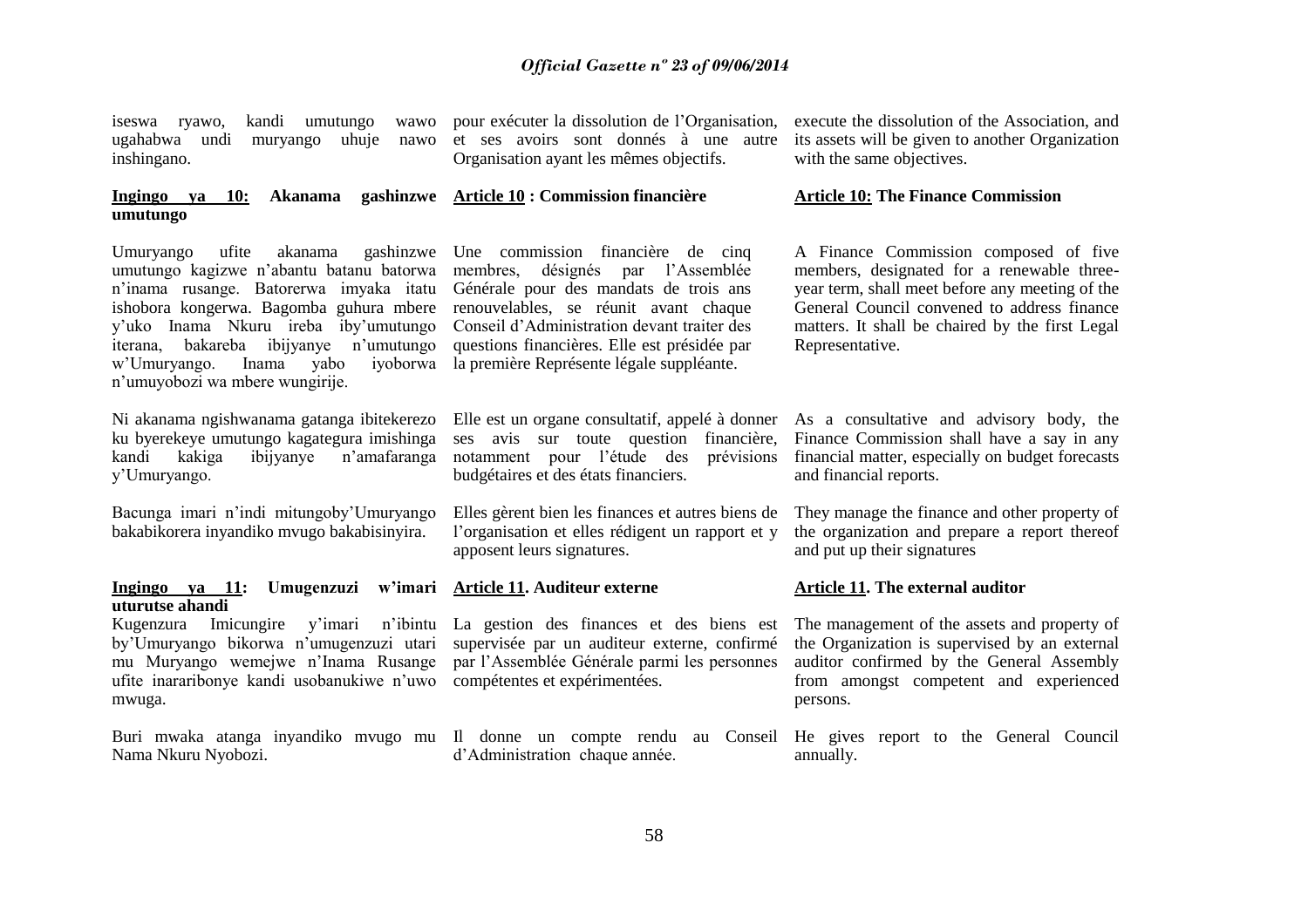iseswa ryawo, kandi umutungo inshingano.

#### **Ingingo ya 10: Akanama gashinzwe Article 10 : Commission financière umutungo**

Umuryango ufite akanama gashinzwe Une commission financière de cinq umutungo kagizwe n"abantu batanu batorwa n"inama rusange. Batorerwa imyaka itatu ishobora kongerwa. Bagomba guhura mbere y"uko Inama Nkuru ireba iby"umutungo iterana, bakareba ibijyanye n"umutungo w"Umuryango. Inama yabo iyoborwa la première Représente légale suppléante. n"umuyobozi wa mbere wungirije.

Ni akanama ngishwanama gatanga ibitekerezo ku byerekeye umutungo kagategura imishinga kandi kakiga ibijyanye n"amafaranga y"Umuryango.

Bacunga imari n"indi mitungoby"Umuryango bakabikorera inyandiko mvugo bakabisinyira.

#### **Ingingo ya 11: Umugenzuzi w"imari Article 11. Auditeur externe uturutse ahandi**

ufite inararibonye kandi usobanukiwe n'uwo compétentes et expérimentées. mwuga.

Buri mwaka atanga inyandiko mvugo mu Il donne un compte rendu au Conseil He gives report to the General Council Nama Nkuru Nyobozi.

ugahabwa undi muryango uhuje nawo et ses avoirs sont donnés à une autre pour exécuter la dissolution de l"Organisation, Organisation ayant les mêmes objectifs.

> membres, désignés par l"Assemblée Générale pour des mandats de trois ans renouvelables, se réunit avant chaque Conseil d"Administration devant traiter des questions financières. Elle est présidée par

ses avis sur toute question financière, Finance Commission shall have a say in any notamment pour l"étude des prévisions financial matter, especially on budget forecasts budgétaires et des états financiers.

l"organisation et elles rédigent un rapport et y apposent leurs signatures.

Kugenzura Imicungire y'imari n'ibintu La gestion des finances et des biens est The management of the assets and property of by"Umuryango bikorwa n"umugenzuzi utari supervisée par un auditeur externe, confirmé mu Muryango wemejwe n'Inama Rusange par l'Assemblée Générale parmi les personnes auditor confirmed by the General Assembly

d"Administration chaque année.

execute the dissolution of the Association, and its assets will be given to another Organization with the same objectives.

#### **Article 10: The Finance Commission**

A Finance Commission composed of five members, designated for a renewable threeyear term, shall meet before any meeting of the General Council convened to address finance matters. It shall be chaired by the first Legal Representative.

Elle est un organe consultatif, appelé à donner As a consultative and advisory body, the and financial reports.

Elles gèrent bien les finances et autres biens de They manage the finance and other property of the organization and prepare a report thereof and put up their signatures

#### **Article 11. The external auditor**

the Organization is supervised by an external from amongst competent and experienced persons.

annually.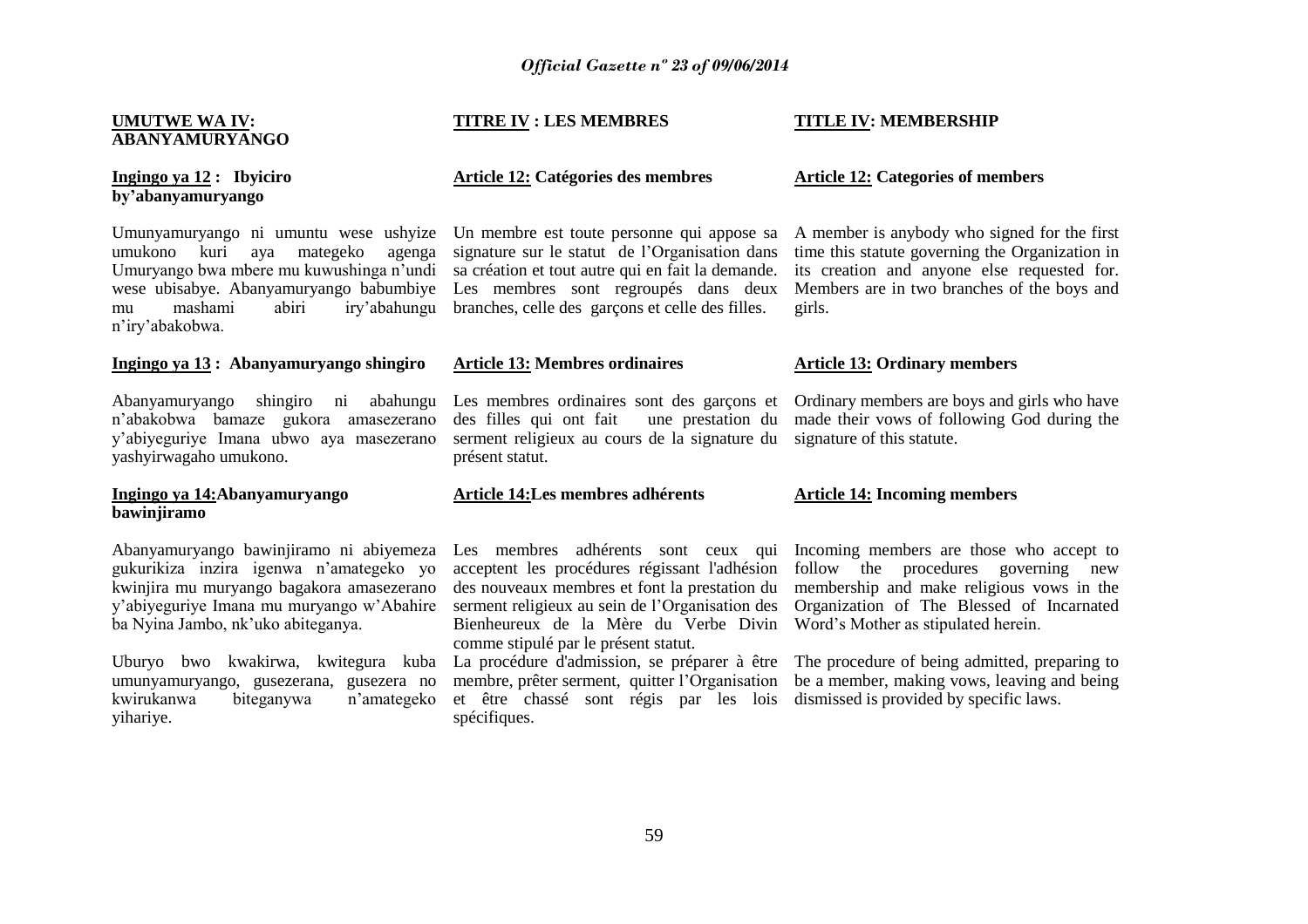#### **UMUTWE WA IV: ABANYAMURYANGO**

**Ingingo ya 12 : Ibyiciro by"abanyamuryango**

Umunyamuryango ni umuntu wese ushyize Un membre est toute personne qui appose sa umukono kuri aya mategeko agenga signature sur le statut de l"Organisation dans Umuryango bwa mbere mu kuwushinga n"undi wese ubisabye. Abanyamuryango babumbiye Les membres sont regroupés dans deux mu mashami abiri iry"abahungu branches, celle des garçons et celle des filles. n"iry"abakobwa.

#### **Ingingo ya 13 : Abanyamuryango shingiro**

Abanyamuryango shingiro ni abahungu Les membres ordinaires sont des garçons et Ordinary members are boys and girls who have n"abakobwa bamaze gukora amasezerano y"abiyeguriye Imana ubwo aya masezerano yashyirwagaho umukono.

#### **Ingingo ya 14:Abanyamuryango bawinjiramo**

gukurikiza inzira igenwa n"amategeko yo kwinjira mu muryango bagakora amasezerano y"abiyeguriye Imana mu muryango w"Abahire serment religieux au sein de l"Organisation des Organization of The Blessed of Incarnated ba Nyina Jambo, nk"uko abiteganya.

Uburyo bwo kwakirwa, kwitegura kuba La procédure d'admission, se préparer à être The procedure of being admitted, preparing to umunyamuryango, gusezerana, gusezera no kwirukanwa biteganywa n"amategeko yihariye.

#### **TITRE IV : LES MEMBRES**

#### **Article 12: Catégories des membres**

sa création et tout autre qui en fait la demande.

#### **Article 13: Membres ordinaires**

des filles qui ont fait serment religieux au cours de la signature du signature of this statute. présent statut.

#### **Article 14:Les membres adhérents**

acceptent les procédures régissant l'adhésion follow the procedures governing new des nouveaux membres et font la prestation du membership and make religious vows in the Bienheureux de la Mère du Verbe Divin Word"s Mother as stipulated herein. comme stipulé par le présent statut.

et être chassé sont régis par les lois dismissed is provided by specific laws.spécifiques.

#### **TITLE IV: MEMBERSHIP**

#### **Article 12: Categories of members**

A member is anybody who signed for the first time this statute governing the Organization in its creation and anyone else requested for. Members are in two branches of the boys and girls.

#### **Article 13: Ordinary members**

une prestation du made their vows of following God during the

#### **Article 14: Incoming members**

Abanyamuryango bawinjiramo ni abiyemeza Les membres adhérents sont ceux qui Incoming members are those who accept to

membre, prêter serment, quitter l'Organisation be a member, making vows, leaving and being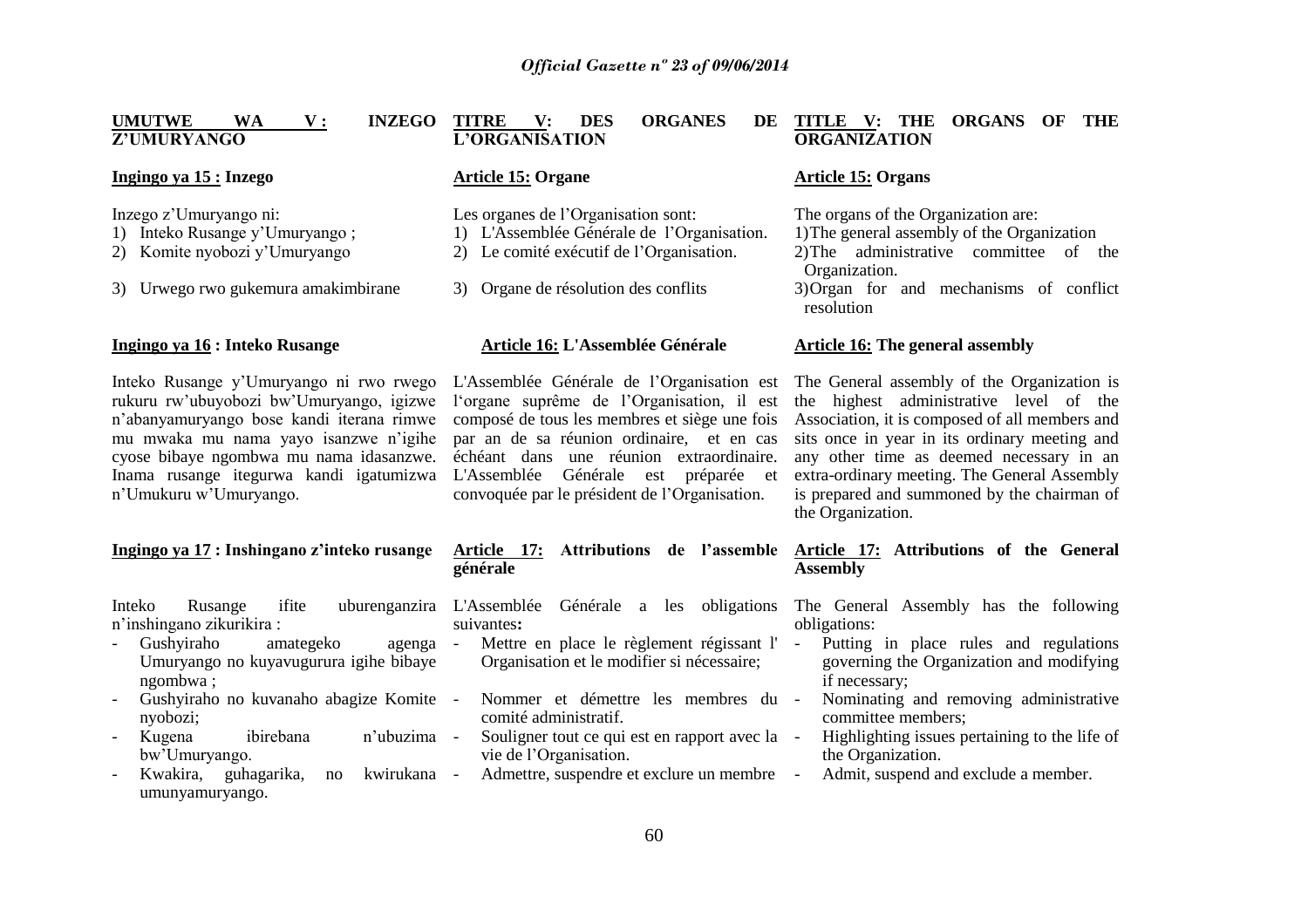| <b>UMUTWE</b><br><b>INZEGO</b><br><b>WA</b><br>${\bf v}$ :<br>Z'UMURYANGO                                                                                                                                                                                                                                                                | <b>ORGANES</b><br><b>TITRE</b><br><b>DES</b><br>V:<br>DE<br>L'ORGANISATION                                                                                                                                                                                                                                                                                              | TITLE V: THE<br><b>ORGANS</b><br><b>THE</b><br>OF<br><b>ORGANIZATION</b>                                                                                                                                                                                                                                                                                                     |
|------------------------------------------------------------------------------------------------------------------------------------------------------------------------------------------------------------------------------------------------------------------------------------------------------------------------------------------|-------------------------------------------------------------------------------------------------------------------------------------------------------------------------------------------------------------------------------------------------------------------------------------------------------------------------------------------------------------------------|------------------------------------------------------------------------------------------------------------------------------------------------------------------------------------------------------------------------------------------------------------------------------------------------------------------------------------------------------------------------------|
| Ingingo ya 15 : Inzego                                                                                                                                                                                                                                                                                                                   | <b>Article 15: Organe</b>                                                                                                                                                                                                                                                                                                                                               | <b>Article 15: Organs</b>                                                                                                                                                                                                                                                                                                                                                    |
| Inzego z'Umuryango ni:<br>1) Inteko Rusange y'Umuryango;<br>2) Komite nyobozi y'Umuryango<br>3) Urwego rwo gukemura amakimbirane                                                                                                                                                                                                         | Les organes de l'Organisation sont:<br>1) L'Assemblée Générale de l'Organisation.<br>2) Le comité exécutif de l'Organisation.<br>Organe de résolution des conflits<br>3)                                                                                                                                                                                                | The organs of the Organization are:<br>1) The general assembly of the Organization<br>2) The administrative committee of the<br>Organization.<br>3) Organ for and mechanisms of conflict<br>resolution                                                                                                                                                                       |
| Ingingo ya 16 : Inteko Rusange                                                                                                                                                                                                                                                                                                           | Article 16: L'Assemblée Générale                                                                                                                                                                                                                                                                                                                                        | <b>Article 16: The general assembly</b>                                                                                                                                                                                                                                                                                                                                      |
| Inteko Rusange y'Umuryango ni rwo rwego<br>rukuru rw'ubuyobozi bw'Umuryango, igizwe<br>n'abanyamuryango bose kandi iterana rimwe<br>mu mwaka mu nama yayo isanzwe n'igihe<br>cyose bibaye ngombwa mu nama idasanzwe.<br>Inama rusange itegurwa kandi igatumizwa<br>n'Umukuru w'Umuryango.                                                | L'Assemblée Générale de l'Organisation est<br>l'organe suprême de l'Organisation, il est<br>composé de tous les membres et siège une fois<br>par an de sa réunion ordinaire, et en cas<br>échéant dans une réunion extraordinaire.<br>L'Assemblée<br>Générale<br>préparée et<br>est<br>convoquée par le président de l'Organisation.                                    | The General assembly of the Organization is<br>the highest administrative level of the<br>Association, it is composed of all members and<br>sits once in year in its ordinary meeting and<br>any other time as deemed necessary in an<br>extra-ordinary meeting. The General Assembly<br>is prepared and summoned by the chairman of<br>the Organization.                    |
| Ingingo ya 17: Inshingano z'inteko rusange                                                                                                                                                                                                                                                                                               | Attributions de l'assemble<br>Article 17:<br>générale                                                                                                                                                                                                                                                                                                                   | Article 17: Attributions of the General<br><b>Assembly</b>                                                                                                                                                                                                                                                                                                                   |
| ifite<br>Inteko<br>Rusange<br>n'inshingano zikurikira:<br>Gushyiraho<br>amategeko<br>agenga -<br>Umuryango no kuyavugurura igihe bibaye<br>ngombwa;<br>Gushyiraho no kuvanaho abagize Komite -<br>nyobozi;<br>Kugena<br>ibirebana<br>n'ubuzima -<br>bw'Umuryango.<br>Kwakira,<br>kwirukana<br>guhagarika,<br>$\rm no$<br>umunyamuryango. | uburenganzira L'Assemblée Générale a les obligations<br>suivantes:<br>Mettre en place le règlement régissant l'<br>Organisation et le modifier si nécessaire;<br>Nommer et démettre les membres du -<br>comité administratif.<br>Souligner tout ce qui est en rapport avec la -<br>vie de l'Organisation.<br>Admettre, suspendre et exclure un membre<br>$\overline{a}$ | The General Assembly has the following<br>obligations:<br>Putting in place rules and regulations<br>$\omega_{\rm{max}}$<br>governing the Organization and modifying<br>if necessary;<br>Nominating and removing administrative<br>committee members;<br>Highlighting issues pertaining to the life of<br>the Organization.<br>Admit, suspend and exclude a member.<br>$\sim$ |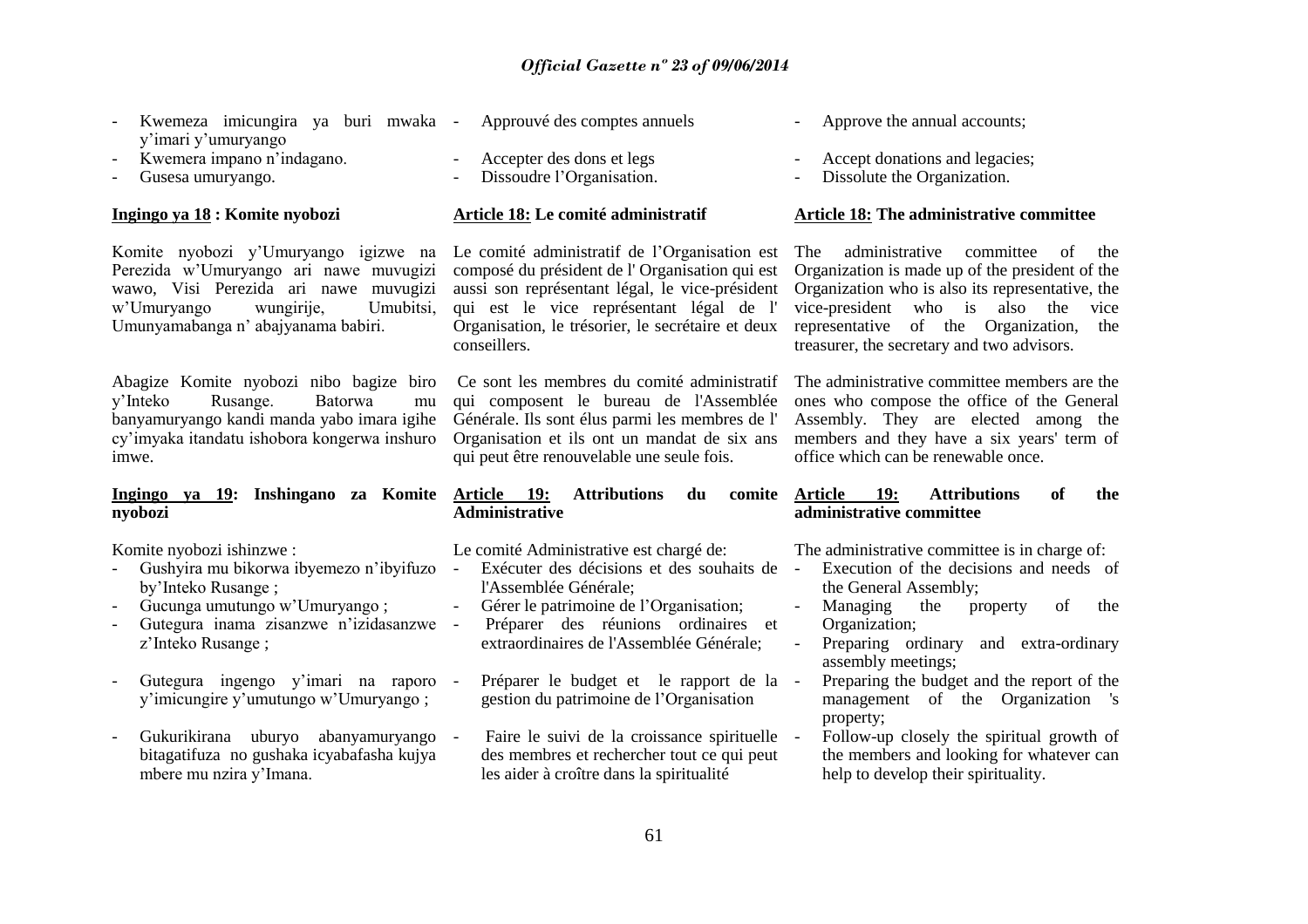| Kwemeza imicungira ya buri mwaka -<br>y'imari y'umuryango<br>Kwemera impano n'indagano.<br>Gusesa umuryango.                                                                                                                                                                                                                                                                         | Approuvé des comptes annuels<br>Accepter des dons et legs<br>Dissoudre l'Organisation.                                                                                                                                                                                                                                                                                                                                                                                                                                                 | Approve the annual accounts;<br>Accept donations and legacies;<br>Dissolute the Organization.                                                                                                                                                                                                                                                                                                                                                                                                                                                   |
|--------------------------------------------------------------------------------------------------------------------------------------------------------------------------------------------------------------------------------------------------------------------------------------------------------------------------------------------------------------------------------------|----------------------------------------------------------------------------------------------------------------------------------------------------------------------------------------------------------------------------------------------------------------------------------------------------------------------------------------------------------------------------------------------------------------------------------------------------------------------------------------------------------------------------------------|-------------------------------------------------------------------------------------------------------------------------------------------------------------------------------------------------------------------------------------------------------------------------------------------------------------------------------------------------------------------------------------------------------------------------------------------------------------------------------------------------------------------------------------------------|
| Ingingo ya 18 : Komite nyobozi                                                                                                                                                                                                                                                                                                                                                       | Article 18: Le comité administratif                                                                                                                                                                                                                                                                                                                                                                                                                                                                                                    | <b>Article 18: The administrative committee</b>                                                                                                                                                                                                                                                                                                                                                                                                                                                                                                 |
| Komite nyobozi y'Umuryango igizwe na<br>Perezida w'Umuryango ari nawe muvugizi<br>wawo, Visi Perezida ari nawe muvugizi<br>w'Umuryango<br>wungirije,<br>Umubitsi,<br>Umunyamabanga n' abajyanama babiri.                                                                                                                                                                             | Le comité administratif de l'Organisation est<br>composé du président de l'Organisation qui est<br>aussi son représentant légal, le vice-président<br>qui est le vice représentant légal de l'<br>Organisation, le trésorier, le secrétaire et deux<br>conseillers.                                                                                                                                                                                                                                                                    | administrative<br>The<br>committee<br>of<br>the<br>Organization is made up of the president of the<br>Organization who is also its representative, the<br>vice-president<br>who is<br>also<br>the<br>vice<br>of the<br>representative<br>Organization,<br>the<br>treasurer, the secretary and two advisors.                                                                                                                                                                                                                                     |
| Abagize Komite nyobozi nibo bagize biro<br>y'Inteko<br>Rusange.<br>Batorwa<br>mu<br>banyamuryango kandi manda yabo imara igihe<br>cy'imyaka itandatu ishobora kongerwa inshuro<br>imwe.                                                                                                                                                                                              | Ce sont les membres du comité administratif<br>qui composent le bureau de l'Assemblée<br>Générale. Ils sont élus parmi les membres de l'<br>Organisation et ils ont un mandat de six ans<br>qui peut être renouvelable une seule fois.                                                                                                                                                                                                                                                                                                 | The administrative committee members are the<br>ones who compose the office of the General<br>Assembly. They are elected among the<br>members and they have a six years' term of<br>office which can be renewable once.                                                                                                                                                                                                                                                                                                                         |
| Ingingo ya 19:<br>Inshingano za<br>Komite<br>nyobozi                                                                                                                                                                                                                                                                                                                                 | <b>Article</b><br><b>19:</b><br><b>Attributions</b><br>du<br>comite<br><b>Administrative</b>                                                                                                                                                                                                                                                                                                                                                                                                                                           | <b>19:</b><br><b>Attributions</b><br>of<br><b>Article</b><br>the<br>administrative committee                                                                                                                                                                                                                                                                                                                                                                                                                                                    |
| Komite nyobozi ishinzwe:<br>Gushyira mu bikorwa ibyemezo n'ibyifuzo<br>by'Inteko Rusange;<br>Gucunga umutungo w'Umuryango;<br>Gutegura inama zisanzwe n'izidasanzwe<br>z'Inteko Rusange;<br>Gutegura ingengo y'imari na raporo<br>y'imicungire y'umutungo w'Umuryango;<br>Gukurikirana uburyo abanyamuryango<br>bitagatifuza no gushaka icyabafasha kujya<br>mbere mu nzira y'Imana. | Le comité Administrative est chargé de:<br>Exécuter des décisions et des souhaits de<br>$\mathcal{L}$<br>l'Assemblée Générale;<br>Gérer le patrimoine de l'Organisation;<br>Préparer des réunions ordinaires<br>et<br>$\overline{\phantom{a}}$<br>extraordinaires de l'Assemblée Générale;<br>Préparer le budget et le rapport de la<br>$\sim$ $-$<br>gestion du patrimoine de l'Organisation<br>Faire le suivi de la croissance spirituelle<br>des membres et rechercher tout ce qui peut<br>les aider à croître dans la spiritualité | The administrative committee is in charge of:<br>Execution of the decisions and needs of<br>$\mathbb{Z}^2$<br>the General Assembly;<br>$\frac{1}{2}$<br>Managing<br>of<br>the<br>property<br>the<br>Organization;<br>Preparing ordinary<br>and extra-ordinary<br>assembly meetings;<br>Preparing the budget and the report of the<br>$\overline{\phantom{a}}$<br>management of the Organization 's<br>property;<br>Follow-up closely the spiritual growth of<br>the members and looking for whatever can<br>help to develop their spirituality. |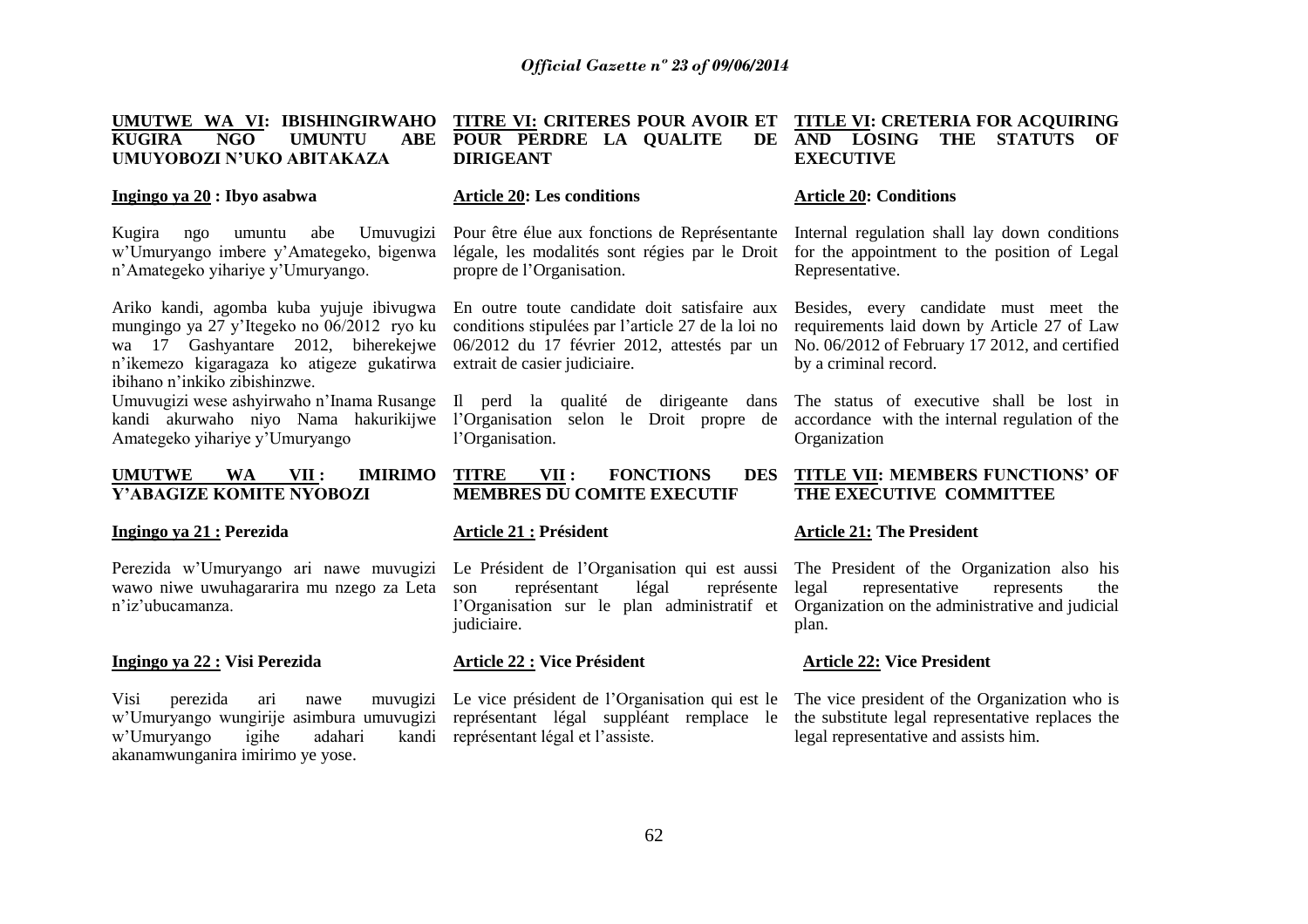#### UMUTWE WA VI: IBISHINGIRWAHO TITRE VI: CRITERES POUR AVOIR ET TITLE VI: CRETERIA FOR ACQUIRING KUGIRA NGO UMUNTU **UMUYOBOZI N"UKO ABITAKAZA ABE POUR PERDRE LA QUALITE DIRIGEANT AND LOSING THE STATUTS OF EXECUTIVE**

#### **Ingingo ya 20 : Ibyo asabwa**

Kugira ngo umuntu abe Umuvugizi w"Umuryango imbere y"Amategeko, bigenwa n"Amategeko yihariye y"Umuryango.

Ariko kandi, agomba kuba yujuje ibivugwa En outre toute candidate doit satisfaire aux Besides, every candidate must meet the n"ikemezo kigaragaza ko atigeze gukatirwa extrait de casier judiciaire. ibihano n"inkiko zibishinzwe.

Amategeko yihariye y"Umuryango

#### **UMUTWE WA VII : IMIRIMO Y"ABAGIZE KOMITE NYOBOZI**

#### **Ingingo ya 21 : Perezida**

Perezida w'Umuryango ari nawe muvugizi Le Président de l'Organisation qui est aussi The President of the Organization also his wawo niwe uwuhagararira mu nzego za Leta n"iz"ubucamanza.

#### **Ingingo ya 22 : Visi Perezida**

w'Umuryango igihe adahari akanamwunganira imirimo ye yose.

#### **Article 20: Les conditions**

propre de l"Organisation.

mungingo ya 27 y'Itegeko no 06/2012 ryo ku conditions stipulées par l'article 27 de la loi no wa 17 Gashyantare 2012, biherekejwe 06/2012 du 17 février 2012, attestés par un

Umuvugizi wese ashyirwaho n'Inama Rusange Il perd la qualité de dirigeante dans The status of executive shall be lost in kandi akurwaho niyo Nama hakurikijwe l"Organisation selon le Droit propre de accordance with the internal regulation of the l'Organisation.

#### **TITRE VII : FONCTIONS DES MEMBRES DU COMITE EXECUTIF**

#### **Article 21 : Président**

représentant légal représente legal l'Organisation sur le plan administratif et Organization on the administrative and judicial judiciaire.

#### **Article 22 : Vice Président**

Visi perezida ari nawe muvugizi Le vice président de l"Organisation qui est le The vice president of the Organization who is w'Umuryango wungirije asimbura umuvugizi représentant légal suppléant remplace le the substitute legal representative replaces the kandi représentant légal et l'assiste.

#### **Article 20: Conditions**

Pour être élue aux fonctions de Représentante Internal regulation shall lay down conditions légale, les modalités sont régies par le Droit for the appointment to the position of Legal Representative.

> requirements laid down by Article 27 of Law No. 06/2012 of February 17 2012, and certified by a criminal record.

> Organization

#### **TITLE VII: MEMBERS FUNCTIONS" OF THE EXECUTIVE COMMITTEE**

#### **Article 21: The President**

representative represents the plan.

#### **Article 22: Vice President**

legal representative and assists him.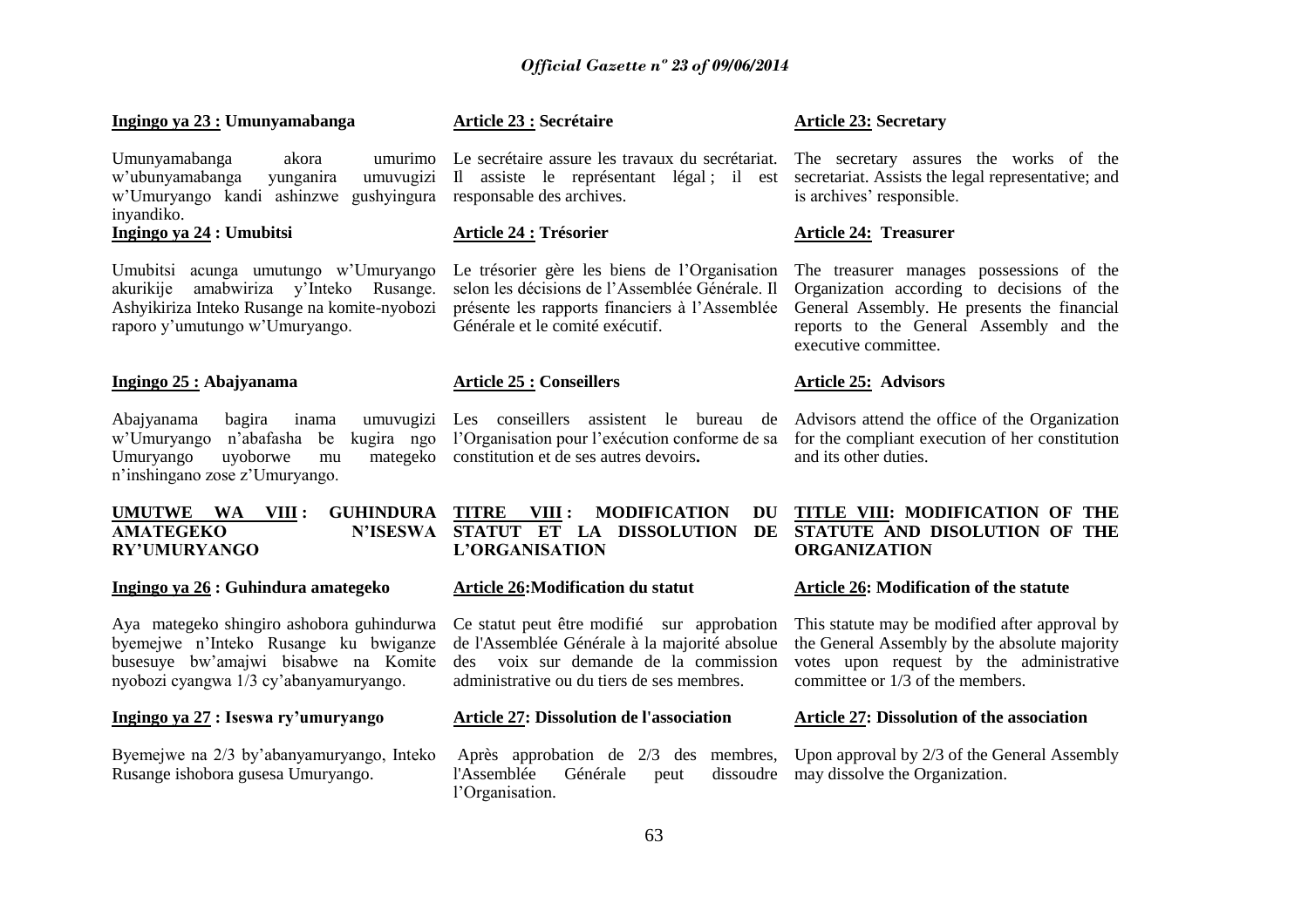#### **Ingingo ya 23 : Umunyamabanga**

Umunyamabanga akora w"ubunyamabanga yunganira umuvugizi w"Umuryango kandi ashinzwe gushyingura responsable des archives. inyandiko.

#### **Ingingo ya 24 : Umubitsi**

Umubitsi acunga umutungo w"Umuryango akurikije amabwiriza y"Inteko Rusange. Ashyikiriza Inteko Rusange na komite-nyobozi raporo y"umutungo w"Umuryango.

#### **Ingingo 25 : Abajyanama**

Abajyanama bagira inama Umuryango uyoborwe mu n"inshingano zose z"Umuryango.

#### UMUTWE WA VIII **: AMATEGEKO RY"UMURYANGO**

**Ingingo ya 26 : Guhindura amategeko**

Aya mategeko shingiro ashobora guhindurwa byemejwe n"Inteko Rusange ku bwiganze busesuye bw"amajwi bisabwe na Komite nyobozi cyangwa 1/3 cy"abanyamuryango.

#### **Ingingo ya 27 : Iseswa ry"umuryango**

Byemejwe na 2/3 by"abanyamuryango, Inteko Rusange ishobora gusesa Umuryango.

#### **Article 23 : Secrétaire**

Il assiste le représentant légal ; il est secretariat. Assists the legal representative; and

#### **Article 24 : Trésorier**

Le trésorier gère les biens de l"Organisation The treasurer manages possessions of the selon les décisions de l"Assemblée Générale. Il présente les rapports financiers à l"Assemblée General Assembly. He presents the financial Générale et le comité exécutif.

#### **Article 25 : Conseillers**

w"Umuryango n"abafasha be kugira ngo l"Organisation pour l"exécution conforme de sa for the compliant execution of her constitution mategeko constitution et de ses autres devoirs.

> **TITRE VIII : MODIFICATION DU L"ORGANISATION**

#### **Article 26:Modification du statut**

Ce statut peut être modifié sur approbation de l'Assemblée Générale à la majorité absolue des voix sur demande de la commission administrative ou du tiers de ses membres.

#### **Article 27: Dissolution de l'association**

l'Assemblée Générale peut l"Organisation.

#### **Article 23: Secretary**

Le secrétaire assure les travaux du secrétariat. The secretary assures the works of the is archives' responsible.

#### **Article 24: Treasurer**

Organization according to decisions of the reports to the General Assembly and the executive committee.

#### **Article 25: Advisors**

Les conseillers assistent le bureau de Advisors attend the office of the Organization and its other duties.

#### **STATUT ET LA DISSOLUTION DE STATUTE AND DISOLUTION OF THE TITLE VIII: MODIFICATION OF THE ORGANIZATION**

#### **Article 26: Modification of the statute**

This statute may be modified after approval by the General Assembly by the absolute majority votes upon request by the administrative committee or 1/3 of the members.

#### **Article 27: Dissolution of the association**

Après approbation de 2/3 des membres, Upon approval by 2/3 of the General Assembly dissoudre may dissolve the Organization.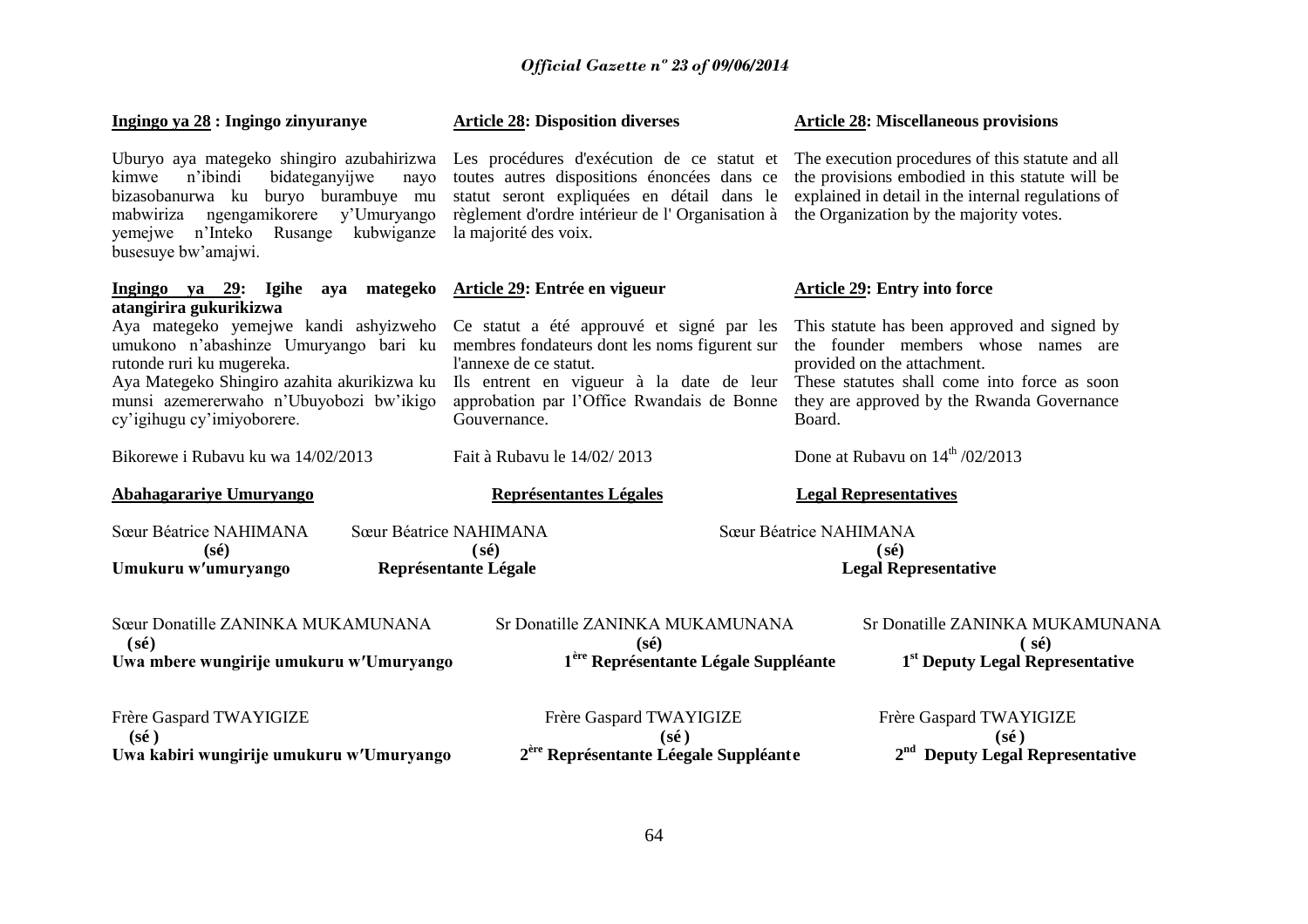| Ingingo ya 28 : Ingingo zinyuranye                                                                                                                                                             | <b>Article 28: Disposition diverses</b>                                                                                                                                                                                                                                                                    | <b>Article 28: Miscellaneous provisions</b>                                                                                                                                                                                |  |
|------------------------------------------------------------------------------------------------------------------------------------------------------------------------------------------------|------------------------------------------------------------------------------------------------------------------------------------------------------------------------------------------------------------------------------------------------------------------------------------------------------------|----------------------------------------------------------------------------------------------------------------------------------------------------------------------------------------------------------------------------|--|
| bidateganyijwe<br>n'ibindi<br>kimwe<br>nayo<br>bizasobanurwa ku buryo burambuye mu<br>ngengamikorere y'Umuryango<br>mabwiriza<br>yemejwe n'Inteko<br>Rusange kubwiganze<br>busesuye bw'amajwi. | Uburyo aya mategeko shingiro azubahirizwa Les procédures d'exécution de ce statut et<br>toutes autres dispositions énoncées dans ce<br>statut seront expliquées en détail dans le<br>règlement d'ordre intérieur de l'Organisation à<br>la majorité des voix.                                              | The execution procedures of this statute and all<br>the provisions embodied in this statute will be<br>explained in detail in the internal regulations of<br>the Organization by the majority votes.                       |  |
| Ingingo ya 29: Igihe aya mategeko<br>atangirira gukurikizwa                                                                                                                                    | Article 29: Entrée en vigueur                                                                                                                                                                                                                                                                              | <b>Article 29: Entry into force</b>                                                                                                                                                                                        |  |
| rutonde ruri ku mugereka.<br>Aya Mategeko Shingiro azahita akurikizwa ku<br>munsi azemererwaho n'Ubuyobozi bw'ikigo<br>cy'igihugu cy'imiyoborere.                                              | Aya mategeko yemejwe kandi ashyizweho Ce statut a été approuvé et signé par les<br>umukono n'abashinze Umuryango bari ku membres fondateurs dont les noms figurent sur<br>l'annexe de ce statut.<br>Ils entrent en vigueur à la date de leur<br>approbation par l'Office Rwandais de Bonne<br>Gouvernance. | This statute has been approved and signed by<br>the founder members whose names are<br>provided on the attachment.<br>These statutes shall come into force as soon<br>they are approved by the Rwanda Governance<br>Board. |  |
| Bikorewe i Rubayu ku wa 14/02/2013                                                                                                                                                             | Fait à Rubavu le 14/02/2013                                                                                                                                                                                                                                                                                | Done at Rubayu on $14^{\text{th}}$ /02/2013                                                                                                                                                                                |  |
| <b>Abahagarariye Umuryango</b>                                                                                                                                                                 | Représentantes Légales                                                                                                                                                                                                                                                                                     | <b>Legal Representatives</b>                                                                                                                                                                                               |  |
| Sœur Béatrice NAHIMANA<br>$(s\acute{e})$<br>Umukuru w'umuryango                                                                                                                                | Sœur Béatrice NAHIMANA<br>$(s\acute{e})$<br>Représentante Légale                                                                                                                                                                                                                                           | Sœur Béatrice NAHIMANA<br>$(s\acute{e})$<br><b>Legal Representative</b>                                                                                                                                                    |  |
| Sœur Donatille ZANINKA MUKAMUNANA<br>$(s\acute{e})$<br>Uwa mbere wungirije umukuru w'Umuryango                                                                                                 | Sr Donatille ZANINKA MUKAMUNANA<br>$(s\acute{e})$<br>1 <sup>ère</sup> Représentante Légale Suppléante                                                                                                                                                                                                      | Sr Donatille ZANINKA MUKAMUNANA<br>$(s\acute{e})$<br><sup>1st</sup> Deputy Legal Representative                                                                                                                            |  |
| Frère Gaspard TWAYIGIZE<br>$(s\acute{e})$                                                                                                                                                      | Frère Gaspard TWAYIGIZE<br>$(\mathbf{s}\hat{\mathbf{e}})$                                                                                                                                                                                                                                                  | Frère Gaspard TWAYIGIZE<br>$(s\acute{e})$                                                                                                                                                                                  |  |
| Uwa kabiri wungirije umukuru w'Umuryango                                                                                                                                                       | 2 <sup>ère</sup> Représentante Léegale Suppléante                                                                                                                                                                                                                                                          | 2 <sup>nd</sup> Deputy Legal Representative                                                                                                                                                                                |  |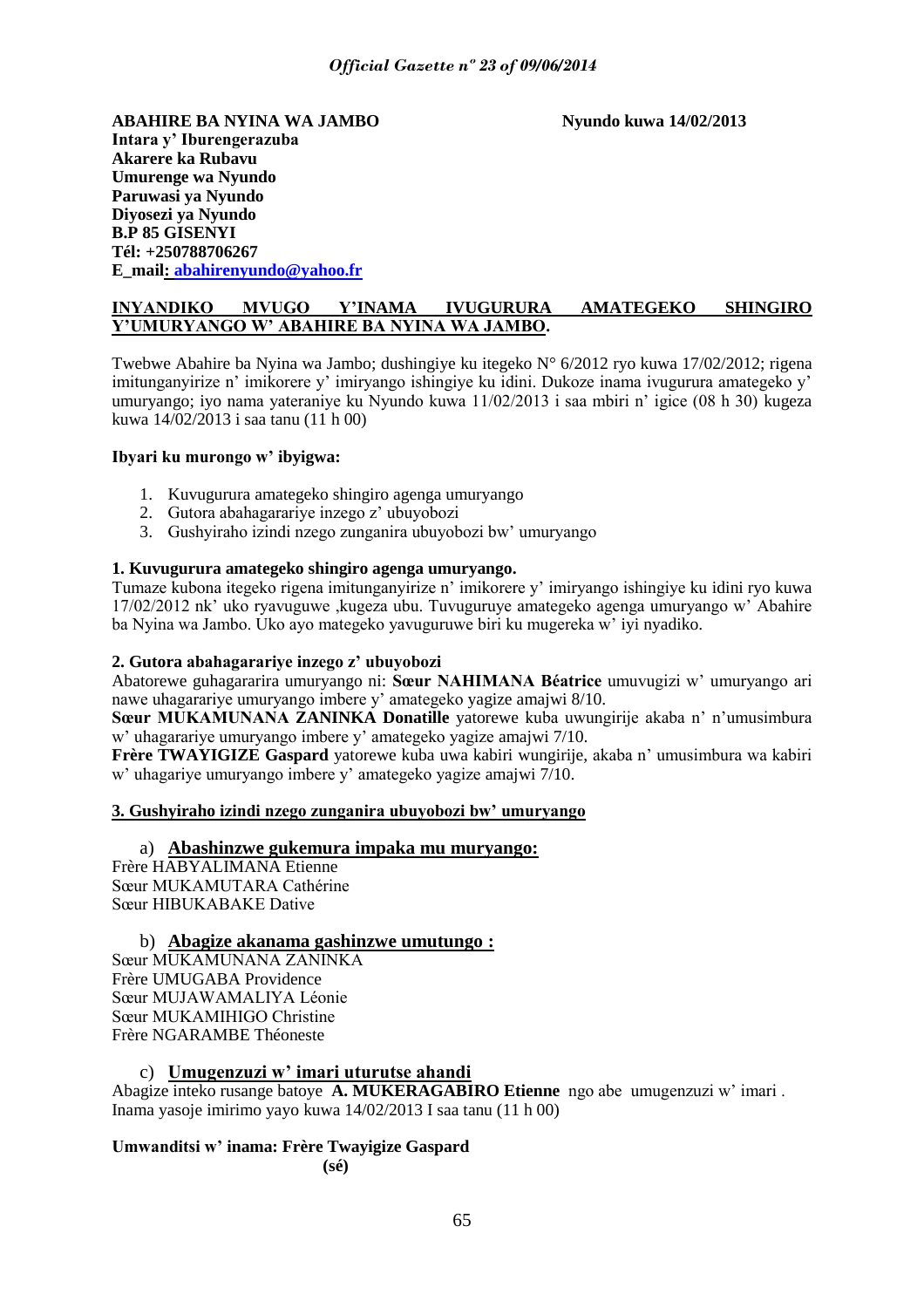**ABAHIRE BA NYINA WA JAMBO Nyundo kuwa 14/02/2013 Intara y" Iburengerazuba Akarere ka Rubavu Umurenge wa Nyundo Paruwasi ya Nyundo Diyosezi ya Nyundo B.P 85 GISENYI Tél: +250788706267 E\_mail: [abahirenyundo@yahoo.fr](mailto:abahirenyundo@yahoo.fr)**

#### **INYANDIKO MVUGO Y"INAMA IVUGURURA AMATEGEKO SHINGIRO Y"UMURYANGO W" ABAHIRE BA NYINA WA JAMBO.**

Twebwe Abahire ba Nyina wa Jambo; dushingiye ku itegeko N° 6/2012 ryo kuwa 17/02/2012; rigena imitunganyirize n' imikorere y' imiryango ishingiye ku idini. Dukoze inama ivugurura amategeko y' umuryango; iyo nama yateraniye ku Nyundo kuwa 11/02/2013 i saa mbiri n" igice (08 h 30) kugeza kuwa 14/02/2013 i saa tanu (11 h 00)

#### **Ibyari ku murongo w" ibyigwa:**

- 1. Kuvugurura amategeko shingiro agenga umuryango
- 2. Gutora abahagarariye inzego z'ubuyobozi
- 3. Gushyiraho izindi nzego zunganira ubuyobozi bw" umuryango

#### **1. Kuvugurura amategeko shingiro agenga umuryango.**

Tumaze kubona itegeko rigena imitunganyirize n" imikorere y" imiryango ishingiye ku idini ryo kuwa 17/02/2012 nk" uko ryavuguwe ,kugeza ubu. Tuvuguruye amategeko agenga umuryango w" Abahire ba Nyina wa Jambo. Uko ayo mategeko yavuguruwe biri ku mugereka w" iyi nyadiko.

#### **2. Gutora abahagarariye inzego z" ubuyobozi**

Abatorewe guhagararira umuryango ni: **Sœur NAHIMANA Béatrice** umuvugizi w" umuryango ari nawe uhagarariye umuryango imbere y" amategeko yagize amajwi 8/10.

**Sœur MUKAMUNANA ZANINKA Donatille** yatorewe kuba uwungirije akaba n" n"umusimbura w" uhagarariye umuryango imbere y" amategeko yagize amajwi 7/10.

**Frère TWAYIGIZE Gaspard** yatorewe kuba uwa kabiri wungirije, akaba n" umusimbura wa kabiri w" uhagariye umuryango imbere y" amategeko yagize amajwi 7/10.

#### **3. Gushyiraho izindi nzego zunganira ubuyobozi bw" umuryango**

a) **Abashinzwe gukemura impaka mu muryango:** Frère HABYALIMANA Etienne Sœur MUKAMUTARA Cathérine Sœur HIBUKABAKE Dative

b) **Abagize akanama gashinzwe umutungo :**

Sœur MUKAMUNANA ZANINKA Frère UMUGABA Providence Sœur MUJAWAMALIYA Léonie Sœur MUKAMIHIGO Christine Frère NGARAMBE Théoneste

### c) **Umugenzuzi w" imari uturutse ahandi**

Abagize inteko rusange batoye **A. MUKERAGABIRO Etienne** ngo abe umugenzuzi w" imari . Inama yasoje imirimo yayo kuwa 14/02/2013 I saa tanu (11 h 00)

### **Umwanditsi w" inama: Frère Twayigize Gaspard**

**(sé)**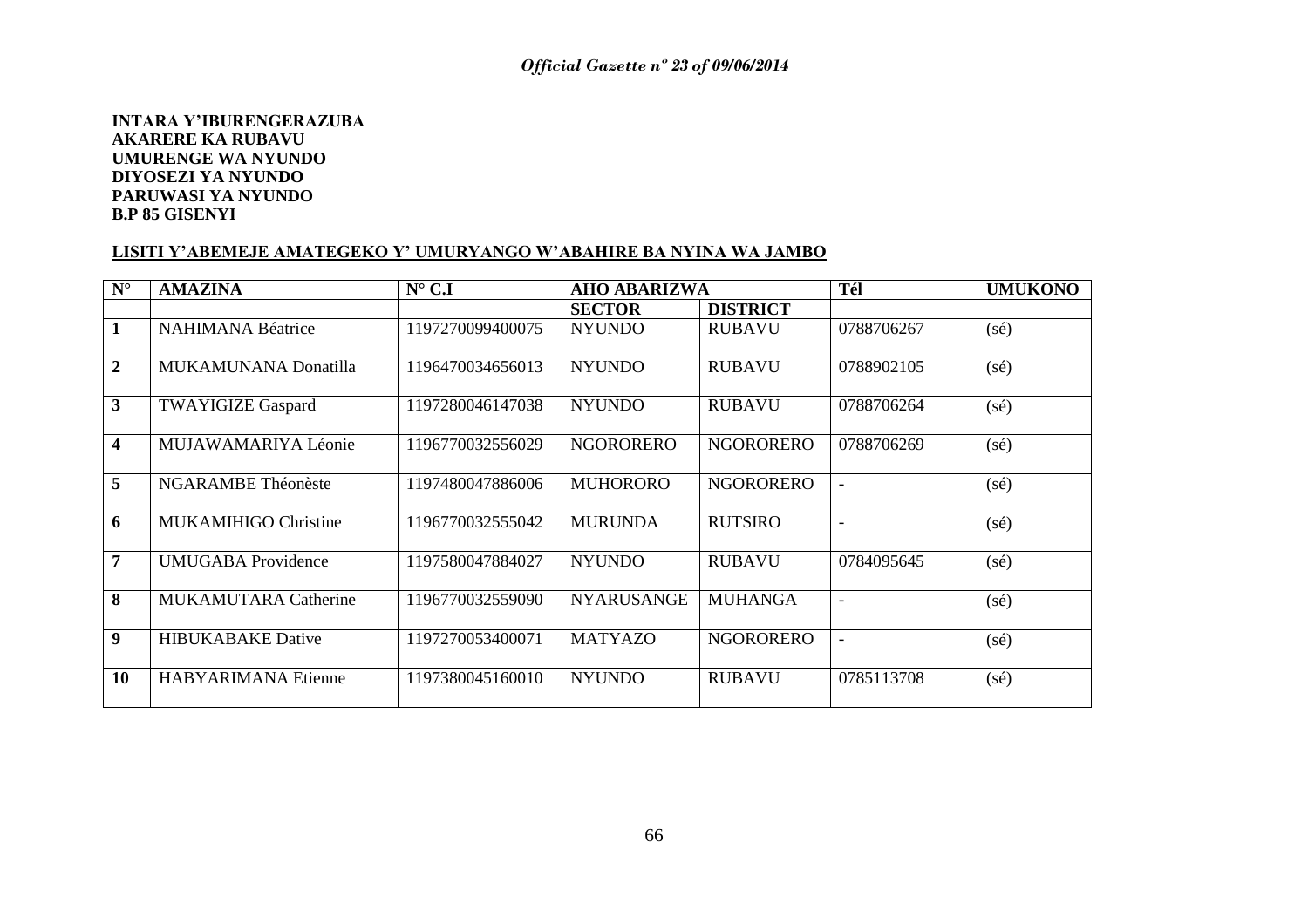#### **INTARA Y"IBURENGERAZUBA AKARERE KA RUBAVU UMURENGE WA NYUNDO DIYOSEZI YA NYUNDO PARUWASI YA NYUNDO B.P 85 GISENYI**

#### **LISITI Y"ABEMEJE AMATEGEKO Y" UMURYANGO W"ABAHIRE BA NYINA WA JAMBO**

| $\mathbf{N}^\circ$      | <b>AMAZINA</b>              | $N^{\circ}$ C.I  | <b>AHO ABARIZWA</b> |                  | Tél                      | <b>UMUKONO</b> |
|-------------------------|-----------------------------|------------------|---------------------|------------------|--------------------------|----------------|
|                         |                             |                  | <b>SECTOR</b>       | <b>DISTRICT</b>  |                          |                |
| $\mathbf{1}$            | <b>NAHIMANA Béatrice</b>    | 1197270099400075 | <b>NYUNDO</b>       | <b>RUBAVU</b>    | 0788706267               | $(s\acute{e})$ |
| $\overline{2}$          | MUKAMUNANA Donatilla        | 1196470034656013 | <b>NYUNDO</b>       | <b>RUBAVU</b>    | 0788902105               | $(s\acute{e})$ |
| $\mathbf{3}$            | <b>TWAYIGIZE Gaspard</b>    | 1197280046147038 | <b>NYUNDO</b>       | <b>RUBAVU</b>    | 0788706264               | $(s\acute{e})$ |
| $\overline{\mathbf{4}}$ | MUJAWAMARIYA Léonie         | 1196770032556029 | <b>NGORORERO</b>    | <b>NGORORERO</b> | 0788706269               | $(s\acute{e})$ |
| $\overline{5}$          | <b>NGARAMBE Théonèste</b>   | 1197480047886006 | <b>MUHORORO</b>     | <b>NGORORERO</b> | $\overline{\phantom{a}}$ | $(s\acute{e})$ |
| 6                       | <b>MUKAMIHIGO Christine</b> | 1196770032555042 | <b>MURUNDA</b>      | <b>RUTSIRO</b>   | $\overline{\phantom{0}}$ | $(s\acute{e})$ |
| 7                       | <b>UMUGABA</b> Providence   | 1197580047884027 | <b>NYUNDO</b>       | <b>RUBAVU</b>    | 0784095645               | $(s\acute{e})$ |
| 8                       | <b>MUKAMUTARA Catherine</b> | 1196770032559090 | <b>NYARUSANGE</b>   | <b>MUHANGA</b>   | $\overline{\phantom{0}}$ | $(s\acute{e})$ |
| 9                       | <b>HIBUKABAKE Dative</b>    | 1197270053400071 | <b>MATYAZO</b>      | <b>NGORORERO</b> | $\overline{\phantom{a}}$ | $(s\acute{e})$ |
| <b>10</b>               | <b>HABYARIMANA Etienne</b>  | 1197380045160010 | <b>NYUNDO</b>       | <b>RUBAVU</b>    | 0785113708               | $(s\acute{e})$ |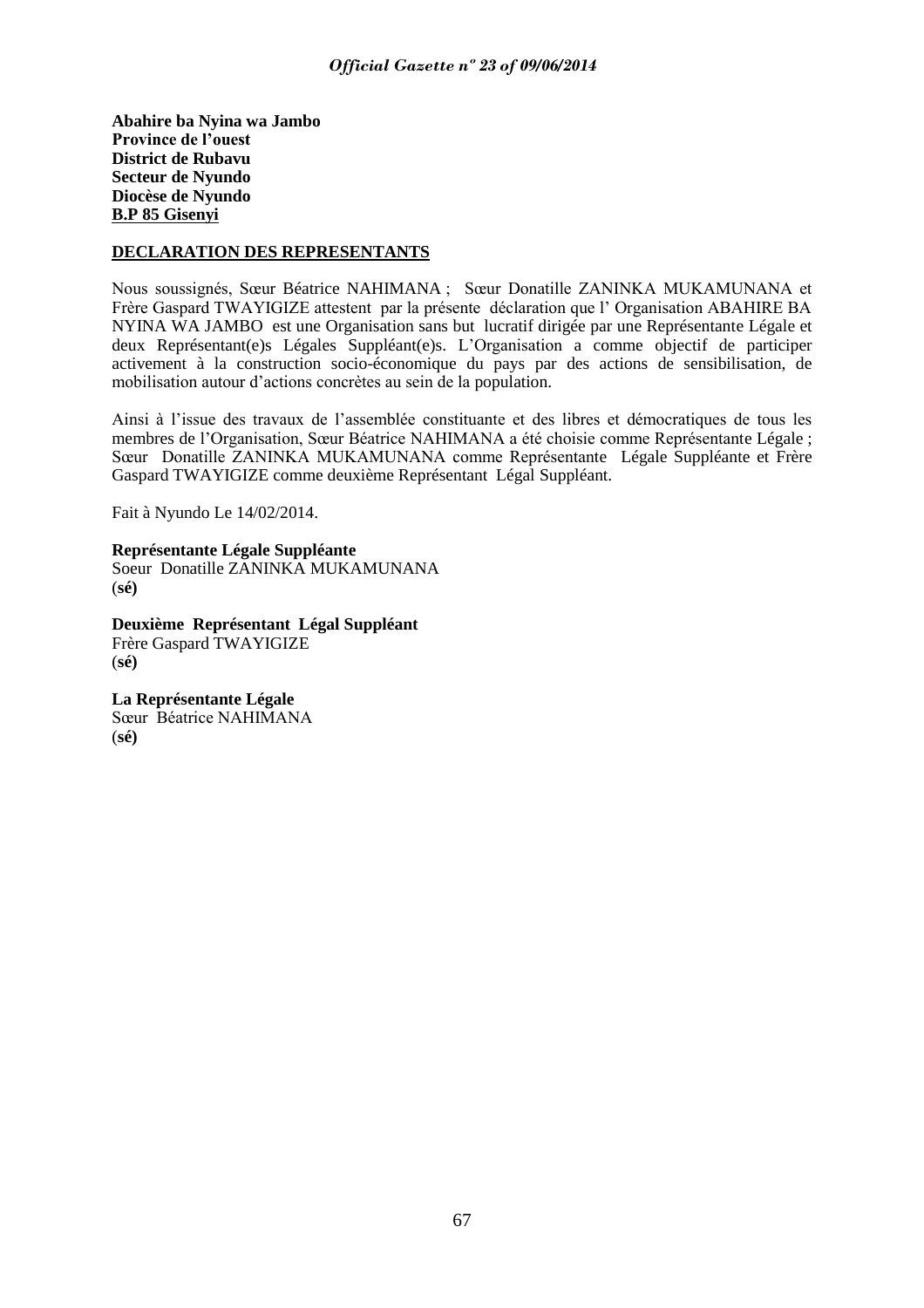**Abahire ba Nyina wa Jambo Province de l"ouest District de Rubavu Secteur de Nyundo Diocèse de Nyundo B.P 85 Gisenyi**

#### **DECLARATION DES REPRESENTANTS**

Nous soussignés, Sœur Béatrice NAHIMANA ; Sœur Donatille ZANINKA MUKAMUNANA et Frère Gaspard TWAYIGIZE attestent par la présente déclaration que l" Organisation ABAHIRE BA NYINA WA JAMBO est une Organisation sans but lucratif dirigée par une Représentante Légale et deux Représentant(e)s Légales Suppléant(e)s. L"Organisation a comme objectif de participer activement à la construction socio-économique du pays par des actions de sensibilisation, de mobilisation autour d"actions concrètes au sein de la population.

Ainsi à l"issue des travaux de l"assemblée constituante et des libres et démocratiques de tous les membres de l"Organisation, Sœur Béatrice NAHIMANA a été choisie comme Représentante Légale ; Sœur Donatille ZANINKA MUKAMUNANA comme Représentante Légale Suppléante et Frère Gaspard TWAYIGIZE comme deuxième Représentant Légal Suppléant.

Fait à Nyundo Le 14/02/2014.

**Représentante Légale Suppléante**  Soeur Donatille ZANINKA MUKAMUNANA (**sé)**

**Deuxième Représentant Légal Suppléant**  Frère Gaspard TWAYIGIZE (**sé)**

**La Représentante Légale** Sœur Béatrice NAHIMANA (**sé)**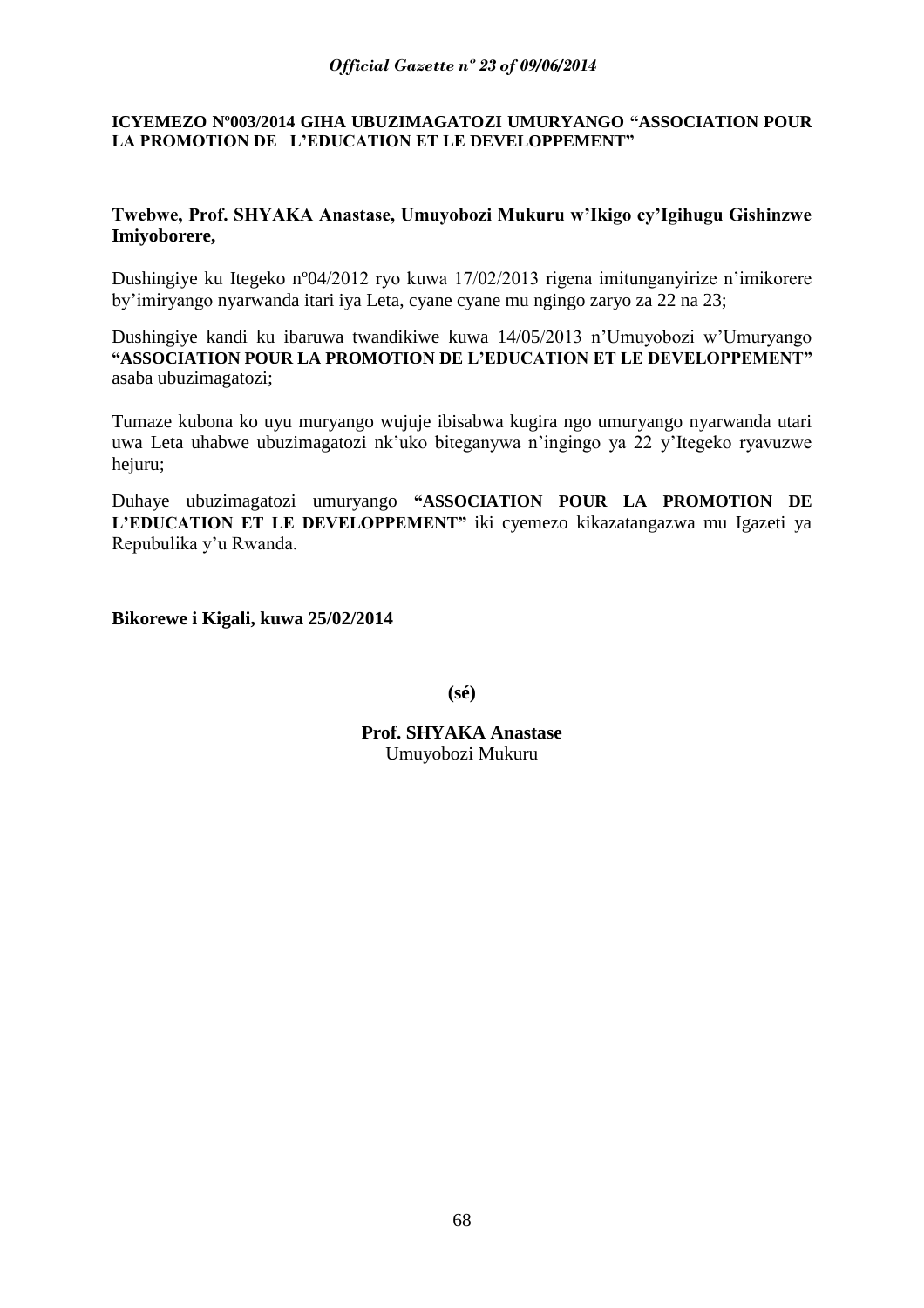### **ICYEMEZO Nº003/2014 GIHA UBUZIMAGATOZI UMURYANGO "ASSOCIATION POUR LA PROMOTION DE L"EDUCATION ET LE DEVELOPPEMENT"**

### **Twebwe, Prof. SHYAKA Anastase, Umuyobozi Mukuru w"Ikigo cy"Igihugu Gishinzwe Imiyoborere,**

Dushingiye ku Itegeko nº04/2012 ryo kuwa 17/02/2013 rigena imitunganyirize n"imikorere by"imiryango nyarwanda itari iya Leta, cyane cyane mu ngingo zaryo za 22 na 23;

Dushingiye kandi ku ibaruwa twandikiwe kuwa 14/05/2013 n"Umuyobozi w"Umuryango **"ASSOCIATION POUR LA PROMOTION DE L"EDUCATION ET LE DEVELOPPEMENT"** asaba ubuzimagatozi;

Tumaze kubona ko uyu muryango wujuje ibisabwa kugira ngo umuryango nyarwanda utari uwa Leta uhabwe ubuzimagatozi nk"uko biteganywa n"ingingo ya 22 y"Itegeko ryavuzwe hejuru;

Duhaye ubuzimagatozi umuryango **"ASSOCIATION POUR LA PROMOTION DE L"EDUCATION ET LE DEVELOPPEMENT"** iki cyemezo kikazatangazwa mu Igazeti ya Repubulika y"u Rwanda.

**Bikorewe i Kigali, kuwa 25/02/2014**

**(sé)**

**Prof. SHYAKA Anastase** Umuyobozi Mukuru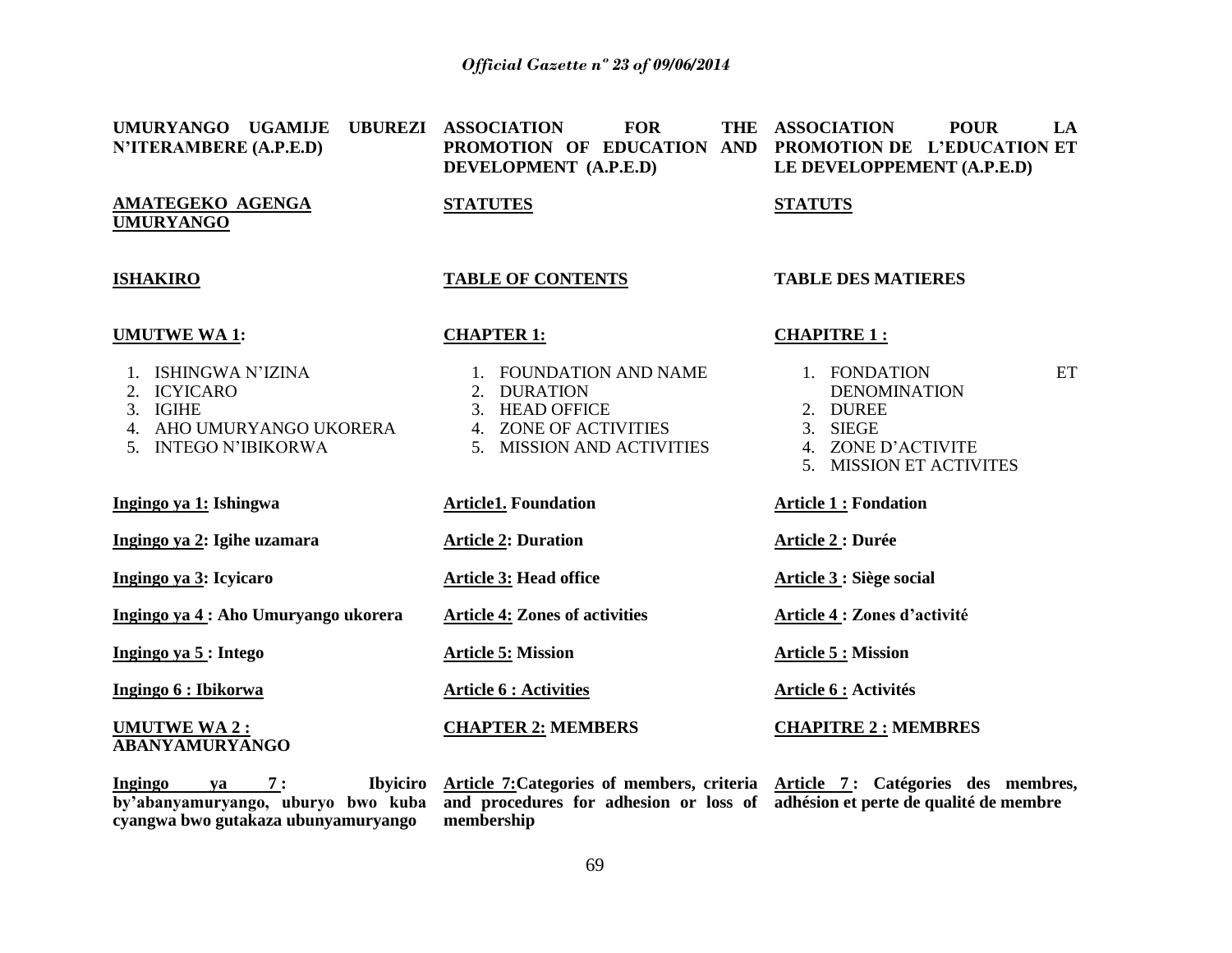| UMURYANGO UGAMIJE<br>N'ITERAMBERE (A.P.E.D)                                                                          | UBUREZI ASSOCIATION<br><b>FOR</b><br>PROMOTION OF EDUCATION AND<br>DEVELOPMENT (A.P.E.D)                                | THE ASSOCIATION<br><b>POUR</b><br>LA<br>PROMOTION DE L'EDUCATION ET<br>LE DEVELOPPEMENT (A.P.E.D)                  |  |
|----------------------------------------------------------------------------------------------------------------------|-------------------------------------------------------------------------------------------------------------------------|--------------------------------------------------------------------------------------------------------------------|--|
| AMATEGEKO AGENGA<br><b>UMURYANGO</b>                                                                                 | <b>STATUTES</b>                                                                                                         | <b>STATUTS</b>                                                                                                     |  |
| <b>ISHAKIRO</b>                                                                                                      | <b>TABLE OF CONTENTS</b>                                                                                                | <b>TABLE DES MATIERES</b>                                                                                          |  |
| <b>UMUTWE WA1:</b>                                                                                                   | <b>CHAPTER 1:</b>                                                                                                       | <b>CHAPITRE 1:</b>                                                                                                 |  |
| <b>ISHINGWA N'IZINA</b><br><b>ICYICARO</b><br><b>IGIHE</b><br>3.<br>4. AHO UMURYANGO UKORERA<br>5. INTEGO N'IBIKORWA | 1. FOUNDATION AND NAME<br>2. DURATION<br><b>HEAD OFFICE</b><br>3.<br>4. ZONE OF ACTIVITIES<br>5. MISSION AND ACTIVITIES | ET<br>1. FONDATION<br><b>DENOMINATION</b><br>2. DUREE<br>3. SIEGE<br>4. ZONE D'ACTIVITE<br>5. MISSION ET ACTIVITES |  |
| Ingingo ya 1: Ishingwa                                                                                               | <b>Article1. Foundation</b>                                                                                             | <b>Article 1: Fondation</b>                                                                                        |  |
| Ingingo ya 2: Igihe uzamara                                                                                          | <b>Article 2: Duration</b>                                                                                              | <b>Article 2: Durée</b>                                                                                            |  |
| Ingingo ya 3: Icyicaro                                                                                               | <b>Article 3: Head office</b>                                                                                           | Article 3 : Siège social                                                                                           |  |
| Ingingo ya 4 : Aho Umuryango ukorera                                                                                 | <b>Article 4: Zones of activities</b>                                                                                   | Article 4 : Zones d'activité                                                                                       |  |
| Ingingo ya 5 : Intego                                                                                                | <b>Article 5: Mission</b>                                                                                               | <b>Article 5 : Mission</b>                                                                                         |  |
| Ingingo 6 : Ibikorwa                                                                                                 | <b>Article 6 : Activities</b>                                                                                           | Article 6 : Activités                                                                                              |  |
| <b>UMUTWE WA 2:</b><br>ABANYAMURYANGO                                                                                | <b>CHAPTER 2: MEMBERS</b>                                                                                               | <b>CHAPITRE 2: MEMBRES</b>                                                                                         |  |

**Ingingo** ya 7: **cyangwa bwo gutakaza ubunyamuryango**

**by"abanyamuryango, uburyo bwo kuba and procedures for adhesion or loss of adhésion et perte de qualité de membre Article 7:Categories of members, criteria Article 7 : Catégories des membres, membership**

69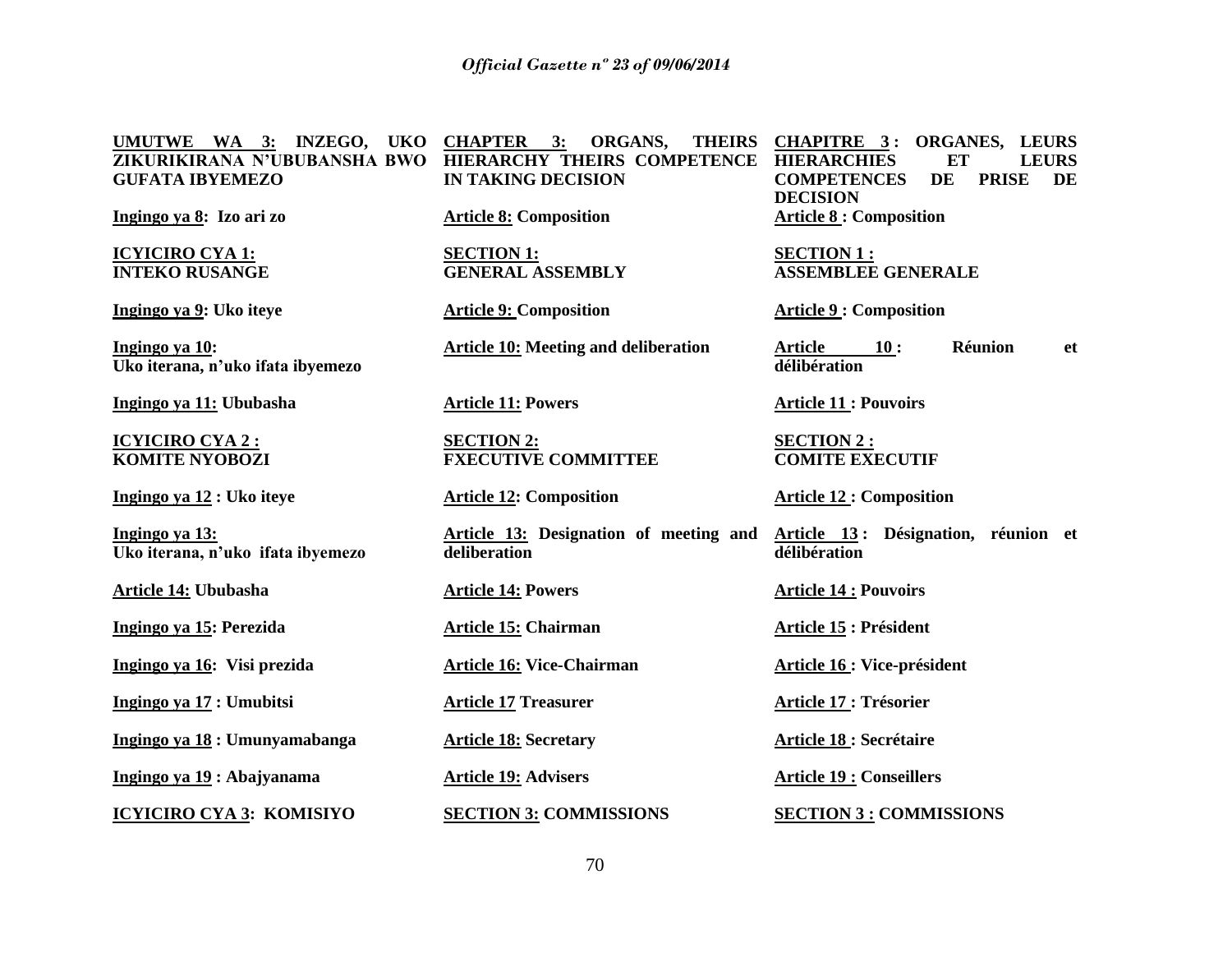**UMUTWE WA 3: INZEGO, UKO CHAPTER 3: ORGANS, THEIRS CHAPITRE 3 : ORGANES, LEURS ZIKURIKIRANA N"UBUBANSHA BWO HIERARCHY THEIRS COMPETENCE HIERARCHIES ET LEURS GUFATA IBYEMEZO Ingingo ya 8: Izo ari zo ICYICIRO CYA 1: INTEKO RUSANGE Ingingo ya 9: Uko iteye Ingingo ya 10: Uko iterana, n"uko ifata ibyemezo Ingingo ya 11: Ububasha ICYICIRO CYA 2 : KOMITE NYOBOZI Ingingo ya 12 : Uko iteye Ingingo ya 13: Uko iterana, n"uko ifata ibyemezo Article 14: Ububasha Ingingo ya 15: Perezida Ingingo ya 16: Visi prezida Ingingo ya 17 : Umubitsi Ingingo ya 18 : Umunyamabanga Ingingo ya 19 : Abajyanama ICYICIRO CYA 3: KOMISIYO IN TAKING DECISION Article 8: Composition SECTION 1: GENERAL ASSEMBLY Article 9: Composition Article 10: Meeting and deliberation Article 11: Powers SECTION 2: FXECUTIVE COMMITTEE Article 12: Composition Article 13: Designation of meeting and deliberation Article 14: Powers Article 15: Chairman Article 16: Vice-Chairman Article 17 Treasurer Article 18: Secretary Article 19: Advisers SECTION 3: COMMISSIONS COMPETENCES DE PRISE DE DECISION Article 8 : Composition SECTION 1 : ASSEMBLEE GENERALE Article 9 : Composition Article 10 : Réunion et délibération Article 11 : Pouvoirs SECTION 2 : COMITE EXECUTIF Article 12 : Composition Article 13 : Désignation, réunion et délibération Article 14 : Pouvoirs Article 15 : Président Article 16 : Vice-président Article 17 : Trésorier Article 18 : Secrétaire Article 19 : Conseillers SECTION 3 : COMMISSIONS**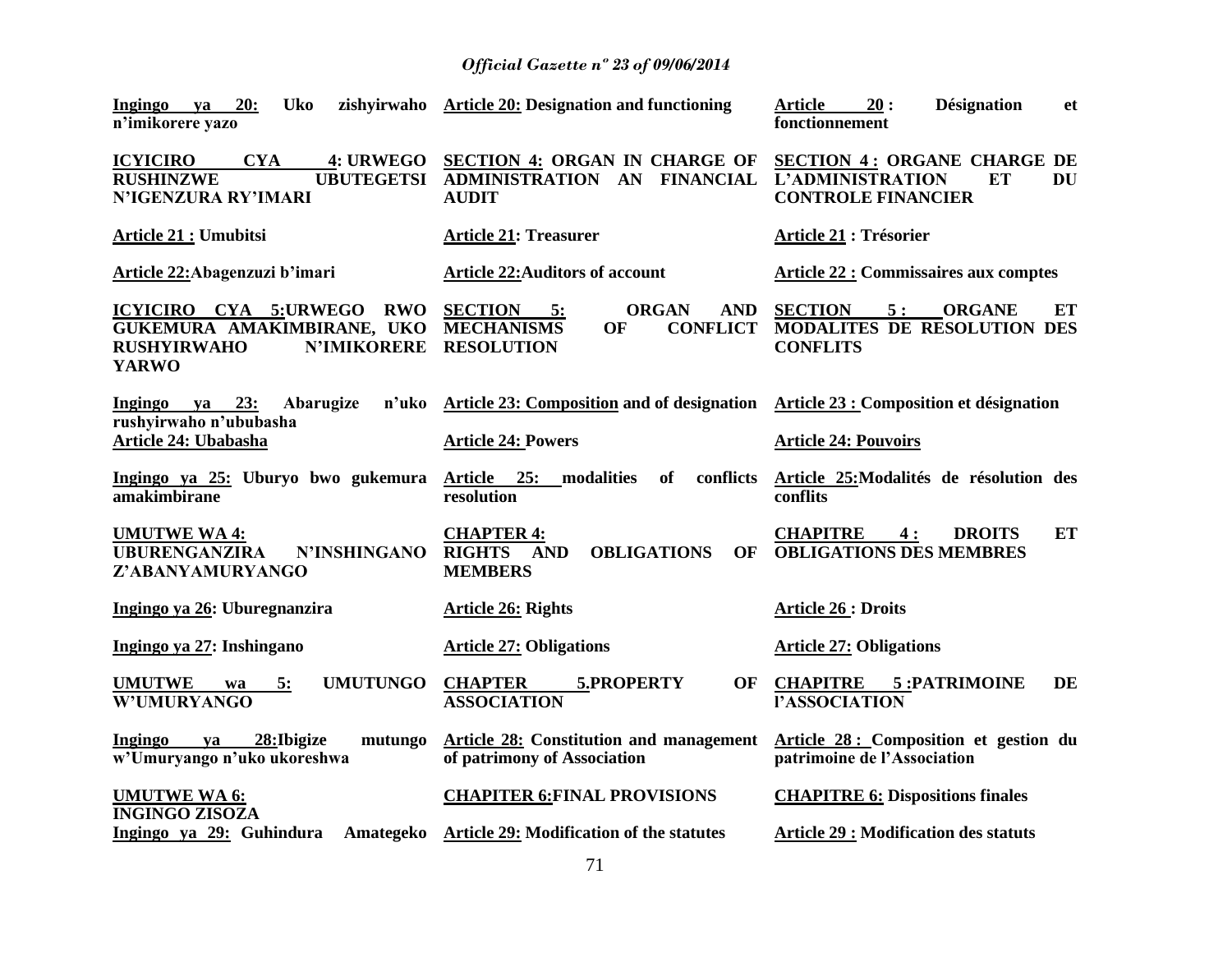| 20:<br><b>Uko</b><br><b>Ingingo</b><br>ya<br>n'imikorere yazo                                                       | zishyirwaho Article 20: Designation and functioning                                                                      | <b>Désignation</b><br><b>Article</b><br>20:<br><b>et</b><br>fonctionnement                             |
|---------------------------------------------------------------------------------------------------------------------|--------------------------------------------------------------------------------------------------------------------------|--------------------------------------------------------------------------------------------------------|
| <b>ICYICIRO</b><br><b>CYA</b><br><b>4: URWEGO</b><br><b>RUSHINZWE</b><br><b>UBUTEGETSI</b><br>N'IGENZURA RY'IMARI   | <b>SECTION 4: ORGAN IN CHARGE OF</b><br>ADMINISTRATION AN FINANCIAL<br><b>AUDIT</b>                                      | <b>SECTION 4: ORGANE CHARGE DE</b><br><b>L'ADMINISTRATION</b><br>ET<br>DU<br><b>CONTROLE FINANCIER</b> |
| <b>Article 21 : Umubitsi</b>                                                                                        | <b>Article 21: Treasurer</b>                                                                                             | <b>Article 21: Trésorier</b>                                                                           |
| Article 22: Abagenzuzi b'imari                                                                                      | <b>Article 22: Auditors of account</b>                                                                                   | <b>Article 22 : Commissaires aux comptes</b>                                                           |
| ICYICIRO CYA 5:URWEGO RWO<br>GUKEMURA AMAKIMBIRANE, UKO<br><b>RUSHYIRWAHO</b><br><b>N'IMIKORERE</b><br><b>YARWO</b> | <b>SECTION</b><br><b>ORGAN</b><br><b>AND</b><br>$-5:$<br><b>MECHANISMS</b><br><b>CONFLICT</b><br>OF<br><b>RESOLUTION</b> | <b>SECTION</b><br>5:<br><b>ORGANE</b><br>ET<br><b>MODALITES DE RESOLUTION DES</b><br><b>CONFLITS</b>   |
| 23:<br>Abarugize<br>n'uko<br>Ingingo<br>ya<br>rushyirwaho n'ububasha                                                | Article 23: Composition and of designation Article 23 : Composition et désignation                                       |                                                                                                        |
| <b>Article 24: Ubabasha</b>                                                                                         | <b>Article 24: Powers</b>                                                                                                | <b>Article 24: Pouvoirs</b>                                                                            |
| Ingingo ya 25: Uburyo bwo gukemura<br>amakimbirane                                                                  | Article 25: modalities<br>conflicts<br>of<br>resolution                                                                  | Article 25: Modalités de résolution des<br>conflits                                                    |
| <b>UMUTWE WA4:</b><br><b>UBURENGANZIRA</b><br><b>N'INSHINGANO</b><br>Z'ABANYAMURYANGO                               | <b>CHAPTER 4:</b><br>RIGHTS AND<br><b>OBLIGATIONS</b><br><b>OF</b><br><b>MEMBERS</b>                                     | ET<br><b>CHAPITRE</b><br>4:<br><b>DROITS</b><br><b>OBLIGATIONS DES MEMBRES</b>                         |
| Ingingo ya 26: Uburegnanzira                                                                                        | <b>Article 26: Rights</b>                                                                                                | <b>Article 26 : Droits</b>                                                                             |
| Ingingo ya 27: Inshingano                                                                                           | <b>Article 27: Obligations</b>                                                                                           | <b>Article 27: Obligations</b>                                                                         |
| <b>UMUTWE</b><br><b>UMUTUNGO</b><br>5:<br>wa<br><b>W'UMURYANGO</b>                                                  | <b>CHAPTER</b><br>5.PROPERTY<br>OF<br><b>ASSOCIATION</b>                                                                 | <b>CHAPITRE</b><br>5: PATRIMOINE<br><b>DE</b><br>l'ASSOCIATION                                         |
| Ingingo<br>28: Ibigize<br>mutungo<br>va<br>w'Umuryango n'uko ukoreshwa                                              | <b>Article 28: Constitution and management</b><br>of patrimony of Association                                            | Article 28 : Composition et gestion du<br>patrimoine de l'Association                                  |
| <b>UMUTWE WA 6:</b><br><b>INGINGO ZISOZA</b>                                                                        | <b>CHAPITER 6: FINAL PROVISIONS</b>                                                                                      | <b>CHAPITRE 6: Dispositions finales</b>                                                                |
| Ingingo ya 29: Guhindura<br>Amategeko                                                                               | <b>Article 29: Modification of the statutes</b>                                                                          | <b>Article 29 : Modification des statuts</b>                                                           |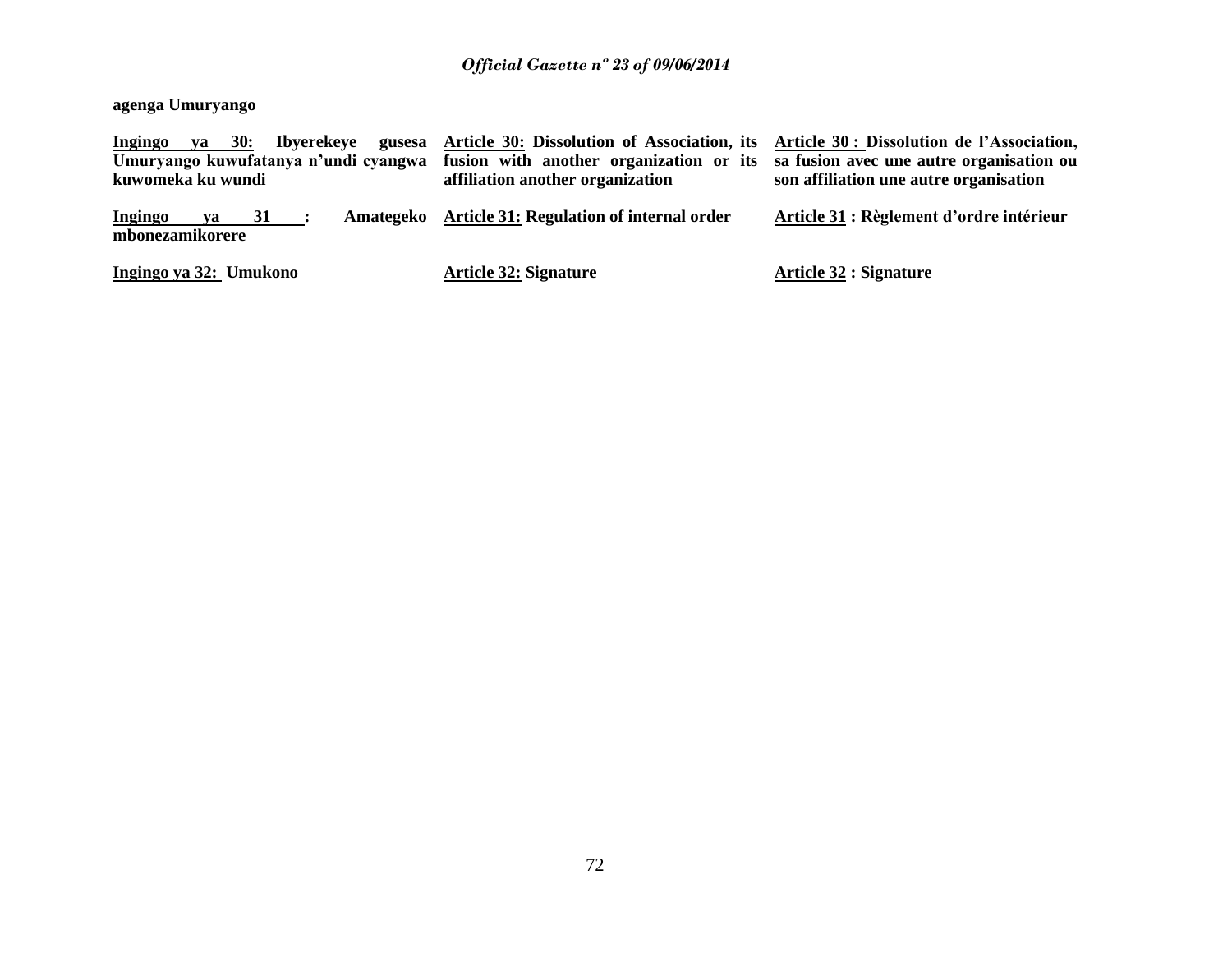### **agenga Umuryango**

| $ya = 30$ :<br><b>Ibyerekeye</b><br>Ingingo<br>gusesa<br>Umuryango kuwufatanya n'undi cyangwa<br>kuwomeka ku wundi | Article 30: Dissolution of Association, its Article 30: Dissolution de l'Association,<br>fusion with another organization or its<br>affiliation another organization | sa fusion avec une autre organisation ou<br>son affiliation une autre organisation |
|--------------------------------------------------------------------------------------------------------------------|----------------------------------------------------------------------------------------------------------------------------------------------------------------------|------------------------------------------------------------------------------------|
| Ingingo<br>$31$ :<br>va<br>mbonezamikorere                                                                         | Amategeko Article 31: Regulation of internal order                                                                                                                   | Article 31 : Règlement d'ordre intérieur                                           |
| Ingingo ya 32: Umukono                                                                                             | <b>Article 32: Signature</b>                                                                                                                                         | <b>Article 32 : Signature</b>                                                      |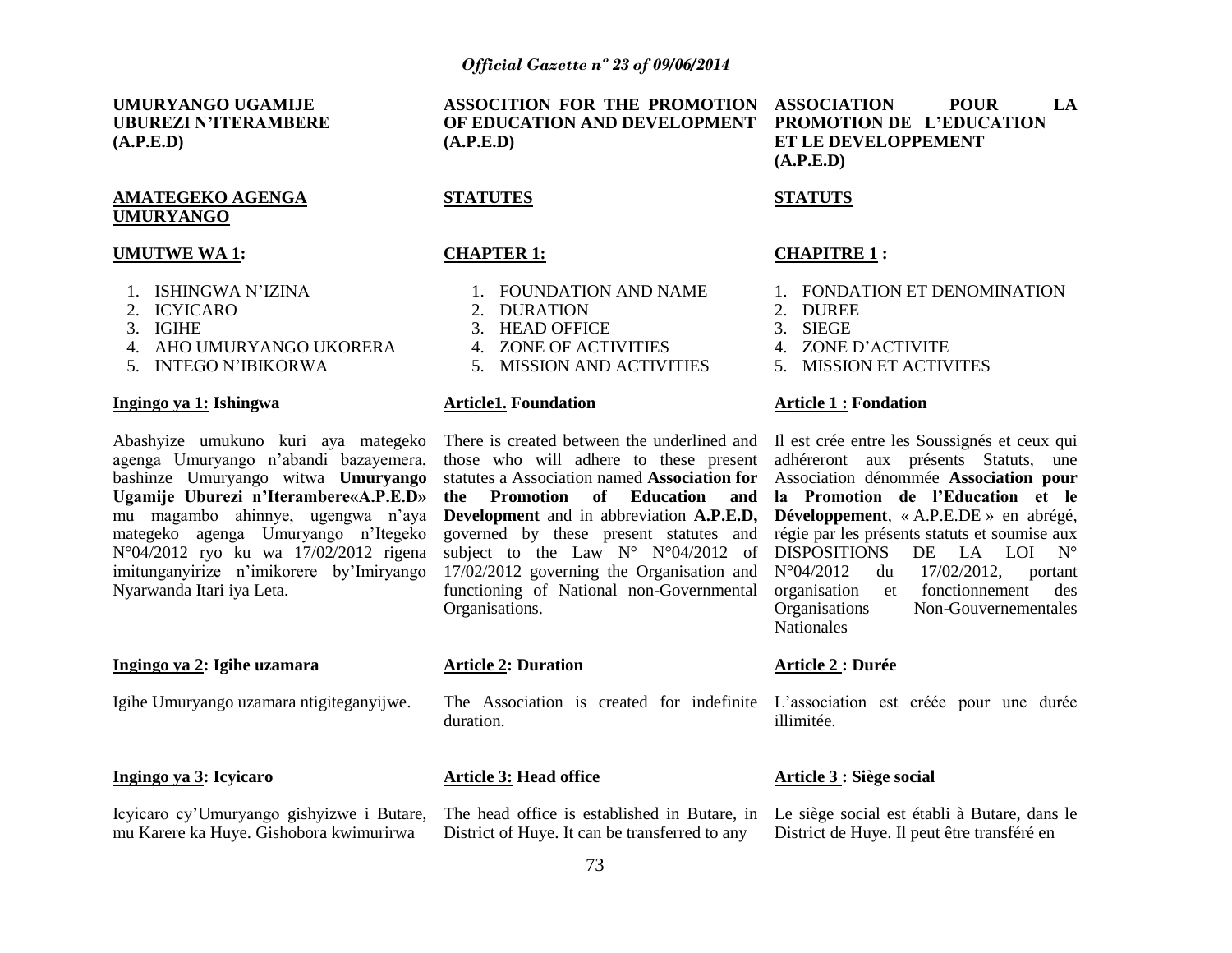1. FOUNDATION AND NAME

4. ZONE OF ACTIVITIES 5. MISSION AND ACTIVITIES

**STATUTES**

**CHAPTER 1:** 

2. DURATION 3. HEAD OFFICE

**Article1. Foundation**

**UMURYANGO UGAMIJE UBUREZI N"ITERAMBERE (A.P.E.D)**

#### **AMATEGEKO AGENGA UMURYANGO**

#### **UMUTWE WA 1:**

- 1. ISHINGWA N"IZINA
- 2. ICYICARO
- 3. IGIHE
- 4. AHO UMURYANGO UKORERA
- 5. INTEGO N"IBIKORWA

#### **Ingingo ya 1: Ishingwa**

Abashyize umukuno kuri aya mategeko agenga Umuryango n"abandi bazayemera, bashinze Umuryango witwa **Umuryango Ugamije Uburezi n"Iterambere«A.P.E.D»** mu magambo ahinnye, ugengwa n"aya mategeko agenga Umuryango n"Itegeko N°04/2012 ryo ku wa 17/02/2012 rigena imitunganyirize n"imikorere by"Imiryango Nyarwanda Itari iya Leta.

#### **Ingingo ya 2: Igihe uzamara**

Igihe Umuryango uzamara ntigiteganyijwe.

**Ingingo ya 3: Icyicaro**

mu Karere ka Huye. Gishobora kwimurirwa

**ASSOCITION FOR THE PROMOTION ASSOCIATION POUR LA OF EDUCATION AND DEVELOPMENT PROMOTION DE L"EDUCATION (A.P.E.D)**

**ET LE DEVELOPPEMENT (A.P.E.D)**

### **STATUTS**

#### **CHAPITRE 1 :**

- 1. FONDATION ET DENOMINATION
- 2. DUREE
- 3. SIEGE
- 4. ZONE D"ACTIVITE
- 5. MISSION ET ACTIVITES

#### **Article 1 : Fondation**

There is created between the underlined and Il est crée entre les Soussignés et ceux qui those who will adhere to these present statutes a Association named **Association for**  Association dénommée **Association pour the Promotion of Education and Development** and in abbreviation **A.P.E.D, Développement**, « A.P.E.DE » en abrégé, governed by these present statutes and subject to the Law  $N^{\circ}$   $N^{\circ}04/2012$  of adhéreront aux présents Statuts, une **la Promotion de l"Education et le**  régie par les présents statuts et soumise aux DISPOSITIONS DE LA LOI N° N°04/2012 du 17/02/2012, portant organisation et fonctionnement des<br>Organisations Non-Gouvernementales Non-Gouvernementales **Nationales** 

# **Article 2: Duration**

Organisations.

The Association is created for indefinite L"association est créée pour une durée duration.

17/02/2012 governing the Organisation and functioning of National non-Governmental

#### **Article 3: Head office**

Icyicaro cy"Umuryango gishyizwe i Butare, The head office is established in Butare, in Le siège social est établi à Butare, dans le District of Huye. It can be transferred to any

#### **Article 2 : Durée**

illimitée.

#### **Article 3 : Siège social**

District de Huye. Il peut être transféré en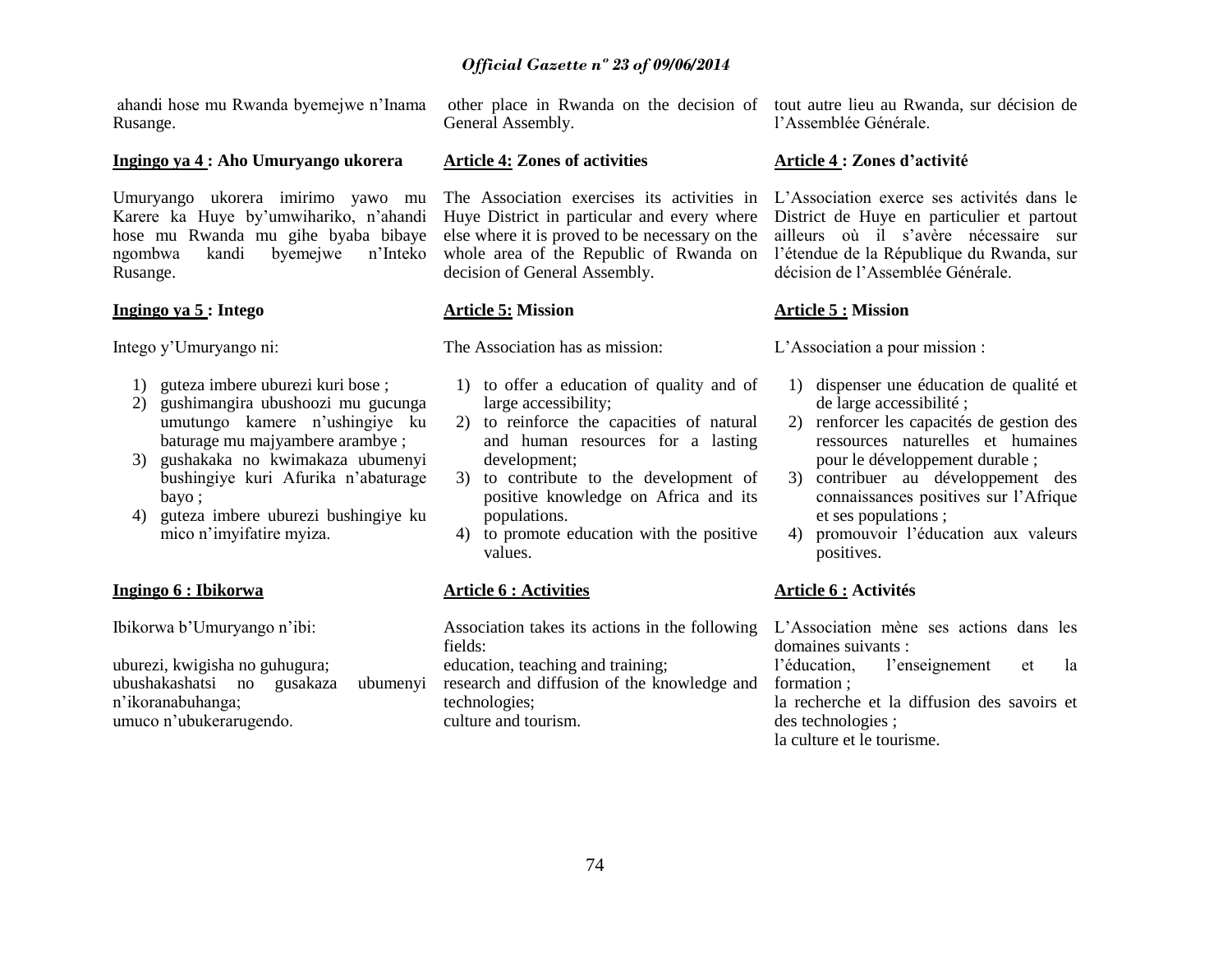ahandi hose mu Rwanda byemejwe n"Inama Rusange.

#### **Ingingo ya 4 : Aho Umuryango ukorera**

Umuryango ukorera imirimo yawo mu Karere ka Huye by"umwihariko, n"ahandi hose mu Rwanda mu gihe byaba bibaye ngombwa kandi byemejwe n"Inteko Rusange.

#### **Ingingo ya 5 : Intego**

Intego y"Umuryango ni:

- 1) guteza imbere uburezi kuri bose ;
- 2) gushimangira ubushoozi mu gucunga umutungo kamere n"ushingiye ku baturage mu majyambere arambye ;
- 3) gushakaka no kwimakaza ubumenyi bushingiye kuri Afurika n"abaturage bayo ;
- 4) guteza imbere uburezi bushingiye ku mico n"imyifatire myiza.

# **Ingingo 6 : Ibikorwa**

Ibikorwa b"Umuryango n"ibi:

uburezi, kwigisha no guhugura; ubushakashatsi no gusakaza ubumenyi n"ikoranabuhanga; umuco n"ubukerarugendo.

General Assembly.

#### **Article 4: Zones of activities**

The Association exercises its activities in L"Association exerce ses activités dans le Huye District in particular and every where else where it is proved to be necessary on the whole area of the Republic of Rwanda on l"étendue de la République du Rwanda, sur decision of General Assembly.

#### **Article 5: Mission**

The Association has as mission:

- 1) to offer a education of quality and of large accessibility;
- 2) to reinforce the capacities of natural and human resources for a lasting development;
- 3) to contribute to the development of positive knowledge on Africa and its populations.
- 4) to promote education with the positive values.

#### **Article 6 : Activities**

Association takes its actions in the following fields: education, teaching and training; research and diffusion of the knowledge and technologies; culture and tourism.

other place in Rwanda on the decision of tout autre lieu au Rwanda, sur décision de l"Assemblée Générale.

#### **Article 4 : Zones d"activité**

District de Huye en particulier et partout ailleurs où il s"avère nécessaire sur décision de l"Assemblée Générale.

#### **Article 5 : Mission**

L"Association a pour mission :

- 1) dispenser une éducation de qualité et de large accessibilité ;
- 2) renforcer les capacités de gestion des ressources naturelles et humaines pour le développement durable ;
- 3) contribuer au développement des connaissances positives sur l"Afrique et ses populations ;
- 4) promouvoir l"éducation aux valeurs positives.

#### **Article 6 : Activités**

L"Association mène ses actions dans les domaines suivants :

l"éducation, l"enseignement et la formation ;

la recherche et la diffusion des savoirs et des technologies ; la culture et le tourisme.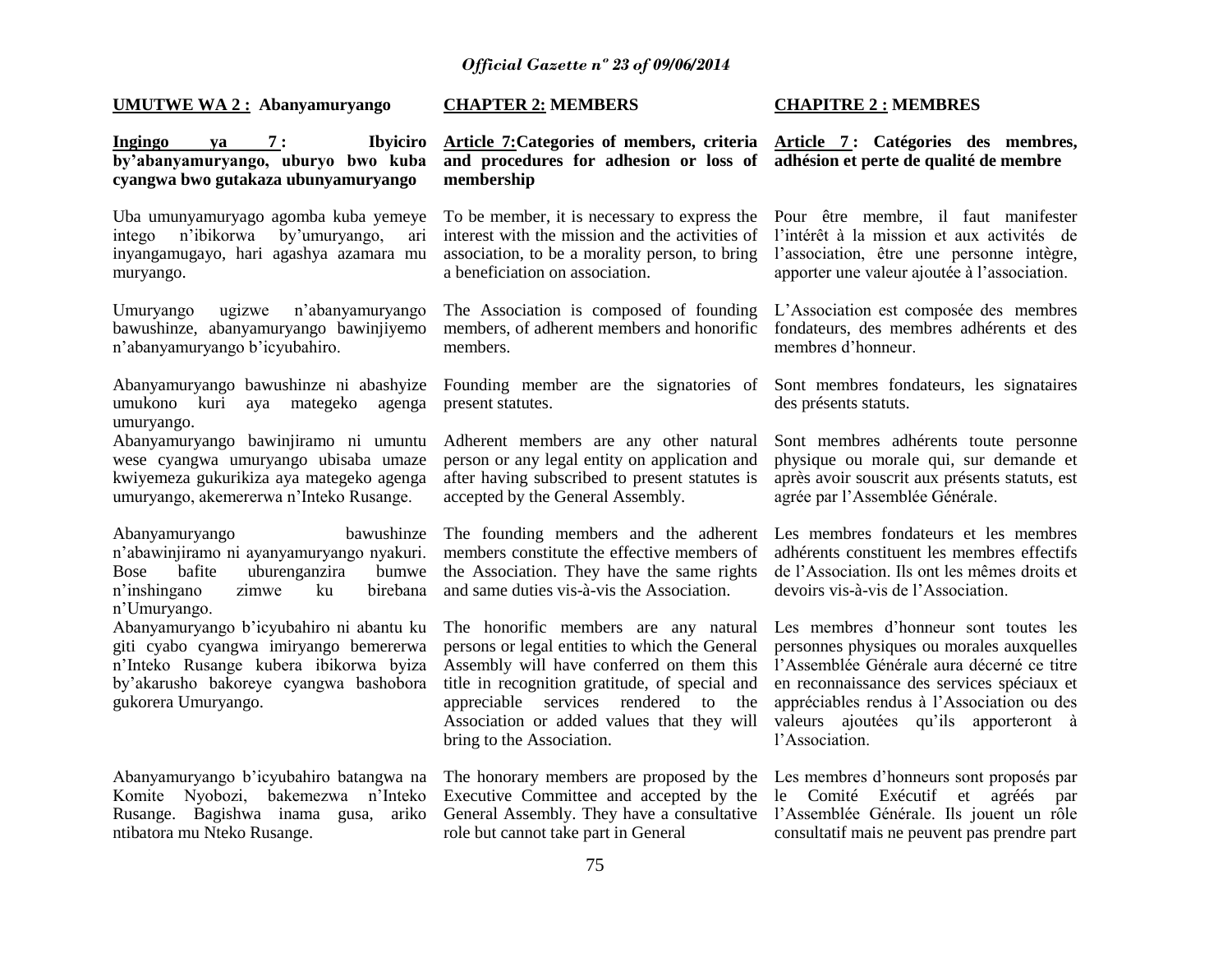**UMUTWE WA 2 : Abanyamuryango**

**Ingingo ya 7 : Ibyiciro by"abanyamuryango, uburyo bwo kuba cyangwa bwo gutakaza ubunyamuryango**

Uba umunyamuryago agomba kuba yemeye intego n"ibikorwa by"umuryango, ari inyangamugayo, hari agashya azamara mu muryango.

Umuryango ugizwe n"abanyamuryango bawushinze, abanyamuryango bawinjiyemo n"abanyamuryango b"icyubahiro.

Abanyamuryango bawushinze ni abashyize umukono kuri aya mategeko agenga umuryango.

Abanyamuryango bawinjiramo ni umuntu wese cyangwa umuryango ubisaba umaze kwiyemeza gukurikiza aya mategeko agenga umuryango, akemererwa n"Inteko Rusange.

Abanyamuryango bawushinze n"abawinjiramo ni ayanyamuryango nyakuri. Bose bafite uburenganzira bumwe n"inshingano zimwe ku birebana n"Umuryango.

Abanyamuryango b"icyubahiro ni abantu ku giti cyabo cyangwa imiryango bemererwa n"Inteko Rusange kubera ibikorwa byiza by"akarusho bakoreye cyangwa bashobora gukorera Umuryango.

Abanyamuryango b"icyubahiro batangwa na Komite Nyobozi, bakemezwa n"Inteko Rusange. Bagishwa inama gusa, ariko ntibatora mu Nteko Rusange.

#### **CHAPTER 2: MEMBERS**

**Article 7:Categories of members, criteria Article 7 : Catégories des membres, and procedures for adhesion or loss of adhésion et perte de qualité de membre membership**

interest with the mission and the activities of association, to be a morality person, to bring l"association, être une personne intègre, a beneficiation on association.

The Association is composed of founding members, of adherent members and honorific members.

present statutes.

Adherent members are any other natural person or any legal entity on application and after having subscribed to present statutes is accepted by the General Assembly.

The founding members and the adherent members constitute the effective members of the Association. They have the same rights and same duties vis-à-vis the Association.

The honorific members are any natural persons or legal entities to which the General Assembly will have conferred on them this title in recognition gratitude, of special and appreciable services rendered to the Association or added values that they will bring to the Association.

Executive Committee and accepted by the General Assembly. They have a consultative l"Assemblée Générale. Ils jouent un rôle role but cannot take part in General

# **CHAPITRE 2 : MEMBRES**

To be member, it is necessary to express the Pour être membre, il faut manifester l"intérêt à la mission et aux activités de apporter une valeur ajoutée à l"association.

> L"Association est composée des membres fondateurs, des membres adhérents et des membres d"honneur.

Founding member are the signatories of Sont membres fondateurs, les signataires des présents statuts.

> Sont membres adhérents toute personne physique ou morale qui, sur demande et après avoir souscrit aux présents statuts, est agrée par l"Assemblée Générale.

> Les membres fondateurs et les membres adhérents constituent les membres effectifs de l"Association. Ils ont les mêmes droits et devoirs vis-à-vis de l"Association.

> Les membres d"honneur sont toutes les personnes physiques ou morales auxquelles l"Assemblée Générale aura décerné ce titre en reconnaissance des services spéciaux et appréciables rendus à l"Association ou des valeurs ajoutées qu'ils apporteront à l"Association.

The honorary members are proposed by the Les membres d"honneurs sont proposés par le Comité Exécutif et agréés par consultatif mais ne peuvent pas prendre part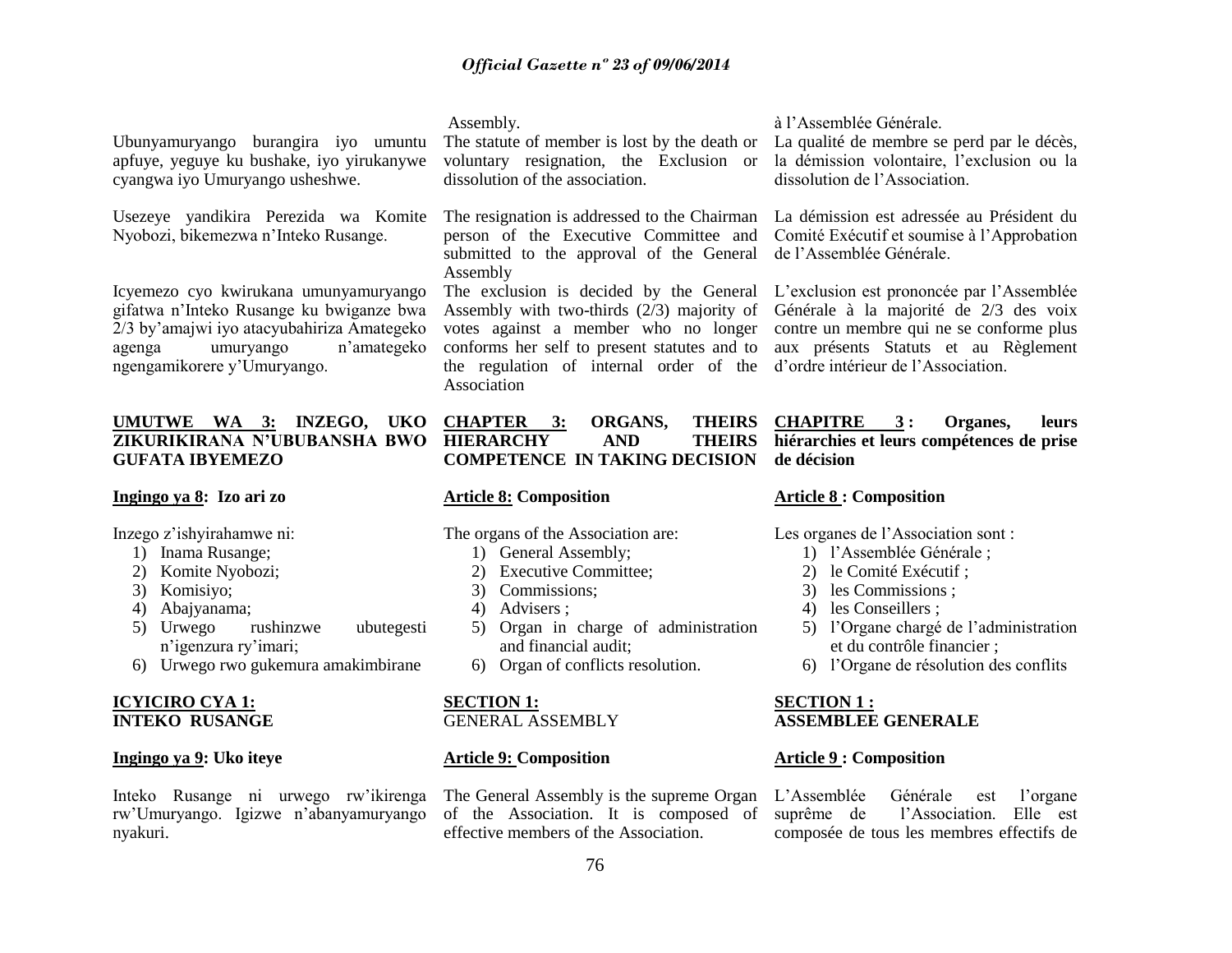Ubunyamuryango burangira iyo umuntu apfuye, yeguye ku bushake, iyo yirukanywe cyangwa iyo Umuryango usheshwe.

Usezeye yandikira Perezida wa Komite Nyobozi, bikemezwa n"Inteko Rusange.

Icyemezo cyo kwirukana umunyamuryango gifatwa n"Inteko Rusange ku bwiganze bwa 2/3 by"amajwi iyo atacyubahiriza Amategeko agenga umuryango n"amategeko ngengamikorere y"Umuryango.

# **UMUTWE WA 3: INZEGO, UKO CHAPTER 3: ORGANS, THEIRS GUFATA IBYEMEZO**

# **Ingingo ya 8: Izo ari zo**

Inzego z"ishyirahamwe ni:

- 1) Inama Rusange;
- 2) Komite Nyobozi;
- 3) Komisiyo;
- 4) Abajyanama;
- 5) Urwego rushinzwe ubutegesti n"igenzura ry"imari;
- 6) Urwego rwo gukemura amakimbirane

#### **ICYICIRO CYA 1: INTEKO RUSANGE**

# **Ingingo ya 9: Uko iteye**

Inteko Rusange ni urwego rw'ikirenga The-General-Assembly is the supreme-Organ L'Assemblée Générale est l'organe rw"Umuryango. Igizwe n"abanyamuryango of the Association. It is composed of nyakuri.

### Assembly.

The statute of member is lost by the death or voluntary resignation, the Exclusion or dissolution of the association.

The resignation is addressed to the Chairman La démission est adressée au Président du person of the Executive Committee and Comité Exécutif et soumise à l"Approbation submitted to the approval of the General de l'Assemblée Générale. Assembly

Assembly with two-thirds (2/3) majority of Générale à la majorité de 2/3 des voix votes against a member who no longer contre un membre qui ne se conforme plus conforms her self to present statutes and to aux présents Statuts et au Règlement the regulation of internal order of the d"ordre intérieur de l"Association. Association

# **ZIKURIKIRANA N"UBUBANSHA BWO HIERARCHY AND THEIRS COMPETENCE IN TAKING DECISION**

# **Article 8: Composition**

The organs of the Association are:

- 1) General Assembly;
- 2) Executive Committee;
- 3) Commissions;
- 4) Advisers ;
- 5) Organ in charge of administration and financial audit;
- 6) Organ of conflicts resolution.

# **SECTION 1:**

# GENERAL ASSEMBLY

# **Article 9: Composition**

effective members of the Association.

à l"Assemblée Générale.

La qualité de membre se perd par le décès, la démission volontaire, l'exclusion ou la dissolution de l"Association.

The exclusion is decided by the General L"exclusion est prononcée par l"Assemblée

**CHAPITRE 3 : Organes, leurs hiérarchies et leurs compétences de prise de décision**

# **Article 8 : Composition**

Les organes de l'Association sont :

- 1) l"Assemblée Générale ;
- 2) le Comité Exécutif ;
- 3) les Commissions ;
- 4) les Conseillers ;
- 5) l"Organe chargé de l"administration et du contrôle financier ;
- 6) l"Organe de résolution des conflits

#### **SECTION 1 : ASSEMBLEE GENERALE**

# **Article 9 : Composition**

l'Association. Elle est composée de tous les membres effectifs de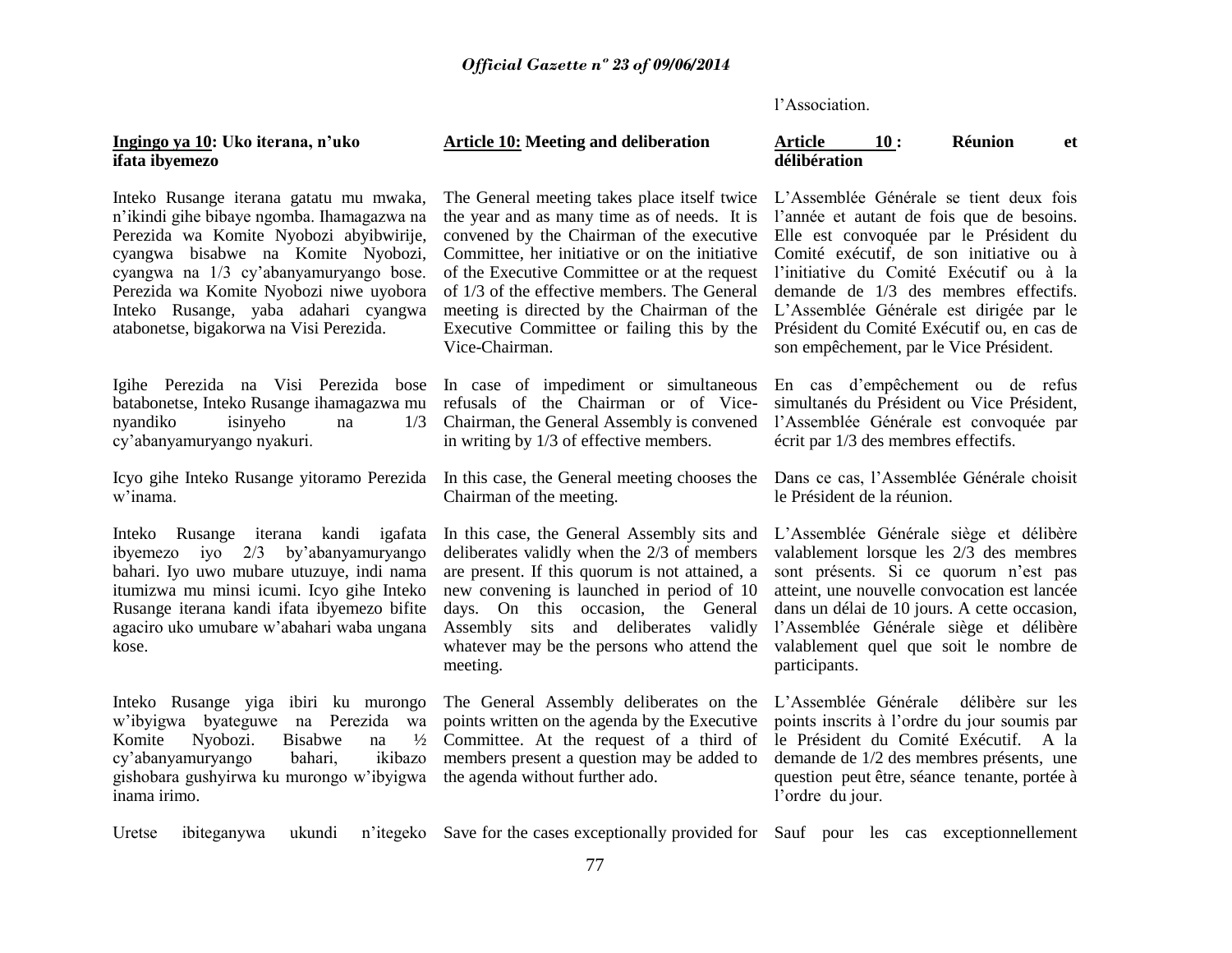l"Association.

#### **Ingingo ya 10: Uko iterana, n"uko ifata ibyemezo**

Inteko Rusange iterana gatatu mu mwaka, n"ikindi gihe bibaye ngomba. Ihamagazwa na Perezida wa Komite Nyobozi abyibwirije, cyangwa bisabwe na Komite Nyobozi, cyangwa na 1/3 cy"abanyamuryango bose. Perezida wa Komite Nyobozi niwe uyobora Inteko Rusange, yaba adahari cyangwa atabonetse, bigakorwa na Visi Perezida.

Igihe Perezida na Visi Perezida bose batabonetse, Inteko Rusange ihamagazwa mu nyandiko isinyeho na 1/3 cy"abanyamuryango nyakuri.

Icyo gihe Inteko Rusange yitoramo Perezida In this case, the General meeting chooses the Dans ce cas, l"Assemblée Générale choisit w"inama.

Inteko Rusange iterana kandi igafata ibyemezo iyo 2/3 by"abanyamuryango bahari. Iyo uwo mubare utuzuye, indi nama itumizwa mu minsi icumi. Icyo gihe Inteko Rusange iterana kandi ifata ibyemezo bifite agaciro uko umubare w"abahari waba ungana kose.

Inteko Rusange yiga ibiri ku murongo w"ibyigwa byateguwe na Perezida wa Komite Nyobozi. Bisabwe na ½ cy"abanyamuryango bahari, ikibazo gishobara gushyirwa ku murongo w"ibyigwa inama irimo.

# **Article 10: Meeting and deliberation**

The General meeting takes place itself twice the year and as many time as of needs. It is convened by the Chairman of the executive Committee, her initiative or on the initiative of the Executive Committee or at the request of 1/3 of the effective members. The General meeting is directed by the Chairman of the Executive Committee or failing this by the Vice-Chairman.

In case of impediment or simultaneous refusals of the Chairman or of Vice-1/3 Chairman, the General Assembly is convened in writing by 1/3 of effective members.

Chairman of the meeting.

In this case, the General Assembly sits and deliberates validly when the 2/3 of members are present. If this quorum is not attained, a new convening is launched in period of 10 days. On this occasion, the General Assembly sits and deliberates validly whatever may be the persons who attend the meeting.

The General Assembly deliberates on the points written on the agenda by the Executive Committee. At the request of a third of members present a question may be added to the agenda without further ado.

#### **Article 10 : Réunion et délibération**

L"Assemblée Générale se tient deux fois l"année et autant de fois que de besoins. Elle est convoquée par le Président du Comité exécutif, de son initiative ou à l"initiative du Comité Exécutif ou à la demande de 1/3 des membres effectifs. L"Assemblée Générale est dirigée par le Président du Comité Exécutif ou, en cas de son empêchement, par le Vice Président.

En cas d"empêchement ou de refus simultanés du Président ou Vice Président, l"Assemblée Générale est convoquée par écrit par 1/3 des membres effectifs.

le Président de la réunion.

L"Assemblée Générale siège et délibère valablement lorsque les 2/3 des membres sont présents. Si ce quorum n'est pas atteint, une nouvelle convocation est lancée dans un délai de 10 jours. A cette occasion, l"Assemblée Générale siège et délibère valablement quel que soit le nombre de participants.

L"Assemblée Générale délibère sur les points inscrits à l"ordre du jour soumis par le Président du Comité Exécutif. A la demande de 1/2 des membres présents, une question peut être, séance tenante, portée à l"ordre du jour.

Uretse ibiteganywa ukundi Save for the cases exceptionally provided for Sauf pour les cas exceptionnellement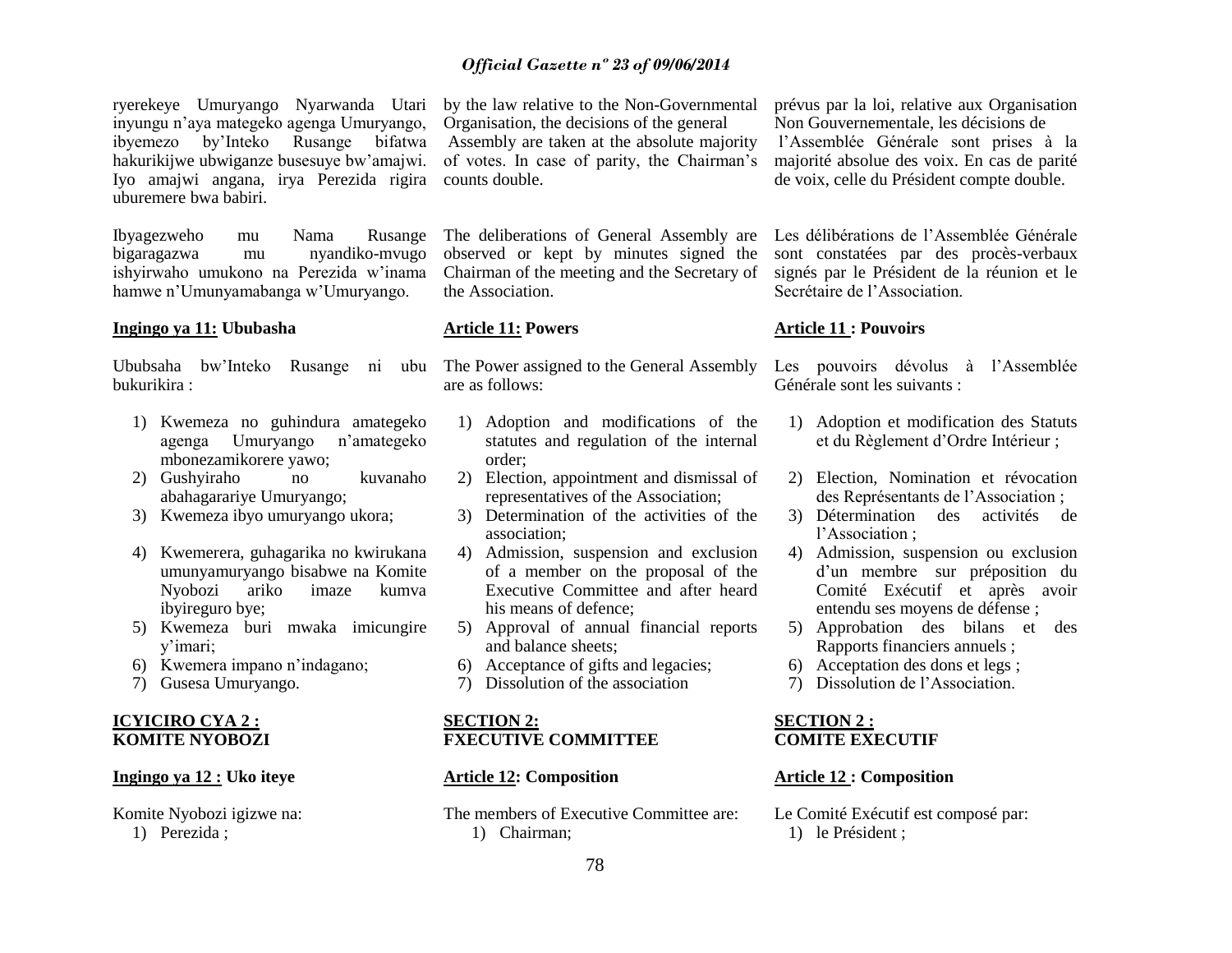ryerekeye Umuryango Nyarwanda Utari inyungu n"aya mategeko agenga Umuryango, ibyemezo by"Inteko Rusange bifatwa hakurikijwe ubwiganze busesuye bw"amajwi. Iyo amajwi angana, irya Perezida rigira uburemere bwa babiri.

Ibyagezweho mu Nama Rusange bigaragazwa mu nyandiko-mvugo ishyirwaho umukono na Perezida w"inama hamwe n"Umunyamabanga w"Umuryango.

#### **Ingingo ya 11: Ububasha**

Ububsaha bw"Inteko Rusange ni ubu bukurikira :

- 1) Kwemeza no guhindura amategeko agenga Umuryango n"amategeko mbonezamikorere yawo;
- 2) Gushyiraho no kuvanaho abahagarariye Umuryango;
- 3) Kwemeza ibyo umuryango ukora;
- 4) Kwemerera, guhagarika no kwirukana umunyamuryango bisabwe na Komite Nyobozi ariko imaze kumva ibyireguro bye;
- 5) Kwemeza buri mwaka imicungire y"imari;
- 6) Kwemera impano n"indagano;
- 7) Gusesa Umuryango.

#### **ICYICIRO CYA 2 : KOMITE NYOBOZI**

#### **Ingingo ya 12 : Uko iteye**

Komite Nyobozi igizwe na: 1) Perezida ;

by the law relative to the Non-Governmental Organisation, the decisions of the general Assembly are taken at the absolute majority of votes. In case of parity, the Chairman"s counts double.

The deliberations of General Assembly are observed or kept by minutes signed the Chairman of the meeting and the Secretary of the Association.

#### **Article 11: Powers**

The Power assigned to the General Assembly are as follows:

- 1) Adoption and modifications of the statutes and regulation of the internal order;
- 2) Election, appointment and dismissal of representatives of the Association;
- 3) Determination of the activities of the association;
- 4) Admission, suspension and exclusion of a member on the proposal of the Executive Committee and after heard his means of defence;
- 5) Approval of annual financial reports and balance sheets;
- 6) Acceptance of gifts and legacies;
- 7) Dissolution of the association

#### **SECTION 2: FXECUTIVE COMMITTEE**

#### **Article 12: Composition**

The members of Executive Committee are: 1) Chairman;

prévus par la loi, relative aux Organisation Non Gouvernementale, les décisions de l"Assemblée Générale sont prises à la majorité absolue des voix. En cas de parité de voix, celle du Président compte double.

Les délibérations de l"Assemblée Générale sont constatées par des procès-verbaux signés par le Président de la réunion et le Secrétaire de l"Association.

#### **Article 11 : Pouvoirs**

Les pouvoirs dévolus à l'Assemblée Générale sont les suivants :

- 1) Adoption et modification des Statuts et du Règlement d"Ordre Intérieur ;
- 2) Election, Nomination et révocation des Représentants de l"Association ;
- 3) Détermination des activités de l"Association ;
- 4) Admission, suspension ou exclusion d'un membre sur préposition du Comité Exécutif et après avoir entendu ses moyens de défense ;
- 5) Approbation des bilans et des Rapports financiers annuels ;
- 6) Acceptation des dons et legs ;
- 7) Dissolution de l"Association.

#### **SECTION 2 : COMITE EXECUTIF**

#### **Article 12 : Composition**

Le Comité Exécutif est composé par: 1) le Président ;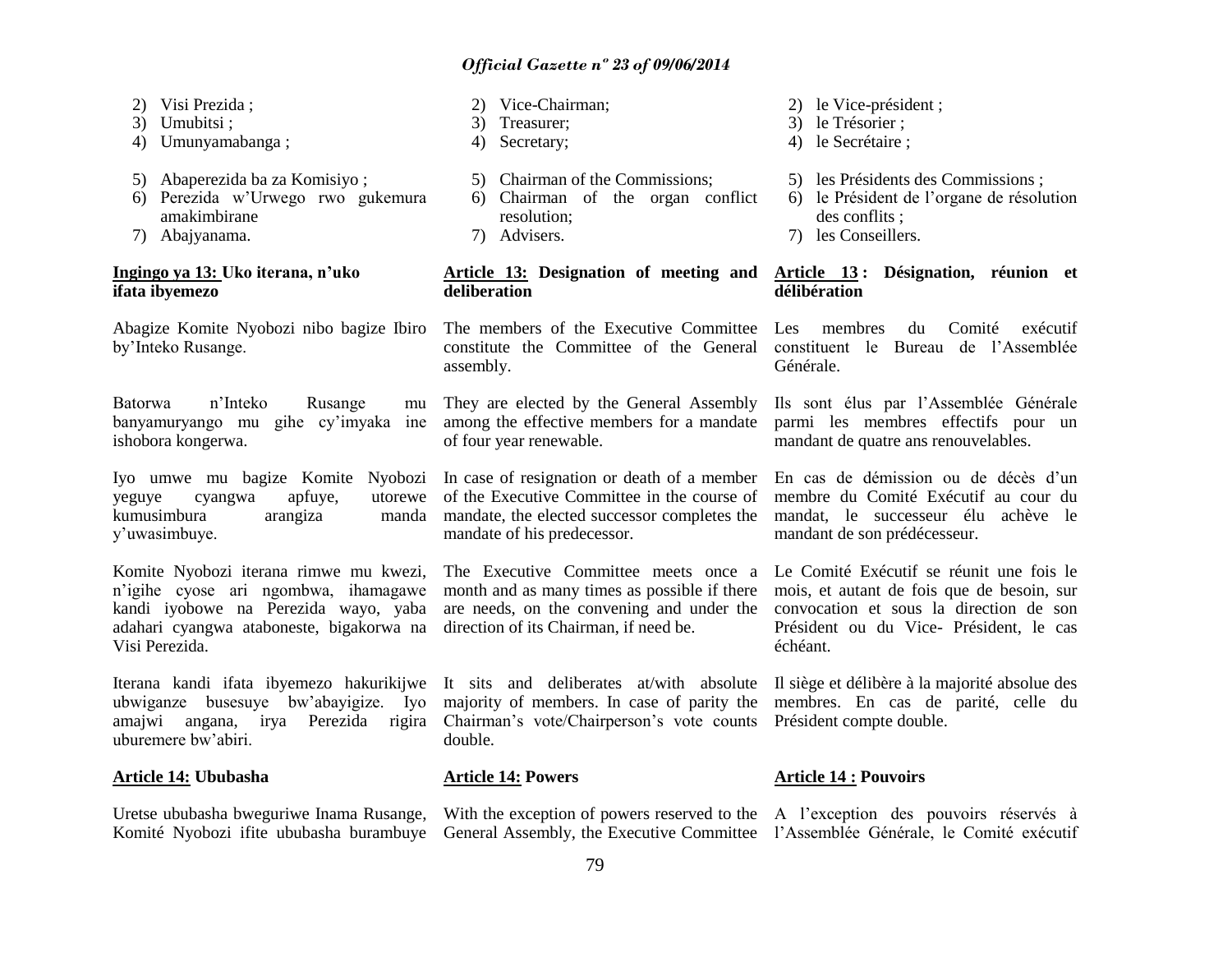- 2) Visi Prezida ;
- 3) Umubitsi ;
- 4) Umunyamabanga ;
- 5) Abaperezida ba za Komisiyo ;
- 6) Perezida w"Urwego rwo gukemura amakimbirane
- 7) Abajyanama.

#### **Ingingo ya 13: Uko iterana, n"uko ifata ibyemezo**

Abagize Komite Nyobozi nibo bagize Ibiro by"Inteko Rusange.

Batorwa n"Inteko Rusange mu banyamuryango mu gihe cy"imyaka ine ishobora kongerwa.

Iyo umwe mu bagize Komite Nyobozi yeguye cyangwa apfuye, utorewe kumusimbura arangiza manda y"uwasimbuye.

Komite Nyobozi iterana rimwe mu kwezi, n"igihe cyose ari ngombwa, ihamagawe kandi iyobowe na Perezida wayo, yaba adahari cyangwa ataboneste, bigakorwa na Visi Perezida.

Iterana kandi ifata ibyemezo hakurikijwe It sits and deliberates at/with absolute Il siège et délibère à la majorité absolue des ubwiganze busesuye bw"abayigize. Iyo amajwi angana, irya Perezida rigira uburemere bw"abiri.

#### **Article 14: Ububasha**

Uretse ububasha bweguriwe Inama Rusange, Komité Nyobozi ifite ububasha burambuye General Assembly, the Executive Committee l'Assemblée Générale, le Comité exécutif

#### 2) Vice-Chairman;

- 3) Treasurer;
- 4) Secretary;
- 5) Chairman of the Commissions;
- 6) Chairman of the organ conflict resolution;
- 7) Advisers.

# **deliberation**

The members of the Executive Committee constitute the Committee of the General constituent le Bureau de l"Assemblée assembly.

They are elected by the General Assembly among the effective members for a mandate of four year renewable.

In case of resignation or death of a member of the Executive Committee in the course of mandate, the elected successor completes the mandate of his predecessor.

The Executive Committee meets once a month and as many times as possible if there direction of its Chairman, if need be.

majority of members. In case of parity the membres. En cas de parité, celle du Chairman's vote/Chairperson's vote counts Président compte double. double.

#### **Article 14: Powers**

With the exception of powers reserved to the A l'exception des pouvoirs réservés à

- 2) le Vice-président ;
- 3) le Trésorier ;
- 4) le Secrétaire ;
- 5) les Présidents des Commissions ;
- 6) le Président de l"organe de résolution des conflits ;
- 7) les Conseillers.

**Article 13: Designation of meeting and Article 13 : Désignation, réunion et délibération**

> Les membres du Comité exécutif Générale.

Ils sont élus par l"Assemblée Générale parmi les membres effectifs pour un mandant de quatre ans renouvelables.

En cas de démission ou de décès d'un membre du Comité Exécutif au cour du mandat, le successeur élu achève le mandant de son prédécesseur.

are needs, on the convening and under the convocation et sous la direction de son Le Comité Exécutif se réunit une fois le mois, et autant de fois que de besoin, sur Président ou du Vice- Président, le cas échéant.

#### **Article 14 : Pouvoirs**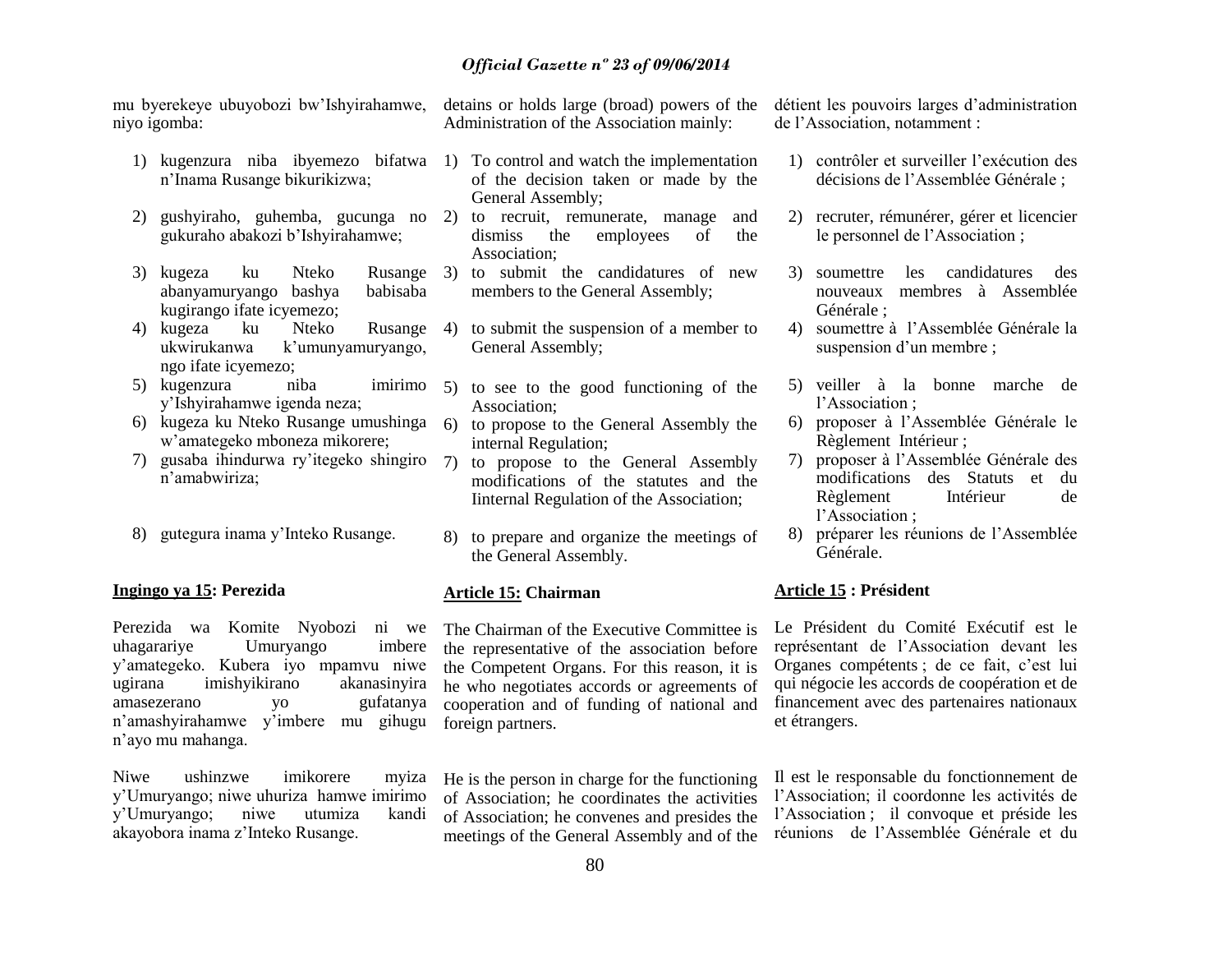mu byerekeye ubuyobozi bw"Ishyirahamwe, niyo igomba:

- n"Inama Rusange bikurikizwa;
- 2) gushyiraho, guhemba, gucunga no 2) to recruit, remunerate, manage and gukuraho abakozi b"Ishyirahamwe;
- 3) kugeza ku Nteko Rusange abanyamuryango bashya babisaba kugirango ifate icyemezo;
- 4) kugeza ku Nteko Rusange ukwirukanwa k'umunyamuryango, ngo ifate icyemezo;
- 5) kugenzura niba imirimo y"Ishyirahamwe igenda neza;
- 6) kugeza ku Nteko Rusange umushinga w"amategeko mboneza mikorere;
- 7) gusaba ihindurwa ry"itegeko shingiro n"amabwiriza;
- 8) gutegura inama y"Inteko Rusange.

#### **Ingingo ya 15: Perezida**

Perezida wa Komite Nyobozi ni we uhagarariye Umuryango imbere y"amategeko. Kubera iyo mpamvu niwe ugirana imishyikirano akanasinyira amasezerano yo gufatanya n"amashyirahamwe y"imbere mu gihugu n"ayo mu mahanga.

Niwe ushinzwe imikorere myiza y"Umuryango; niwe uhuriza hamwe imirimo y"Umuryango; niwe utumiza kandi akayobora inama z"Inteko Rusange.

detains or holds large (broad) powers of the Administration of the Association mainly:

- 1) kugenzura niba ibyemezo bifatwa 1) To control and watch the implementation of the decision taken or made by the General Assembly;
	- dismiss the employees of the Association;
	- to submit the candidatures of new members to the General Assembly;
	- 4) to submit the suspension of a member to General Assembly;
	- 5) to see to the good functioning of the Association;
	- 6) to propose to the General Assembly the internal Regulation;
	- 7) to propose to the General Assembly modifications of the statutes and the Iinternal Regulation of the Association;
	- 8) to prepare and organize the meetings of the General Assembly.

#### **Article 15: Chairman**

The Chairman of the Executive Committee is the representative of the association before the Competent Organs. For this reason, it is he who negotiates accords or agreements of cooperation and of funding of national and foreign partners.

He is the person in charge for the functioning of Association; he coordinates the activities of Association; he convenes and presides the meetings of the General Assembly and of the détient les pouvoirs larges d"administration de l"Association, notamment :

- 1) contrôler et surveiller l"exécution des décisions de l"Assemblée Générale ;
- 2) recruter, rémunérer, gérer et licencier le personnel de l"Association ;
- 3) soumettre les candidatures des nouveaux membres à Assemblée Générale ;
- 4) soumettre à l"Assemblée Générale la suspension d'un membre ;
- 5) veiller à la bonne marche de l"Association ;
- 6) proposer à l"Assemblée Générale le Règlement Intérieur ;
- 7) proposer à l"Assemblée Générale des modifications des Statuts et du Règlement Intérieur de l"Association ;
- 8) préparer les réunions de l"Assemblée Générale.

### **Article 15 : Président**

Le Président du Comité Exécutif est le représentant de l"Association devant les Organes compétents ; de ce fait, c"est lui qui négocie les accords de coopération et de financement avec des partenaires nationaux et étrangers.

Il est le responsable du fonctionnement de l"Association; il coordonne les activités de l"Association ; il convoque et préside les réunions de l"Assemblée Générale et du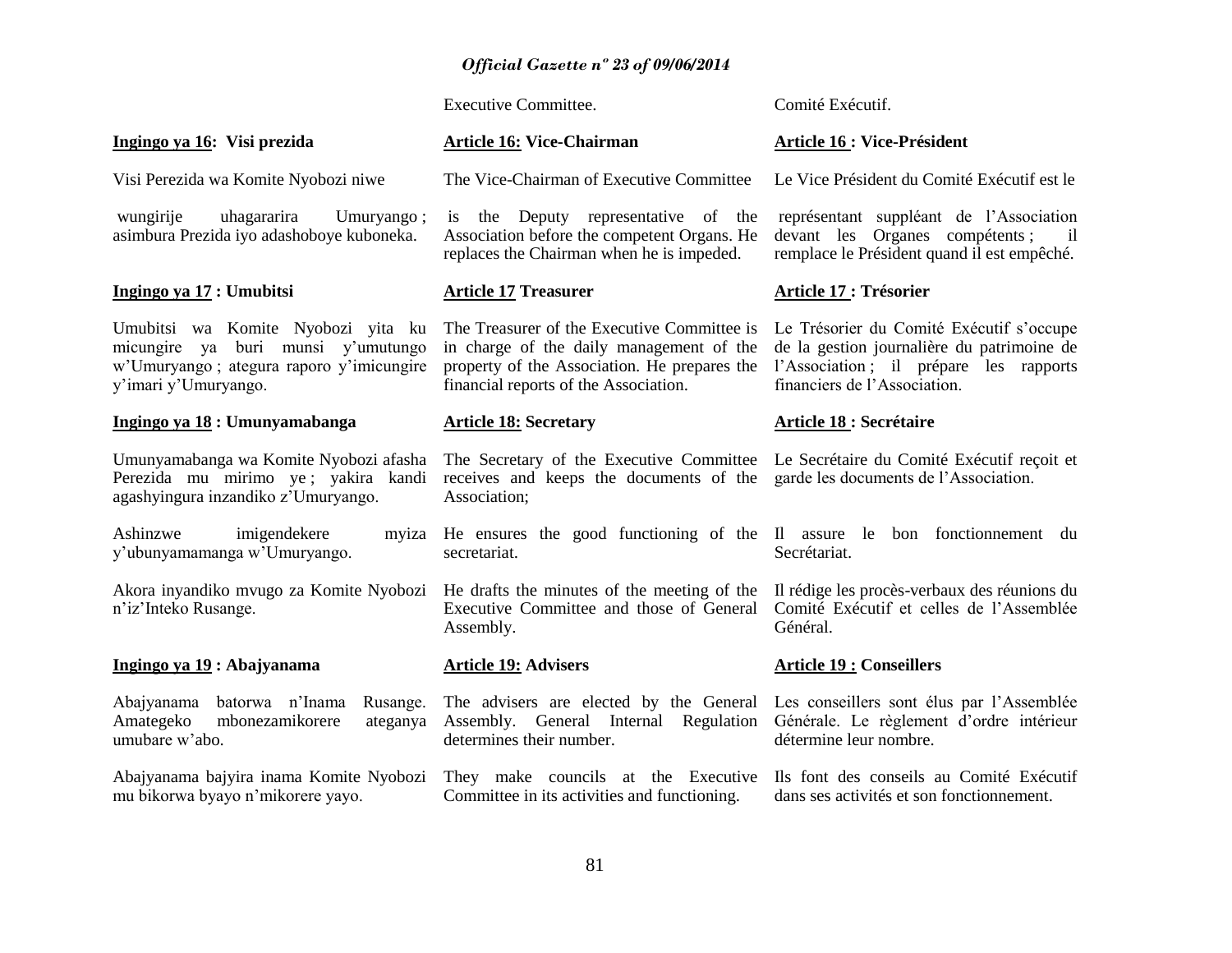Executive Committee.

Comité Exécutif.

| Ingingo ya 16: Visi prezida                                                                                                                     | <b>Article 16: Vice-Chairman</b>                                                                                                                                                 | <b>Article 16 : Vice-Président</b>                                                                                                                               |  |  |
|-------------------------------------------------------------------------------------------------------------------------------------------------|----------------------------------------------------------------------------------------------------------------------------------------------------------------------------------|------------------------------------------------------------------------------------------------------------------------------------------------------------------|--|--|
| Visi Perezida wa Komite Nyobozi niwe                                                                                                            | The Vice-Chairman of Executive Committee                                                                                                                                         | Le Vice Président du Comité Exécutif est le                                                                                                                      |  |  |
| wungirije<br>uhagararira<br>Umuryango;<br>asimbura Prezida iyo adashoboye kuboneka.                                                             | the Deputy representative of the<br>is<br>Association before the competent Organs. He<br>replaces the Chairman when he is impeded.                                               | représentant suppléant de l'Association<br>devant les Organes compétents;<br>$\overline{\mathbf{1}}$<br>remplace le Président quand il est empêché.              |  |  |
| Ingingo ya 17 : Umubitsi                                                                                                                        | <b>Article 17 Treasurer</b>                                                                                                                                                      | Article 17 : Trésorier                                                                                                                                           |  |  |
| Umubitsi wa Komite Nyobozi yita ku<br>buri munsi y'umutungo<br>micungire ya<br>w'Umuryango; ategura raporo y'imicungire<br>y'imari y'Umuryango. | The Treasurer of the Executive Committee is<br>in charge of the daily management of the<br>property of the Association. He prepares the<br>financial reports of the Association. | Le Trésorier du Comité Exécutif s'occupe<br>de la gestion journalière du patrimoine de<br>l'Association; il prépare les rapports<br>financiers de l'Association. |  |  |
| Ingingo ya 18 : Umunyamabanga                                                                                                                   | <b>Article 18: Secretary</b>                                                                                                                                                     | <b>Article 18 : Secrétaire</b>                                                                                                                                   |  |  |
| Umunyamabanga wa Komite Nyobozi afasha<br>Perezida mu mirimo ye; yakira kandi<br>agashyingura inzandiko z'Umuryango.                            | The Secretary of the Executive Committee Le Secrétaire du Comité Exécutif reçoit et<br>receives and keeps the documents of the<br>Association;                                   | garde les documents de l'Association.                                                                                                                            |  |  |
| Ashinzwe<br>imigendekere<br>y'ubunyamamanga w'Umuryango.                                                                                        | myiza He ensures the good functioning of the Il assure le bon fonctionnement du<br>secretariat.                                                                                  | Secrétariat.                                                                                                                                                     |  |  |
| Akora inyandiko mvugo za Komite Nyobozi<br>n'iz'Inteko Rusange.                                                                                 | He drafts the minutes of the meeting of the<br>Executive Committee and those of General<br>Assembly.                                                                             | Il rédige les procès-verbaux des réunions du<br>Comité Exécutif et celles de l'Assemblée<br>Général.                                                             |  |  |
| Ingingo ya 19 : Abajyanama                                                                                                                      | <b>Article 19: Advisers</b>                                                                                                                                                      | <b>Article 19 : Conseillers</b>                                                                                                                                  |  |  |
| batorwa n'Inama<br>Abajyanama<br>Rusange.<br>Amategeko<br>mbonezamikorere<br>ateganya<br>umubare w'abo.                                         | The advisers are elected by the General<br>Assembly. General Internal Regulation<br>determines their number.                                                                     | Les conseillers sont élus par l'Assemblée<br>Générale. Le règlement d'ordre intérieur<br>détermine leur nombre.                                                  |  |  |
| Abajyanama bajyira inama Komite Nyobozi<br>mu bikorwa byayo n'mikorere yayo.                                                                    | They make councils at the Executive<br>Committee in its activities and functioning.                                                                                              | Ils font des conseils au Comité Exécutif<br>dans ses activités et son fonctionnement.                                                                            |  |  |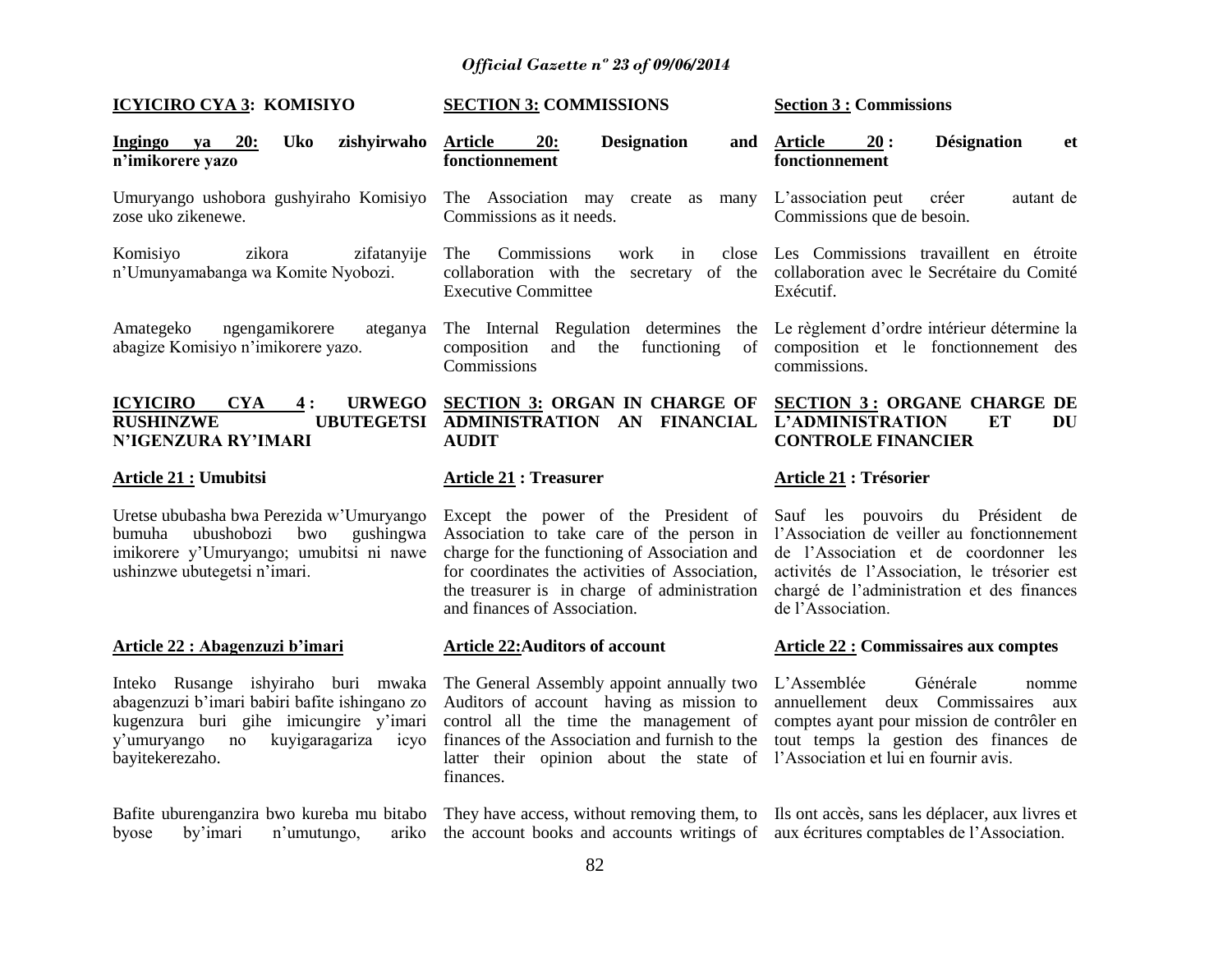| <b>ICYICIRO CYA 3: KOMISIYO</b>                                                                                                                                                                  | <b>SECTION 3: COMMISSIONS</b>                                                                                                                                                                                                                                        | <b>Section 3 : Commissions</b>                                                                                                                                                                                                              |  |  |
|--------------------------------------------------------------------------------------------------------------------------------------------------------------------------------------------------|----------------------------------------------------------------------------------------------------------------------------------------------------------------------------------------------------------------------------------------------------------------------|---------------------------------------------------------------------------------------------------------------------------------------------------------------------------------------------------------------------------------------------|--|--|
| <b>Uko</b><br>20:<br>zishyirwaho<br>Ingingo<br>ya<br>n'imikorere yazo                                                                                                                            | 20:<br><b>Designation</b><br>Article<br>and<br>fonctionnement                                                                                                                                                                                                        | <b>Désignation</b><br><b>Article</b><br>20:<br>et<br>fonctionnement                                                                                                                                                                         |  |  |
| Umuryango ushobora gushyiraho Komisiyo<br>zose uko zikenewe.                                                                                                                                     | The Association may create as<br>many<br>Commissions as it needs.                                                                                                                                                                                                    | L'association peut<br>créer<br>autant de<br>Commissions que de besoin.                                                                                                                                                                      |  |  |
| Komisiyo<br>zikora<br>zifatanyije<br>n'Umunyamabanga wa Komite Nyobozi.                                                                                                                          | The<br>Commissions<br>work<br>in<br>collaboration with the secretary of the collaboration avec le Secrétaire du Comité<br><b>Executive Committee</b>                                                                                                                 | close Les Commissions travaillent en étroite<br>Exécutif.                                                                                                                                                                                   |  |  |
| Amategeko<br>ngengamikorere<br>ateganya<br>abagize Komisiyo n'imikorere yazo.                                                                                                                    | The Internal Regulation determines<br>the<br>composition<br>the functioning<br>and<br>of<br>Commissions                                                                                                                                                              | Le règlement d'ordre intérieur détermine la<br>composition et le fonctionnement des<br>commissions.                                                                                                                                         |  |  |
| <b>CYA</b><br><b>URWEGO</b><br><u>ICYICIRO</u><br>4:<br><b>RUSHINZWE</b><br>N'IGENZURA RY'IMARI                                                                                                  | <b>SECTION 3: ORGAN IN CHARGE OF</b><br>UBUTEGETSI ADMINISTRATION AN FINANCIAL<br><b>AUDIT</b>                                                                                                                                                                       | <b>SECTION 3: ORGANE CHARGE DE</b><br><b>L'ADMINISTRATION</b><br><b>ET</b><br>DU<br><b>CONTROLE FINANCIER</b>                                                                                                                               |  |  |
| <u> Article 21 :</u> Umubitsi                                                                                                                                                                    | <b>Article 21: Treasurer</b>                                                                                                                                                                                                                                         | <b>Article 21 : Trésorier</b>                                                                                                                                                                                                               |  |  |
| Uretse ububasha bwa Perezida w'Umuryango<br>bumuha<br>ubushobozi<br>bwo<br>gushingwa<br>imikorere y'Umuryango; umubitsi ni nawe<br>ushinzwe ubutegetsi n'imari.                                  | Except the power of the President of<br>Association to take care of the person in<br>charge for the functioning of Association and<br>for coordinates the activities of Association,<br>the treasurer is in charge of administration<br>and finances of Association. | Sauf les pouvoirs du Président de<br>l'Association de veiller au fonctionnement<br>de l'Association et de coordonner les<br>activités de l'Association, le trésorier est<br>chargé de l'administration et des finances<br>de l'Association. |  |  |
| <u> Article 22 : Abagenzuzi b'imari</u>                                                                                                                                                          | <b>Article 22: Auditors of account</b>                                                                                                                                                                                                                               | <b>Article 22 : Commissaires aux comptes</b>                                                                                                                                                                                                |  |  |
| Inteko Rusange ishyiraho buri mwaka<br>abagenzuzi b'imari babiri bafite ishingano zo<br>kugenzura buri gihe imicungire y'imari<br>kuyigaragariza<br>y'umuryango<br>no<br>icyo<br>bayitekerezaho. | The General Assembly appoint annually two<br>Auditors of account having as mission to<br>control all the time the management of<br>finances of the Association and furnish to the<br>latter their opinion about the state of<br>finances.                            | L'Assemblée<br>Générale<br>nomme<br>annuellement<br>deux Commissaires<br>aux<br>comptes ayant pour mission de contrôler en<br>tout temps la gestion des finances de<br>l'Association et lui en fournir avis.                                |  |  |

Ils ont accès, sans les déplacer, aux livres et aux écritures comptables de l"Association.

They have access, without removing them, to the account books and accounts writings of

Bafite uburenganzira bwo kureba mu bitabo byose by"imari n"umutungo, ariko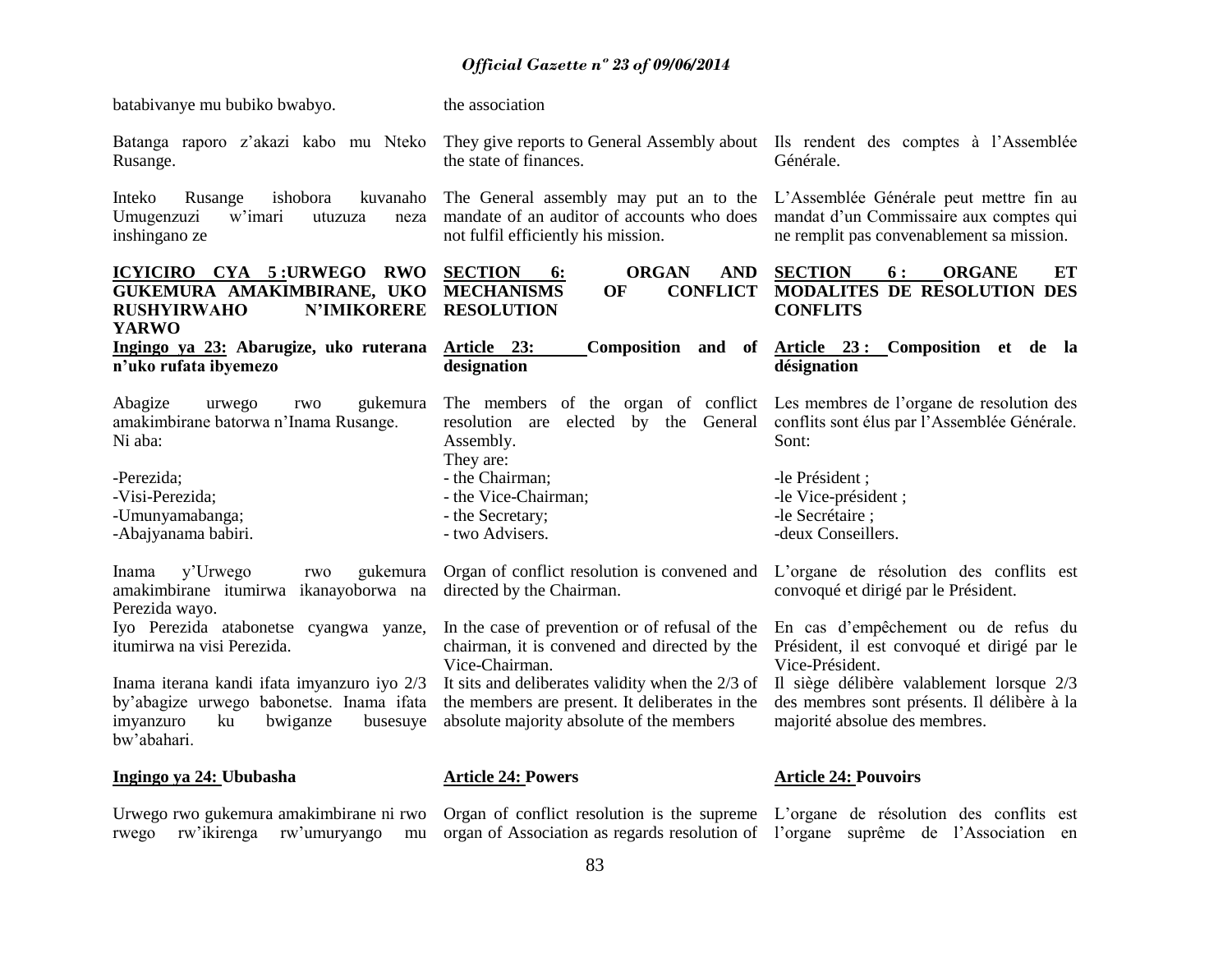| batabivanye mu bubiko bwabyo.                                                                                                                                   | the association                                                                                                                                                                                                        |                                                                                                                                                                                                   |  |  |
|-----------------------------------------------------------------------------------------------------------------------------------------------------------------|------------------------------------------------------------------------------------------------------------------------------------------------------------------------------------------------------------------------|---------------------------------------------------------------------------------------------------------------------------------------------------------------------------------------------------|--|--|
| Batanga raporo z'akazi kabo mu Nteko<br>Rusange.                                                                                                                | They give reports to General Assembly about Ils rendent des comptes à l'Assemblée<br>the state of finances.                                                                                                            | Générale.                                                                                                                                                                                         |  |  |
| Inteko<br>ishobora<br>kuvanaho<br>Rusange<br>Umugenzuzi<br>w'imari<br>utuzuza<br>neza<br>inshingano ze                                                          | The General assembly may put an to the<br>mandate of an auditor of accounts who does<br>not fulfil efficiently his mission.                                                                                            | L'Assemblée Générale peut mettre fin au<br>mandat d'un Commissaire aux comptes qui<br>ne remplit pas convenablement sa mission.                                                                   |  |  |
| ICYICIRO CYA 5:URWEGO RWO<br>GUKEMURA AMAKIMBIRANE, UKO<br><b>RUSHYIRWAHO</b><br><b>N'IMIKORERE</b><br><b>YARWO</b>                                             | <b>SECTION</b><br><b>ORGAN</b><br><b>AND</b><br>6:<br><b>MECHANISMS</b><br><b>CONFLICT</b><br>OF<br><b>RESOLUTION</b>                                                                                                  | <b>SECTION</b><br>6:<br><b>ORGANE</b><br>ET<br>MODALITES DE RESOLUTION DES<br><b>CONFLITS</b>                                                                                                     |  |  |
| Ingingo ya 23: Abarugize, uko ruterana<br>n'uko rufata ibyemezo                                                                                                 | Article 23:<br>Composition and of<br>designation                                                                                                                                                                       | Article 23: Composition et de la<br>désignation                                                                                                                                                   |  |  |
| Abagize<br>gukemura<br>urwego<br>rwo<br>amakimbirane batorwa n'Inama Rusange.<br>Ni aba:                                                                        | The members of the organ of conflict<br>resolution are elected by the General<br>Assembly.<br>They are:                                                                                                                | Les membres de l'organe de resolution des<br>conflits sont élus par l'Assemblée Générale.<br>Sont:                                                                                                |  |  |
| -Perezida;<br>-Visi-Perezida;<br>-Umunyamabanga;<br>-Abajyanama babiri.                                                                                         | - the Chairman;<br>- the Vice-Chairman;<br>- the Secretary;<br>- two Advisers.                                                                                                                                         | -le Président ;<br>-le Vice-président;<br>-le Secrétaire :<br>-deux Conseillers.                                                                                                                  |  |  |
| y'Urwego<br>gukemura<br>Inama<br>rwo<br>amakimbirane itumirwa ikanayoborwa na<br>Perezida wayo.                                                                 | Organ of conflict resolution is convened and<br>directed by the Chairman.                                                                                                                                              | L'organe de résolution des conflits est<br>convoqué et dirigé par le Président.                                                                                                                   |  |  |
| Iyo Perezida atabonetse cyangwa yanze,<br>itumirwa na visi Perezida.<br>Inama iterana kandi ifata imyanzuro iyo 2/3<br>by'abagize urwego babonetse. Inama ifata | In the case of prevention or of refusal of the<br>chairman, it is convened and directed by the<br>Vice-Chairman.<br>It sits and deliberates validity when the 2/3 of<br>the members are present. It deliberates in the | En cas d'empêchement ou de refus du<br>Président, il est convoqué et dirigé par le<br>Vice-Président.<br>Il siège délibère valablement lorsque 2/3<br>des membres sont présents. Il délibère à la |  |  |
| imyanzuro<br>ku<br>bwiganze<br>busesuye<br>bw'abahari.                                                                                                          | absolute majority absolute of the members                                                                                                                                                                              | majorité absolue des membres.                                                                                                                                                                     |  |  |
| Ingingo ya 24: Ububasha                                                                                                                                         | <b>Article 24: Powers</b>                                                                                                                                                                                              | <b>Article 24: Pouvoirs</b>                                                                                                                                                                       |  |  |
|                                                                                                                                                                 | Urwego rwo gukemura amakimbirane ni rwo Organ of conflict resolution is the supreme L'organe de résolution des conflits est                                                                                            |                                                                                                                                                                                                   |  |  |

rwego rw'ikirenga rw'umuryango mu organ-of-Association-as-regards-resolution-of-l'organe suprême de l'Association en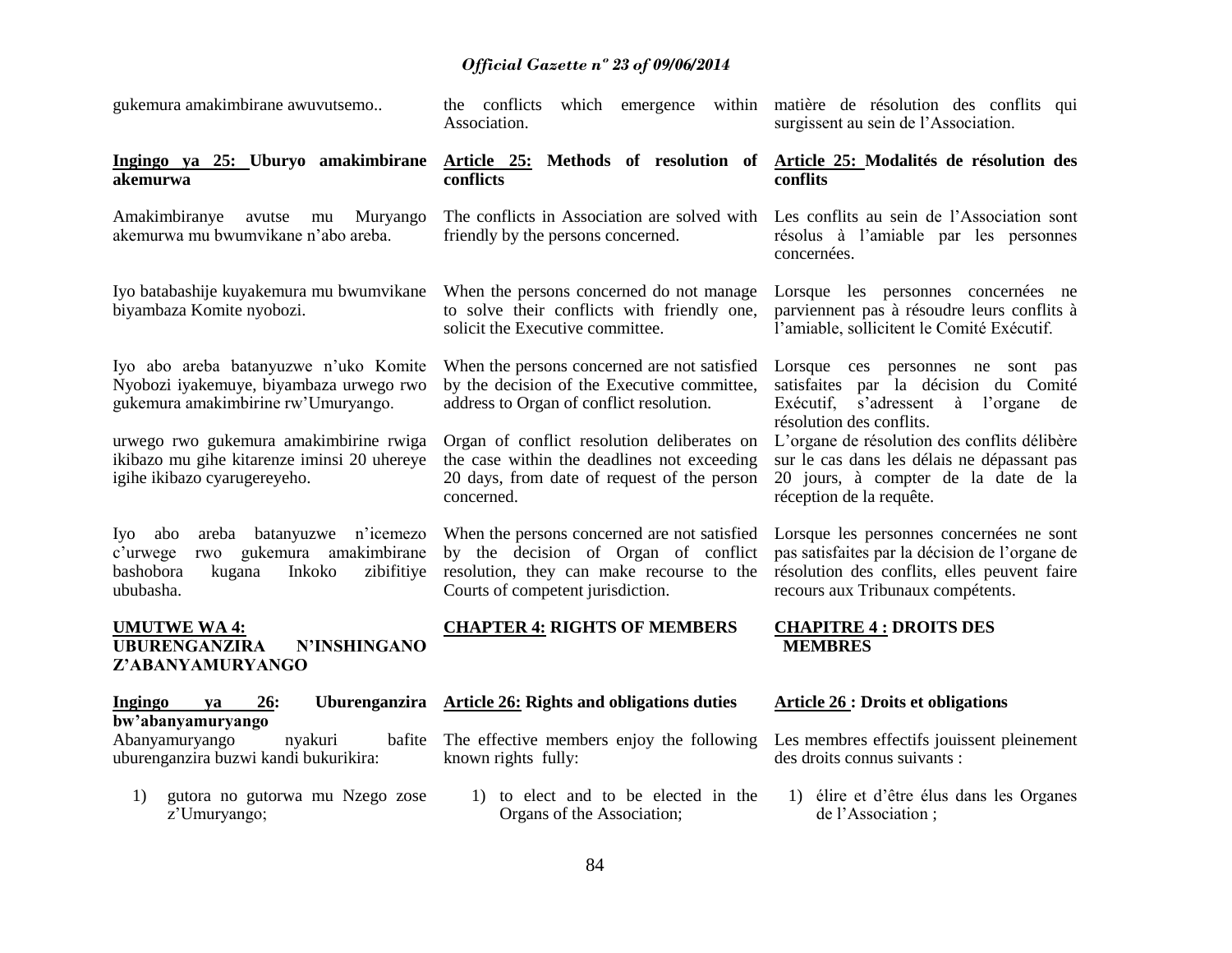| gukemura amakimbirane awuvutsemo                                                                                                              | the conflicts<br>Association.                                                                                                                                          | which emergence within matière de résolution des conflits qui<br>surgissent au sein de l'Association.                                                                           |  |  |
|-----------------------------------------------------------------------------------------------------------------------------------------------|------------------------------------------------------------------------------------------------------------------------------------------------------------------------|---------------------------------------------------------------------------------------------------------------------------------------------------------------------------------|--|--|
| Ingingo ya 25: Uburyo amakimbirane<br>akemurwa                                                                                                | Article 25: Methods of resolution of<br>conflicts                                                                                                                      | Article 25: Modalités de résolution des<br>conflits                                                                                                                             |  |  |
| Amakimbiranye<br>Muryango<br>avutse<br>mu<br>akemurwa mu bwumvikane n'abo areba.                                                              | The conflicts in Association are solved with<br>friendly by the persons concerned.                                                                                     | Les conflits au sein de l'Association sont<br>résolus à l'amiable par les personnes<br>concernées.                                                                              |  |  |
| Iyo batabashije kuyakemura mu bwumvikane<br>biyambaza Komite nyobozi.                                                                         | When the persons concerned do not manage<br>to solve their conflicts with friendly one,<br>solicit the Executive committee.                                            | Lorsque les personnes concernées ne<br>parviennent pas à résoudre leurs conflits à<br>l'amiable, sollicitent le Comité Exécutif.                                                |  |  |
| Iyo abo areba batanyuzwe n'uko Komite<br>Nyobozi iyakemuye, biyambaza urwego rwo<br>gukemura amakimbirine rw'Umuryango.                       | When the persons concerned are not satisfied<br>by the decision of the Executive committee,<br>address to Organ of conflict resolution.                                | Lorsque ces personnes ne sont pas<br>satisfaites par la décision du Comité<br>Exécutif,<br>s'adressent à l'organe<br>de<br>résolution des conflits.                             |  |  |
| urwego rwo gukemura amakimbirine rwiga<br>ikibazo mu gihe kitarenze iminsi 20 uhereye<br>igihe ikibazo cyarugereyeho.                         | Organ of conflict resolution deliberates on<br>the case within the deadlines not exceeding<br>20 days, from date of request of the person<br>concerned.                | L'organe de résolution des conflits délibère<br>sur le cas dans les délais ne dépassant pas<br>20 jours, à compter de la date de la<br>réception de la requête.                 |  |  |
| areba batanyuzwe n'icemezo<br>Iyo abo<br>gukemura amakimbirane<br>c'urwege<br>rwo<br>bashobora<br>zibifitiye<br>kugana<br>Inkoko<br>ububasha. | When the persons concerned are not satisfied<br>by the decision of Organ of conflict<br>resolution, they can make recourse to the<br>Courts of competent jurisdiction. | Lorsque les personnes concernées ne sont<br>pas satisfaites par la décision de l'organe de<br>résolution des conflits, elles peuvent faire<br>recours aux Tribunaux compétents. |  |  |
| <b>UMUTWE WA4:</b><br><b>UBURENGANZIRA</b><br>N'INSHINGANO<br>Z'ABANYAMURYANGO                                                                | <b>CHAPTER 4: RIGHTS OF MEMBERS</b>                                                                                                                                    | <b>CHAPITRE 4: DROITS DES</b><br><b>MEMBRES</b>                                                                                                                                 |  |  |
| 26:<br>Ingingo<br>va<br>bw'abanyamuryango                                                                                                     | Uburenganzira Article 26: Rights and obligations duties                                                                                                                | <b>Article 26 : Droits et obligations</b>                                                                                                                                       |  |  |
| bafite<br>Abanyamuryango<br>nyakuri<br>uburenganzira buzwi kandi bukurikira:                                                                  | The effective members enjoy the following<br>known rights fully:                                                                                                       | Les membres effectifs jouissent pleinement<br>des droits connus suivants :                                                                                                      |  |  |
| gutora no gutorwa mu Nzego zose<br>1)<br>z'Umuryango;                                                                                         | 1) to elect and to be elected in the<br>Organs of the Association;                                                                                                     | 1) élire et d'être élus dans les Organes<br>de l'Association;                                                                                                                   |  |  |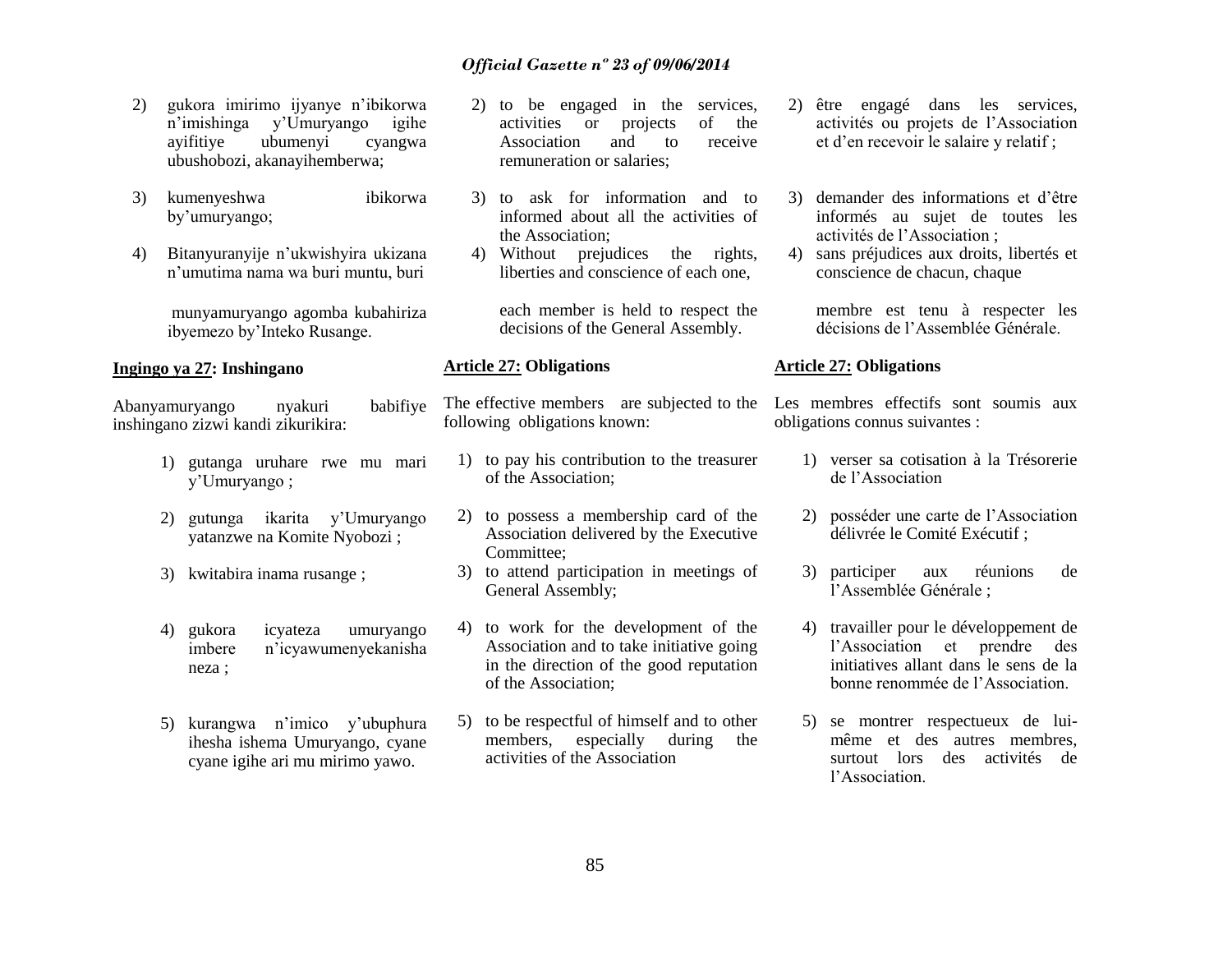- 2) gukora imirimo ijyanye n"ibikorwa n"imishinga y"Umuryango igihe ayifitiye ubumenyi cyangwa ubushobozi, akanayihemberwa;
- 3) kumenyeshwa ibikorwa by"umuryango;
- 4) Bitanyuranyije n"ukwishyira ukizana n"umutima nama wa buri muntu, buri

munyamuryango agomba kubahiriza ibyemezo by"Inteko Rusange.

#### **Ingingo ya 27: Inshingano**

Abanyamuryango nyakuri babifiye inshingano zizwi kandi zikurikira:

- 1) gutanga uruhare rwe mu mari y"Umuryango ;
- 2) gutunga ikarita y"Umuryango yatanzwe na Komite Nyobozi ;
- 3) kwitabira inama rusange ;
- 4) gukora icyateza umuryango imbere n"icyawumenyekanisha neza ;
- 5) kurangwa n"imico y"ubuphura ihesha ishema Umuryango, cyane cyane igihe ari mu mirimo yawo.
- 2) to be engaged in the services, activities or projects of the Association and to receive remuneration or salaries;
- 3) to ask for information and to informed about all the activities of the Association;
- 4) Without prejudices the rights, liberties and conscience of each one,

each member is held to respect the decisions of the General Assembly.

#### **Article 27: Obligations**

following obligations known:

- 1) to pay his contribution to the treasurer of the Association;
- 2) to possess a membership card of the Association delivered by the Executive Committee;
- 3) to attend participation in meetings of General Assembly;
- 4) to work for the development of the Association and to take initiative going in the direction of the good reputation of the Association;
- 5) to be respectful of himself and to other members, especially during the activities of the Association
- 2) être engagé dans les services, activités ou projets de l"Association et d"en recevoir le salaire y relatif ;
- 3) demander des informations et d"être informés au sujet de toutes les activités de l"Association ;
- 4) sans préjudices aux droits, libertés et conscience de chacun, chaque

membre est tenu à respecter les décisions de l"Assemblée Générale.

#### **Article 27: Obligations**

The effective members are subjected to the Les membres effectifs sont soumis aux obligations connus suivantes :

- 1) verser sa cotisation à la Trésorerie de l"Association
- 2) posséder une carte de l"Association délivrée le Comité Exécutif ;
- 3) participer aux réunions de l"Assemblée Générale ;
- 4) travailler pour le développement de l"Association et prendre des initiatives allant dans le sens de la bonne renommée de l"Association.
- 5) se montrer respectueux de luimême et des autres membres, surtout lors des activités de l"Association.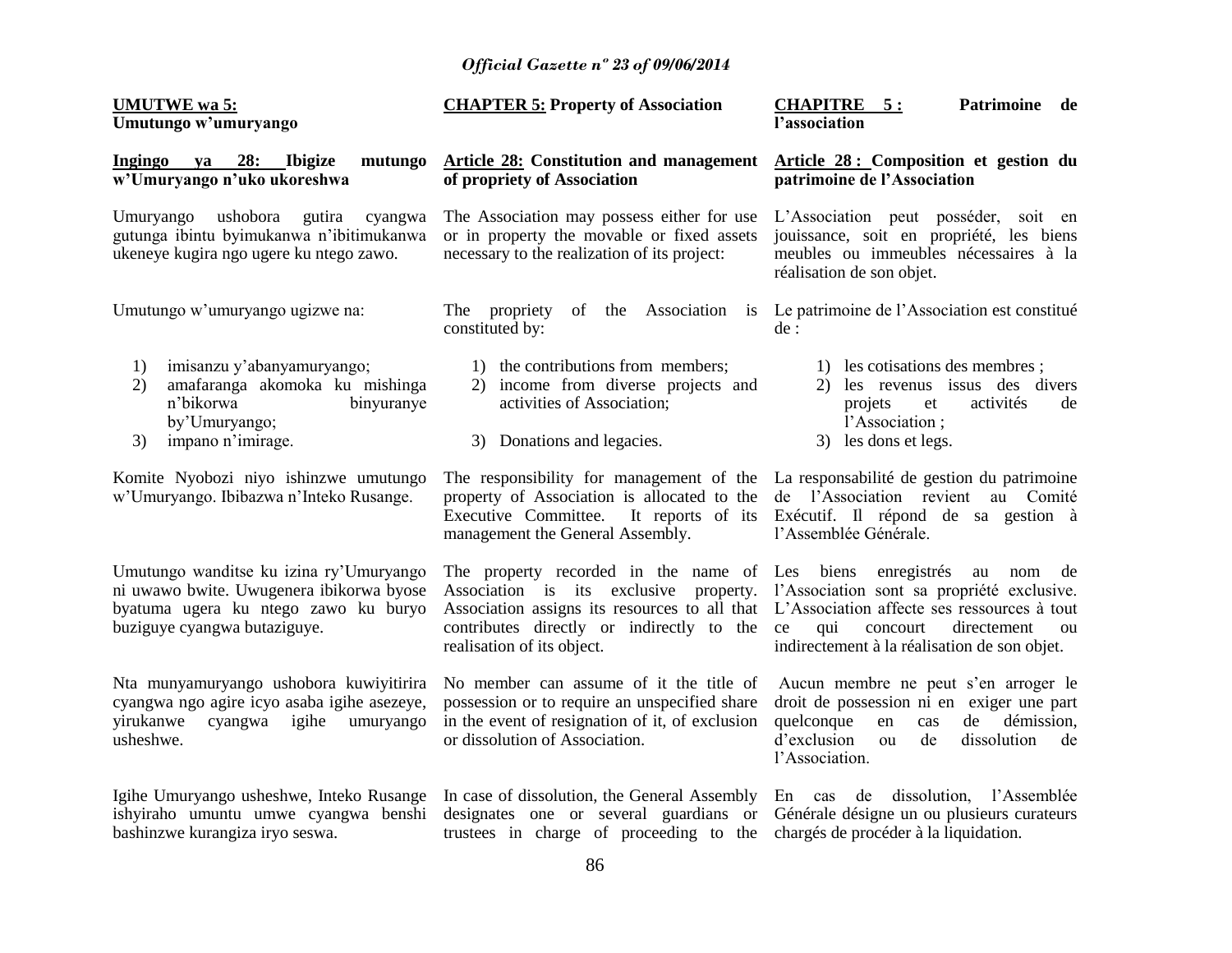| <b>UMUTWE</b> wa 5:<br>Umutungo w'umuryango                                                                                                                 | <b>CHAPTER 5: Property of Association</b>                                                                                                                                                                                                                                                                                      | <b>CHAPITRE</b> 5:<br>Patrimoine de<br>l'association                                                                                                                                               |  |  |
|-------------------------------------------------------------------------------------------------------------------------------------------------------------|--------------------------------------------------------------------------------------------------------------------------------------------------------------------------------------------------------------------------------------------------------------------------------------------------------------------------------|----------------------------------------------------------------------------------------------------------------------------------------------------------------------------------------------------|--|--|
| 28: Ibigize<br>Ingingo<br>ya<br>mutungo<br>w'Umuryango n'uko ukoreshwa                                                                                      | <b>Article 28: Constitution and management</b><br>of propriety of Association                                                                                                                                                                                                                                                  | Article 28 : Composition et gestion du<br>patrimoine de l'Association                                                                                                                              |  |  |
| ushobora<br>Umuryango<br>gutira<br>cyangwa<br>gutunga ibintu byimukanwa n'ibitimukanwa<br>ukeneye kugira ngo ugere ku ntego zawo.                           | The Association may possess either for use<br>or in property the movable or fixed assets<br>necessary to the realization of its project:                                                                                                                                                                                       | L'Association peut posséder, soit en<br>jouissance, soit en propriété, les biens<br>meubles ou immeubles nécessaires à la<br>réalisation de son objet.                                             |  |  |
| Umutungo w'umuryango ugizwe na:                                                                                                                             | The propriety<br>of the Association is<br>constituted by:                                                                                                                                                                                                                                                                      | Le patrimoine de l'Association est constitué<br>de :                                                                                                                                               |  |  |
| 1)<br>imisanzu y'abanyamuryango;<br>amafaranga akomoka ku mishinga<br>2)<br>n'bikorwa<br>binyuranye<br>by'Umuryango;<br>impano n'imirage.<br>3)             | 1) the contributions from members;<br>2) income from diverse projects and<br>activities of Association;<br>3) Donations and legacies.                                                                                                                                                                                          | 1) les cotisations des membres;<br>2) les revenus issus des divers<br>projets<br>activités<br>et<br>de<br>l'Association;<br>3) les dons et legs.                                                   |  |  |
| Komite Nyobozi niyo ishinzwe umutungo<br>w'Umuryango. Ibibazwa n'Inteko Rusange.                                                                            | The responsibility for management of the La responsabilité de gestion du patrimoine<br>property of Association is allocated to the<br>Executive Committee.<br>It reports of its<br>management the General Assembly.                                                                                                            | de l'Association revient au Comité<br>Exécutif. Il répond de sa gestion à<br>l'Assemblée Générale.                                                                                                 |  |  |
| Umutungo wanditse ku izina ry'Umuryango<br>ni uwawo bwite. Uwugenera ibikorwa byose<br>byatuma ugera ku ntego zawo ku buryo<br>buziguye cyangwa butaziguye. | The property recorded in the name of Les biens enregistrés au nom<br>Association is its exclusive property. l'Association sont sa propriété exclusive.<br>Association assigns its resources to all that L'Association affecte ses ressources à tout<br>contributes directly or indirectly to the<br>realisation of its object. | de<br>ce<br>qui<br>directement<br>concourt<br>ou<br>indirectement à la réalisation de son objet.                                                                                                   |  |  |
| Nta munyamuryango ushobora kuwiyitirira<br>cyangwa ngo agire icyo asaba igihe asezeye,<br>yirukanwe<br>igihe<br>umuryango<br>cyangwa<br>usheshwe.           | No member can assume of it the title of<br>possession or to require an unspecified share<br>in the event of resignation of it, of exclusion<br>or dissolution of Association.                                                                                                                                                  | Aucun membre ne peut s'en arroger le<br>droit de possession ni en exiger une part<br>quelconque<br>démission,<br>en<br>de<br>cas<br>d'exclusion<br>dissolution<br>ou<br>de<br>de<br>l'Association. |  |  |
| Igihe Umuryango usheshwe, Inteko Rusange<br>ishyiraho umuntu umwe cyangwa benshi<br>bashinzwe kurangiza iryo seswa.                                         | In case of dissolution, the General Assembly<br>designates one or several guardians or Générale désigne un ou plusieurs curateurs<br>trustees in charge of proceeding to the chargés de procéder à la liquidation.                                                                                                             | l'Assemblée<br>de<br>dissolution,<br>En cas                                                                                                                                                        |  |  |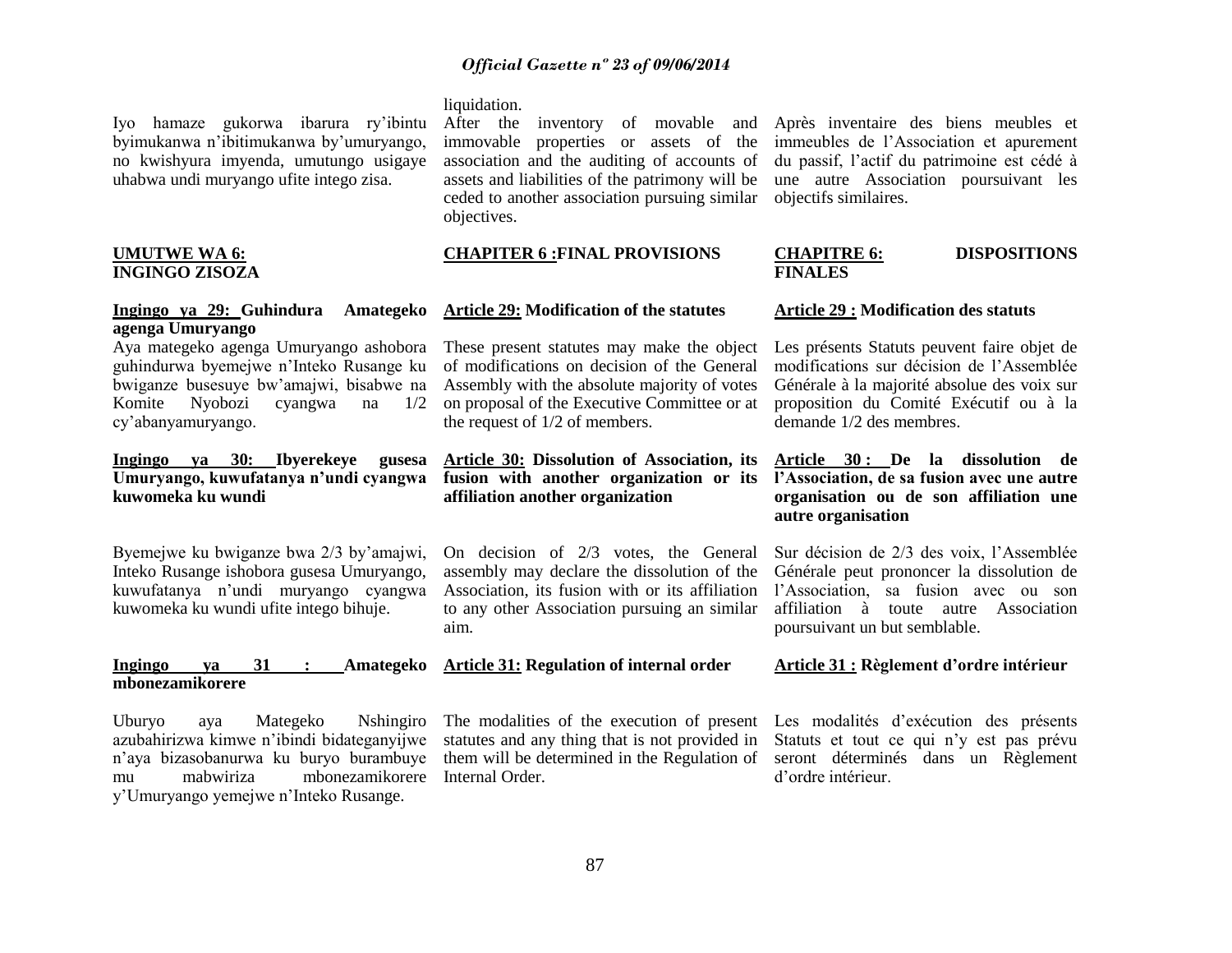Iyo hamaze gukorwa ibarura ry"ibintu byimukanwa n"ibitimukanwa by"umuryango, no kwishyura imyenda, umutungo usigaye uhabwa undi muryango ufite intego zisa.

#### **UMUTWE WA 6: INGINGO ZISOZA**

#### **Ingingo ya 29: Guhindura Amategeko agenga Umuryango**

Aya mategeko agenga Umuryango ashobora guhindurwa byemejwe n"Inteko Rusange ku bwiganze busesuye bw"amajwi, bisabwe na Komite Nyobozi cyangwa na 1/2 cy"abanyamuryango.

### **Ingingo ya 30: Ibyerekeye gusesa Umuryango, kuwufatanya n"undi cyangwa kuwomeka ku wundi**

Byemejwe ku bwiganze bwa 2/3 by"amajwi, Inteko Rusange ishobora gusesa Umuryango, kuwufatanya n"undi muryango cyangwa kuwomeka ku wundi ufite intego bihuje.

#### **Ingingo ya 31 : Amategeko mbonezamikorere**

Uburyo aya Mategeko Nshingiro azubahirizwa kimwe n"ibindi bidateganyijwe n"aya bizasobanurwa ku buryo burambuye mu mabwiriza mbonezamikorere Internal Order. y"Umuryango yemejwe n"Inteko Rusange.

#### liquidation.

After the inventory of movable and immovable properties or assets of the association and the auditing of accounts of assets and liabilities of the patrimony will be ceded to another association pursuing similar objectives.

# **CHAPITER 6 :FINAL PROVISIONS**

#### **Article 29: Modification of the statutes**

These present statutes may make the object of modifications on decision of the General Assembly with the absolute majority of votes on proposal of the Executive Committee or at the request of 1/2 of members.

#### **Article 30: Dissolution of Association, its fusion with another organization or its affiliation another organization**

On decision of 2/3 votes, the General assembly may declare the dissolution of the Association, its fusion with or its affiliation to any other Association pursuing an similar aim.

# **Article 31: Regulation of internal order**

The modalities of the execution of present statutes and any thing that is not provided in them will be determined in the Regulation of

Après inventaire des biens meubles et immeubles de l"Association et apurement du passif, l"actif du patrimoine est cédé à une autre Association poursuivant les objectifs similaires.

#### **CHAPITRE 6: DISPOSITIONS FINALES**

#### **Article 29 : Modification des statuts**

Les présents Statuts peuvent faire objet de modifications sur décision de l"Assemblée Générale à la majorité absolue des voix sur proposition du Comité Exécutif ou à la demande 1/2 des membres.

#### **Article 30 : De la dissolution de l"Association, de sa fusion avec une autre organisation ou de son affiliation une autre organisation**

Sur décision de 2/3 des voix, l"Assemblée Générale peut prononcer la dissolution de l"Association, sa fusion avec ou son affiliation à toute autre Association poursuivant un but semblable.

#### **Article 31 : Règlement d"ordre intérieur**

Les modalités d'exécution des présents Statuts et tout ce qui n"y est pas prévu seront déterminés dans un Règlement d"ordre intérieur.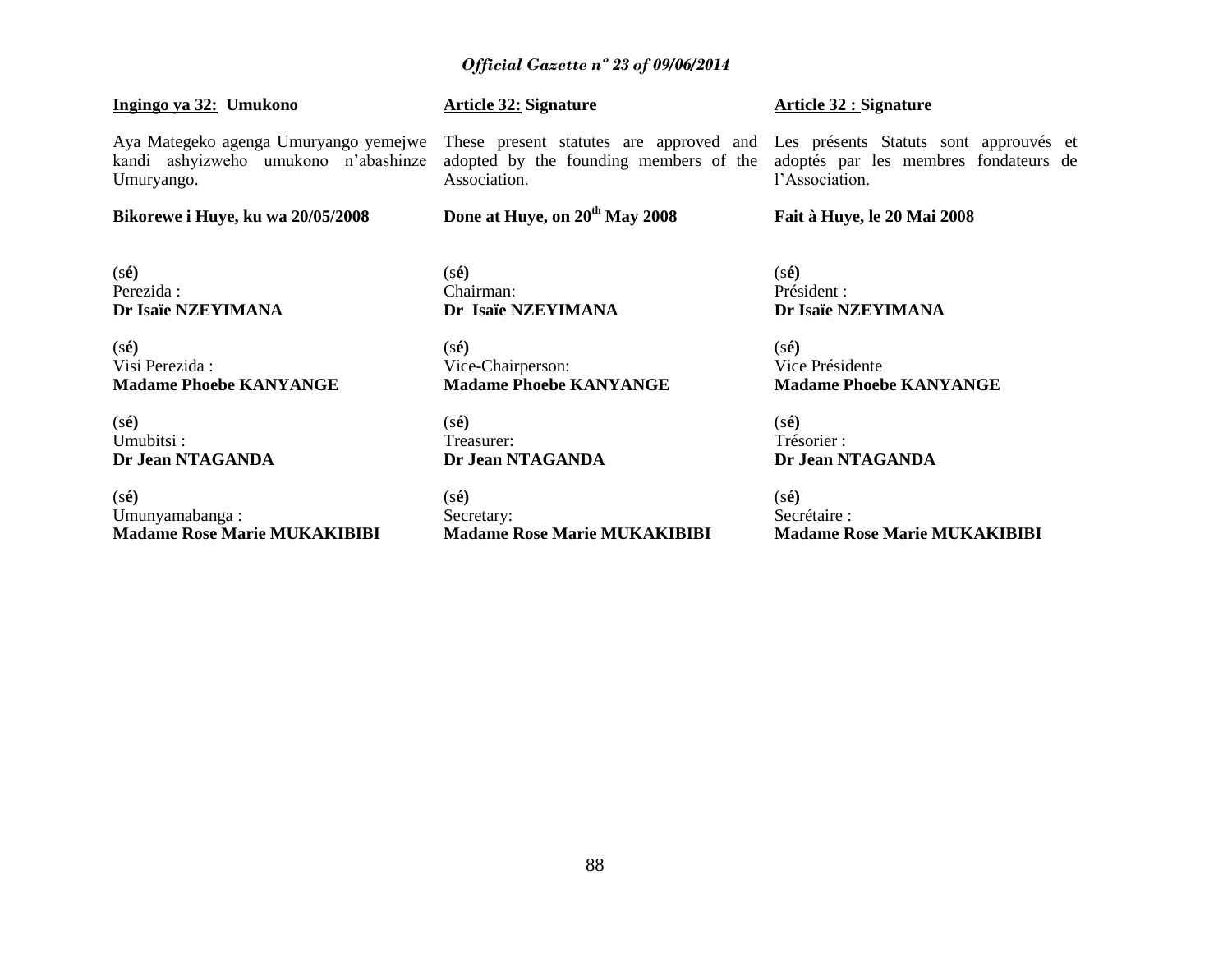#### **Ingingo ya 32: Umukono**

Aya Mategeko agenga Umuryango yemejwe kandi ashyizweho umukono n"abashinze Umuryango.

**Bikorewe i Huye, ku wa 20/05/2008**

(s**é)** Perezida : **Dr Isaïe NZEYIMANA**

(s**é)** Visi Perezida : **Madame Phoebe KANYANGE**

(s**é)** Umubitsi : **Dr Jean NTAGANDA**

(s**é)** Umunyamabanga : **Madame Rose Marie MUKAKIBIBI**

# **Article 32: Signature**

These present statutes are approved and Les présents Statuts sont approuvés et adopted by the founding members of the adoptés par les membres fondateurs de Association.

# **Done at Huye, on 20th May 2008**

(s**é)** Chairman: **Dr Isaïe NZEYIMANA**

(s**é)** Vice-Chairperson: **Madame Phoebe KANYANGE**

(s**é)** Treasurer: **Dr Jean NTAGANDA**

(s**é)** Secretary: **Madame Rose Marie MUKAKIBIBI**

#### **Article 32 : Signature**

l"Association.

#### **Fait à Huye, le 20 Mai 2008**

(s**é)** Président : **Dr Isaïe NZEYIMANA**

(s**é)** Vice Présidente **Madame Phoebe KANYANGE**

(s**é)** Trésorier : **Dr Jean NTAGANDA**

(s**é)** Secrétaire : **Madame Rose Marie MUKAKIBIBI**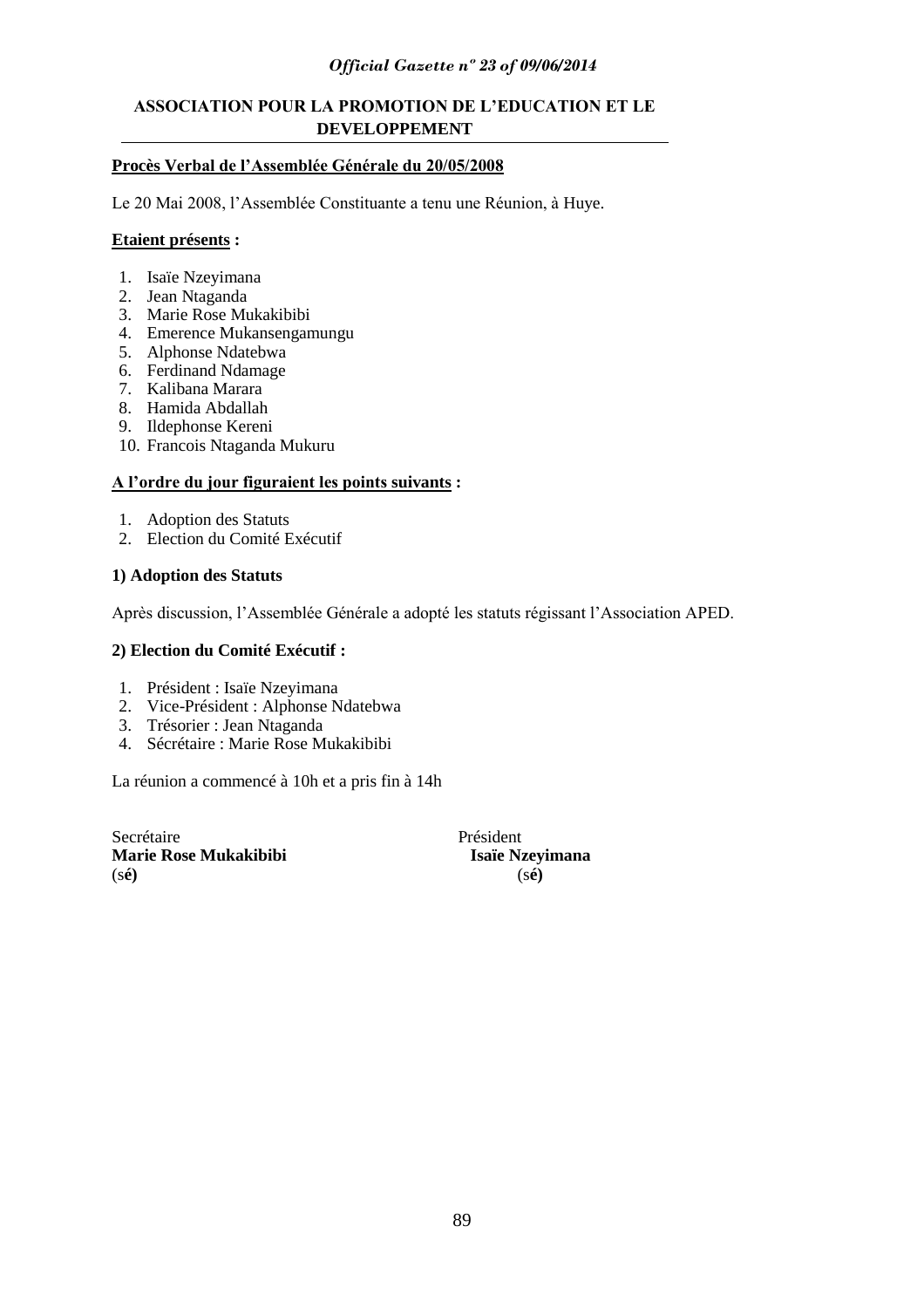# **ASSOCIATION POUR LA PROMOTION DE L"EDUCATION ET LE DEVELOPPEMENT**

# **Procès Verbal de l"Assemblée Générale du 20/05/2008**

Le 20 Mai 2008, l"Assemblée Constituante a tenu une Réunion, à Huye.

#### **Etaient présents :**

- 1. Isaïe Nzeyimana
- 2. Jean Ntaganda
- 3. Marie Rose Mukakibibi
- 4. Emerence Mukansengamungu
- 5. Alphonse Ndatebwa
- 6. Ferdinand Ndamage
- 7. Kalibana Marara
- 8. Hamida Abdallah
- 9. Ildephonse Kereni
- 10. Francois Ntaganda Mukuru

# **A l"ordre du jour figuraient les points suivants :**

- 1. Adoption des Statuts
- 2. Election du Comité Exécutif

# **1) Adoption des Statuts**

Après discussion, l"Assemblée Générale a adopté les statuts régissant l"Association APED.

#### **2) Election du Comité Exécutif :**

- 1. Président : Isaïe Nzeyimana
- 2. Vice-Président : Alphonse Ndatebwa
- 3. Trésorier : Jean Ntaganda
- 4. Sécrétaire : Marie Rose Mukakibibi

La réunion a commencé à 10h et a pris fin à 14h

Secrétaire Président **Marie Rose Mukakibibi Isaïe Nzeyimana**<br>(sé) (sé) (s**é)** (s**é)**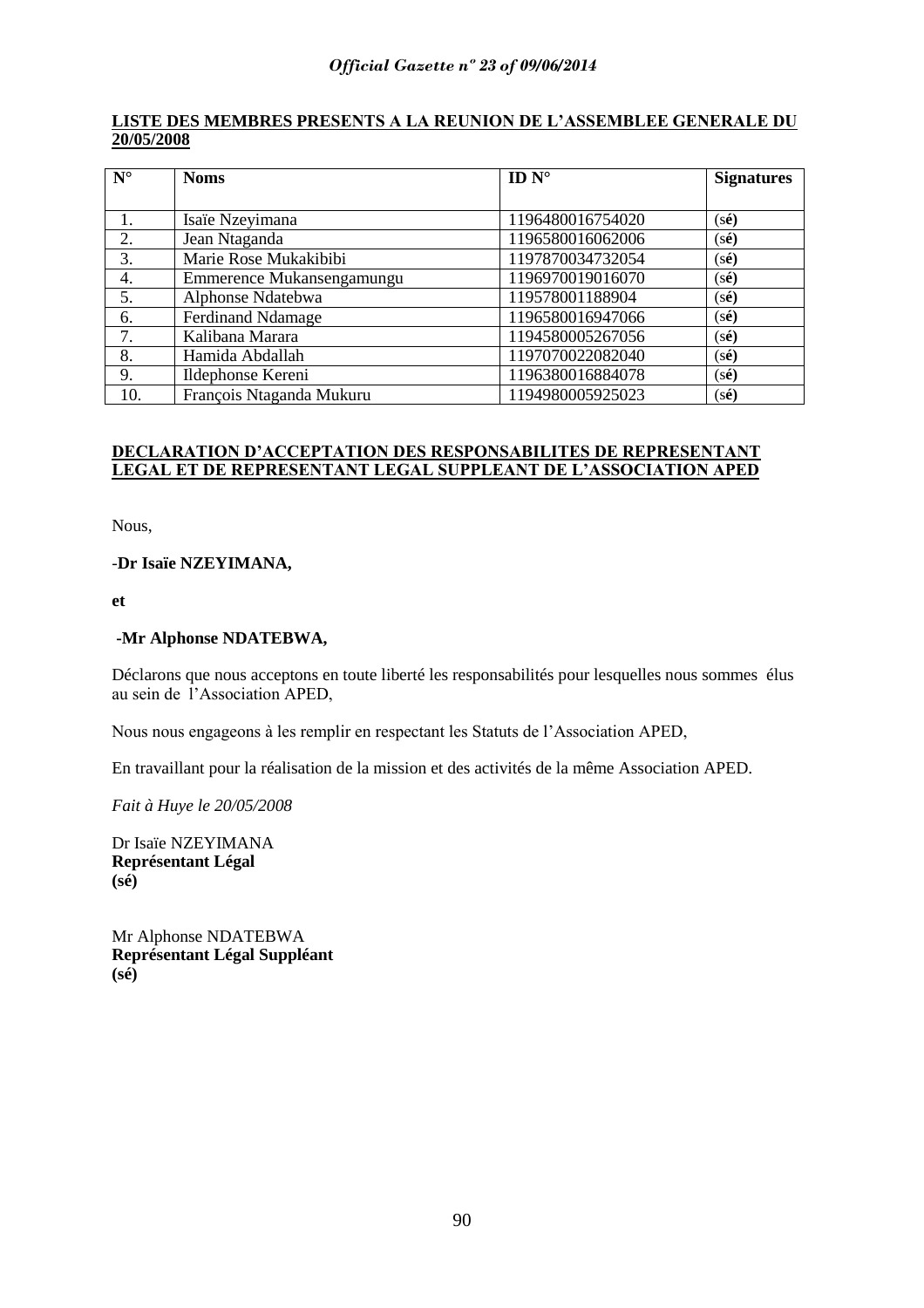# **LISTE DES MEMBRES PRESENTS A LA REUNION DE L"ASSEMBLEE GENERALE DU 20/05/2008**

| $N^{\circ}$ | <b>Noms</b>               | ID $N^\circ$     | <b>Signatures</b>       |
|-------------|---------------------------|------------------|-------------------------|
|             |                           |                  |                         |
|             | Isaïe Nzeyimana           | 1196480016754020 | $(s\acute{\mathbf{e}})$ |
| 2.          | Jean Ntaganda             | 1196580016062006 | $(s\acute{\mathbf{e}})$ |
| 3.          | Marie Rose Mukakibibi     | 1197870034732054 | $(s\acute{\mathbf{e}})$ |
| 4.          | Emmerence Mukansengamungu | 1196970019016070 | $(s\acute{\mathbf{e}})$ |
| 5.          | Alphonse Ndatebwa         | 119578001188904  | $(s\acute{\mathbf{e}})$ |
| 6.          | <b>Ferdinand Ndamage</b>  | 1196580016947066 | $(s\acute{e})$          |
| 7.          | Kalibana Marara           | 1194580005267056 | $(s\acute{\mathbf{e}})$ |
| 8.          | Hamida Abdallah           | 1197070022082040 | $(s\acute{\mathbf{e}})$ |
| 9.          | Ildephonse Kereni         | 1196380016884078 | $(s\acute{\mathbf{e}})$ |
| 10.         | François Ntaganda Mukuru  | 1194980005925023 | $(s\acute{\mathbf{e}})$ |

# **DECLARATION D"ACCEPTATION DES RESPONSABILITES DE REPRESENTANT LEGAL ET DE REPRESENTANT LEGAL SUPPLEANT DE L"ASSOCIATION APED**

Nous,

# -**Dr Isaïe NZEYIMANA,**

**et**

# **-Mr Alphonse NDATEBWA,**

Déclarons que nous acceptons en toute liberté les responsabilités pour lesquelles nous sommes élus au sein de l"Association APED,

Nous nous engageons à les remplir en respectant les Statuts de l"Association APED,

En travaillant pour la réalisation de la mission et des activités de la même Association APED.

*Fait à Huye le 20/05/2008*

Dr Isaïe NZEYIMANA **Représentant Légal (sé)**

Mr Alphonse NDATEBWA **Représentant Légal Suppléant (sé)**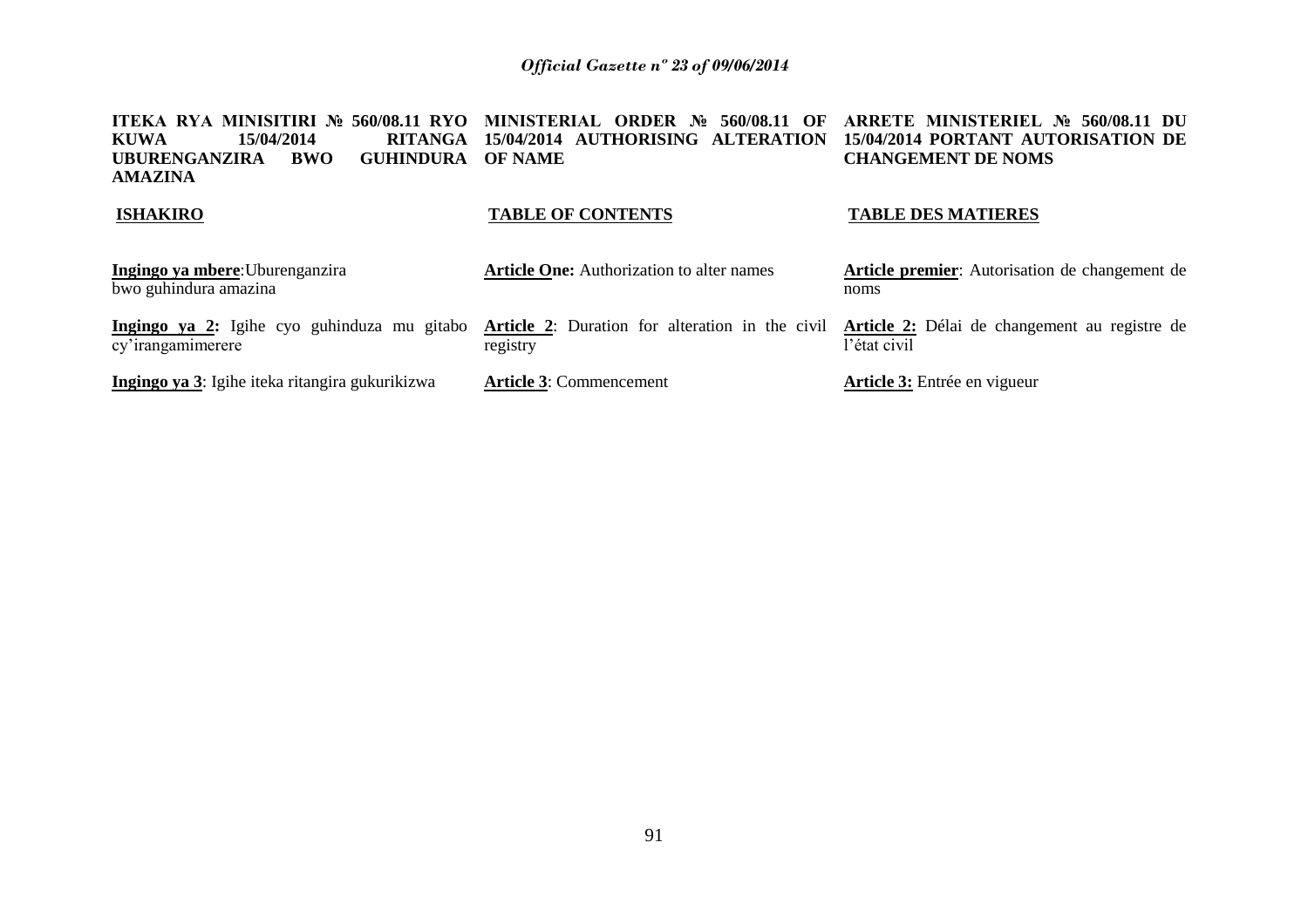**ITEKA RYA MINISITIRI № 560/08.11 RYO MINISTERIAL ORDER № 560/08.11 OF ARRETE MINISTERIEL № 560/08.11 DU KUWA 15/04/2014 RITANGA 15/04/2014 AUTHORISING ALTERATION 15/04/2014 PORTANT AUTORISATION DE**  UBURENGANZIRA BWO **AMAZINA GUHINDURA OF NAME CHANGEMENT DE NOMS**

#### **ISHAKIRO**

# **TABLE OF CONTENTS**

#### **TABLE DES MATIERES**

| Ingingo ya mbere: Uburenganzira<br>bwo guhindura amazina                                                                                                       | <b>Article One:</b> Authorization to alter names | Article premier: Autorisation de changement de<br>noms |  |
|----------------------------------------------------------------------------------------------------------------------------------------------------------------|--------------------------------------------------|--------------------------------------------------------|--|
| Ingingo ya 2: Igihe cyo guhinduza mu gitabo Article 2: Duration for alteration in the civil Article 2: Délai de changement au registre de<br>cy'irangamimerere | registry                                         | l'état civil                                           |  |
| Ingingo ya 3: Igihe iteka ritangira gukurikizwa                                                                                                                | <b>Article 3: Commencement</b>                   | <b>Article 3:</b> Entrée en vigueur                    |  |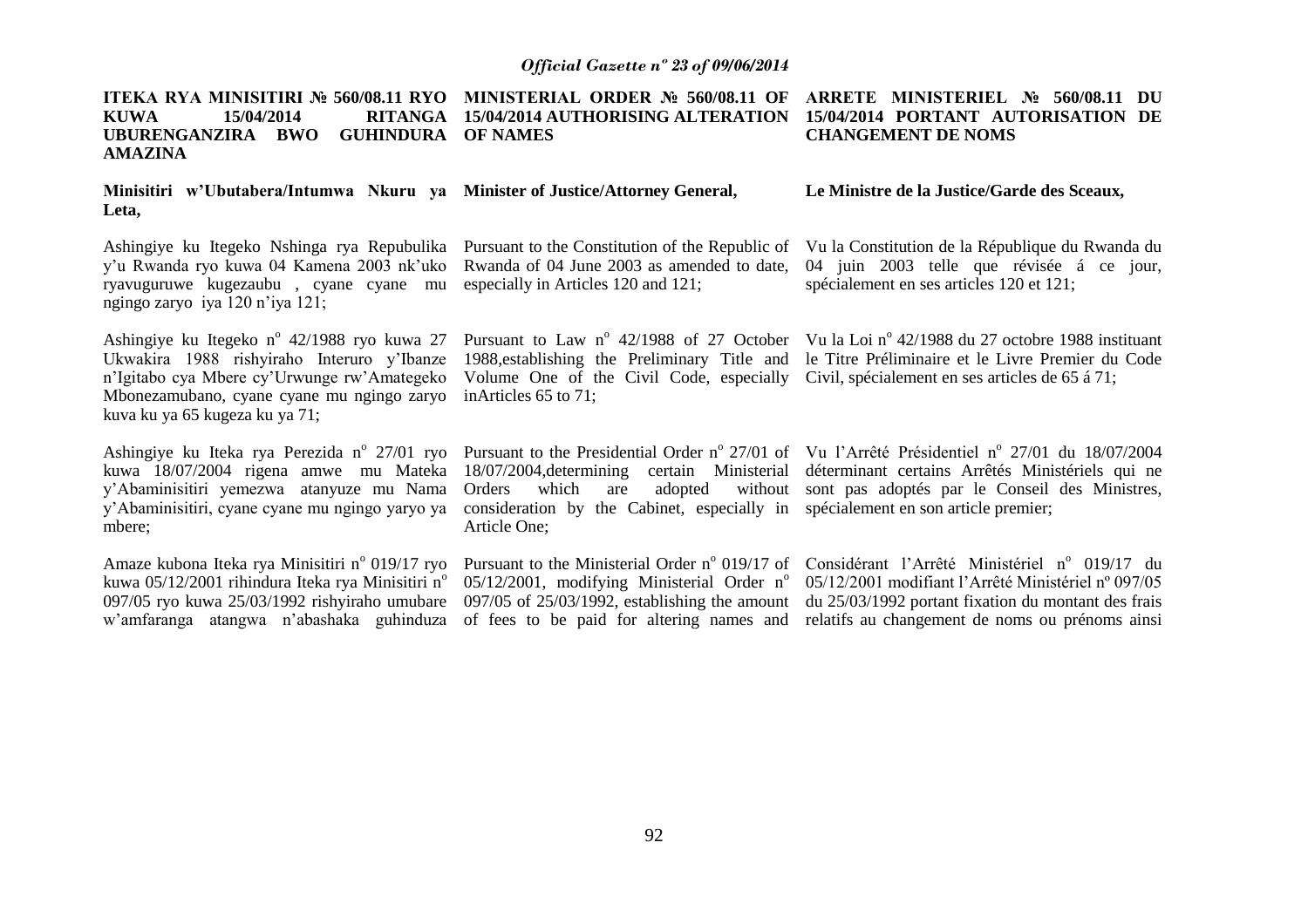| <b>ITEKA RYA MINISITIRI № 560/08.11 RYO</b><br>15/04/2014<br><b>RITANGA</b><br><b>KUWA</b><br>UBURENGANZIRA BWO<br><b>GUHINDURA</b><br><b>AMAZINA</b>                                                                                | MINISTERIAL ORDER No 560/08.11 OF<br>15/04/2014 AUTHORISING ALTERATION<br><b>OF NAMES</b>                                                                                                                | ARRETE MINISTERIEL № 560/08.11 DU<br>15/04/2014 PORTANT AUTORISATION DE<br><b>CHANGEMENT DE NOMS</b>                                                                                                                             |  |  |
|--------------------------------------------------------------------------------------------------------------------------------------------------------------------------------------------------------------------------------------|----------------------------------------------------------------------------------------------------------------------------------------------------------------------------------------------------------|----------------------------------------------------------------------------------------------------------------------------------------------------------------------------------------------------------------------------------|--|--|
| Minisitiri w'Ubutabera/Intumwa Nkuru ya Minister of Justice/Attorney General,<br>Leta,                                                                                                                                               |                                                                                                                                                                                                          | Le Ministre de la Justice/Garde des Sceaux,                                                                                                                                                                                      |  |  |
| Ashingiye ku Itegeko Nshinga rya Repubulika<br>y'u Rwanda ryo kuwa 04 Kamena 2003 nk'uko<br>ryavuguruwe kugezaubu, cyane cyane mu<br>ngingo zaryo iya 120 n'iya 121;                                                                 | Pursuant to the Constitution of the Republic of<br>Rwanda of 04 June 2003 as amended to date,<br>especially in Articles 120 and 121;                                                                     | Vu la Constitution de la République du Rwanda du<br>04 juin 2003 telle que révisée á ce jour,<br>spécialement en ses articles 120 et 121;                                                                                        |  |  |
| Ashingiye ku Itegeko n <sup>o</sup> 42/1988 ryo kuwa 27<br>Ukwakira 1988 rishyiraho Interuro y'Ibanze<br>n'Igitabo cya Mbere cy'Urwunge rw'Amategeko<br>Mbonezamubano, cyane cyane mu ngingo zaryo<br>kuva ku ya 65 kugeza ku ya 71; | 1988, establishing the Preliminary Title and<br>Volume One of the Civil Code, especially<br>inArticles 65 to 71;                                                                                         | Pursuant to Law $n^{\circ}$ 42/1988 of 27 October Vu la Loi $n^{\circ}$ 42/1988 du 27 octobre 1988 instituant<br>le Titre Préliminaire et le Livre Premier du Code<br>Civil, spécialement en ses articles de 65 á 71;            |  |  |
| Ashingiye ku Iteka rya Perezida n° 27/01 ryo<br>kuwa 18/07/2004 rigena amwe mu Mateka<br>y'Abaminisitiri yemezwa atanyuze mu Nama<br>y'Abaminisitiri, cyane cyane mu ngingo yaryo ya<br>mbere;                                       | $18/07/2004$ , determining<br>adopted<br>Orders<br>which<br>are<br>consideration by the Cabinet, especially in spécialement en son article premier;<br>Article One;                                      | Pursuant to the Presidential Order nº 27/01 of Vu l'Arrêté Présidentiel nº 27/01 du 18/07/2004<br>certain Ministerial déterminant certains Arrêtés Ministériels qui ne<br>without sont pas adoptés par le Conseil des Ministres, |  |  |
| Amaze kubona Iteka rya Minisitiri nº 019/17 ryo<br>kuwa 05/12/2001 rihindura Iteka rya Minisitiri n <sup>o</sup><br>097/05 ryo kuwa 25/03/1992 rishyiraho umubare<br>w'amfaranga atangwa n'abashaka guhinduza                        | Pursuant to the Ministerial Order $n^{\circ}$ 019/17 of<br>05/12/2001, modifying Ministerial Order n°<br>$097/05$ of $25/03/1992$ , establishing the amount<br>of fees to be paid for altering names and | Considérant l'Arrêté Ministériel n° 019/17 du<br>05/12/2001 modifiant l'Arrêté Ministériel nº 097/05<br>du 25/03/1992 portant fixation du montant des frais<br>relatifs au changement de noms ou prénoms ainsi                   |  |  |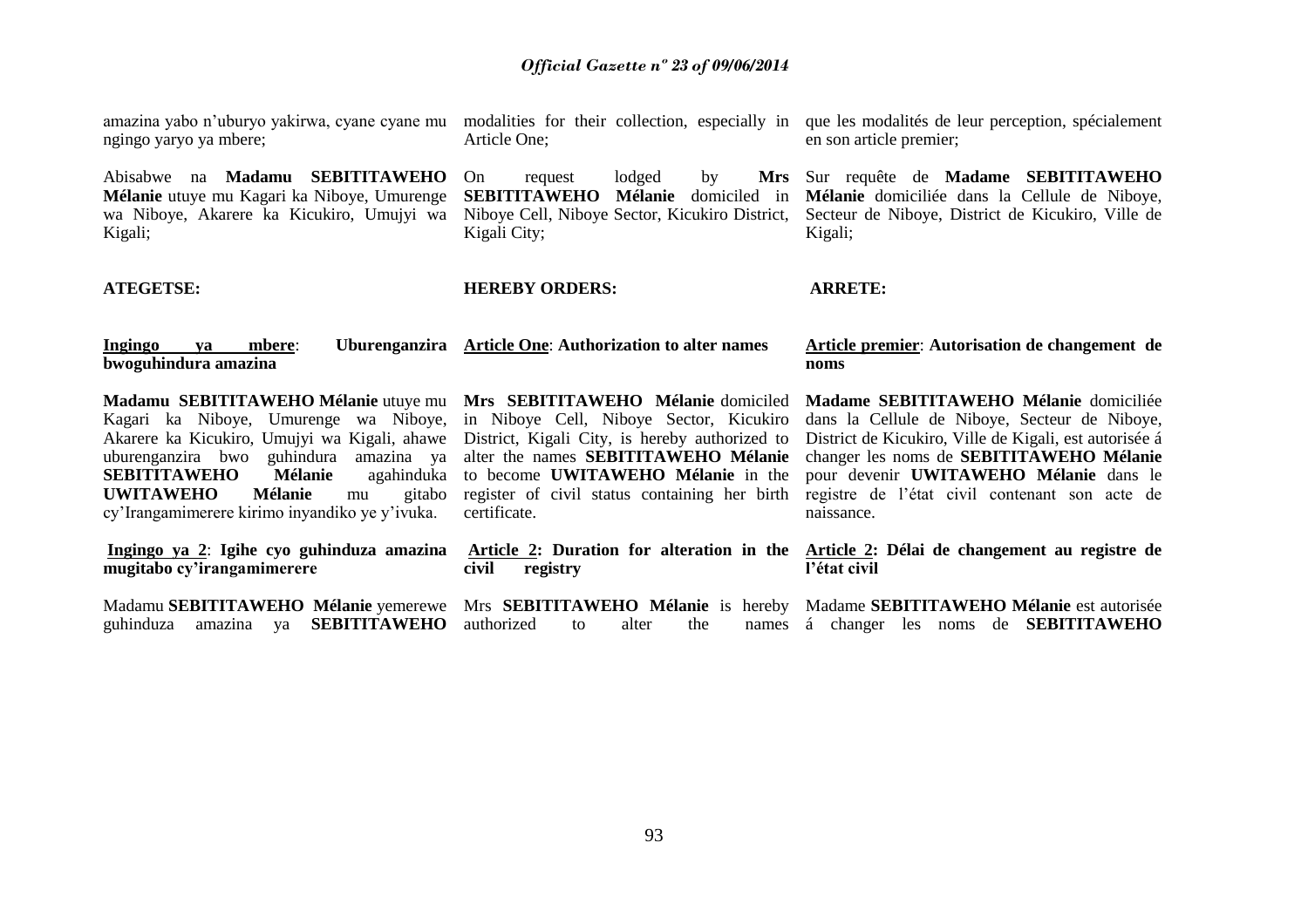ngingo yaryo ya mbere;

Abisabwe na **Madamu SEBITITAWEHO Mélanie** utuye mu Kagari ka Niboye, Umurenge wa Niboye, Akarere ka Kicukiro, Umujyi wa Kigali;

**ATEGETSE:**

Article One;

On request lodged by Niboye Cell, Niboye Sector, Kicukiro District, Kigali City;

**HEREBY ORDERS:**

amazina yabo n'uburyo yakirwa, cyane cyane mu modalities for their collection, especially in que les modalités de leur perception, spécialement en son article premier;

> **SEBITITAWEHO Mélanie** domiciled in **Mélanie** domiciliée dans la Cellule de Niboye, Sur requête de **Madame SEBITITAWEHO**  Secteur de Niboye, District de Kicukiro, Ville de Kigali;

> > **ARRETE:**

**Ingingo ya mbere**: **Uburenganzira Article One**: **Authorization to alter names bwoguhindura amazina Article premier**: **Autorisation de changement de noms** 

Kagari ka Niboye, Umurenge wa Niboye, in Niboye Cell, Niboye Sector, Kicukiro Akarere ka Kicukiro, Umujyi wa Kigali, ahawe District, Kigali City, is hereby authorized to uburenganzira bwo guhindura amazina ya alter the names **SEBITITAWEHO Mélanie SEBITITAWEHO** Mélanie **UWITAWEHO Mélanie** mu cy"Irangamimerere kirimo inyandiko ye y"ivuka.

**Madamu SEBITITAWEHO Mélanie** utuye mu **Mrs SEBITITAWEHO Mélanie** domiciled to become **UWITAWEHO Mélanie** in the certificate.

register of civil status containing her birth registre de l"état civil contenant son acte de **Madame SEBITITAWEHO Mélanie** domiciliée dans la Cellule de Niboye, Secteur de Niboye, District de Kicukiro, Ville de Kigali, est autorisée á changer les noms de **SEBITITAWEHO Mélanie** pour devenir **UWITAWEHO Mélanie** dans le naissance.

**Ingingo ya 2**: **Igihe cyo guhinduza amazina mugitabo cy"irangamimerere** Madamu SEBITITAWEHO Mélanie yemerewe Mrs SEBITITAWEHO Mélanie is hereby Madame SEBITITAWEHO Mélanie est autorisée guhinduza amazina ya **SEBITITAWEHO Article 2: Duration for alteration in the Article 2: Délai de changement au registre de civil registry** authorized to alter the **l"état civil** á changer les noms de **SEBITITAWEHO**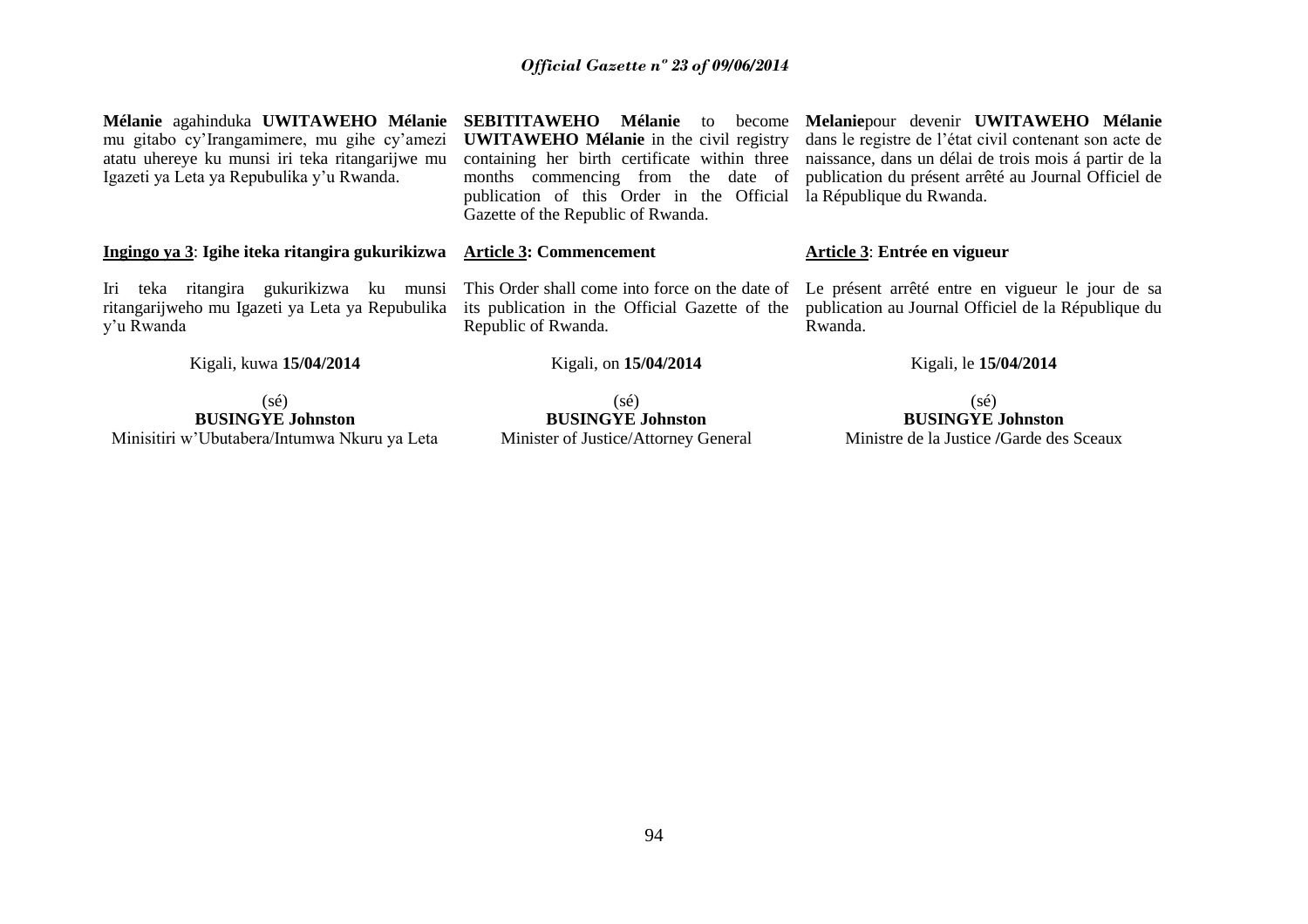|                                                                                                              |                                                                                         | Mélanie agahinduka UWITAWEHO Mélanie SEBITITAWEHO Mélanie to become Melaniepour devenir UWITAWEHO Mélanie                                  |  |
|--------------------------------------------------------------------------------------------------------------|-----------------------------------------------------------------------------------------|--------------------------------------------------------------------------------------------------------------------------------------------|--|
|                                                                                                              |                                                                                         | mu gitabo cy'Irangamimere, mu gihe cy'amezi UWITAWEHO Mélanie in the civil registry dans le registre de l'état civil contenant son acte de |  |
| atatu uhereye ku munsi iri teka ritangarijwe mu                                                              |                                                                                         | containing her birth certificate within three naissance, dans un délai de trois mois á partir de la                                        |  |
| Igazeti ya Leta ya Repubulika y'u Rwanda.                                                                    |                                                                                         | months commencing from the date of publication du présent arrêté au Journal Officiel de                                                    |  |
|                                                                                                              | publication of this Order in the Official la République du Rwanda.                      |                                                                                                                                            |  |
|                                                                                                              | Gazette of the Republic of Rwanda.                                                      |                                                                                                                                            |  |
|                                                                                                              |                                                                                         |                                                                                                                                            |  |
| Ingingo ya 3: Igihe iteka ritangira gukurikizwa Article 3: Commencement                                      |                                                                                         | Article 3: Entrée en vigueur                                                                                                               |  |
|                                                                                                              |                                                                                         |                                                                                                                                            |  |
|                                                                                                              | Iri teka ritangira gukurikizwa ku munsi This Order shall come into force on the date of | Le présent arrêté entre en vigueur le jour de sa                                                                                           |  |
| ritangarijweho mu Igazeti ya Leta ya Repubulika its publication in the Official Gazette of the<br>y'u Rwanda | Republic of Rwanda.                                                                     | publication au Journal Officiel de la République du<br>Rwanda.                                                                             |  |
|                                                                                                              |                                                                                         |                                                                                                                                            |  |
| Kigali, kuwa 15/04/2014                                                                                      | Kigali, on 15/04/2014                                                                   | Kigali, le 15/04/2014                                                                                                                      |  |

(sé) **BUSINGYE Johnston** Minisitiri w"Ubutabera/Intumwa Nkuru ya Leta

(sé) **BUSINGYE Johnston** Minister of Justice/Attorney General

(sé) **BUSINGYE Johnston** Ministre de la Justice **/**Garde des Sceaux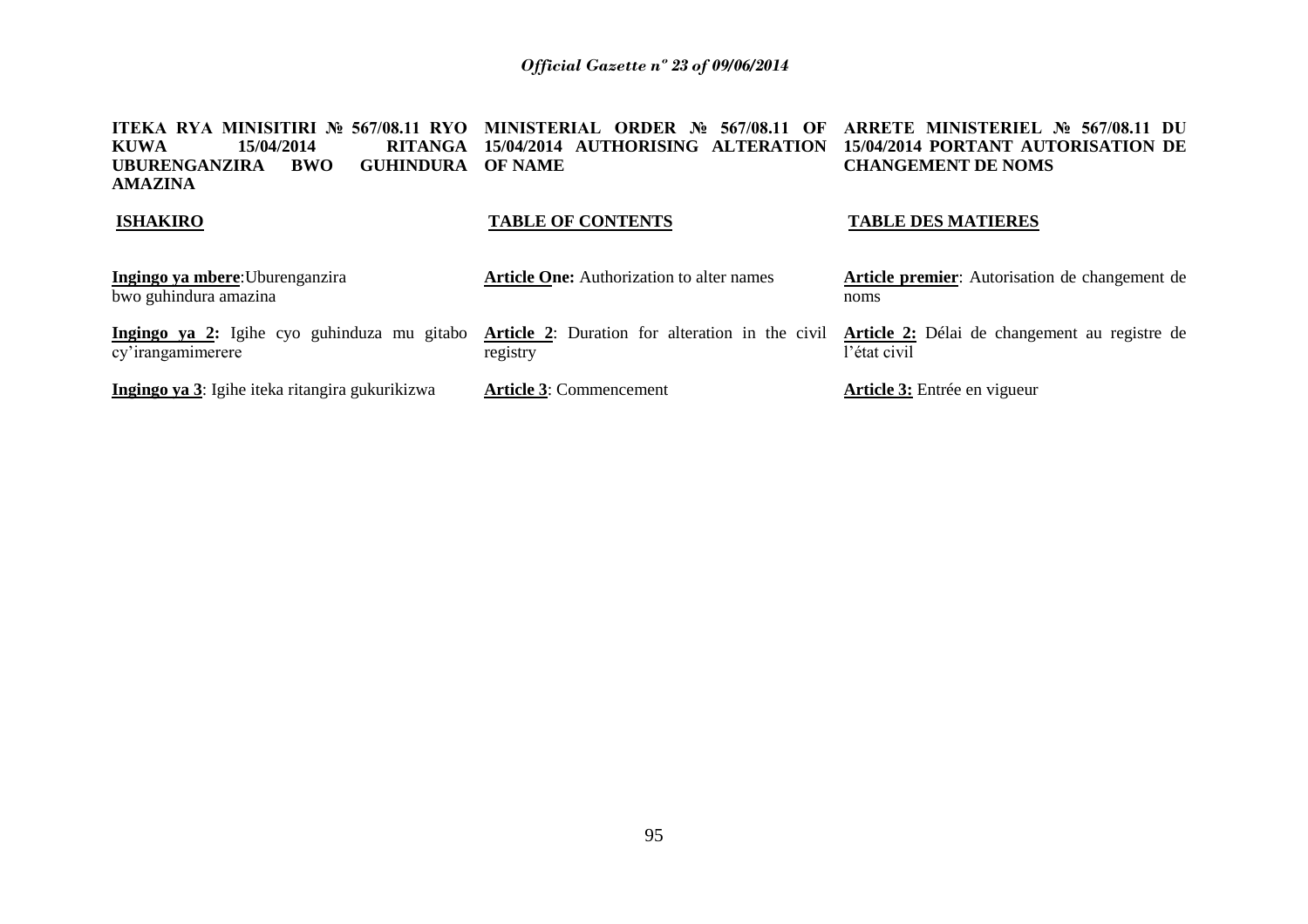| ITEKA RYA MINISITIRI № 567/08.11 RYO<br><b>KUWA</b><br>15/04/2014<br><b>RITANGA</b><br><b>UBURENGANZIRA</b><br><b>GUHINDURA</b><br><b>BWO</b><br><b>AMAZINA</b> | MINISTERIAL ORDER No<br>567/08.11<br>- OF<br>15/04/2014 AUTHORISING ALTERATION<br><b>OF NAME</b> | ARRETE MINISTERIEL No 567/08.11 DU<br>15/04/2014 PORTANT AUTORISATION DE<br><b>CHANGEMENT DE NOMS</b> |  |  |
|-----------------------------------------------------------------------------------------------------------------------------------------------------------------|--------------------------------------------------------------------------------------------------|-------------------------------------------------------------------------------------------------------|--|--|
| <b>ISHAKIRO</b>                                                                                                                                                 | <b>TABLE OF CONTENTS</b>                                                                         | <b>TABLE DES MATIERES</b>                                                                             |  |  |
| Ingingo ya mbere: Uburenganzira<br>bwo guhindura amazina                                                                                                        | <b>Article One:</b> Authorization to alter names                                                 | <b>Article premier:</b> Autorisation de changement de<br>noms                                         |  |  |
| Ingingo ya 2: Igihe cyo guhinduza mu gitabo<br>cy'irangamimerere                                                                                                | <b>Article 2:</b> Duration for alteration in the civil<br>registry                               | Article 2: Délai de changement au registre de<br>l'état civil                                         |  |  |
| Ingingo ya 3: Igihe iteka ritangira gukurikizwa                                                                                                                 | <b>Article 3: Commencement</b>                                                                   | <b>Article 3:</b> Entrée en vigueur                                                                   |  |  |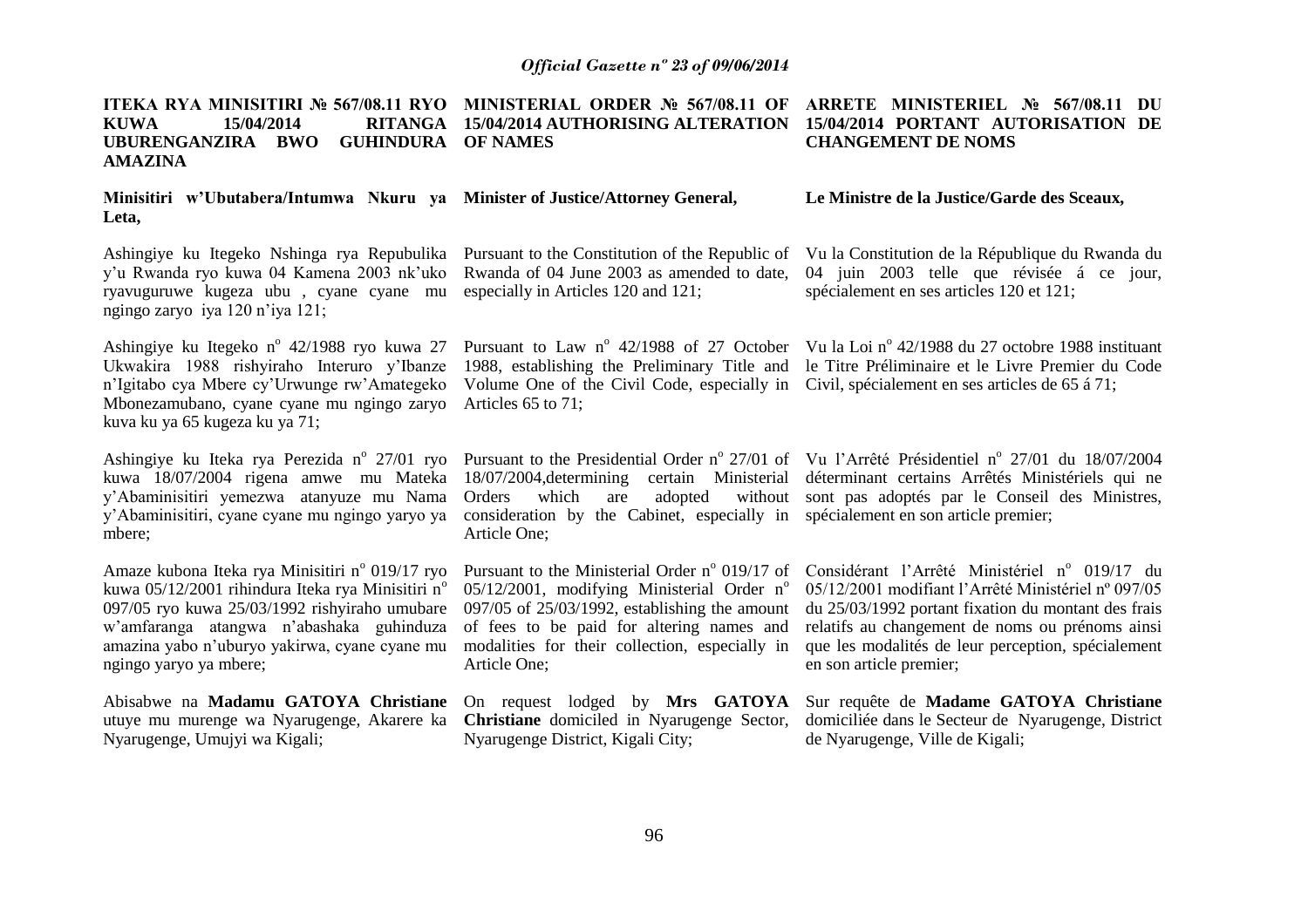| ITEKA RYA MINISITIRI № 567/08.11 RYO<br>MINISTERIAL ORDER № 567/08.11 OF<br>15/04/2014<br><b>RITANGA</b><br>15/04/2014 AUTHORISING ALTERATION<br><b>KUWA</b><br>UBURENGANZIRA BWO<br><b>GUHINDURA</b><br><b>OF NAMES</b><br><b>AMAZINA</b>                                               |                                                                                                                                                                                                                                                                            | ARRETE MINISTERIEL № 567/08.11 DU<br>15/04/2014 PORTANT AUTORISATION DE<br><b>CHANGEMENT DE NOMS</b>                                                                                                                                                                                            |  |  |
|------------------------------------------------------------------------------------------------------------------------------------------------------------------------------------------------------------------------------------------------------------------------------------------|----------------------------------------------------------------------------------------------------------------------------------------------------------------------------------------------------------------------------------------------------------------------------|-------------------------------------------------------------------------------------------------------------------------------------------------------------------------------------------------------------------------------------------------------------------------------------------------|--|--|
| Minisitiri w'Ubutabera/Intumwa Nkuru ya Minister of Justice/Attorney General,<br>Leta,                                                                                                                                                                                                   |                                                                                                                                                                                                                                                                            | Le Ministre de la Justice/Garde des Sceaux,                                                                                                                                                                                                                                                     |  |  |
| Ashingiye ku Itegeko Nshinga rya Repubulika Pursuant to the Constitution of the Republic of<br>y'u Rwanda ryo kuwa 04 Kamena 2003 nk'uko<br>ryavuguruwe kugeza ubu, cyane cyane mu<br>ngingo zaryo iya 120 n'iya 121;                                                                    | Rwanda of 04 June 2003 as amended to date,<br>especially in Articles 120 and 121;                                                                                                                                                                                          | Vu la Constitution de la République du Rwanda du<br>04 juin 2003 telle que révisée á ce jour,<br>spécialement en ses articles 120 et 121;                                                                                                                                                       |  |  |
| Ashingiye ku Itegeko n° 42/1988 ryo kuwa 27<br>Ukwakira 1988 rishyiraho Interuro y'Ibanze<br>n'Igitabo cya Mbere cy'Urwunge rw'Amategeko<br>Mbonezamubano, cyane cyane mu ngingo zaryo<br>kuva ku ya 65 kugeza ku ya 71;                                                                 | 1988, establishing the Preliminary Title and<br>Volume One of the Civil Code, especially in<br>Articles 65 to 71;                                                                                                                                                          | Pursuant to Law $n^{\circ}$ 42/1988 of 27 October Vu la Loi $n^{\circ}$ 42/1988 du 27 octobre 1988 instituant<br>le Titre Préliminaire et le Livre Premier du Code<br>Civil, spécialement en ses articles de 65 á 71;                                                                           |  |  |
| kuwa 18/07/2004 rigena amwe mu Mateka<br>y'Abaminisitiri yemezwa atanyuze mu Nama<br>y'Abaminisitiri, cyane cyane mu ngingo yaryo ya<br>mbere;                                                                                                                                           | 18/07/2004, determining certain Ministerial<br>which<br>adopted<br>Orders<br>are<br>consideration by the Cabinet, especially in spécialement en son article premier;<br>Article One;                                                                                       | Ashingiye ku Iteka rya Perezida nº 27/01 ryo Pursuant to the Presidential Order nº 27/01 of Vu l'Arrêté Présidentiel nº 27/01 du 18/07/2004<br>déterminant certains Arrêtés Ministériels qui ne<br>without sont pas adoptés par le Conseil des Ministres,                                       |  |  |
| Amaze kubona Iteka rya Minisitiri nº 019/17 ryo<br>kuwa 05/12/2001 rihindura Iteka rya Minisitiri n <sup>o</sup><br>097/05 ryo kuwa 25/03/1992 rishyiraho umubare<br>w'amfaranga atangwa n'abashaka guhinduza<br>amazina yabo n'uburyo yakirwa, cyane cyane mu<br>ngingo yaryo ya mbere; | Pursuant to the Ministerial Order nº 019/17 of<br>05/12/2001, modifying Ministerial Order $n^{\circ}$<br>$097/05$ of $25/03/1992$ , establishing the amount<br>of fees to be paid for altering names and<br>modalities for their collection, especially in<br>Article One; | Considérant l'Arrêté Ministériel nº 019/17 du<br>05/12/2001 modifiant l'Arrêté Ministériel nº 097/05<br>du 25/03/1992 portant fixation du montant des frais<br>relatifs au changement de noms ou prénoms ainsi<br>que les modalités de leur perception, spécialement<br>en son article premier; |  |  |
| Abisabwe na Madamu GATOYA Christiane<br>utuye mu murenge wa Nyarugenge, Akarere ka<br>Nyarugenge, Umujyi wa Kigali;                                                                                                                                                                      | On request lodged by Mrs GATOYA<br><b>Christiane</b> domiciled in Nyarugenge Sector,<br>Nyarugenge District, Kigali City;                                                                                                                                                  | Sur requête de Madame GATOYA Christiane<br>domiciliée dans le Secteur de Nyarugenge, District<br>de Nyarugenge, Ville de Kigali;                                                                                                                                                                |  |  |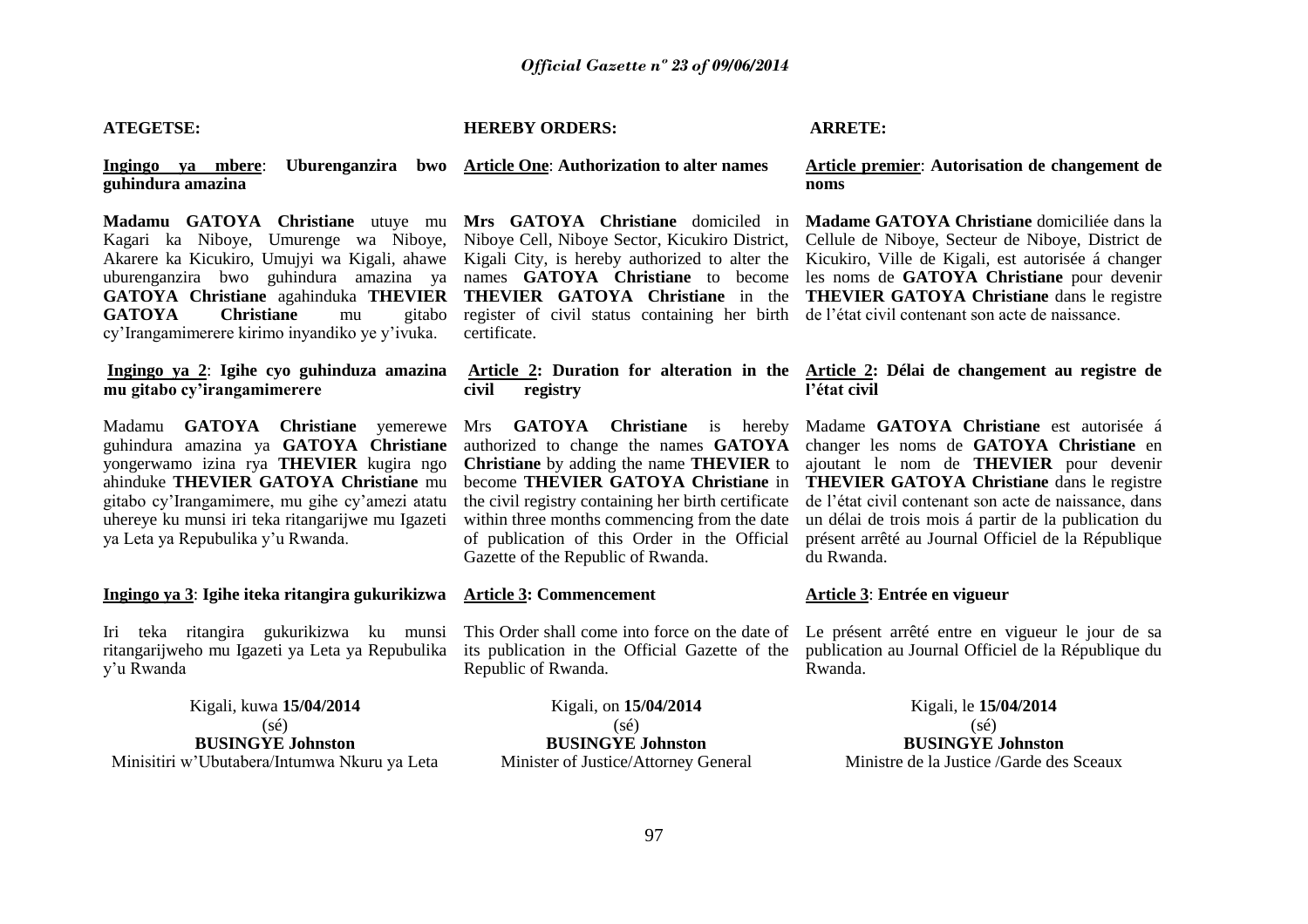#### **ATEGETSE:**

#### **HEREBY ORDERS:**

#### **ARRETE:**

**Ingingo ya mbere**: **Uburenganzira bwo Article One**: **Authorization to alter names guhindura amazina**

**Madamu GATOYA Christiane** utuye mu **Mrs GATOYA Christiane** domiciled in Kagari ka Niboye, Umurenge wa Niboye, Niboye Cell, Niboye Sector, Kicukiro District, **GATOYA Christiane** mu cy"Irangamimerere kirimo inyandiko ye y"ivuka.

**Ingingo ya 2**: **Igihe cyo guhinduza amazina mu gitabo cy"irangamimerere**

Madamu **GATOYA Christiane** yemerewe Mrs **GATOYA Christiane** is hereby guhindura amazina ya **GATOYA Christiane** yongerwamo izina rya **THEVIER** kugira ngo ahinduke **THEVIER GATOYA Christiane** mu gitabo cy"Irangamimere, mu gihe cy"amezi atatu uhereye ku munsi iri teka ritangarijwe mu Igazeti ya Leta ya Repubulika y"u Rwanda.

**Ingingo ya 3**: **Igihe iteka ritangira gukurikizwa**

Iri teka ritangira gukurikizwa ku munsi ritangarijweho mu Igazeti ya Leta ya Repubulika y"u Rwanda

Kigali, kuwa **15/04/2014** (sé) **BUSINGYE Johnston** Minisitiri w"Ubutabera/Intumwa Nkuru ya Leta

register of civil status containing her birth de l"état civil contenant son acte de naissance. certificate.

# **civil registry**

**Christiane** by adding the name **THEVIER** to become **THEVIER GATOYA Christiane** in the civil registry containing her birth certificate within three months commencing from the date of publication of this Order in the Official Gazette of the Republic of Rwanda.

#### **Article 3: Commencement**

its publication in the Official Gazette of the Republic of Rwanda.

> Kigali, on **15/04/2014** (sé) **BUSINGYE Johnston** Minister of Justice/Attorney General

#### **Article premier**: **Autorisation de changement de noms**

Akarere ka Kicukiro, Umujyi wa Kigali, ahawe Kigali City, is hereby authorized to alter the Kicukiro, Ville de Kigali, est autorisée á changer uburenganzira bwo guhindura amazina ya names **GATOYA Christiane** to become les noms de **GATOYA Christiane** pour devenir **GATOYA Christiane** agahinduka **THEVIER THEVIER GATOYA Christiane** in the **THEVIER GATOYA Christiane** dans le registre **Madame GATOYA Christiane** domiciliée dans la Cellule de Niboye, Secteur de Niboye, District de

#### **Article 2: Duration for alteration in the Article 2: Délai de changement au registre de l"état civil**

authorized to change the names **GATOYA** changer les noms de **GATOYA Christiane** en Madame **GATOYA Christiane** est autorisée á ajoutant le nom de **THEVIER** pour devenir **THEVIER GATOYA Christiane** dans le registre de l"état civil contenant son acte de naissance, dans un délai de trois mois á partir de la publication du présent arrêté au Journal Officiel de la République du Rwanda.

#### **Article 3**: **Entrée en vigueur**

This Order shall come into force on the date of Le présent arrêté entre en vigueur le jour de sa publication au Journal Officiel de la République du Rwanda.

> Kigali, le **15/04/2014** (sé) **BUSINGYE Johnston** Ministre de la Justice /Garde des Sceaux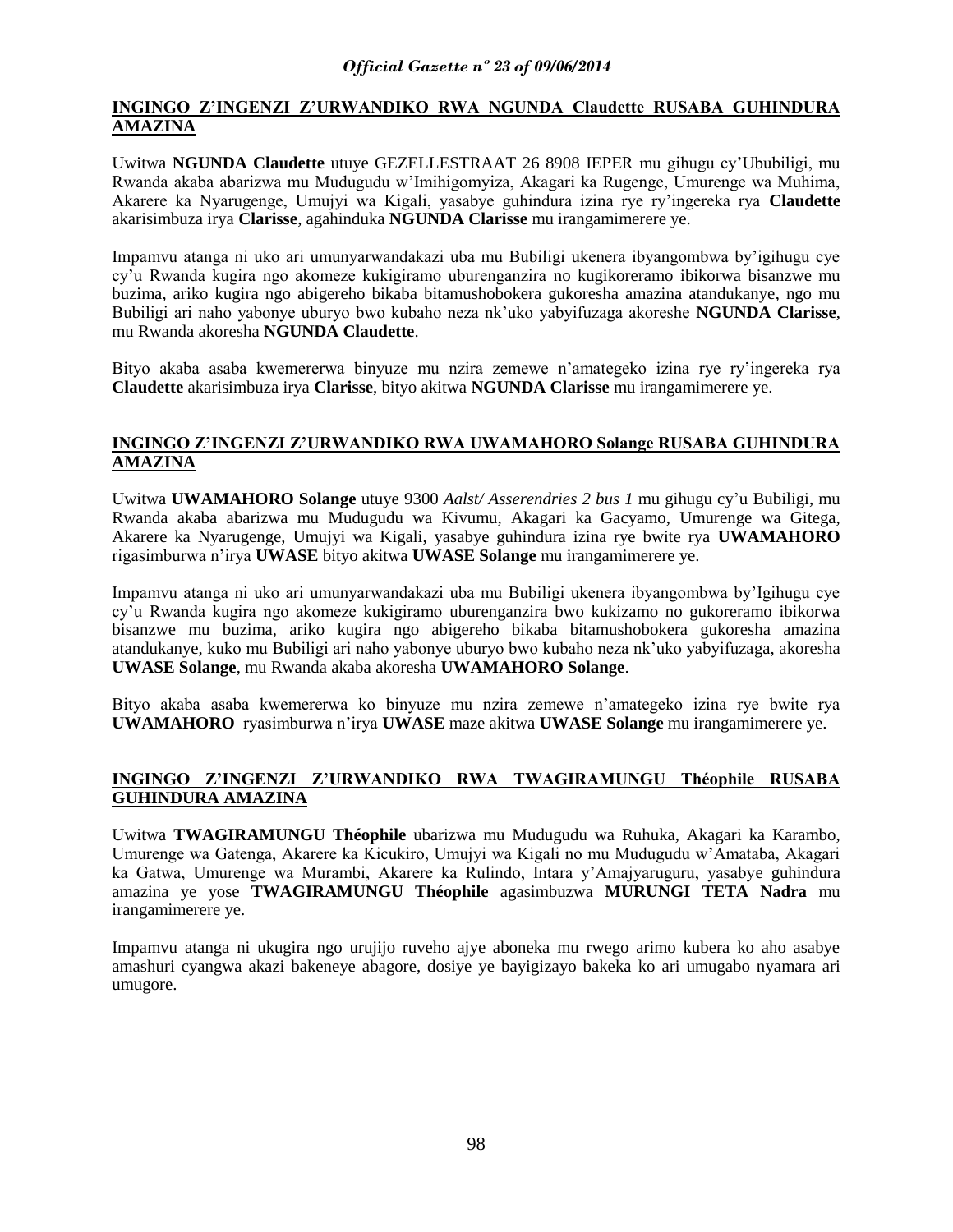# **INGINGO Z"INGENZI Z"URWANDIKO RWA NGUNDA Claudette RUSABA GUHINDURA AMAZINA**

Uwitwa **NGUNDA Claudette** utuye GEZELLESTRAAT 26 8908 IEPER mu gihugu cy"Ububiligi, mu Rwanda akaba abarizwa mu Mudugudu w"Imihigomyiza, Akagari ka Rugenge, Umurenge wa Muhima, Akarere ka Nyarugenge, Umujyi wa Kigali, yasabye guhindura izina rye ry"ingereka rya **Claudette**  akarisimbuza irya **Clarisse**, agahinduka **NGUNDA Clarisse** mu irangamimerere ye.

Impamvu atanga ni uko ari umunyarwandakazi uba mu Bubiligi ukenera ibyangombwa by"igihugu cye cy"u Rwanda kugira ngo akomeze kukigiramo uburenganzira no kugikoreramo ibikorwa bisanzwe mu buzima, ariko kugira ngo abigereho bikaba bitamushobokera gukoresha amazina atandukanye, ngo mu Bubiligi ari naho yabonye uburyo bwo kubaho neza nk"uko yabyifuzaga akoreshe **NGUNDA Clarisse**, mu Rwanda akoresha **NGUNDA Claudette**.

Bityo akaba asaba kwemererwa binyuze mu nzira zemewe n"amategeko izina rye ry"ingereka rya **Claudette** akarisimbuza irya **Clarisse**, bityo akitwa **NGUNDA Clarisse** mu irangamimerere ye.

# **INGINGO Z"INGENZI Z"URWANDIKO RWA UWAMAHORO Solange RUSABA GUHINDURA AMAZINA**

Uwitwa **UWAMAHORO Solange** utuye 9300 *Aalst/ Asserendries 2 bus 1* mu gihugu cy"u Bubiligi, mu Rwanda akaba abarizwa mu Mudugudu wa Kivumu, Akagari ka Gacyamo, Umurenge wa Gitega, Akarere ka Nyarugenge, Umujyi wa Kigali, yasabye guhindura izina rye bwite rya **UWAMAHORO**  rigasimburwa n"irya **UWASE** bityo akitwa **UWASE Solange** mu irangamimerere ye.

Impamvu atanga ni uko ari umunyarwandakazi uba mu Bubiligi ukenera ibyangombwa by"Igihugu cye cy"u Rwanda kugira ngo akomeze kukigiramo uburenganzira bwo kukizamo no gukoreramo ibikorwa bisanzwe mu buzima, ariko kugira ngo abigereho bikaba bitamushobokera gukoresha amazina atandukanye, kuko mu Bubiligi ari naho yabonye uburyo bwo kubaho neza nk"uko yabyifuzaga, akoresha **UWASE Solange**, mu Rwanda akaba akoresha **UWAMAHORO Solange**.

Bityo akaba asaba kwemererwa ko binyuze mu nzira zemewe n"amategeko izina rye bwite rya **UWAMAHORO** ryasimburwa n"irya **UWASE** maze akitwa **UWASE Solange** mu irangamimerere ye.

# **INGINGO Z"INGENZI Z"URWANDIKO RWA TWAGIRAMUNGU Théophile RUSABA GUHINDURA AMAZINA**

Uwitwa **TWAGIRAMUNGU Théophile** ubarizwa mu Mudugudu wa Ruhuka, Akagari ka Karambo, Umurenge wa Gatenga, Akarere ka Kicukiro, Umujyi wa Kigali no mu Mudugudu w"Amataba, Akagari ka Gatwa, Umurenge wa Murambi, Akarere ka Rulindo, Intara y"Amajyaruguru, yasabye guhindura amazina ye yose **TWAGIRAMUNGU Théophile** agasimbuzwa **MURUNGI TETA Nadra** mu irangamimerere ye.

Impamvu atanga ni ukugira ngo urujijo ruveho ajye aboneka mu rwego arimo kubera ko aho asabye amashuri cyangwa akazi bakeneye abagore, dosiye ye bayigizayo bakeka ko ari umugabo nyamara ari umugore.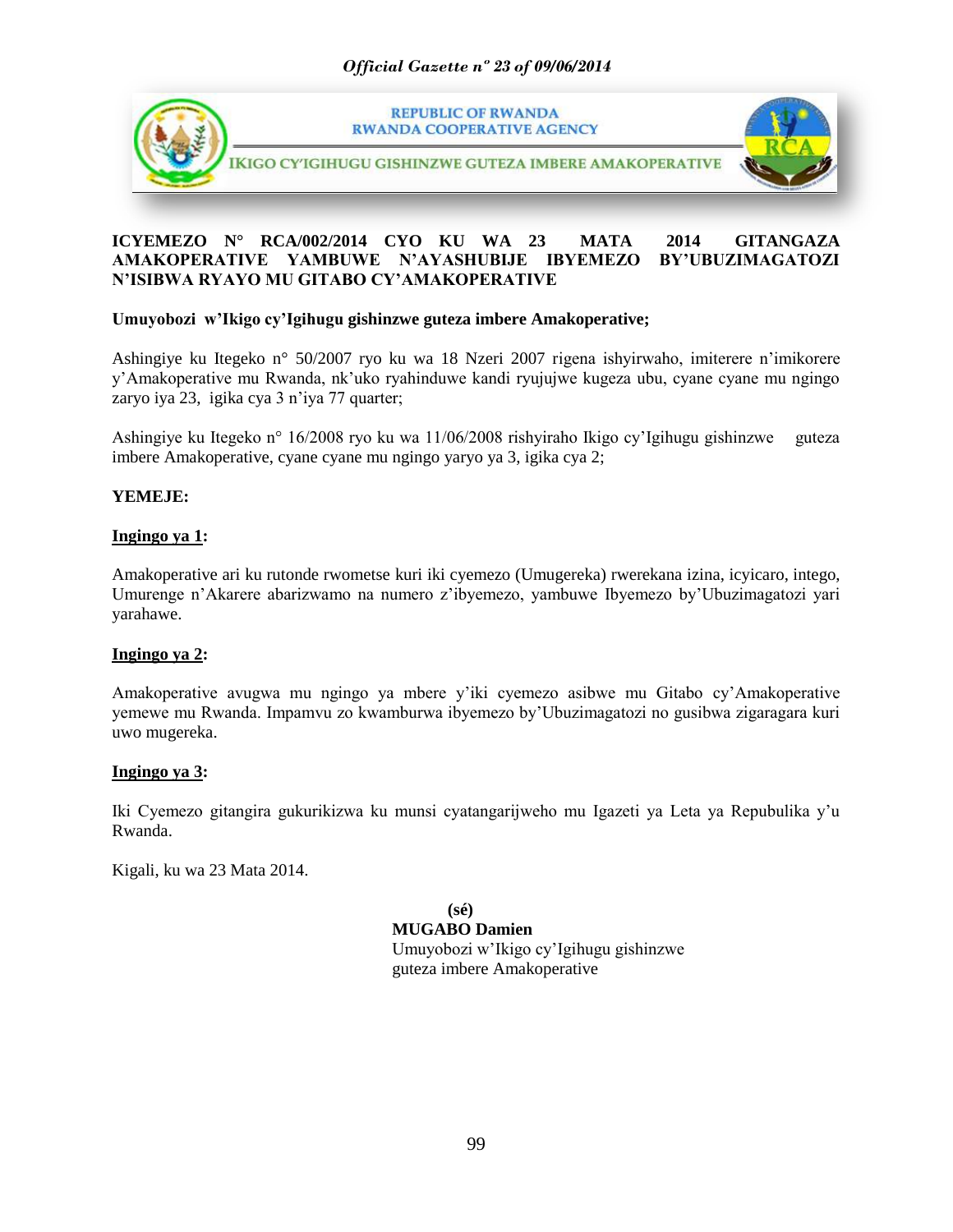

# **ICYEMEZO N° RCA/002/2014 CYO KU WA 23 MATA 2014 GITANGAZA AMAKOPERATIVE YAMBUWE N"AYASHUBIJE IBYEMEZO BY"UBUZIMAGATOZI N"ISIBWA RYAYO MU GITABO CY"AMAKOPERATIVE**

# **Umuyobozi w"Ikigo cy"Igihugu gishinzwe guteza imbere Amakoperative;**

Ashingiye ku Itegeko n° 50/2007 ryo ku wa 18 Nzeri 2007 rigena ishyirwaho, imiterere n"imikorere y"Amakoperative mu Rwanda, nk"uko ryahinduwe kandi ryujujwe kugeza ubu, cyane cyane mu ngingo zaryo iya 23, igika cya 3 n'iya 77 quarter;

Ashingiye ku Itegeko n° 16/2008 ryo ku wa 11/06/2008 rishyiraho Ikigo cy"Igihugu gishinzwe guteza imbere Amakoperative, cyane cyane mu ngingo yaryo ya 3, igika cya 2;

# **YEMEJE:**

# **Ingingo ya 1:**

Amakoperative ari ku rutonde rwometse kuri iki cyemezo (Umugereka) rwerekana izina, icyicaro, intego, Umurenge n"Akarere abarizwamo na numero z"ibyemezo, yambuwe Ibyemezo by"Ubuzimagatozi yari yarahawe.

# **Ingingo ya 2:**

Amakoperative avugwa mu ngingo ya mbere y"iki cyemezo asibwe mu Gitabo cy"Amakoperative yemewe mu Rwanda. Impamvu zo kwamburwa ibyemezo by"Ubuzimagatozi no gusibwa zigaragara kuri uwo mugereka.

# **Ingingo ya 3:**

Iki Cyemezo gitangira gukurikizwa ku munsi cyatangarijweho mu Igazeti ya Leta ya Repubulika y"u Rwanda.

Kigali, ku wa 23 Mata 2014.

**(sé) MUGABO Damien** Umuyobozi w"Ikigo cy"Igihugu gishinzwe guteza imbere Amakoperative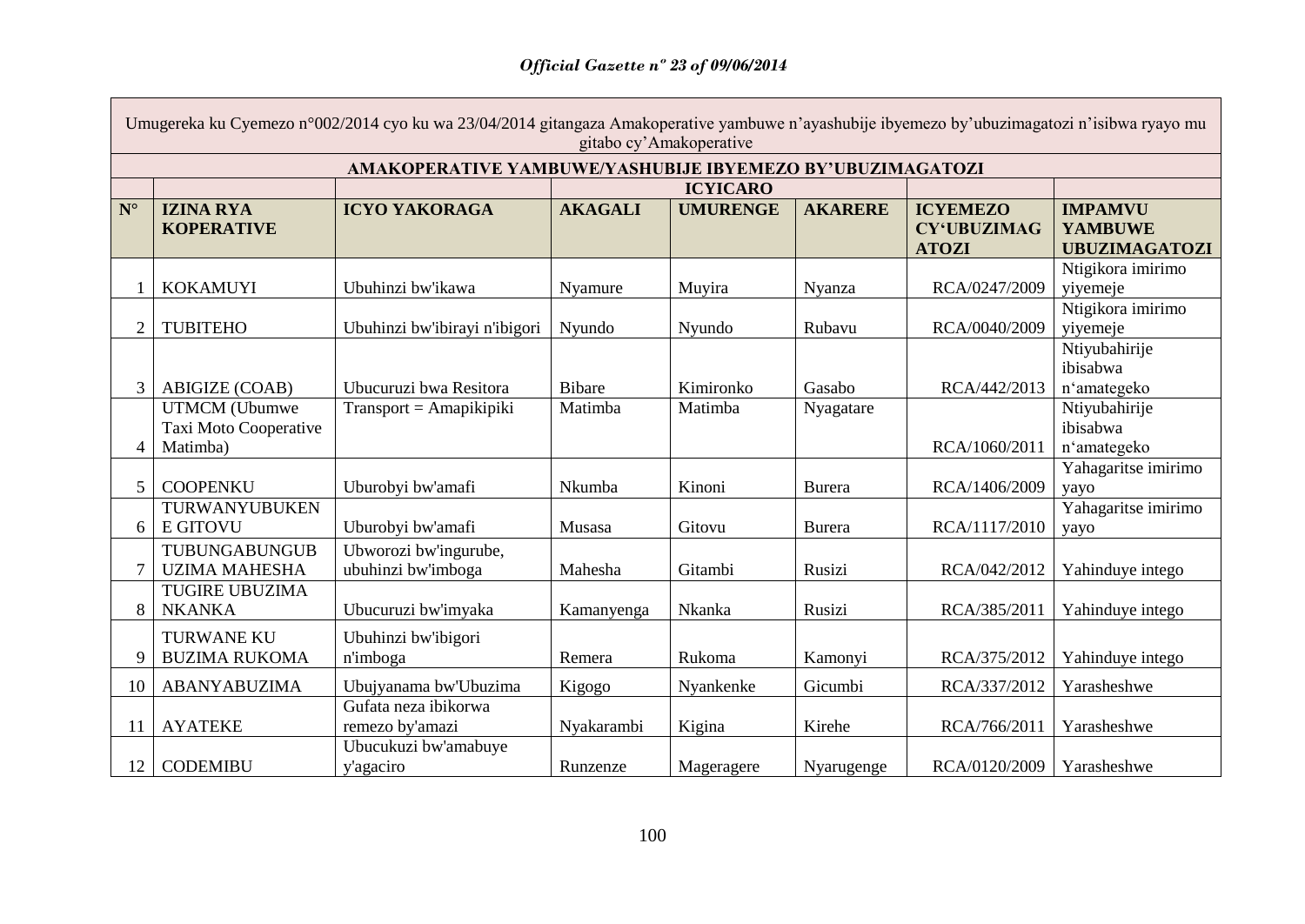$\mathsf{L}$ 

|                   | Umugereka ku Cyemezo n°002/2014 cyo ku wa 23/04/2014 gitangaza Amakoperative yambuwe n'ayashubije ibyemezo by'ubuzimagatozi n'isibwa ryayo mu<br>gitabo cy'Amakoperative |                                             |                |                 |                |                                                       |                                                          |  |
|-------------------|--------------------------------------------------------------------------------------------------------------------------------------------------------------------------|---------------------------------------------|----------------|-----------------|----------------|-------------------------------------------------------|----------------------------------------------------------|--|
|                   | AMAKOPERATIVE YAMBUWE/YASHUBIJE IBYEMEZO BY'UBUZIMAGATOZI                                                                                                                |                                             |                |                 |                |                                                       |                                                          |  |
|                   | <b>ICYICARO</b>                                                                                                                                                          |                                             |                |                 |                |                                                       |                                                          |  |
| ${\bf N}^{\circ}$ | <b>IZINA RYA</b><br><b>KOPERATIVE</b>                                                                                                                                    | <b>ICYO YAKORAGA</b>                        | <b>AKAGALI</b> | <b>UMURENGE</b> | <b>AKARERE</b> | <b>ICYEMEZO</b><br><b>CY'UBUZIMAG</b><br><b>ATOZI</b> | <b>IMPAMVU</b><br><b>YAMBUWE</b><br><b>UBUZIMAGATOZI</b> |  |
|                   | <b>KOKAMUYI</b>                                                                                                                                                          | Ubuhinzi bw'ikawa                           | Nyamure        | Muyira          | Nyanza         | RCA/0247/2009                                         | Ntigikora imirimo<br>yiyemeje                            |  |
| $\overline{2}$    | <b>TUBITEHO</b>                                                                                                                                                          | Ubuhinzi bw'ibirayi n'ibigori               | Nyundo         | Nyundo          | Rubavu         | RCA/0040/2009                                         | Ntigikora imirimo<br>yiyemeje                            |  |
|                   | <b>ABIGIZE (COAB)</b>                                                                                                                                                    | Ubucuruzi bwa Resitora                      | <b>Bibare</b>  | Kimironko       | Gasabo         | RCA/442/2013                                          | Ntiyubahirije<br>ibisabwa<br>n'amategeko                 |  |
| 4                 | <b>UTMCM</b> (Ubumwe<br>Taxi Moto Cooperative<br>Matimba)                                                                                                                | $Transport = Amapikipiki$                   | Matimba        | Matimba         | Nyagatare      | RCA/1060/2011                                         | Ntiyubahirije<br>ibisabwa<br>n'amategeko                 |  |
| 5                 | <b>COOPENKU</b>                                                                                                                                                          | Uburobyi bw'amafi                           | Nkumba         | Kinoni          | <b>Burera</b>  | RCA/1406/2009                                         | Yahagaritse imirimo<br>yayo                              |  |
| 6                 | TURWANYUBUKEN<br><b>E GITOVU</b>                                                                                                                                         | Uburobyi bw'amafi                           | Musasa         | Gitovu          | Burera         | RCA/1117/2010                                         | Yahagaritse imirimo<br>yayo                              |  |
|                   | TUBUNGABUNGUB<br><b>UZIMA MAHESHA</b>                                                                                                                                    | Ubworozi bw'ingurube,<br>ubuhinzi bw'imboga | Mahesha        | Gitambi         | Rusizi         | RCA/042/2012                                          | Yahinduye intego                                         |  |
| 8                 | <b>TUGIRE UBUZIMA</b><br><b>NKANKA</b>                                                                                                                                   | Ubucuruzi bw'imyaka                         | Kamanyenga     | Nkanka          | Rusizi         | RCA/385/2011                                          | Yahinduye intego                                         |  |
| 9                 | <b>TURWANE KU</b><br><b>BUZIMA RUKOMA</b>                                                                                                                                | Ubuhinzi bw'ibigori<br>n'imboga             | Remera         | Rukoma          | Kamonyi        | RCA/375/2012                                          | Yahinduye intego                                         |  |
| 10                | <b>ABANYABUZIMA</b>                                                                                                                                                      | Ubujyanama bw'Ubuzima                       | Kigogo         | Nyankenke       | Gicumbi        | RCA/337/2012                                          | Yarasheshwe                                              |  |
| 11                | <b>AYATEKE</b>                                                                                                                                                           | Gufata neza ibikorwa<br>remezo by'amazi     | Nyakarambi     | Kigina          | Kirehe         | RCA/766/2011                                          | Yarasheshwe                                              |  |
| 12                | <b>CODEMIBU</b>                                                                                                                                                          | Ubucukuzi bw'amabuye<br>y'agaciro           | Runzenze       | Mageragere      | Nyarugenge     | RCA/0120/2009                                         | Yarasheshwe                                              |  |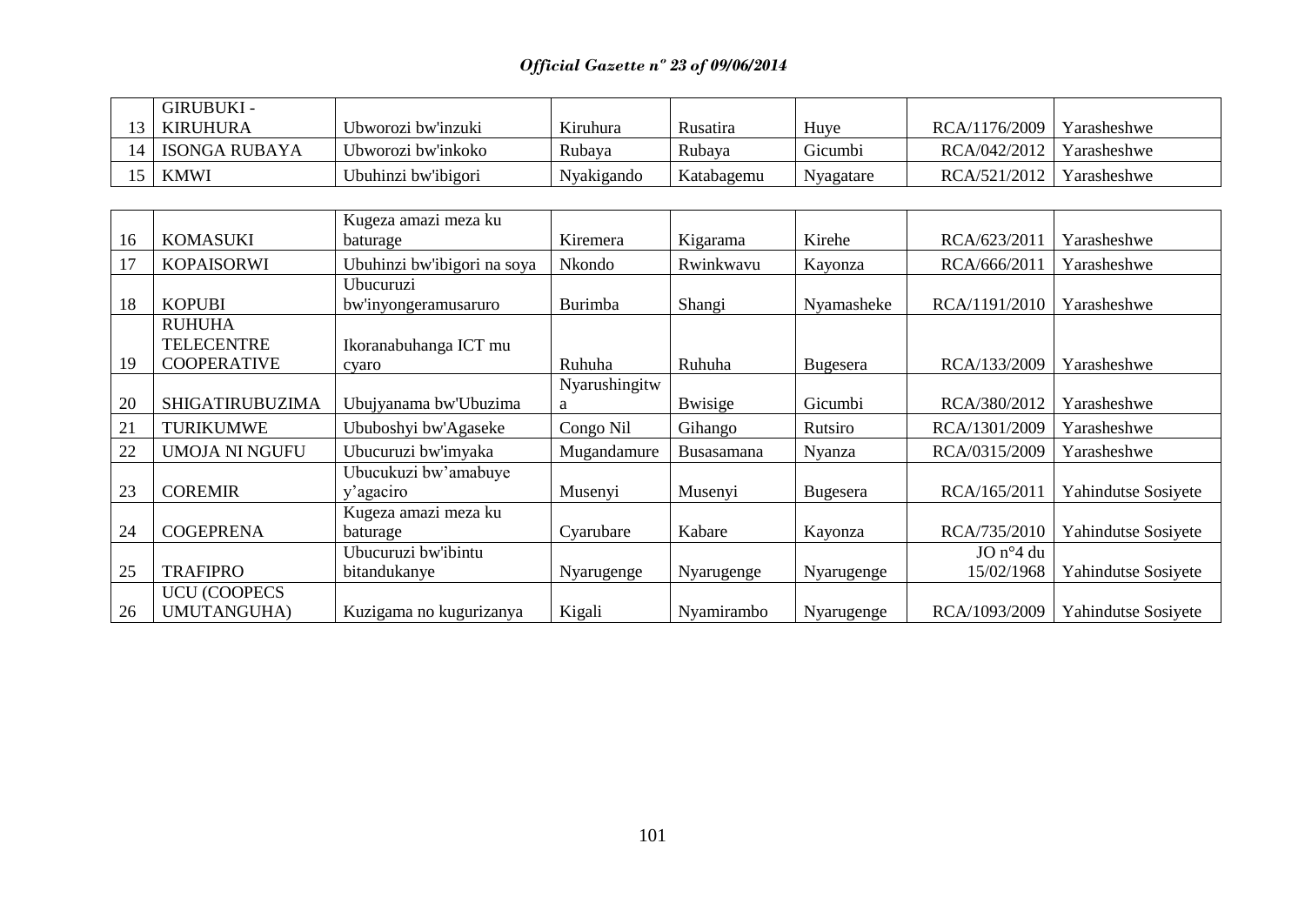| GIRUBUKI -         |                     |            |            |           |               |             |
|--------------------|---------------------|------------|------------|-----------|---------------|-------------|
| KIRUHURA           | Ubworozi bw'inzuki  | Kiruhura   | Rusatıra   | Huye      | RCA/1176/2009 | Yarasheshwe |
| 14   ISONGA RUBAYA | Ubworozi bw'inkoko  | Rubaya     | Rubava     | Gicumbi   | RCA/042/2012  | Yarasheshwe |
| $5$ KMWI           | Ubuhinzi bw'ibigori | Nyakigando | Katabagemu | Nyagatare | RCA/521/2012  | Yarasheshwe |

| 16 | <b>KOMASUKI</b>        | Kugeza amazi meza ku        | Kiremera      | Kigarama        | Kirehe          | RCA/623/2011       | Yarasheshwe         |
|----|------------------------|-----------------------------|---------------|-----------------|-----------------|--------------------|---------------------|
|    |                        | baturage                    |               |                 |                 |                    |                     |
| 17 | <b>KOPAISORWI</b>      | Ubuhinzi bw'ibigori na soya | Nkondo        | Rwinkwavu       | Kayonza         | RCA/666/2011       | Yarasheshwe         |
|    |                        | Ubucuruzi                   |               |                 |                 |                    |                     |
| 18 | <b>KOPUBI</b>          | bw'inyongeramusaruro        | Burimba       | Shangi          | Nyamasheke      | RCA/1191/2010      | Yarasheshwe         |
|    | <b>RUHUHA</b>          |                             |               |                 |                 |                    |                     |
|    | <b>TELECENTRE</b>      | Ikoranabuhanga ICT mu       |               |                 |                 |                    |                     |
| 19 | <b>COOPERATIVE</b>     | cyaro                       | Ruhuha        | Ruhuha          | <b>Bugesera</b> | RCA/133/2009       | Yarasheshwe         |
|    |                        |                             | Nyarushingitw |                 |                 |                    |                     |
| 20 | <b>SHIGATIRUBUZIMA</b> | Ubujyanama bw'Ubuzima       | a             | <b>B</b> wisige | Gicumbi         | RCA/380/2012       | Yarasheshwe         |
| 21 | <b>TURIKUMWE</b>       | Ububoshyi bw'Agaseke        | Congo Nil     | Gihango         | Rutsiro         | RCA/1301/2009      | Yarasheshwe         |
| 22 | <b>UMOJA NI NGUFU</b>  | Ubucuruzi bw'imyaka         | Mugandamure   | Busasamana      | Nyanza          | RCA/0315/2009      | Yarasheshwe         |
|    |                        | Ubucukuzi bw'amabuye        |               |                 |                 |                    |                     |
| 23 | <b>COREMIR</b>         | y'agaciro                   | Musenyi       | Musenyi         | Bugesera        | RCA/165/2011       | Yahindutse Sosiyete |
|    |                        | Kugeza amazi meza ku        |               |                 |                 |                    |                     |
| 24 | <b>COGEPRENA</b>       | baturage                    | Cyarubare     | Kabare          | Kayonza         | RCA/735/2010       | Yahindutse Sosiyete |
|    |                        | Ubucuruzi bw'ibintu         |               |                 |                 | $JO n^{\circ}4 du$ |                     |
| 25 | <b>TRAFIPRO</b>        | bitandukanye                | Nyarugenge    | Nyarugenge      | Nyarugenge      | 15/02/1968         | Yahindutse Sosiyete |
|    | <b>UCU (COOPECS</b>    |                             |               |                 |                 |                    |                     |
| 26 | UMUTANGUHA)            | Kuzigama no kugurizanya     | Kigali        | Nyamirambo      | Nyarugenge      | RCA/1093/2009      | Yahindutse Sosiyete |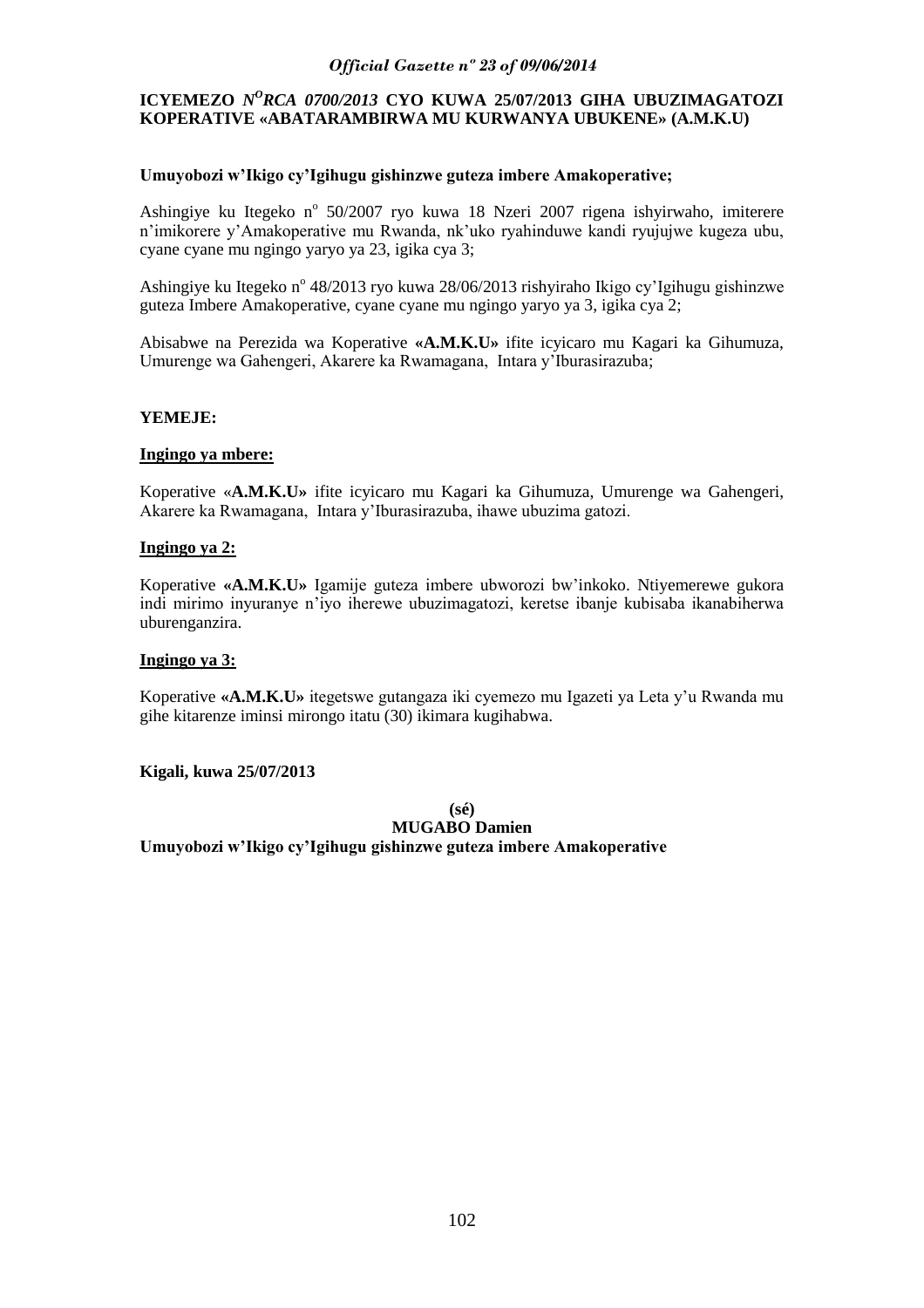# **ICYEMEZO** *NºRCA 0700/2013* CYO KUWA 25/07/2013 GIHA UBUZIMAGATOZI **KOPERATIVE «ABATARAMBIRWA MU KURWANYA UBUKENE» (A.M.K.U)**

## **Umuyobozi w"Ikigo cy"Igihugu gishinzwe guteza imbere Amakoperative;**

Ashingiye ku Itegeko nº 50/2007 ryo kuwa 18 Nzeri 2007 rigena ishyirwaho, imiterere n"imikorere y"Amakoperative mu Rwanda, nk"uko ryahinduwe kandi ryujujwe kugeza ubu, cyane cyane mu ngingo yaryo ya 23, igika cya 3;

Ashingiye ku Itegeko nº 48/2013 ryo kuwa 28/06/2013 rishyiraho Ikigo cy'Igihugu gishinzwe guteza Imbere Amakoperative, cyane cyane mu ngingo yaryo ya 3, igika cya 2;

Abisabwe na Perezida wa Koperative **«A.M.K.U»** ifite icyicaro mu Kagari ka Gihumuza, Umurenge wa Gahengeri, Akarere ka Rwamagana, Intara y"Iburasirazuba;

#### **YEMEJE:**

#### **Ingingo ya mbere:**

Koperative «**A.M.K.U»** ifite icyicaro mu Kagari ka Gihumuza, Umurenge wa Gahengeri, Akarere ka Rwamagana, Intara y"Iburasirazuba, ihawe ubuzima gatozi.

#### **Ingingo ya 2:**

Koperative **«A.M.K.U»** Igamije guteza imbere ubworozi bw"inkoko. Ntiyemerewe gukora indi mirimo inyuranye n"iyo iherewe ubuzimagatozi, keretse ibanje kubisaba ikanabiherwa uburenganzira.

#### **Ingingo ya 3:**

Koperative **«A.M.K.U»** itegetswe gutangaza iki cyemezo mu Igazeti ya Leta y"u Rwanda mu gihe kitarenze iminsi mirongo itatu (30) ikimara kugihabwa.

#### **Kigali, kuwa 25/07/2013**

**(sé) MUGABO Damien Umuyobozi w"Ikigo cy"Igihugu gishinzwe guteza imbere Amakoperative**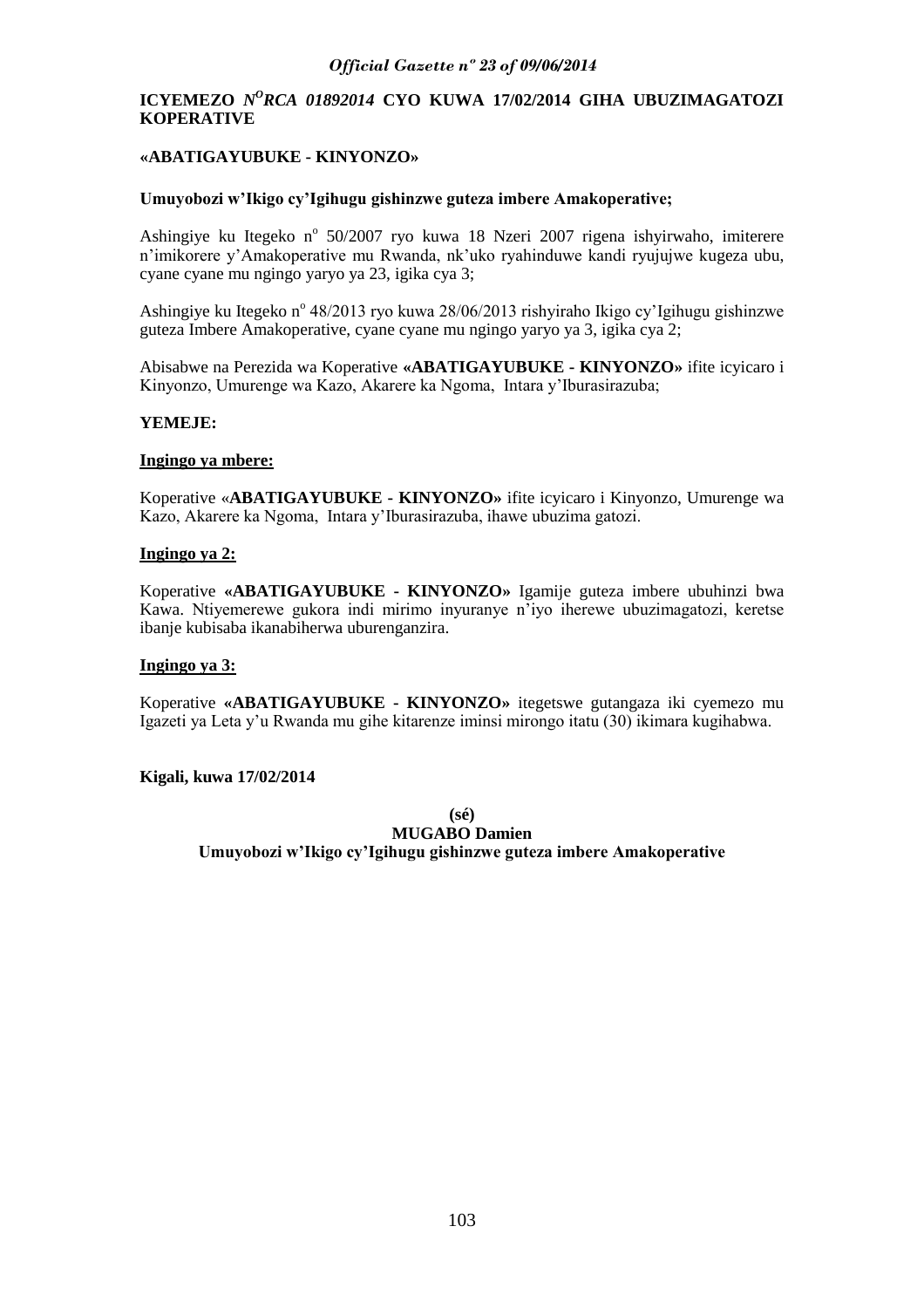# **ICYEMEZO** *NºRCA 01892014* CYO KUWA 17/02/2014 GIHA UBUZIMAGATOZI **KOPERATIVE**

# **«ABATIGAYUBUKE - KINYONZO»**

#### **Umuyobozi w"Ikigo cy"Igihugu gishinzwe guteza imbere Amakoperative;**

Ashingiye ku Itegeko nº 50/2007 ryo kuwa 18 Nzeri 2007 rigena ishyirwaho, imiterere n"imikorere y"Amakoperative mu Rwanda, nk"uko ryahinduwe kandi ryujujwe kugeza ubu, cyane cyane mu ngingo yaryo ya 23, igika cya 3;

Ashingiye ku Itegeko nº 48/2013 ryo kuwa 28/06/2013 rishyiraho Ikigo cy'Igihugu gishinzwe guteza Imbere Amakoperative, cyane cyane mu ngingo yaryo ya 3, igika cya 2;

Abisabwe na Perezida wa Koperative **«ABATIGAYUBUKE - KINYONZO»** ifite icyicaro i Kinyonzo, Umurenge wa Kazo, Akarere ka Ngoma, Intara y"Iburasirazuba;

#### **YEMEJE:**

#### **Ingingo ya mbere:**

Koperative «**ABATIGAYUBUKE - KINYONZO»** ifite icyicaro i Kinyonzo, Umurenge wa Kazo, Akarere ka Ngoma, Intara y"Iburasirazuba, ihawe ubuzima gatozi.

#### **Ingingo ya 2:**

Koperative **«ABATIGAYUBUKE - KINYONZO»** Igamije guteza imbere ubuhinzi bwa Kawa. Ntiyemerewe gukora indi mirimo inyuranye n"iyo iherewe ubuzimagatozi, keretse ibanje kubisaba ikanabiherwa uburenganzira.

#### **Ingingo ya 3:**

Koperative **«ABATIGAYUBUKE - KINYONZO»** itegetswe gutangaza iki cyemezo mu Igazeti ya Leta y"u Rwanda mu gihe kitarenze iminsi mirongo itatu (30) ikimara kugihabwa.

#### **Kigali, kuwa 17/02/2014**

**(sé) MUGABO Damien Umuyobozi w"Ikigo cy"Igihugu gishinzwe guteza imbere Amakoperative**